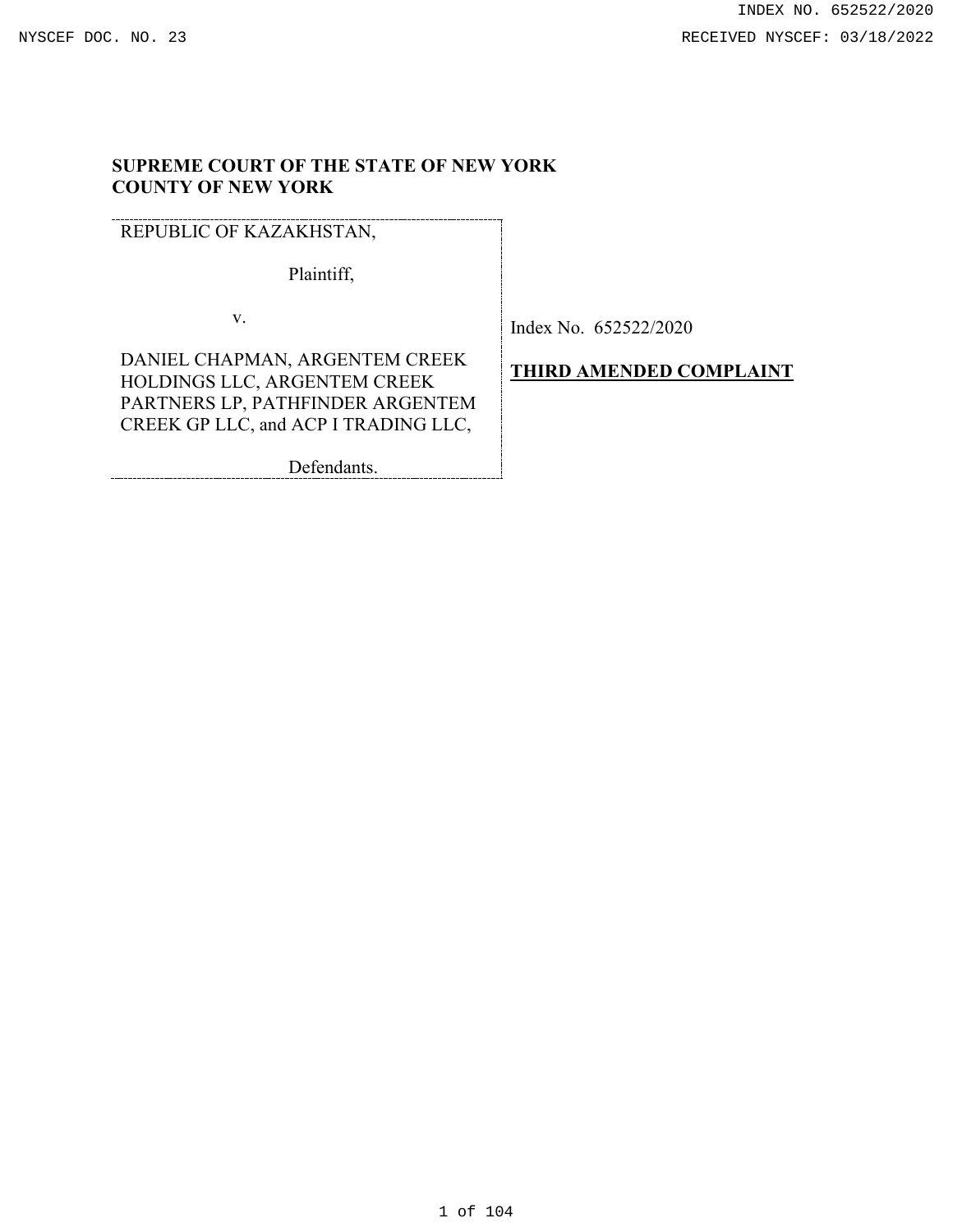# **SUPREME COURT OF THE STATE OF NEW YORK COUNTY OF NEW YORK**

REPUBLIC OF KAZAKHSTAN,

Plaintiff,

v.

Index No. 652522/2020

DANIEL CHAPMAN, ARGENTEM CREEK HOLDINGS LLC, ARGENTEM CREEK PARTNERS LP, PATHFINDER ARGENTEM CREEK GP LLC, and ACP I TRADING LLC,

Defendants.

**THIRD AMENDED COMPLAINT**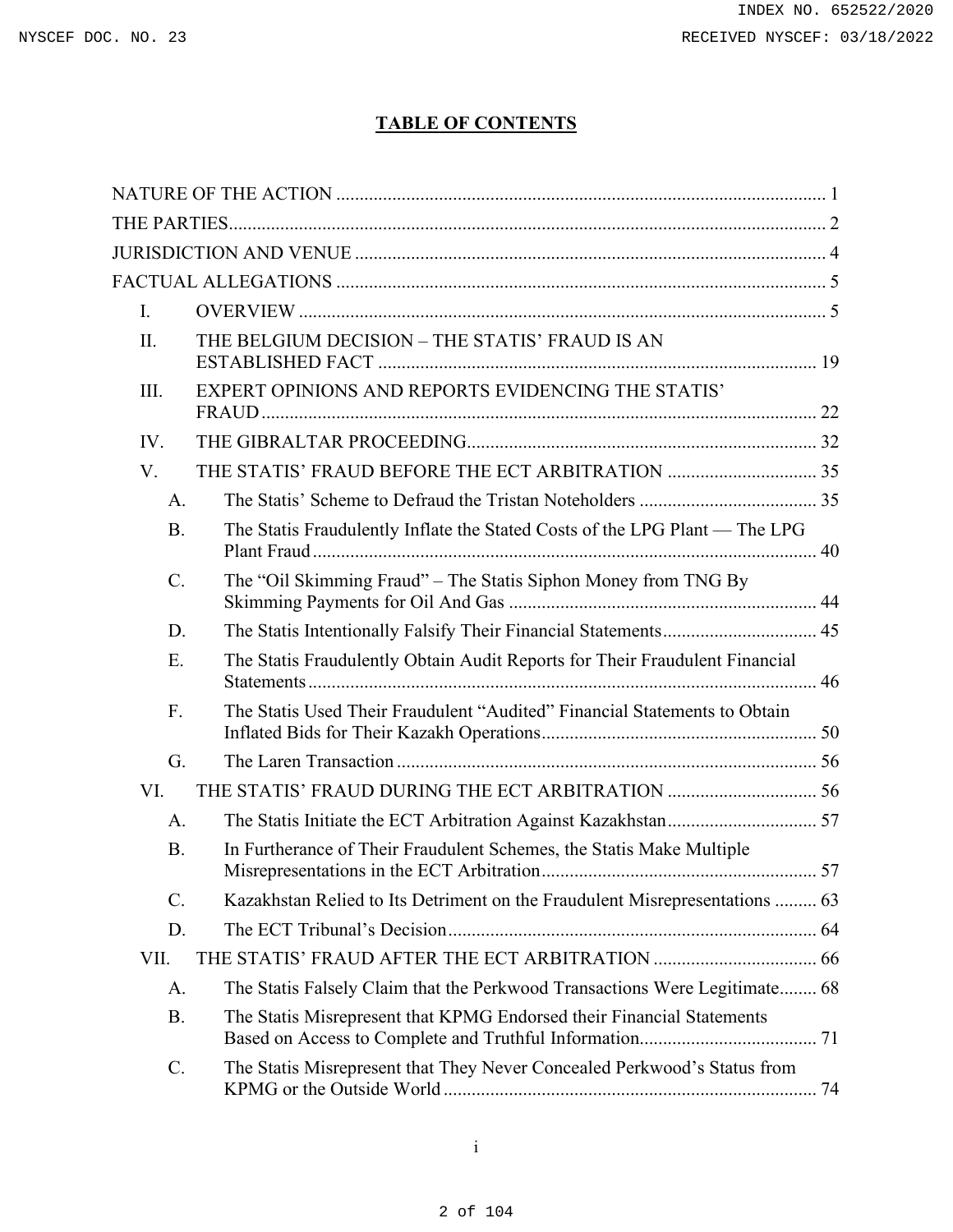# **TABLE OF CONTENTS**

| L.              |                                                                             |
|-----------------|-----------------------------------------------------------------------------|
| II.             | THE BELGIUM DECISION - THE STATIS' FRAUD IS AN                              |
| III.            | EXPERT OPINIONS AND REPORTS EVIDENCING THE STATIS'                          |
| IV.             |                                                                             |
| V.              |                                                                             |
| A.              |                                                                             |
| <b>B.</b>       | The Statis Fraudulently Inflate the Stated Costs of the LPG Plant — The LPG |
| $C$ .           | The "Oil Skimming Fraud" - The Statis Siphon Money from TNG By              |
| D.              |                                                                             |
| E.              | The Statis Fraudulently Obtain Audit Reports for Their Fraudulent Financial |
| F.              | The Statis Used Their Fraudulent "Audited" Financial Statements to Obtain   |
| G.              |                                                                             |
| VI.             |                                                                             |
| A.              |                                                                             |
| <b>B.</b>       | In Furtherance of Their Fraudulent Schemes, the Statis Make Multiple        |
| $\mathcal{C}$ . | Kazakhstan Relied to Its Detriment on the Fraudulent Misrepresentations  63 |
| D.              |                                                                             |
| VII.            |                                                                             |
| A.              | The Statis Falsely Claim that the Perkwood Transactions Were Legitimate 68  |
| <b>B.</b>       | The Statis Misrepresent that KPMG Endorsed their Financial Statements       |
| $\mathcal{C}$ . | The Statis Misrepresent that They Never Concealed Perkwood's Status from    |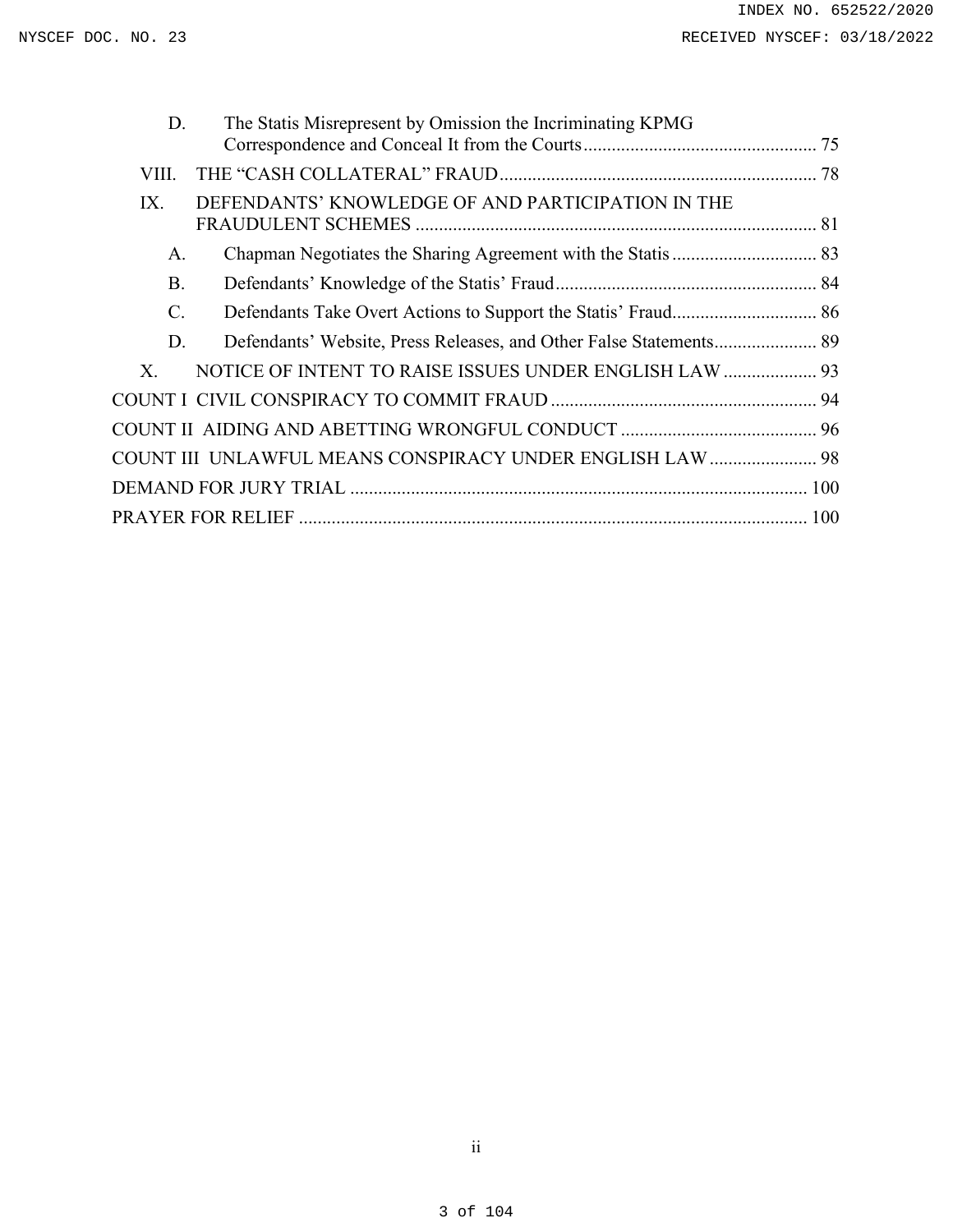| The Statis Misrepresent by Omission the Incriminating KPMG         |  |
|--------------------------------------------------------------------|--|
|                                                                    |  |
|                                                                    |  |
| DEFENDANTS' KNOWLEDGE OF AND PARTICIPATION IN THE                  |  |
|                                                                    |  |
|                                                                    |  |
|                                                                    |  |
| Defendants' Website, Press Releases, and Other False Statements 89 |  |
| NOTICE OF INTENT TO RAISE ISSUES UNDER ENGLISH LAW  93             |  |
|                                                                    |  |
|                                                                    |  |
| <b>COUNT III UNLAWFUL MEANS CONSPIRACY UNDER ENGLISH LAW  98</b>   |  |
|                                                                    |  |
|                                                                    |  |
|                                                                    |  |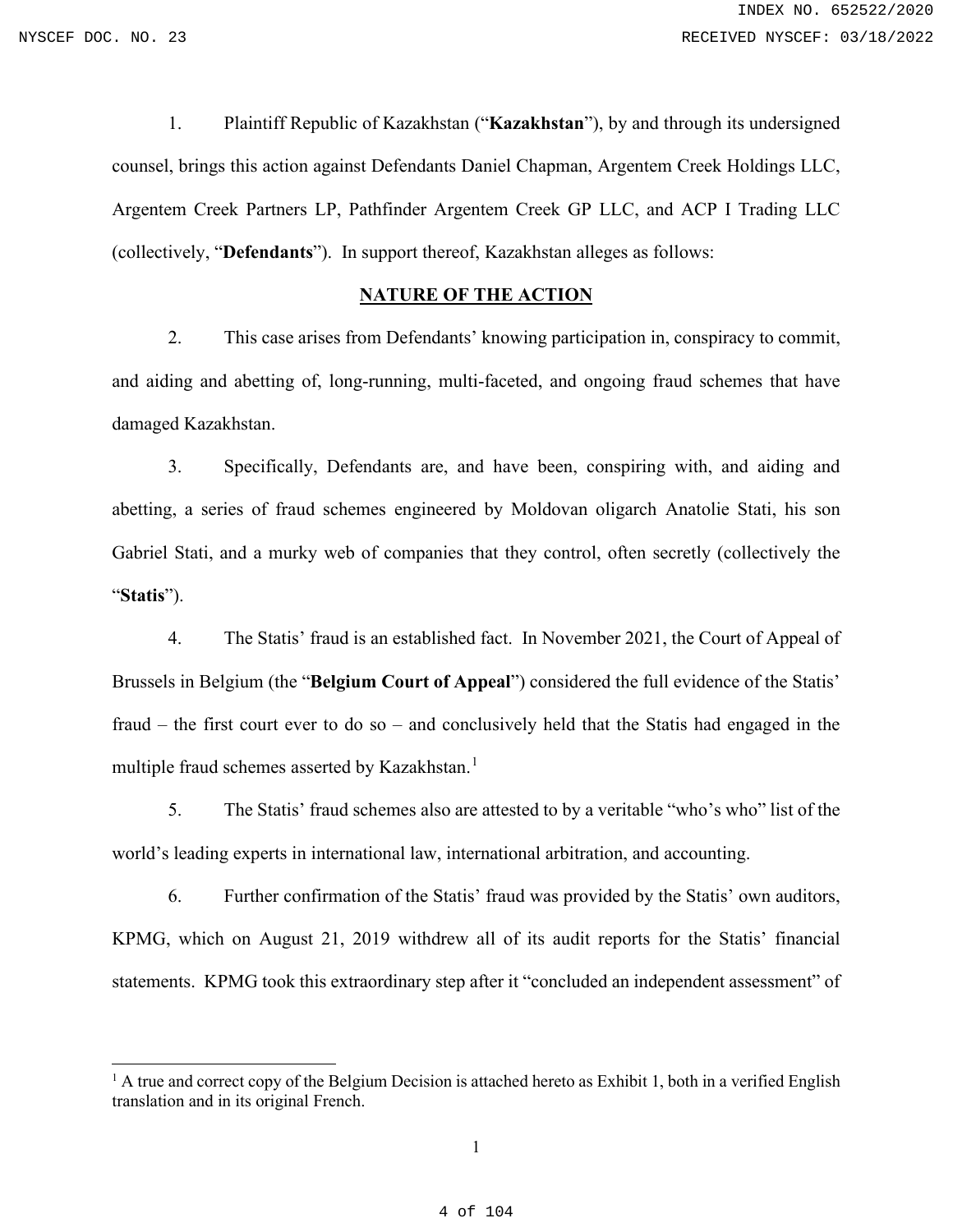1. Plaintiff Republic of Kazakhstan ("**Kazakhstan**"), by and through its undersigned counsel, brings this action against Defendants Daniel Chapman, Argentem Creek Holdings LLC, Argentem Creek Partners LP, Pathfinder Argentem Creek GP LLC, and ACP I Trading LLC (collectively, "**Defendants**"). In support thereof, Kazakhstan alleges as follows:

## **NATURE OF THE ACTION**

<span id="page-3-0"></span>2. This case arises from Defendants' knowing participation in, conspiracy to commit, and aiding and abetting of, long-running, multi-faceted, and ongoing fraud schemes that have damaged Kazakhstan.

3. Specifically, Defendants are, and have been, conspiring with, and aiding and abetting, a series of fraud schemes engineered by Moldovan oligarch Anatolie Stati, his son Gabriel Stati, and a murky web of companies that they control, often secretly (collectively the "**Statis**").

4. The Statis' fraud is an established fact. In November 2021, the Court of Appeal of Brussels in Belgium (the "**Belgium Court of Appeal**") considered the full evidence of the Statis' fraud – the first court ever to do so – and conclusively held that the Statis had engaged in the multiple fraud schemes asserted by Kazakhstan.<sup>[1](#page-3-1)</sup>

5. The Statis' fraud schemes also are attested to by a veritable "who's who" list of the world's leading experts in international law, international arbitration, and accounting.

6. Further confirmation of the Statis' fraud was provided by the Statis' own auditors, KPMG, which on August 21, 2019 withdrew all of its audit reports for the Statis' financial statements. KPMG took this extraordinary step after it "concluded an independent assessment" of

<span id="page-3-1"></span> $<sup>1</sup>$  A true and correct copy of the Belgium Decision is attached hereto as Exhibit 1, both in a verified English</sup> translation and in its original French.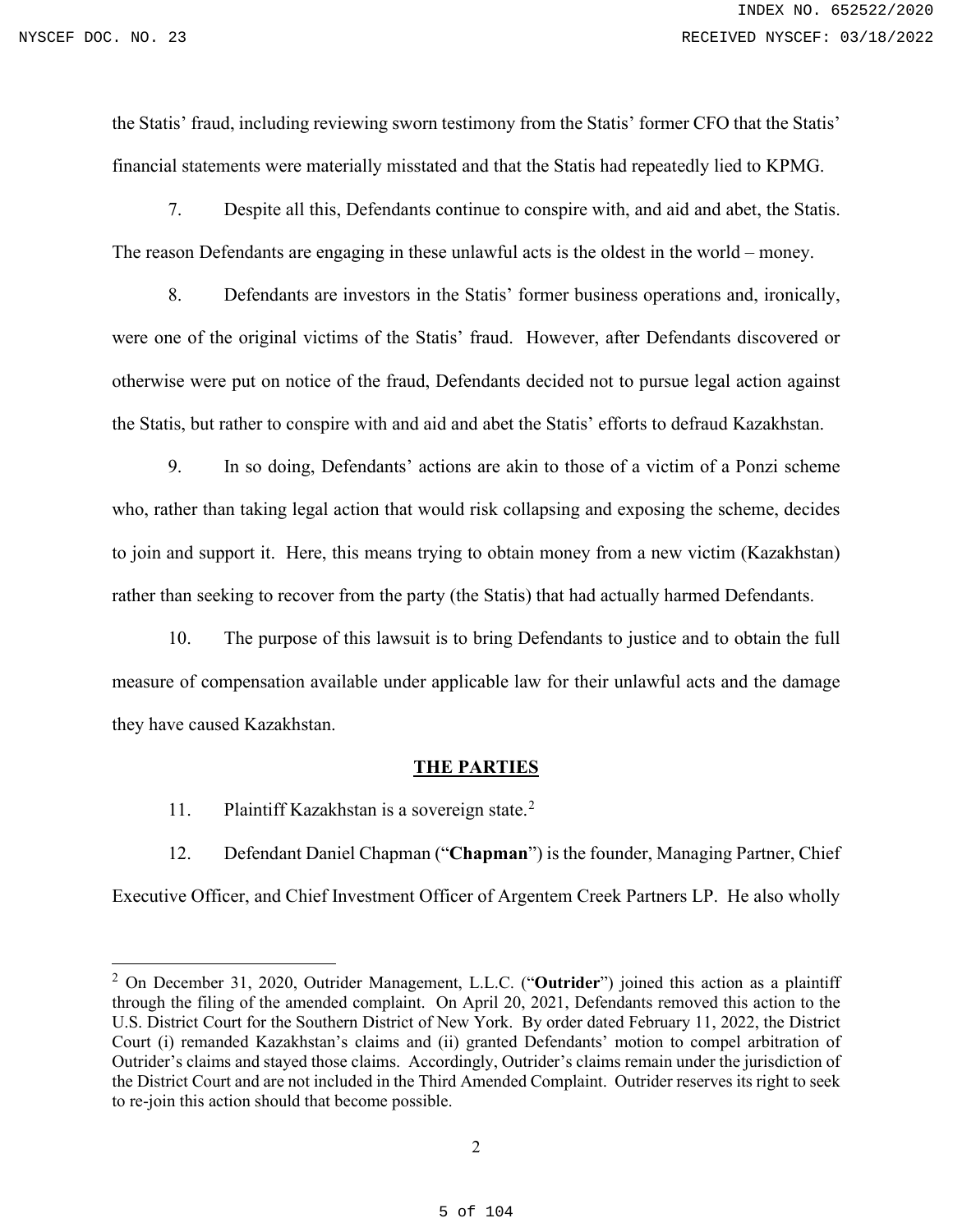the Statis' fraud, including reviewing sworn testimony from the Statis' former CFO that the Statis' financial statements were materially misstated and that the Statis had repeatedly lied to KPMG.

7. Despite all this, Defendants continue to conspire with, and aid and abet, the Statis. The reason Defendants are engaging in these unlawful acts is the oldest in the world – money.

8. Defendants are investors in the Statis' former business operations and, ironically, were one of the original victims of the Statis' fraud. However, after Defendants discovered or otherwise were put on notice of the fraud, Defendants decided not to pursue legal action against the Statis, but rather to conspire with and aid and abet the Statis' efforts to defraud Kazakhstan.

9. In so doing, Defendants' actions are akin to those of a victim of a Ponzi scheme who, rather than taking legal action that would risk collapsing and exposing the scheme, decides to join and support it. Here, this means trying to obtain money from a new victim (Kazakhstan) rather than seeking to recover from the party (the Statis) that had actually harmed Defendants.

10. The purpose of this lawsuit is to bring Defendants to justice and to obtain the full measure of compensation available under applicable law for their unlawful acts and the damage they have caused Kazakhstan.

#### **THE PARTIES**

<span id="page-4-0"></span>11. Plaintiff Kazakhstan is a sovereign state.<sup>[2](#page-4-1)</sup>

12. Defendant Daniel Chapman ("**Chapman**") is the founder, Managing Partner, Chief Executive Officer, and Chief Investment Officer of Argentem Creek Partners LP. He also wholly

<span id="page-4-1"></span><sup>2</sup> On December 31, 2020, Outrider Management, L.L.C. ("**Outrider**") joined this action as a plaintiff through the filing of the amended complaint. On April 20, 2021, Defendants removed this action to the U.S. District Court for the Southern District of New York. By order dated February 11, 2022, the District Court (i) remanded Kazakhstan's claims and (ii) granted Defendants' motion to compel arbitration of Outrider's claims and stayed those claims. Accordingly, Outrider's claims remain under the jurisdiction of the District Court and are not included in the Third Amended Complaint. Outrider reserves its right to seek to re-join this action should that become possible.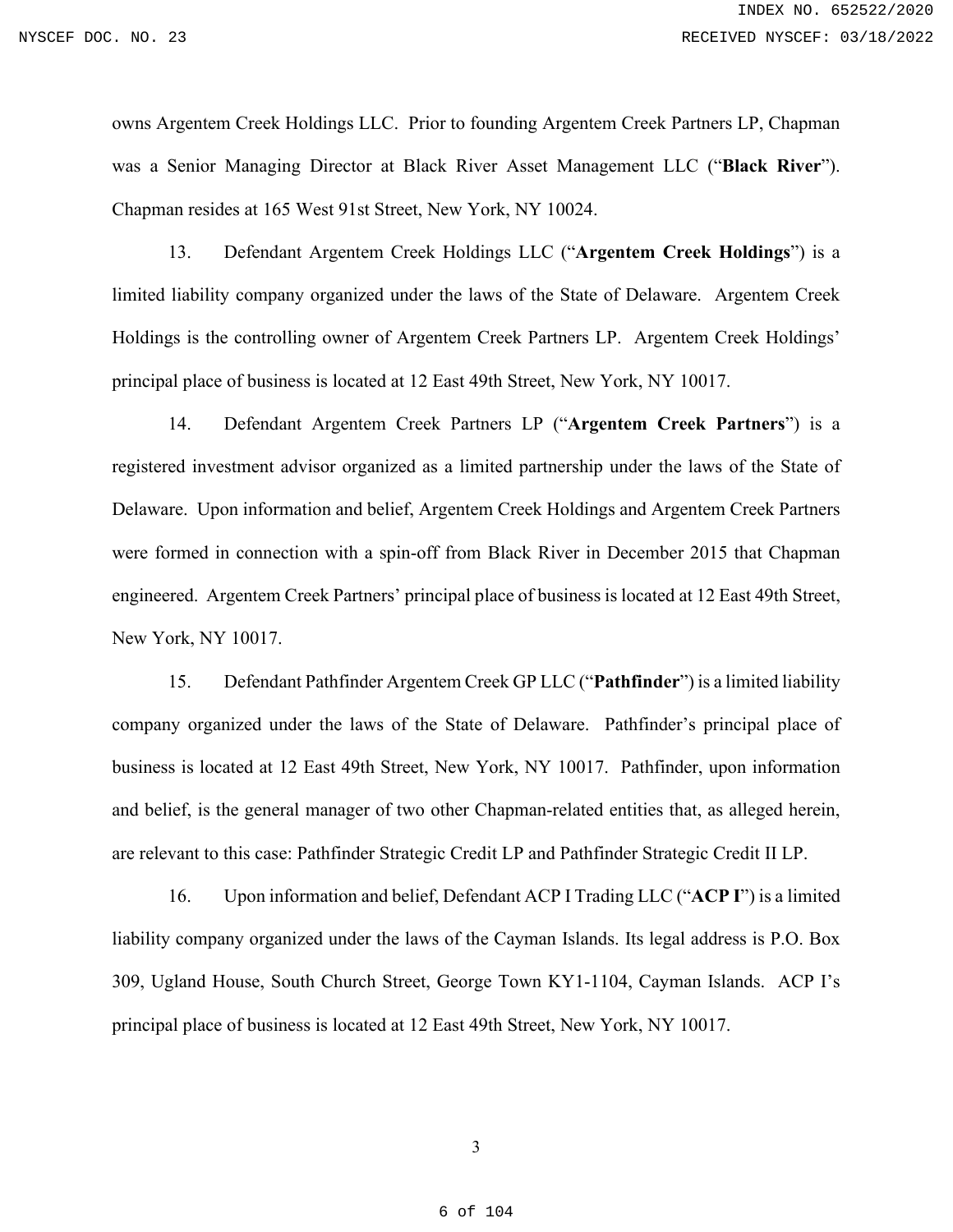owns Argentem Creek Holdings LLC. Prior to founding Argentem Creek Partners LP, Chapman was a Senior Managing Director at Black River Asset Management LLC ("**Black River**"). Chapman resides at 165 West 91st Street, New York, NY 10024.

13. Defendant Argentem Creek Holdings LLC ("**Argentem Creek Holdings**") is a limited liability company organized under the laws of the State of Delaware. Argentem Creek Holdings is the controlling owner of Argentem Creek Partners LP. Argentem Creek Holdings' principal place of business is located at 12 East 49th Street, New York, NY 10017.

14. Defendant Argentem Creek Partners LP ("**Argentem Creek Partners**") is a registered investment advisor organized as a limited partnership under the laws of the State of Delaware. Upon information and belief, Argentem Creek Holdings and Argentem Creek Partners were formed in connection with a spin-off from Black River in December 2015 that Chapman engineered. Argentem Creek Partners' principal place of business is located at 12 East 49th Street, New York, NY 10017.

15. Defendant Pathfinder Argentem Creek GP LLC ("**Pathfinder**") is a limited liability company organized under the laws of the State of Delaware. Pathfinder's principal place of business is located at 12 East 49th Street, New York, NY 10017. Pathfinder, upon information and belief, is the general manager of two other Chapman-related entities that, as alleged herein, are relevant to this case: Pathfinder Strategic Credit LP and Pathfinder Strategic Credit II LP.

16. Upon information and belief, Defendant ACP I Trading LLC ("**ACP I**") is a limited liability company organized under the laws of the Cayman Islands. Its legal address is P.O. Box 309, Ugland House, South Church Street, George Town KY1-1104, Cayman Islands. ACP I's principal place of business is located at 12 East 49th Street, New York, NY 10017.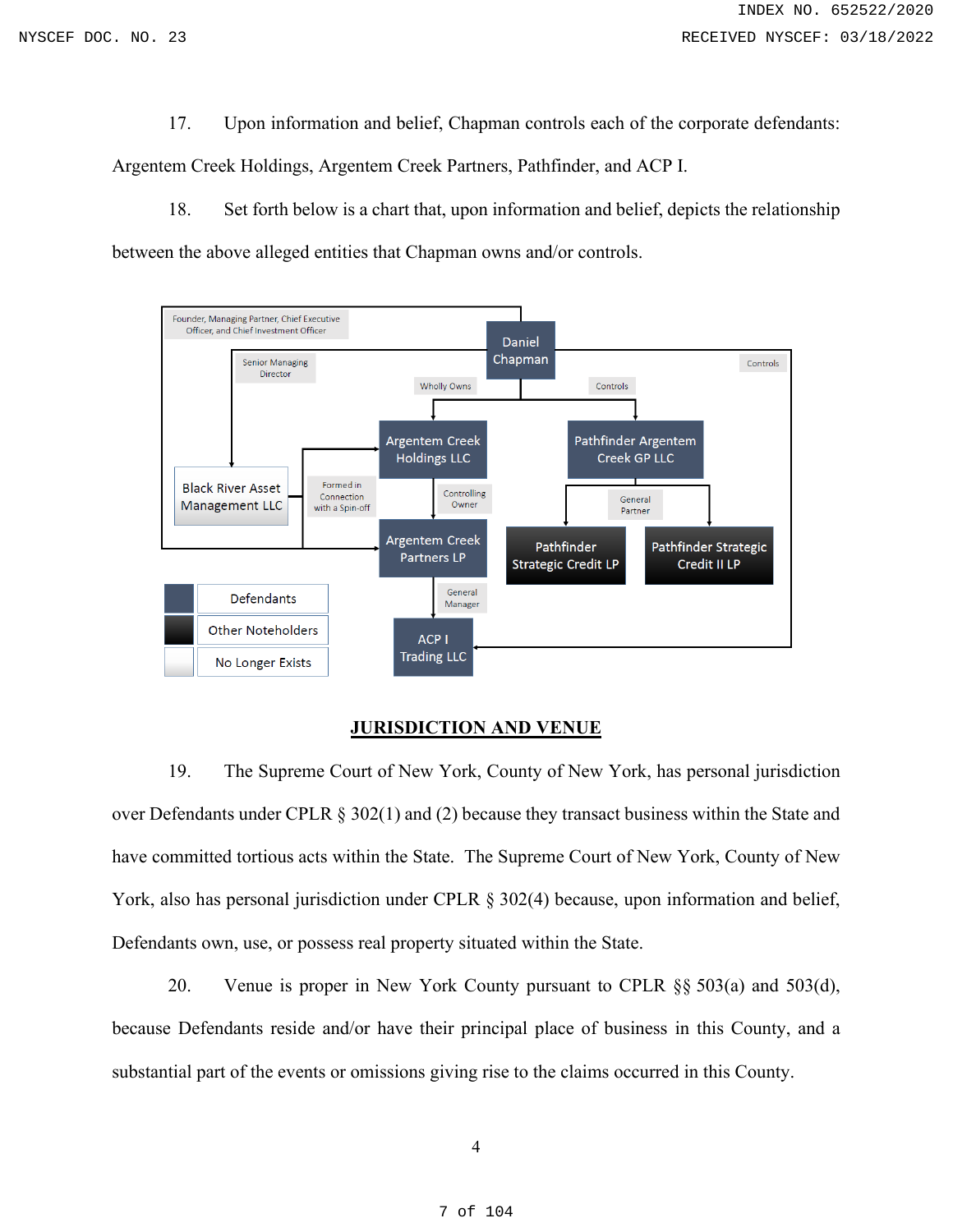17. Upon information and belief, Chapman controls each of the corporate defendants:

Argentem Creek Holdings, Argentem Creek Partners, Pathfinder, and ACP I.

18. Set forth below is a chart that, upon information and belief, depicts the relationship between the above alleged entities that Chapman owns and/or controls.



## **JURISDICTION AND VENUE**

<span id="page-6-0"></span>19. The Supreme Court of New York, County of New York, has personal jurisdiction over Defendants under CPLR § 302(1) and (2) because they transact business within the State and have committed tortious acts within the State. The Supreme Court of New York, County of New York, also has personal jurisdiction under CPLR  $\S 302(4)$  because, upon information and belief, Defendants own, use, or possess real property situated within the State.

20. Venue is proper in New York County pursuant to CPLR §§ 503(a) and 503(d), because Defendants reside and/or have their principal place of business in this County, and a substantial part of the events or omissions giving rise to the claims occurred in this County.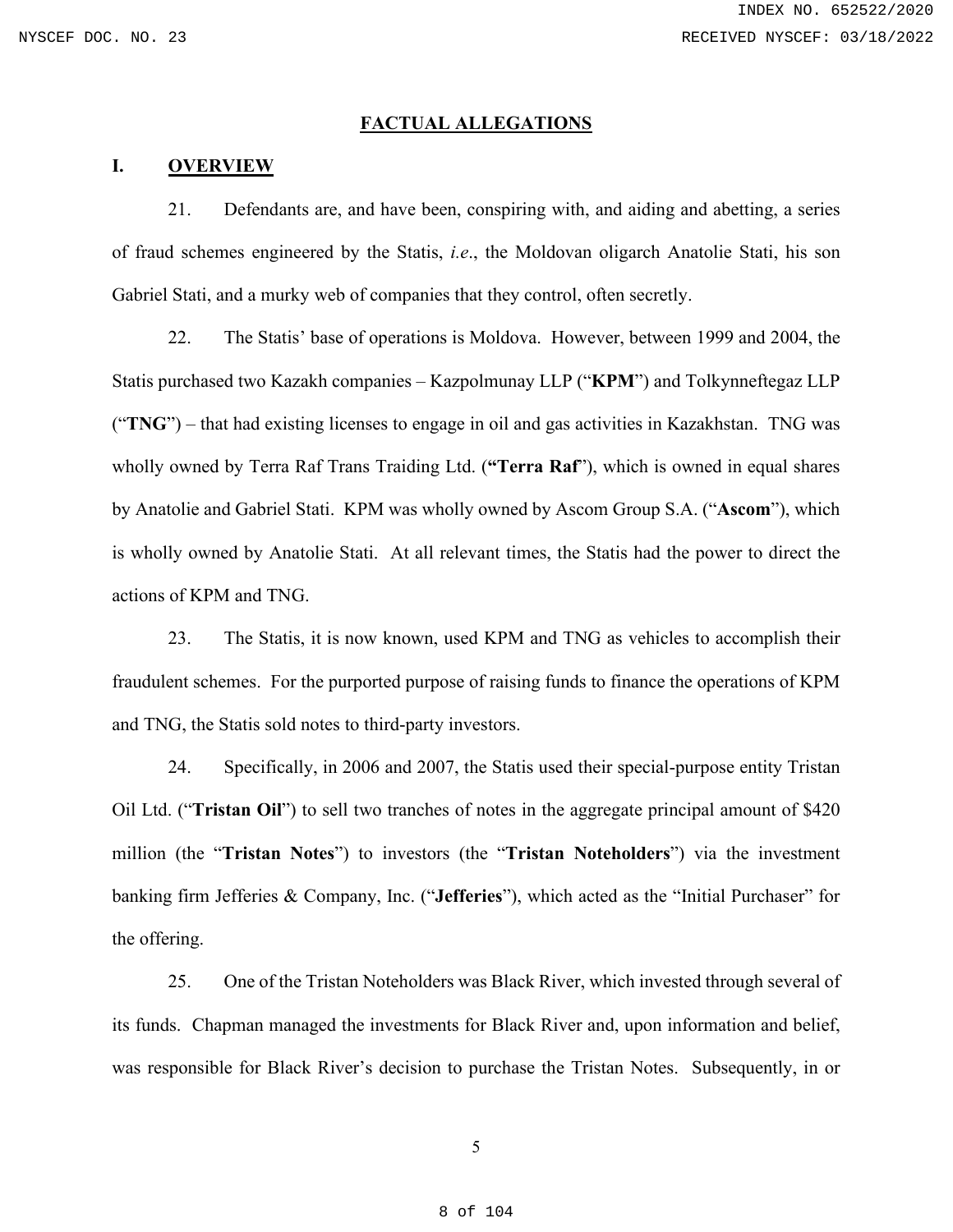### **FACTUAL ALLEGATIONS**

### <span id="page-7-1"></span><span id="page-7-0"></span>**I. OVERVIEW**

21. Defendants are, and have been, conspiring with, and aiding and abetting, a series of fraud schemes engineered by the Statis, *i.e*., the Moldovan oligarch Anatolie Stati, his son Gabriel Stati, and a murky web of companies that they control, often secretly.

22. The Statis' base of operations is Moldova. However, between 1999 and 2004, the Statis purchased two Kazakh companies – Kazpolmunay LLP ("**KPM**") and Tolkynneftegaz LLP ("**TNG**") – that had existing licenses to engage in oil and gas activities in Kazakhstan. TNG was wholly owned by Terra Raf Trans Traiding Ltd. (**"Terra Raf**"), which is owned in equal shares by Anatolie and Gabriel Stati. KPM was wholly owned by Ascom Group S.A. ("**Ascom**"), which is wholly owned by Anatolie Stati. At all relevant times, the Statis had the power to direct the actions of KPM and TNG.

23. The Statis, it is now known, used KPM and TNG as vehicles to accomplish their fraudulent schemes. For the purported purpose of raising funds to finance the operations of KPM and TNG, the Statis sold notes to third-party investors.

24. Specifically, in 2006 and 2007, the Statis used their special-purpose entity Tristan Oil Ltd. ("**Tristan Oil**") to sell two tranches of notes in the aggregate principal amount of \$420 million (the "**Tristan Notes**") to investors (the "**Tristan Noteholders**") via the investment banking firm Jefferies & Company, Inc. ("**Jefferies**"), which acted as the "Initial Purchaser" for the offering.

25. One of the Tristan Noteholders was Black River, which invested through several of its funds. Chapman managed the investments for Black River and, upon information and belief, was responsible for Black River's decision to purchase the Tristan Notes. Subsequently, in or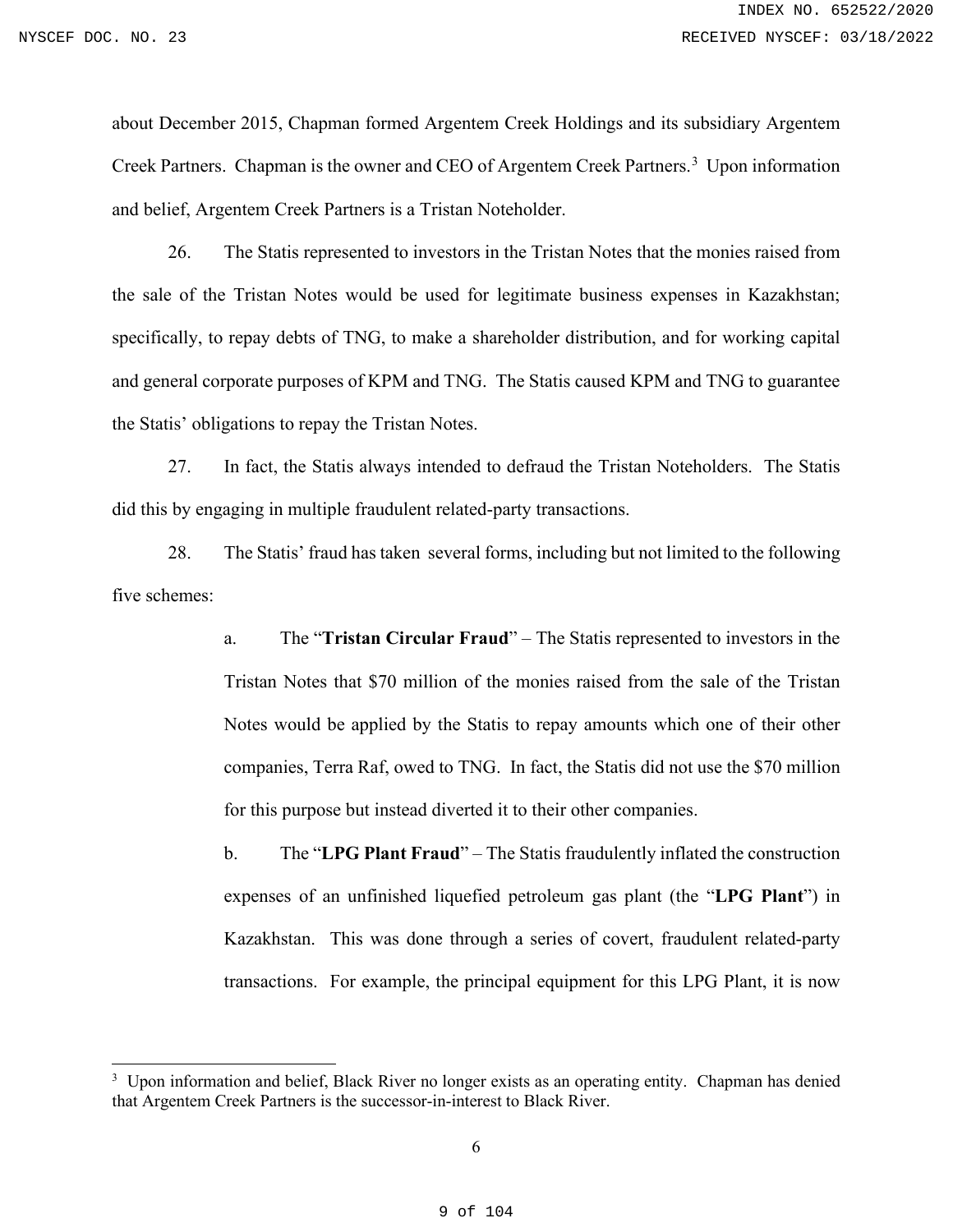about December 2015, Chapman formed Argentem Creek Holdings and its subsidiary Argentem Creek Partners. Chapman is the owner and CEO of Argentem Creek Partners.<sup>[3](#page-8-0)</sup> Upon information and belief, Argentem Creek Partners is a Tristan Noteholder.

26. The Statis represented to investors in the Tristan Notes that the monies raised from the sale of the Tristan Notes would be used for legitimate business expenses in Kazakhstan; specifically, to repay debts of TNG, to make a shareholder distribution, and for working capital and general corporate purposes of KPM and TNG. The Statis caused KPM and TNG to guarantee the Statis' obligations to repay the Tristan Notes.

27. In fact, the Statis always intended to defraud the Tristan Noteholders. The Statis did this by engaging in multiple fraudulent related-party transactions.

28. The Statis' fraud has taken several forms, including but not limited to the following five schemes:

> a. The "**Tristan Circular Fraud**" – The Statis represented to investors in the Tristan Notes that \$70 million of the monies raised from the sale of the Tristan Notes would be applied by the Statis to repay amounts which one of their other companies, Terra Raf, owed to TNG. In fact, the Statis did not use the \$70 million for this purpose but instead diverted it to their other companies.

> b. The "**LPG Plant Fraud**" – The Statis fraudulently inflated the construction expenses of an unfinished liquefied petroleum gas plant (the "**LPG Plant**") in Kazakhstan. This was done through a series of covert, fraudulent related-party transactions. For example, the principal equipment for this LPG Plant, it is now

<span id="page-8-0"></span><sup>&</sup>lt;sup>3</sup> Upon information and belief, Black River no longer exists as an operating entity. Chapman has denied that Argentem Creek Partners is the successor-in-interest to Black River.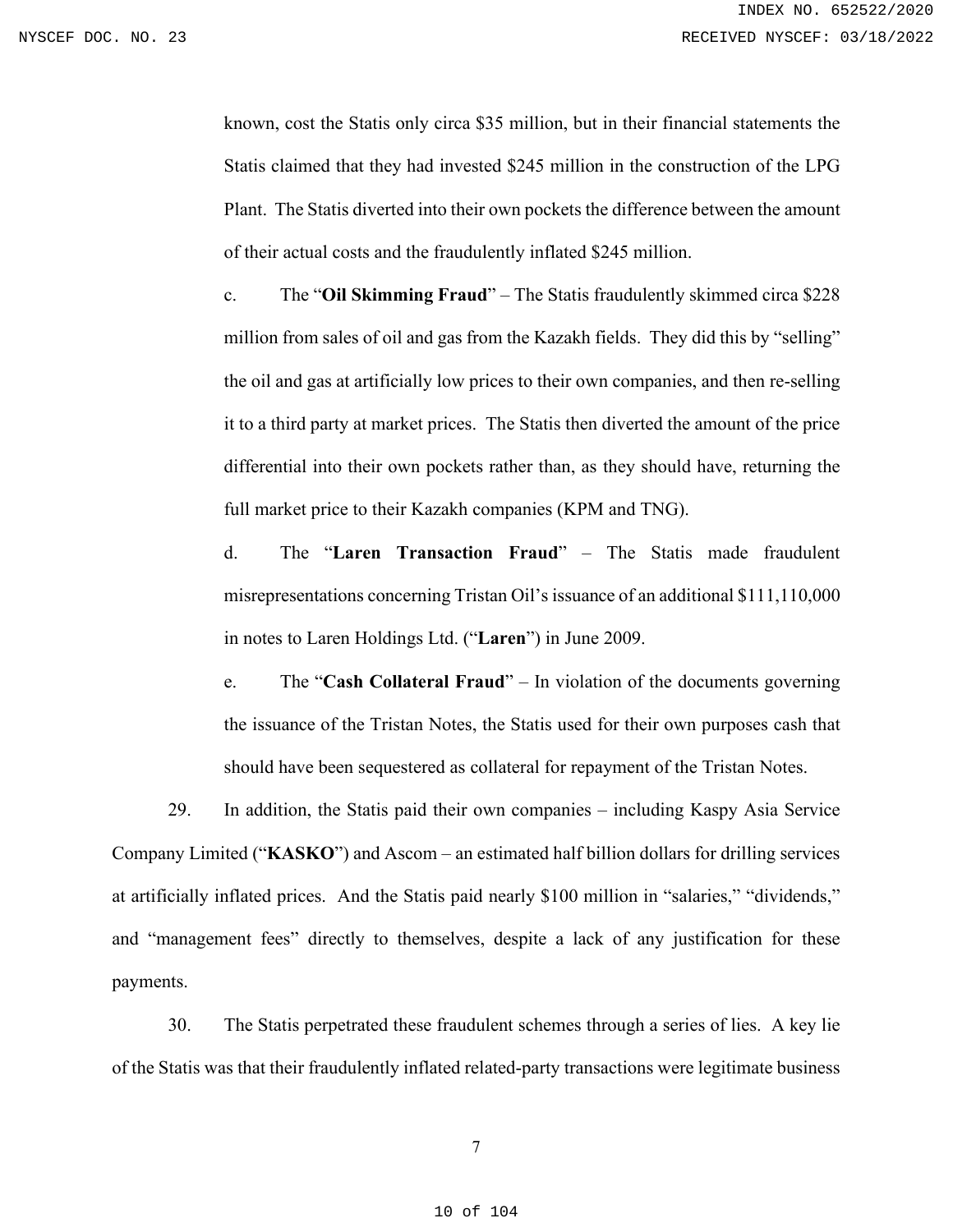known, cost the Statis only circa \$35 million, but in their financial statements the Statis claimed that they had invested \$245 million in the construction of the LPG Plant. The Statis diverted into their own pockets the difference between the amount of their actual costs and the fraudulently inflated \$245 million.

c. The "**Oil Skimming Fraud**" – The Statis fraudulently skimmed circa \$228 million from sales of oil and gas from the Kazakh fields. They did this by "selling" the oil and gas at artificially low prices to their own companies, and then re-selling it to a third party at market prices. The Statis then diverted the amount of the price differential into their own pockets rather than, as they should have, returning the full market price to their Kazakh companies (KPM and TNG).

d. The "**Laren Transaction Fraud**" – The Statis made fraudulent misrepresentations concerning Tristan Oil's issuance of an additional \$111,110,000 in notes to Laren Holdings Ltd. ("**Laren**") in June 2009.

e. The "**Cash Collateral Fraud**" – In violation of the documents governing the issuance of the Tristan Notes, the Statis used for their own purposes cash that should have been sequestered as collateral for repayment of the Tristan Notes.

29. In addition, the Statis paid their own companies – including Kaspy Asia Service Company Limited ("**KASKO**") and Ascom – an estimated half billion dollars for drilling services at artificially inflated prices. And the Statis paid nearly \$100 million in "salaries," "dividends," and "management fees" directly to themselves, despite a lack of any justification for these payments.

30. The Statis perpetrated these fraudulent schemes through a series of lies. A key lie of the Statis was that their fraudulently inflated related-party transactions were legitimate business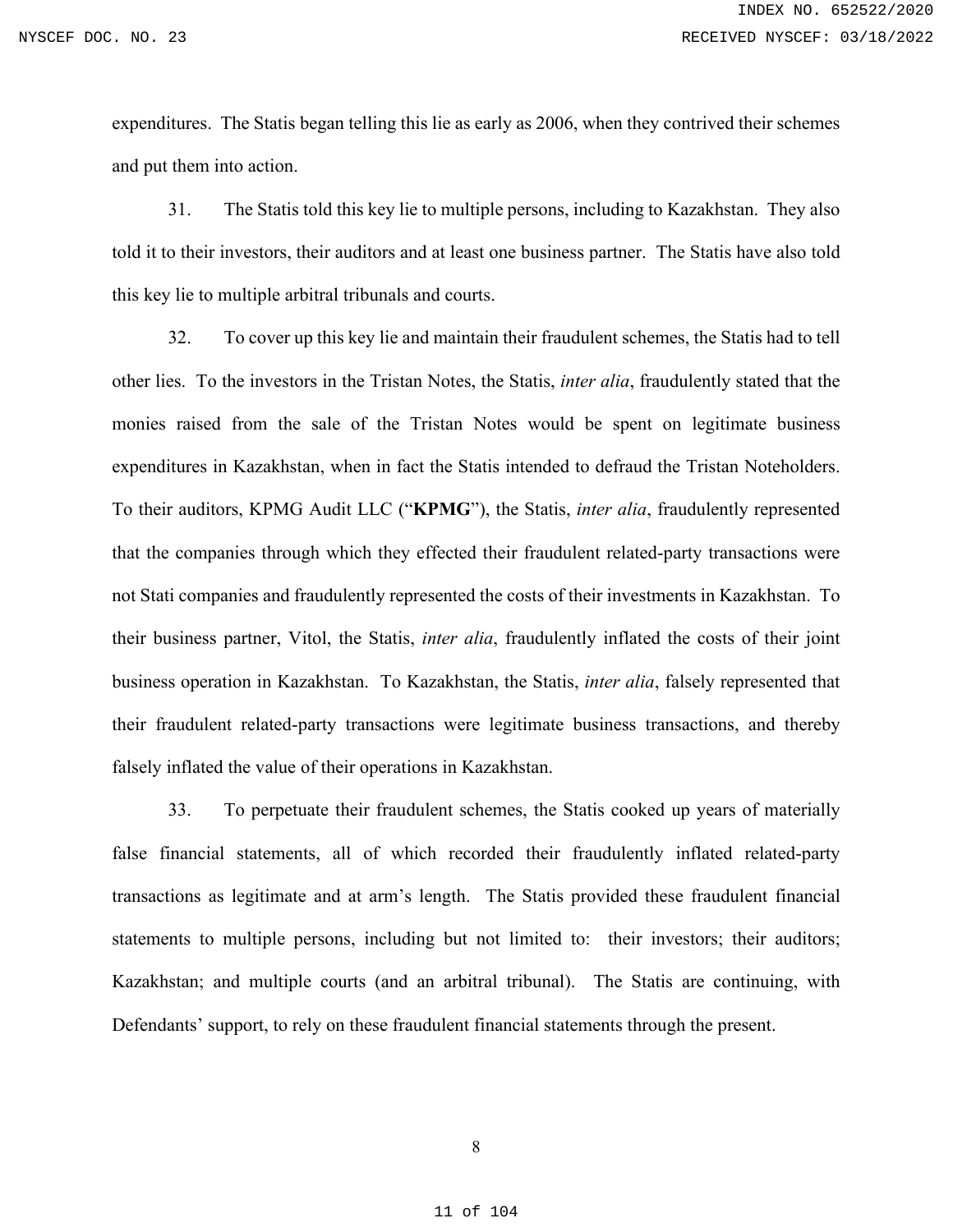expenditures. The Statis began telling this lie as early as 2006, when they contrived their schemes and put them into action.

31. The Statis told this key lie to multiple persons, including to Kazakhstan. They also told it to their investors, their auditors and at least one business partner. The Statis have also told this key lie to multiple arbitral tribunals and courts.

32. To cover up this key lie and maintain their fraudulent schemes, the Statis had to tell other lies. To the investors in the Tristan Notes, the Statis, *inter alia*, fraudulently stated that the monies raised from the sale of the Tristan Notes would be spent on legitimate business expenditures in Kazakhstan, when in fact the Statis intended to defraud the Tristan Noteholders. To their auditors, KPMG Audit LLC ("**KPMG**"), the Statis, *inter alia*, fraudulently represented that the companies through which they effected their fraudulent related-party transactions were not Stati companies and fraudulently represented the costs of their investments in Kazakhstan. To their business partner, Vitol, the Statis, *inter alia*, fraudulently inflated the costs of their joint business operation in Kazakhstan. To Kazakhstan, the Statis, *inter alia*, falsely represented that their fraudulent related-party transactions were legitimate business transactions, and thereby falsely inflated the value of their operations in Kazakhstan.

33. To perpetuate their fraudulent schemes, the Statis cooked up years of materially false financial statements, all of which recorded their fraudulently inflated related-party transactions as legitimate and at arm's length. The Statis provided these fraudulent financial statements to multiple persons, including but not limited to: their investors; their auditors; Kazakhstan; and multiple courts (and an arbitral tribunal). The Statis are continuing, with Defendants' support, to rely on these fraudulent financial statements through the present.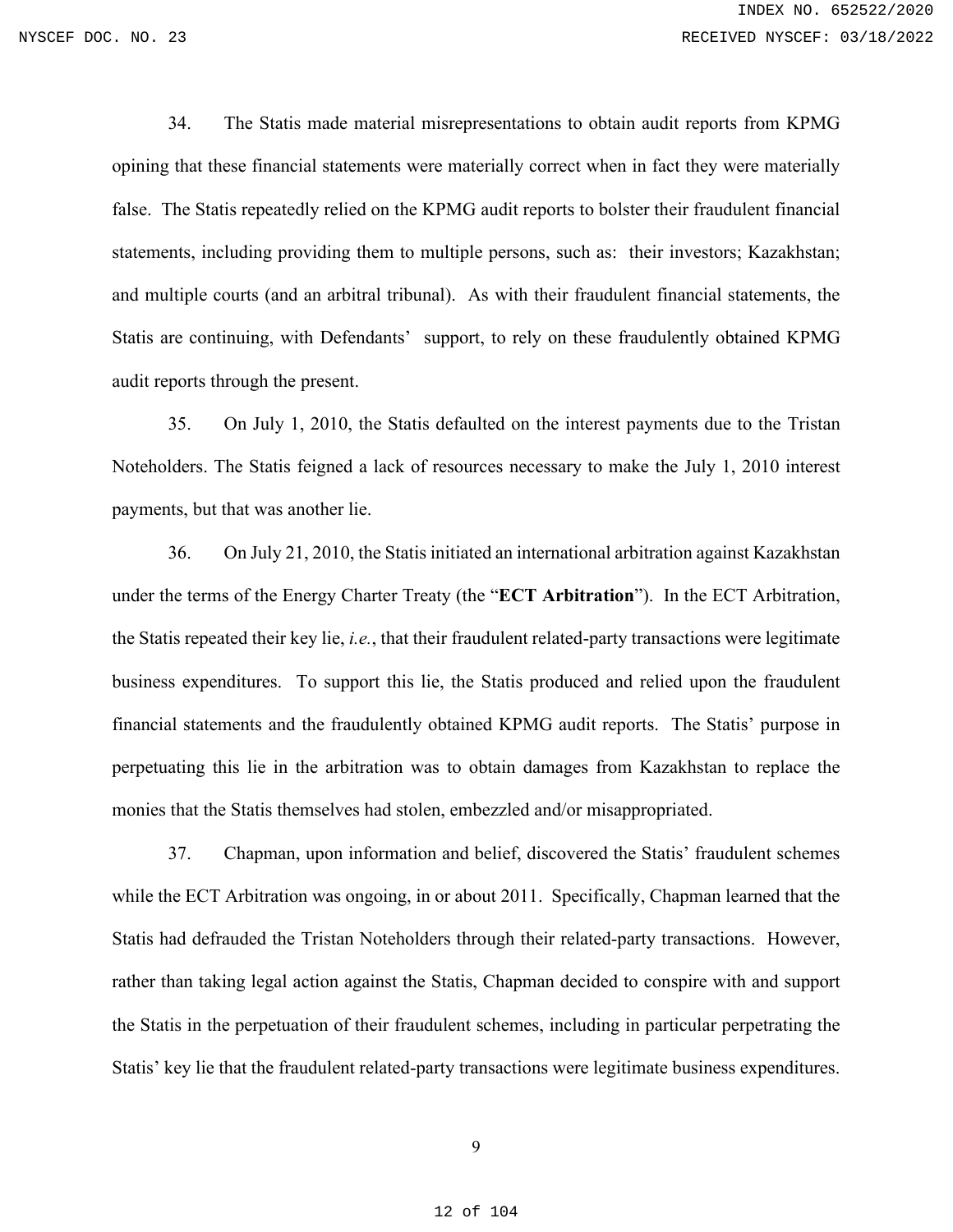34. The Statis made material misrepresentations to obtain audit reports from KPMG opining that these financial statements were materially correct when in fact they were materially false. The Statis repeatedly relied on the KPMG audit reports to bolster their fraudulent financial statements, including providing them to multiple persons, such as: their investors; Kazakhstan; and multiple courts (and an arbitral tribunal). As with their fraudulent financial statements, the Statis are continuing, with Defendants' support, to rely on these fraudulently obtained KPMG audit reports through the present.

35. On July 1, 2010, the Statis defaulted on the interest payments due to the Tristan Noteholders. The Statis feigned a lack of resources necessary to make the July 1, 2010 interest payments, but that was another lie.

36. On July 21, 2010, the Statis initiated an international arbitration against Kazakhstan under the terms of the Energy Charter Treaty (the "**ECT Arbitration**"). In the ECT Arbitration, the Statis repeated their key lie, *i.e.*, that their fraudulent related-party transactions were legitimate business expenditures. To support this lie, the Statis produced and relied upon the fraudulent financial statements and the fraudulently obtained KPMG audit reports. The Statis' purpose in perpetuating this lie in the arbitration was to obtain damages from Kazakhstan to replace the monies that the Statis themselves had stolen, embezzled and/or misappropriated.

37. Chapman, upon information and belief, discovered the Statis' fraudulent schemes while the ECT Arbitration was ongoing, in or about 2011. Specifically, Chapman learned that the Statis had defrauded the Tristan Noteholders through their related-party transactions. However, rather than taking legal action against the Statis, Chapman decided to conspire with and support the Statis in the perpetuation of their fraudulent schemes, including in particular perpetrating the Statis' key lie that the fraudulent related-party transactions were legitimate business expenditures.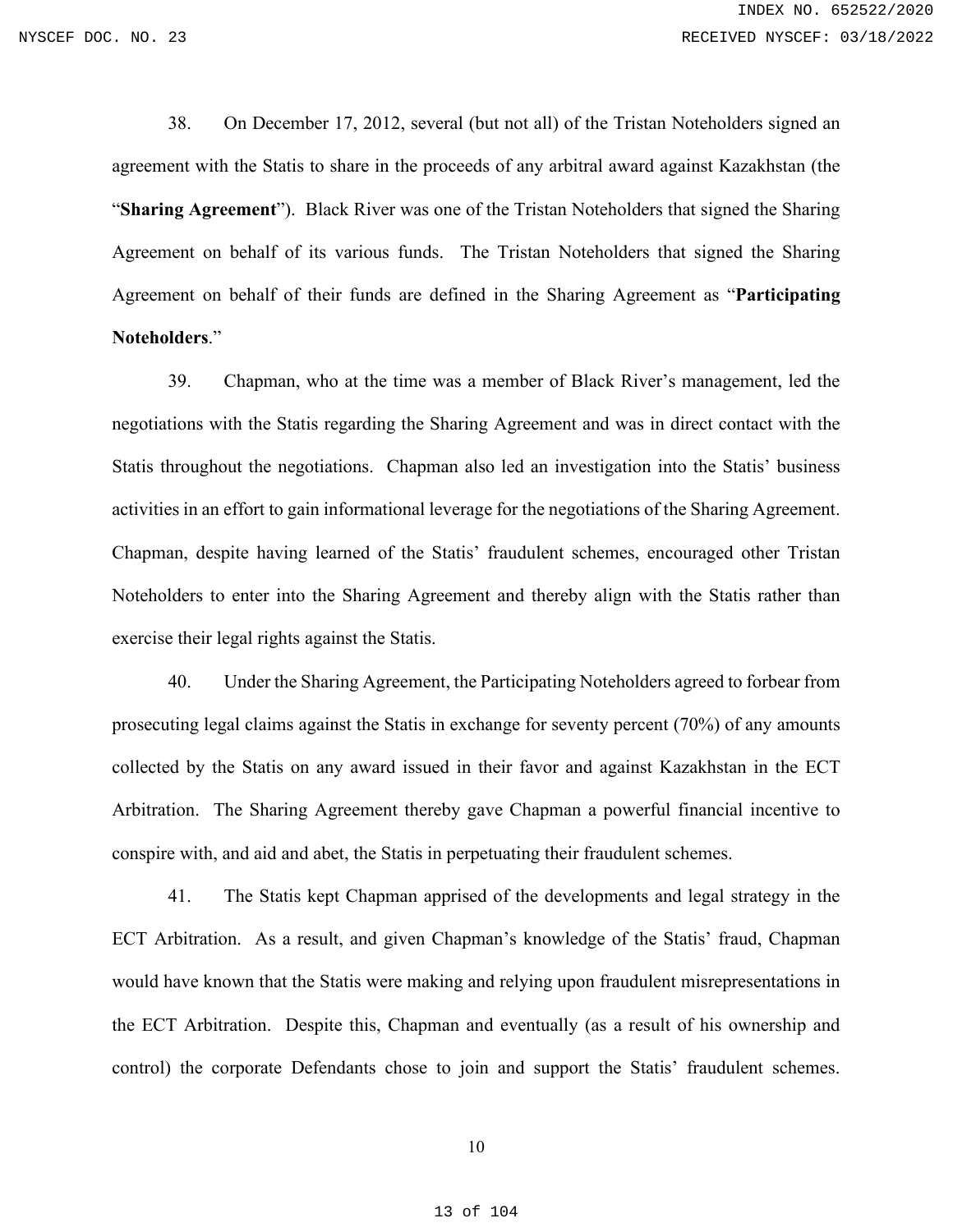38. On December 17, 2012, several (but not all) of the Tristan Noteholders signed an agreement with the Statis to share in the proceeds of any arbitral award against Kazakhstan (the "**Sharing Agreement**"). Black River was one of the Tristan Noteholders that signed the Sharing Agreement on behalf of its various funds. The Tristan Noteholders that signed the Sharing Agreement on behalf of their funds are defined in the Sharing Agreement as "**Participating Noteholders**."

39. Chapman, who at the time was a member of Black River's management, led the negotiations with the Statis regarding the Sharing Agreement and was in direct contact with the Statis throughout the negotiations. Chapman also led an investigation into the Statis' business activities in an effort to gain informational leverage for the negotiations of the Sharing Agreement. Chapman, despite having learned of the Statis' fraudulent schemes, encouraged other Tristan Noteholders to enter into the Sharing Agreement and thereby align with the Statis rather than exercise their legal rights against the Statis.

40. Under the Sharing Agreement, the Participating Noteholders agreed to forbear from prosecuting legal claims against the Statis in exchange for seventy percent (70%) of any amounts collected by the Statis on any award issued in their favor and against Kazakhstan in the ECT Arbitration. The Sharing Agreement thereby gave Chapman a powerful financial incentive to conspire with, and aid and abet, the Statis in perpetuating their fraudulent schemes.

41. The Statis kept Chapman apprised of the developments and legal strategy in the ECT Arbitration. As a result, and given Chapman's knowledge of the Statis' fraud, Chapman would have known that the Statis were making and relying upon fraudulent misrepresentations in the ECT Arbitration. Despite this, Chapman and eventually (as a result of his ownership and control) the corporate Defendants chose to join and support the Statis' fraudulent schemes.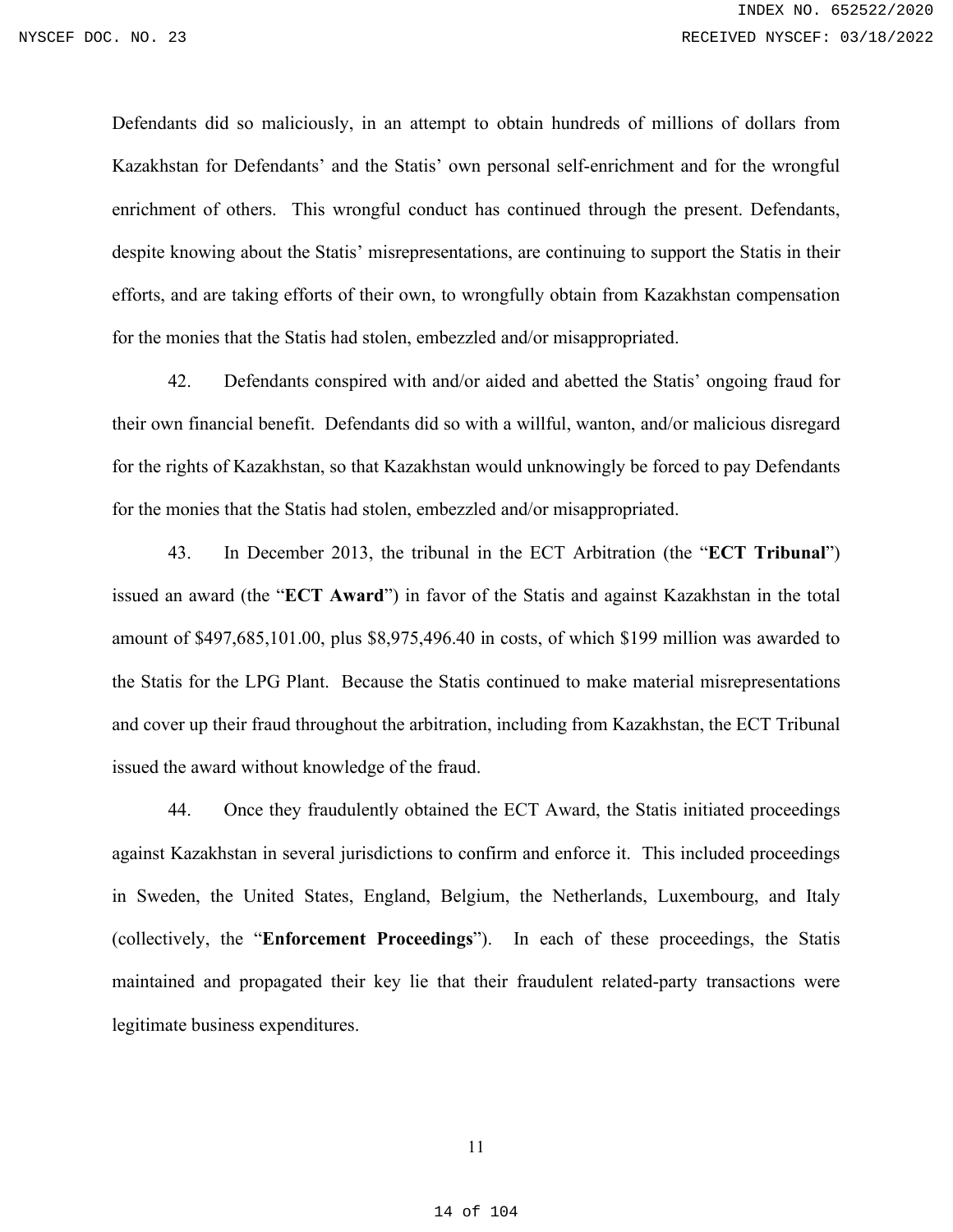Defendants did so maliciously, in an attempt to obtain hundreds of millions of dollars from Kazakhstan for Defendants' and the Statis' own personal self-enrichment and for the wrongful enrichment of others. This wrongful conduct has continued through the present. Defendants, despite knowing about the Statis' misrepresentations, are continuing to support the Statis in their efforts, and are taking efforts of their own, to wrongfully obtain from Kazakhstan compensation for the monies that the Statis had stolen, embezzled and/or misappropriated.

42. Defendants conspired with and/or aided and abetted the Statis' ongoing fraud for their own financial benefit. Defendants did so with a willful, wanton, and/or malicious disregard for the rights of Kazakhstan, so that Kazakhstan would unknowingly be forced to pay Defendants for the monies that the Statis had stolen, embezzled and/or misappropriated.

43. In December 2013, the tribunal in the ECT Arbitration (the "**ECT Tribunal**") issued an award (the "**ECT Award**") in favor of the Statis and against Kazakhstan in the total amount of \$497,685,101.00, plus \$8,975,496.40 in costs, of which \$199 million was awarded to the Statis for the LPG Plant. Because the Statis continued to make material misrepresentations and cover up their fraud throughout the arbitration, including from Kazakhstan, the ECT Tribunal issued the award without knowledge of the fraud.

44. Once they fraudulently obtained the ECT Award, the Statis initiated proceedings against Kazakhstan in several jurisdictions to confirm and enforce it. This included proceedings in Sweden, the United States, England, Belgium, the Netherlands, Luxembourg, and Italy (collectively, the "**Enforcement Proceedings**"). In each of these proceedings, the Statis maintained and propagated their key lie that their fraudulent related-party transactions were legitimate business expenditures.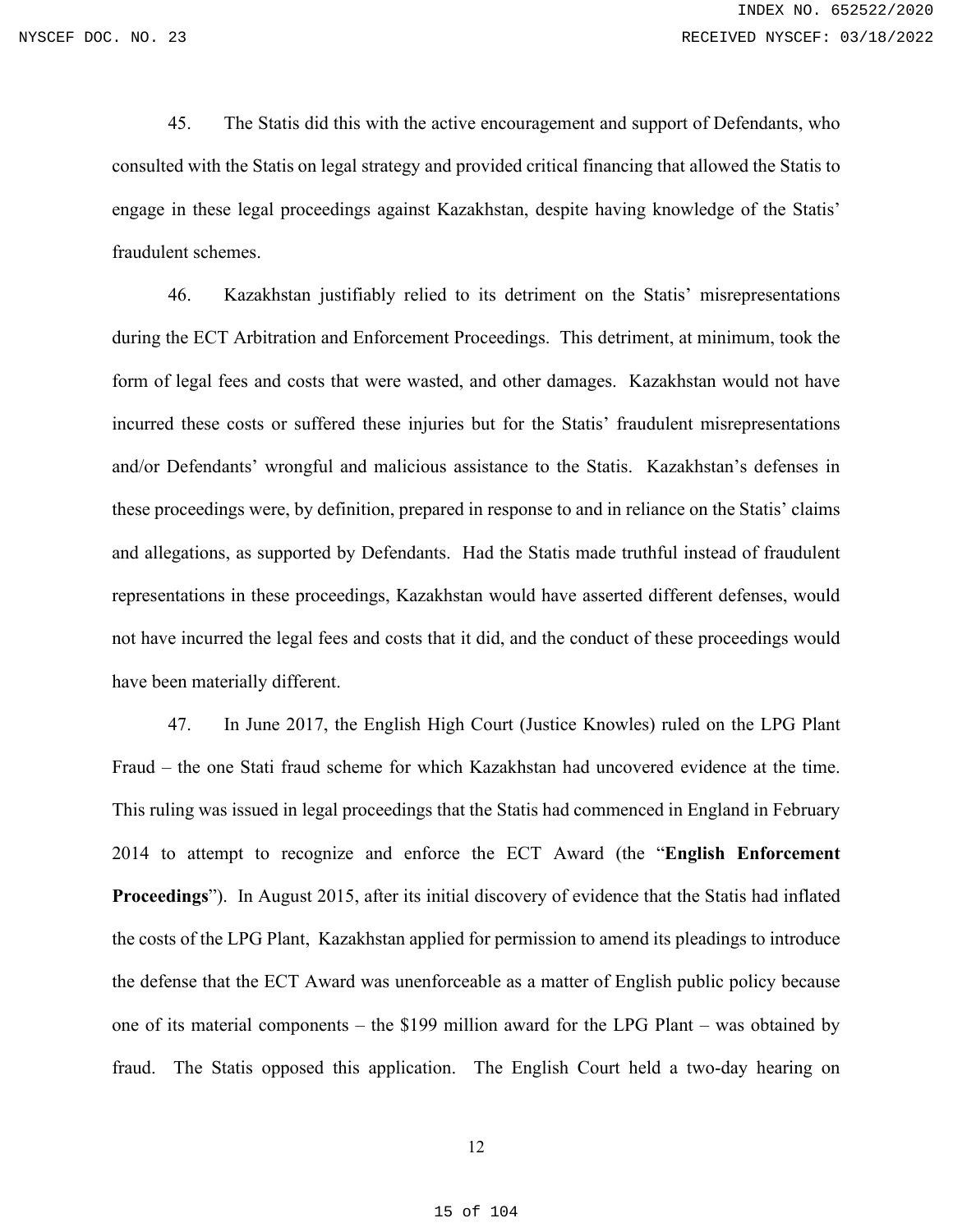45. The Statis did this with the active encouragement and support of Defendants, who consulted with the Statis on legal strategy and provided critical financing that allowed the Statis to engage in these legal proceedings against Kazakhstan, despite having knowledge of the Statis' fraudulent schemes.

46. Kazakhstan justifiably relied to its detriment on the Statis' misrepresentations during the ECT Arbitration and Enforcement Proceedings. This detriment, at minimum, took the form of legal fees and costs that were wasted, and other damages. Kazakhstan would not have incurred these costs or suffered these injuries but for the Statis' fraudulent misrepresentations and/or Defendants' wrongful and malicious assistance to the Statis. Kazakhstan's defenses in these proceedings were, by definition, prepared in response to and in reliance on the Statis' claims and allegations, as supported by Defendants. Had the Statis made truthful instead of fraudulent representations in these proceedings, Kazakhstan would have asserted different defenses, would not have incurred the legal fees and costs that it did, and the conduct of these proceedings would have been materially different.

47. In June 2017, the English High Court (Justice Knowles) ruled on the LPG Plant Fraud – the one Stati fraud scheme for which Kazakhstan had uncovered evidence at the time. This ruling was issued in legal proceedings that the Statis had commenced in England in February 2014 to attempt to recognize and enforce the ECT Award (the "**English Enforcement Proceedings**"). In August 2015, after its initial discovery of evidence that the Statis had inflated the costs of the LPG Plant, Kazakhstan applied for permission to amend its pleadings to introduce the defense that the ECT Award was unenforceable as a matter of English public policy because one of its material components – the \$199 million award for the LPG Plant – was obtained by fraud. The Statis opposed this application. The English Court held a two-day hearing on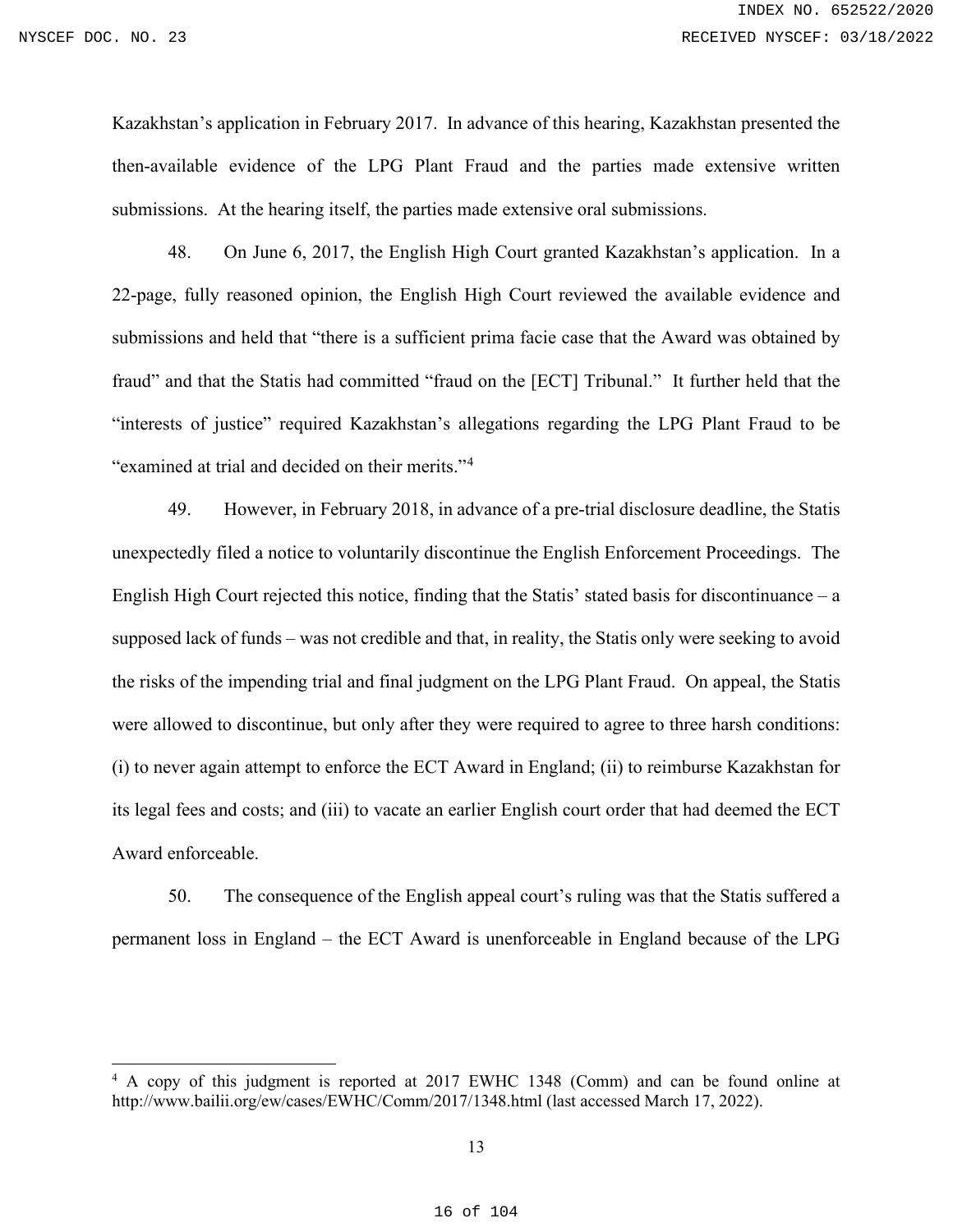Kazakhstan's application in February 2017. In advance of this hearing, Kazakhstan presented the then-available evidence of the LPG Plant Fraud and the parties made extensive written submissions. At the hearing itself, the parties made extensive oral submissions.

48. On June 6, 2017, the English High Court granted Kazakhstan's application. In a 22-page, fully reasoned opinion, the English High Court reviewed the available evidence and submissions and held that "there is a sufficient prima facie case that the Award was obtained by fraud" and that the Statis had committed "fraud on the [ECT] Tribunal." It further held that the "interests of justice" required Kazakhstan's allegations regarding the LPG Plant Fraud to be "examined at trial and decided on their merits."[4](#page-15-0)

49. However, in February 2018, in advance of a pre-trial disclosure deadline, the Statis unexpectedly filed a notice to voluntarily discontinue the English Enforcement Proceedings. The English High Court rejected this notice, finding that the Statis' stated basis for discontinuance – a supposed lack of funds – was not credible and that, in reality, the Statis only were seeking to avoid the risks of the impending trial and final judgment on the LPG Plant Fraud. On appeal, the Statis were allowed to discontinue, but only after they were required to agree to three harsh conditions: (i) to never again attempt to enforce the ECT Award in England; (ii) to reimburse Kazakhstan for its legal fees and costs; and (iii) to vacate an earlier English court order that had deemed the ECT Award enforceable.

50. The consequence of the English appeal court's ruling was that the Statis suffered a permanent loss in England – the ECT Award is unenforceable in England because of the LPG

<span id="page-15-0"></span><sup>4</sup> A copy of this judgment is reported at 2017 EWHC 1348 (Comm) and can be found online at <http://www.bailii.org/ew/cases/EWHC/Comm/2017/1348.html> (last accessed March 17, 2022).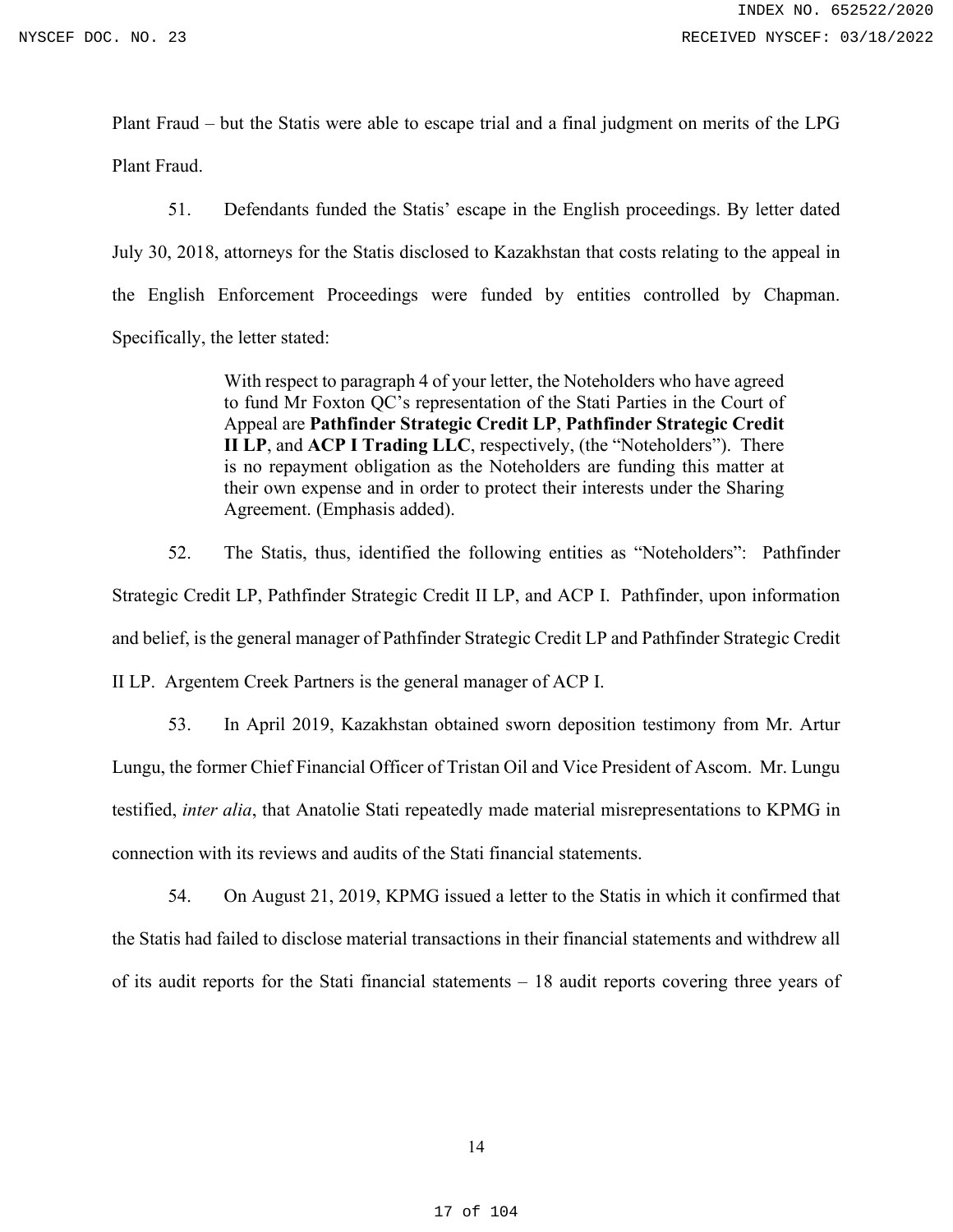Plant Fraud – but the Statis were able to escape trial and a final judgment on merits of the LPG Plant Fraud.

51. Defendants funded the Statis' escape in the English proceedings. By letter dated July 30, 2018, attorneys for the Statis disclosed to Kazakhstan that costs relating to the appeal in the English Enforcement Proceedings were funded by entities controlled by Chapman. Specifically, the letter stated:

> With respect to paragraph 4 of your letter, the Noteholders who have agreed to fund Mr Foxton QC's representation of the Stati Parties in the Court of Appeal are **Pathfinder Strategic Credit LP**, **Pathfinder Strategic Credit II LP**, and **ACP I Trading LLC**, respectively, (the "Noteholders"). There is no repayment obligation as the Noteholders are funding this matter at their own expense and in order to protect their interests under the Sharing Agreement. (Emphasis added).

52. The Statis, thus, identified the following entities as "Noteholders": Pathfinder Strategic Credit LP, Pathfinder Strategic Credit II LP, and ACP I. Pathfinder, upon information and belief, is the general manager of Pathfinder Strategic Credit LP and Pathfinder Strategic Credit II LP. Argentem Creek Partners is the general manager of ACP I.

53. In April 2019, Kazakhstan obtained sworn deposition testimony from Mr. Artur Lungu, the former Chief Financial Officer of Tristan Oil and Vice President of Ascom. Mr. Lungu testified, *inter alia*, that Anatolie Stati repeatedly made material misrepresentations to KPMG in connection with its reviews and audits of the Stati financial statements.

54. On August 21, 2019, KPMG issued a letter to the Statis in which it confirmed that the Statis had failed to disclose material transactions in their financial statements and withdrew all of its audit reports for the Stati financial statements – 18 audit reports covering three years of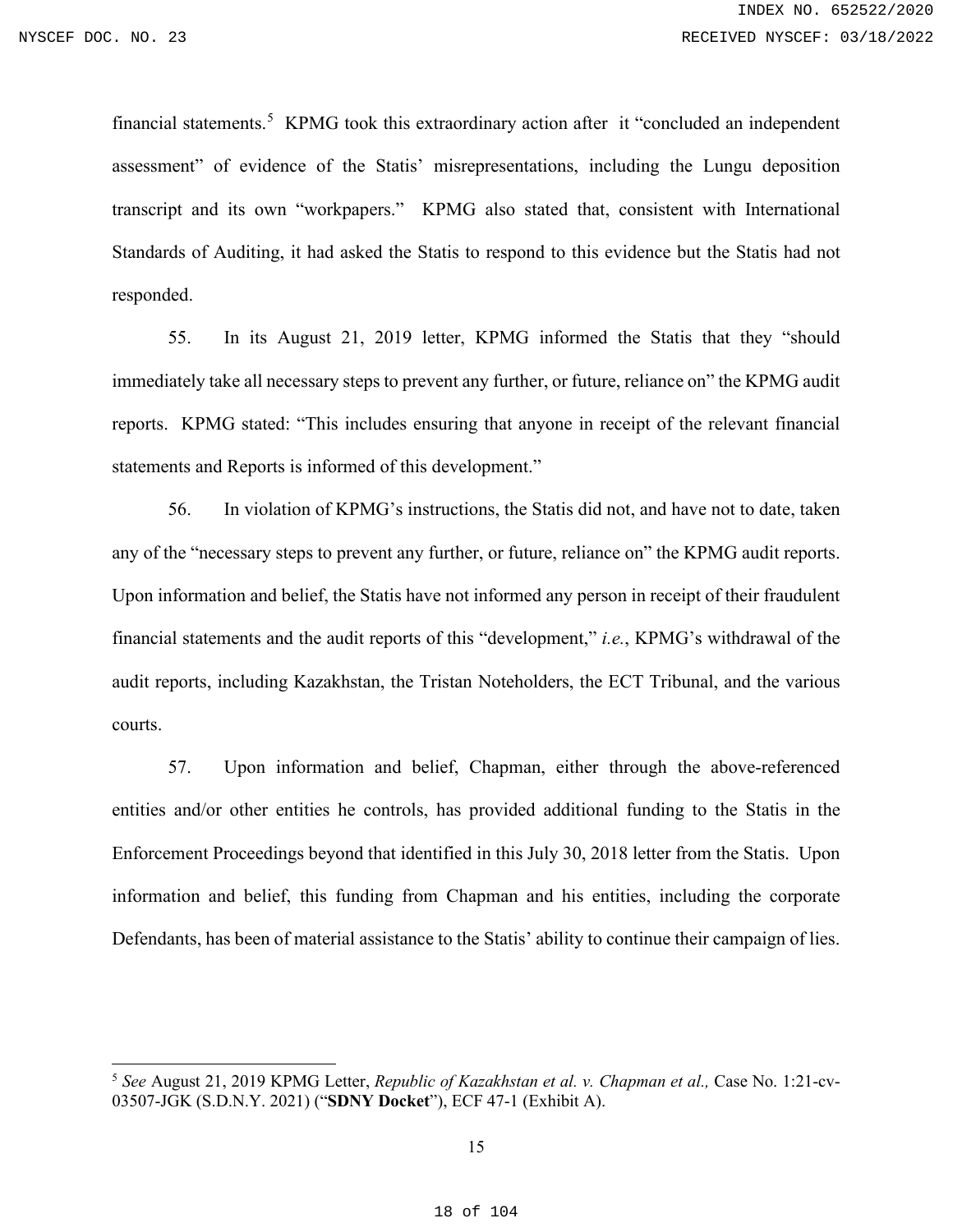financial statements.<sup>[5](#page-17-0)</sup> KPMG took this extraordinary action after it "concluded an independent assessment" of evidence of the Statis' misrepresentations, including the Lungu deposition transcript and its own "workpapers." KPMG also stated that, consistent with International Standards of Auditing, it had asked the Statis to respond to this evidence but the Statis had not responded.

55. In its August 21, 2019 letter, KPMG informed the Statis that they "should immediately take all necessary steps to prevent any further, or future, reliance on" the KPMG audit reports. KPMG stated: "This includes ensuring that anyone in receipt of the relevant financial statements and Reports is informed of this development."

56. In violation of KPMG's instructions, the Statis did not, and have not to date, taken any of the "necessary steps to prevent any further, or future, reliance on" the KPMG audit reports. Upon information and belief, the Statis have not informed any person in receipt of their fraudulent financial statements and the audit reports of this "development," *i.e.*, KPMG's withdrawal of the audit reports, including Kazakhstan, the Tristan Noteholders, the ECT Tribunal, and the various courts.

57. Upon information and belief, Chapman, either through the above-referenced entities and/or other entities he controls, has provided additional funding to the Statis in the Enforcement Proceedings beyond that identified in this July 30, 2018 letter from the Statis. Upon information and belief, this funding from Chapman and his entities, including the corporate Defendants, has been of material assistance to the Statis' ability to continue their campaign of lies.

<span id="page-17-0"></span><sup>5</sup> *See* August 21, 2019 KPMG Letter, *Republic of Kazakhstan et al. v. Chapman et al.,* Case No. 1:21-cv-03507-JGK (S.D.N.Y. 2021) ("**SDNY Docket**"), ECF 47-1 (Exhibit A).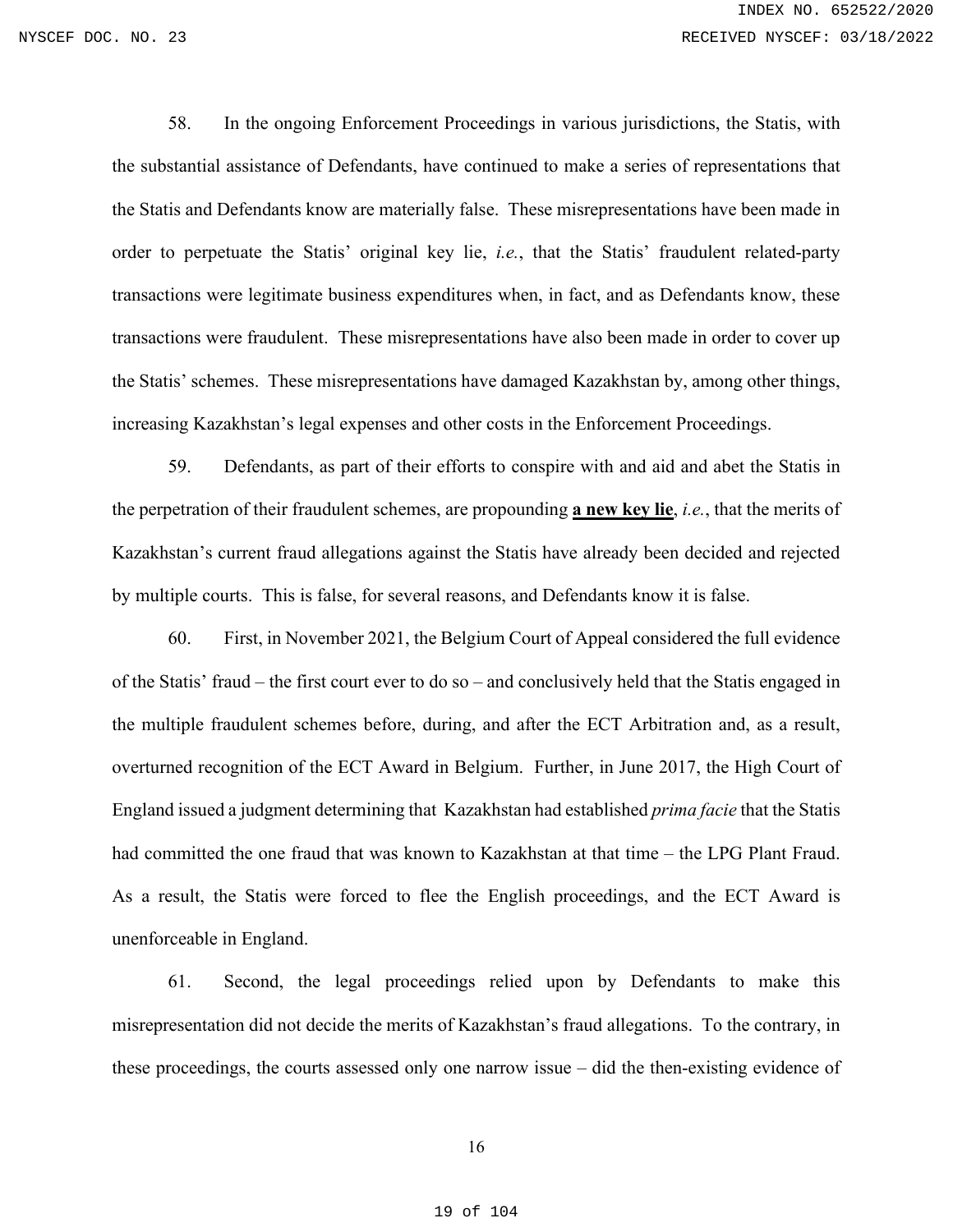58. In the ongoing Enforcement Proceedings in various jurisdictions, the Statis, with the substantial assistance of Defendants, have continued to make a series of representations that the Statis and Defendants know are materially false. These misrepresentations have been made in order to perpetuate the Statis' original key lie, *i.e.*, that the Statis' fraudulent related-party transactions were legitimate business expenditures when, in fact, and as Defendants know, these transactions were fraudulent. These misrepresentations have also been made in order to cover up the Statis' schemes. These misrepresentations have damaged Kazakhstan by, among other things, increasing Kazakhstan's legal expenses and other costs in the Enforcement Proceedings.

59. Defendants, as part of their efforts to conspire with and aid and abet the Statis in the perpetration of their fraudulent schemes, are propounding **a new key lie**, *i.e.*, that the merits of Kazakhstan's current fraud allegations against the Statis have already been decided and rejected by multiple courts. This is false, for several reasons, and Defendants know it is false.

60. First, in November 2021, the Belgium Court of Appeal considered the full evidence of the Statis' fraud – the first court ever to do so – and conclusively held that the Statis engaged in the multiple fraudulent schemes before, during, and after the ECT Arbitration and, as a result, overturned recognition of the ECT Award in Belgium. Further, in June 2017, the High Court of England issued a judgment determining that Kazakhstan had established *prima facie* that the Statis had committed the one fraud that was known to Kazakhstan at that time – the LPG Plant Fraud. As a result, the Statis were forced to flee the English proceedings, and the ECT Award is unenforceable in England.

61. Second, the legal proceedings relied upon by Defendants to make this misrepresentation did not decide the merits of Kazakhstan's fraud allegations. To the contrary, in these proceedings, the courts assessed only one narrow issue – did the then-existing evidence of

#### 16

#### 19 of 104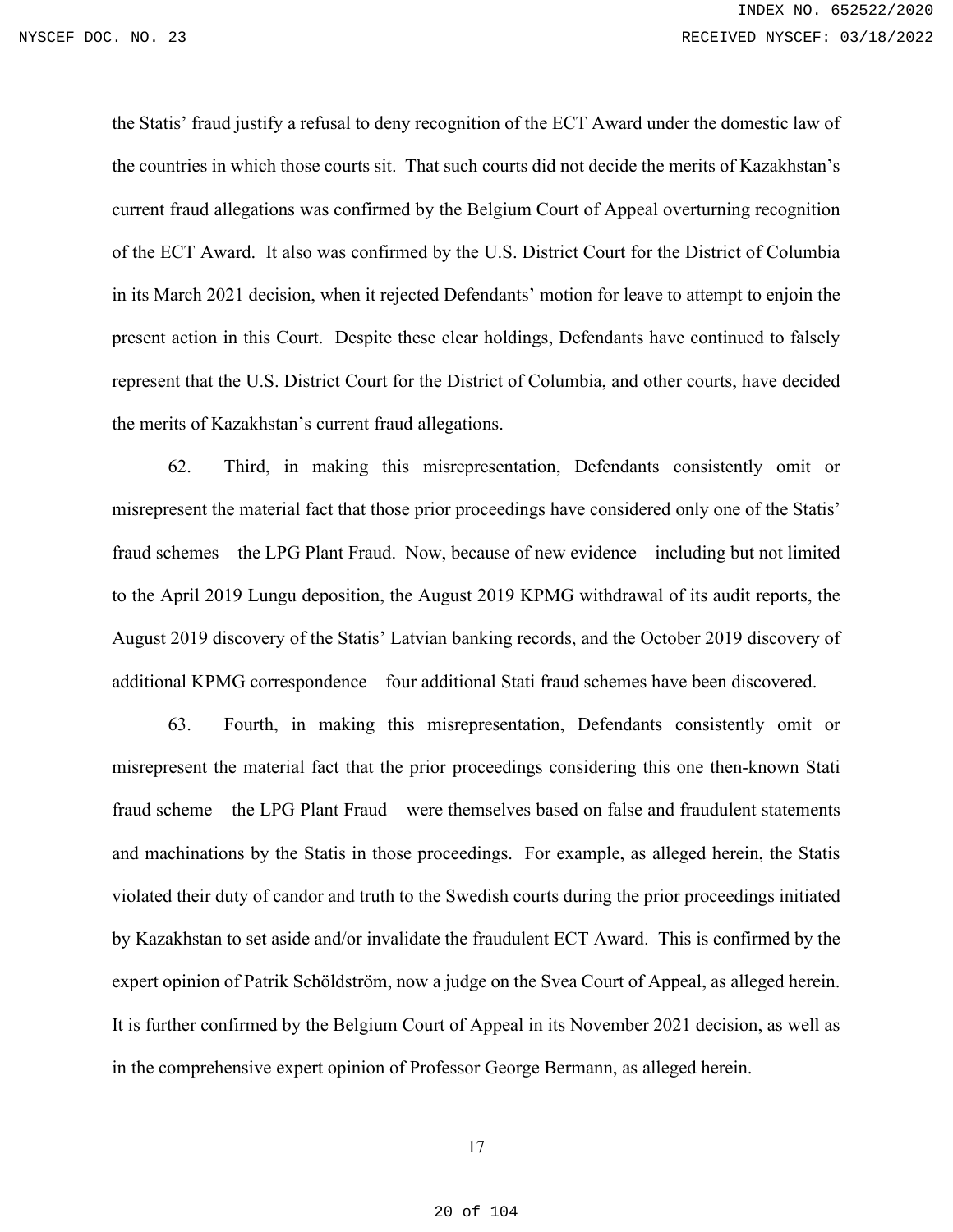the Statis' fraud justify a refusal to deny recognition of the ECT Award under the domestic law of the countries in which those courts sit. That such courts did not decide the merits of Kazakhstan's current fraud allegations was confirmed by the Belgium Court of Appeal overturning recognition of the ECT Award. It also was confirmed by the U.S. District Court for the District of Columbia in its March 2021 decision, when it rejected Defendants' motion for leave to attempt to enjoin the present action in this Court. Despite these clear holdings, Defendants have continued to falsely represent that the U.S. District Court for the District of Columbia, and other courts, have decided the merits of Kazakhstan's current fraud allegations.

62. Third, in making this misrepresentation, Defendants consistently omit or misrepresent the material fact that those prior proceedings have considered only one of the Statis' fraud schemes – the LPG Plant Fraud. Now, because of new evidence – including but not limited to the April 2019 Lungu deposition, the August 2019 KPMG withdrawal of its audit reports, the August 2019 discovery of the Statis' Latvian banking records, and the October 2019 discovery of additional KPMG correspondence – four additional Stati fraud schemes have been discovered.

63. Fourth, in making this misrepresentation, Defendants consistently omit or misrepresent the material fact that the prior proceedings considering this one then-known Stati fraud scheme – the LPG Plant Fraud – were themselves based on false and fraudulent statements and machinations by the Statis in those proceedings. For example, as alleged herein, the Statis violated their duty of candor and truth to the Swedish courts during the prior proceedings initiated by Kazakhstan to set aside and/or invalidate the fraudulent ECT Award. This is confirmed by the expert opinion of Patrik Schöldström, now a judge on the Svea Court of Appeal, as alleged herein. It is further confirmed by the Belgium Court of Appeal in its November 2021 decision, as well as in the comprehensive expert opinion of Professor George Bermann, as alleged herein.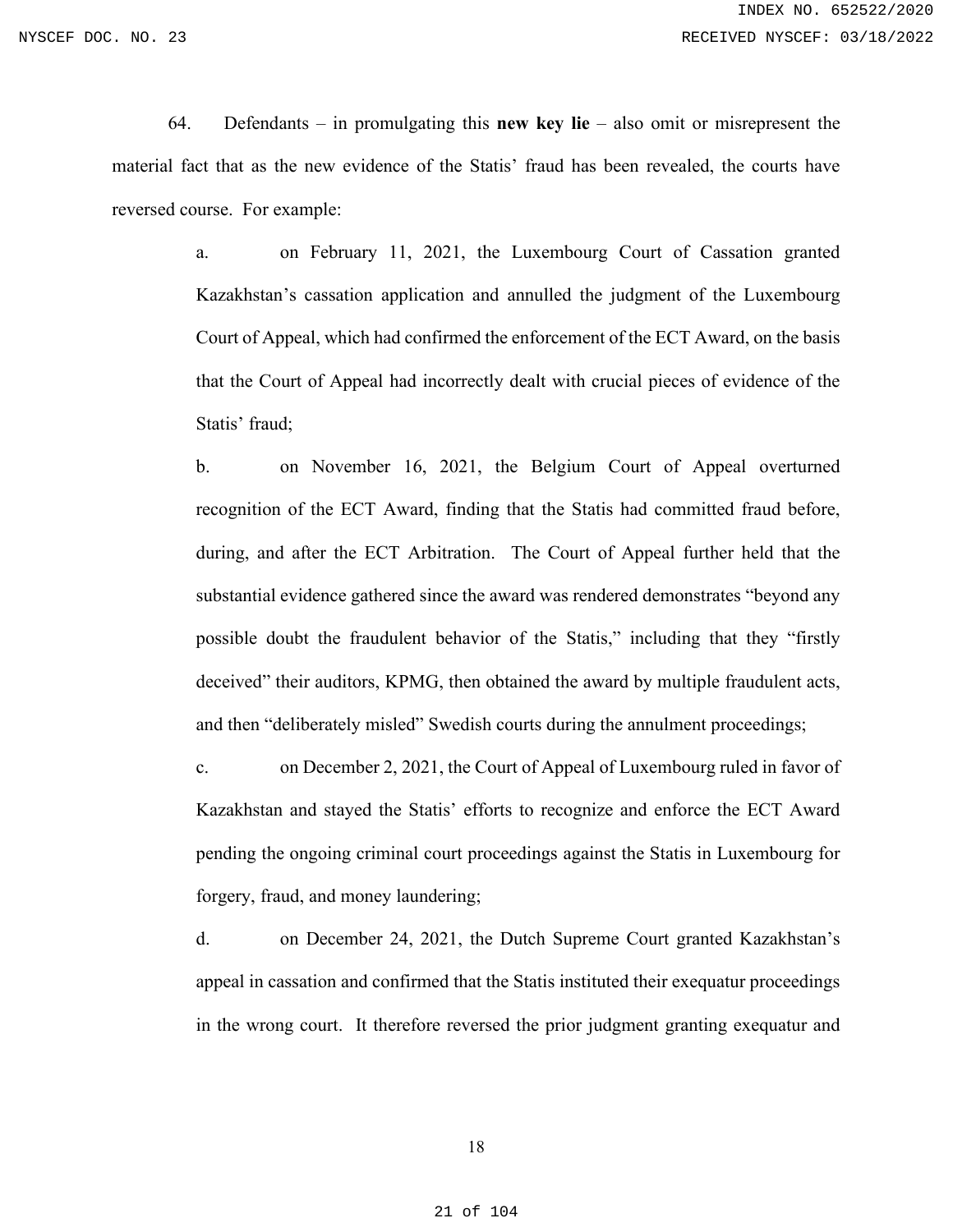64. Defendants – in promulgating this **new key lie** – also omit or misrepresent the material fact that as the new evidence of the Statis' fraud has been revealed, the courts have reversed course. For example:

> a. on February 11, 2021, the Luxembourg Court of Cassation granted Kazakhstan's cassation application and annulled the judgment of the Luxembourg Court of Appeal, which had confirmed the enforcement of the ECT Award, on the basis that the Court of Appeal had incorrectly dealt with crucial pieces of evidence of the Statis' fraud;

> b. on November 16, 2021, the Belgium Court of Appeal overturned recognition of the ECT Award, finding that the Statis had committed fraud before, during, and after the ECT Arbitration. The Court of Appeal further held that the substantial evidence gathered since the award was rendered demonstrates "beyond any possible doubt the fraudulent behavior of the Statis," including that they "firstly deceived" their auditors, KPMG, then obtained the award by multiple fraudulent acts, and then "deliberately misled" Swedish courts during the annulment proceedings;

> c. on December 2, 2021, the Court of Appeal of Luxembourg ruled in favor of Kazakhstan and stayed the Statis' efforts to recognize and enforce the ECT Award pending the ongoing criminal court proceedings against the Statis in Luxembourg for forgery, fraud, and money laundering;

> d. on December 24, 2021, the Dutch Supreme Court granted Kazakhstan's appeal in cassation and confirmed that the Statis instituted their exequatur proceedings in the wrong court. It therefore reversed the prior judgment granting exequatur and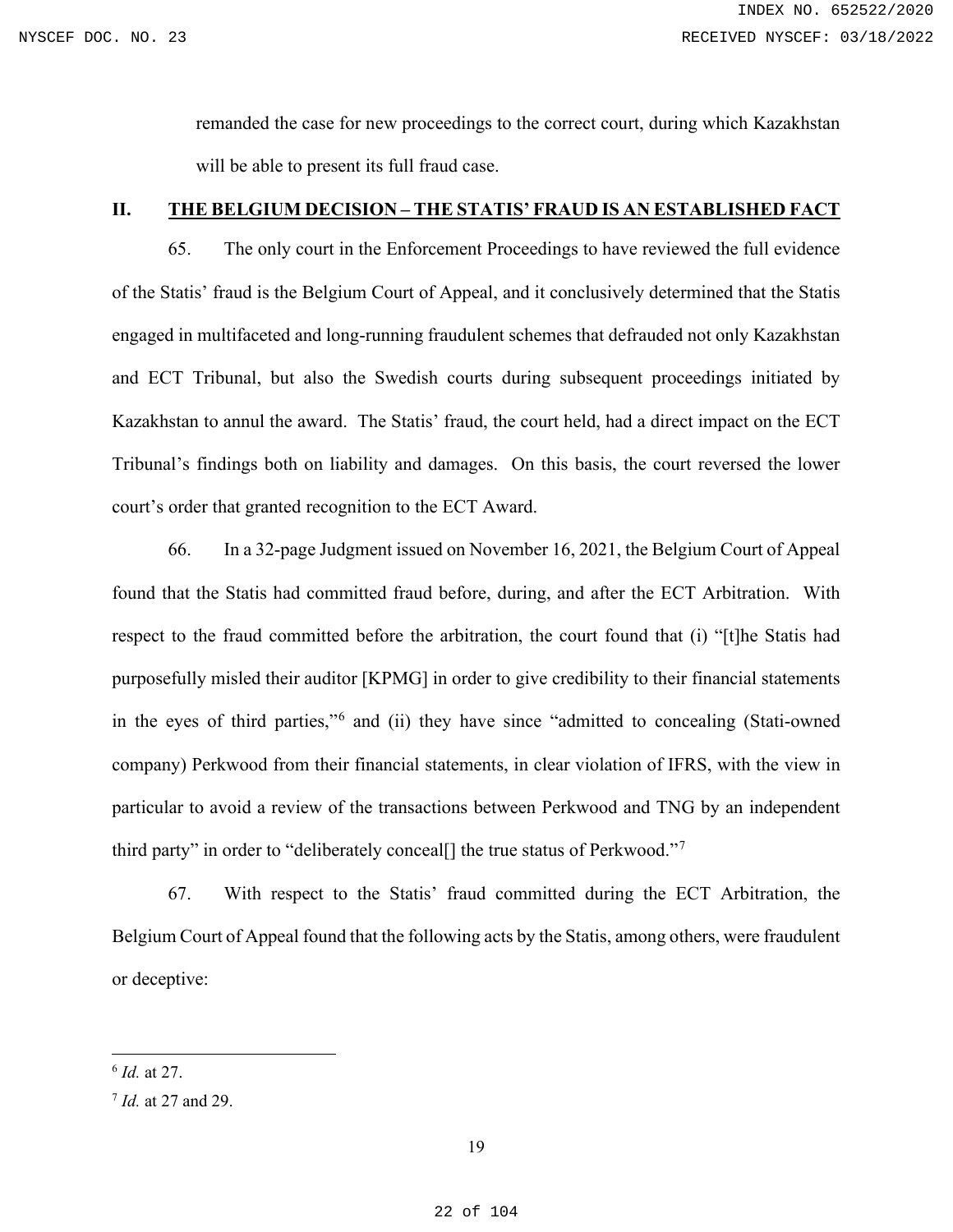remanded the case for new proceedings to the correct court, during which Kazakhstan will be able to present its full fraud case.

# <span id="page-21-0"></span>**II. THE BELGIUM DECISION – THE STATIS' FRAUD IS AN ESTABLISHED FACT**

65. The only court in the Enforcement Proceedings to have reviewed the full evidence of the Statis' fraud is the Belgium Court of Appeal, and it conclusively determined that the Statis engaged in multifaceted and long-running fraudulent schemes that defrauded not only Kazakhstan and ECT Tribunal, but also the Swedish courts during subsequent proceedings initiated by Kazakhstan to annul the award. The Statis' fraud, the court held, had a direct impact on the ECT Tribunal's findings both on liability and damages. On this basis, the court reversed the lower court's order that granted recognition to the ECT Award.

66. In a 32-page Judgment issued on November 16, 2021, the Belgium Court of Appeal found that the Statis had committed fraud before, during, and after the ECT Arbitration. With respect to the fraud committed before the arbitration, the court found that (i) "[t]he Statis had purposefully misled their auditor [KPMG] in order to give credibility to their financial statements in the eyes of third parties,"[6](#page-21-1) and (ii) they have since "admitted to concealing (Stati-owned company) Perkwood from their financial statements, in clear violation of IFRS, with the view in particular to avoid a review of the transactions between Perkwood and TNG by an independent third party" in order to "deliberately conceal<sup>[]</sup> the true status of Perkwood."<sup>[7](#page-21-2)</sup>

67. With respect to the Statis' fraud committed during the ECT Arbitration, the Belgium Court of Appeal found that the following acts by the Statis, among others, were fraudulent or deceptive:

<span id="page-21-1"></span><sup>6</sup> *Id.* at 27.

<span id="page-21-2"></span><sup>7</sup> *Id.* at 27 and 29.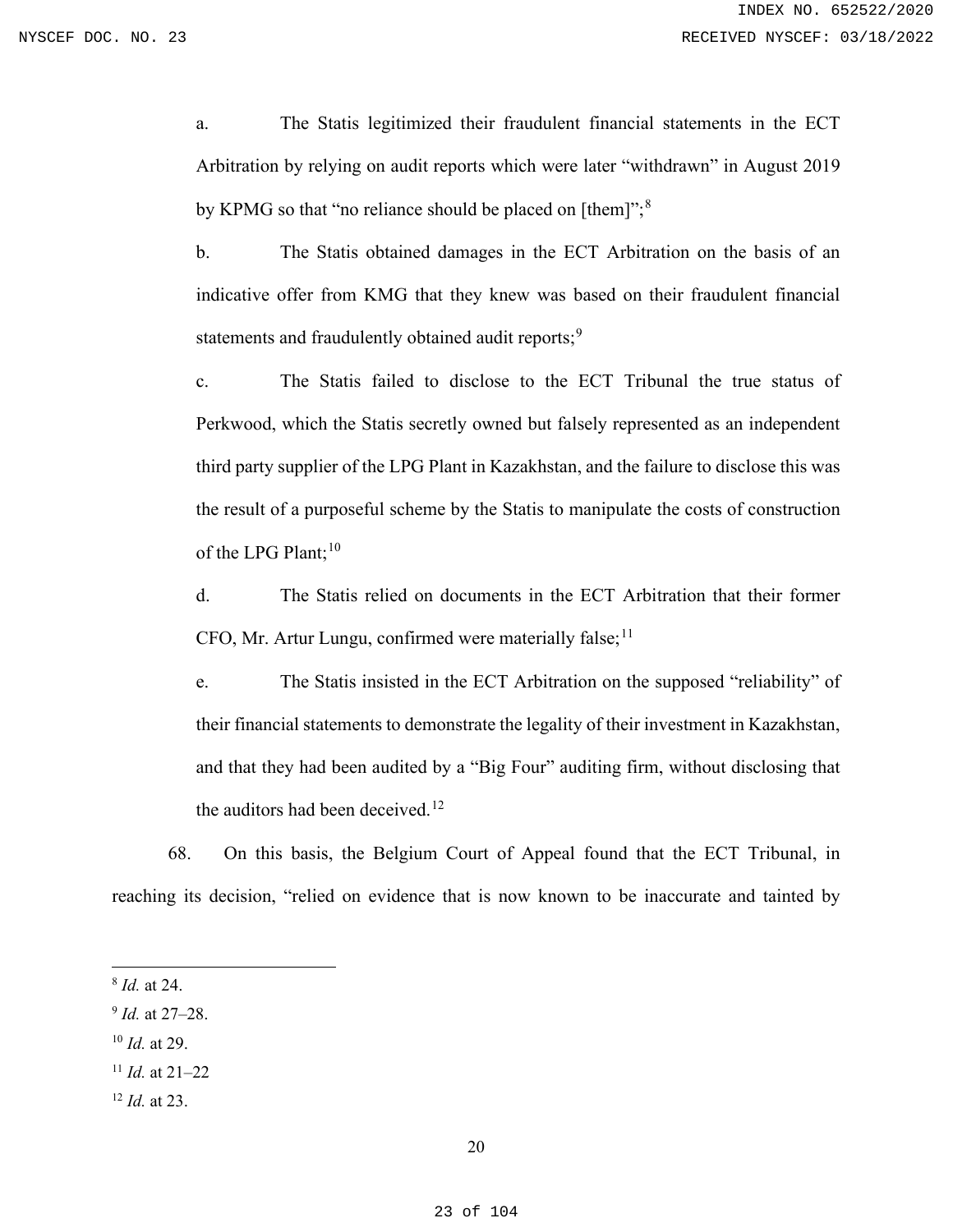a. The Statis legitimized their fraudulent financial statements in the ECT Arbitration by relying on audit reports which were later "withdrawn" in August 2019 by KPMG so that "no reliance should be placed on [them]";<sup>[8](#page-22-0)</sup>

b. The Statis obtained damages in the ECT Arbitration on the basis of an indicative offer from KMG that they knew was based on their fraudulent financial statements and fraudulently obtained audit reports;<sup>[9](#page-22-1)</sup>

c. The Statis failed to disclose to the ECT Tribunal the true status of Perkwood, which the Statis secretly owned but falsely represented as an independent third party supplier of the LPG Plant in Kazakhstan, and the failure to disclose this was the result of a purposeful scheme by the Statis to manipulate the costs of construction of the LPG Plant; $10$ 

d. The Statis relied on documents in the ECT Arbitration that their former CFO, Mr. Artur Lungu, confirmed were materially false;  $11$ 

e. The Statis insisted in the ECT Arbitration on the supposed "reliability" of their financial statements to demonstrate the legality of their investment in Kazakhstan, and that they had been audited by a "Big Four" auditing firm, without disclosing that the auditors had been deceived.<sup>[12](#page-22-4)</sup>

68. On this basis, the Belgium Court of Appeal found that the ECT Tribunal, in reaching its decision, "relied on evidence that is now known to be inaccurate and tainted by

- <span id="page-22-2"></span><sup>10</sup> *Id.* at 29.
- <span id="page-22-3"></span><sup>11</sup> *Id.* at 21–22
- <span id="page-22-4"></span><sup>12</sup> *Id.* at 23.

<span id="page-22-0"></span><sup>8</sup> *Id.* at 24.

<span id="page-22-1"></span><sup>9</sup> *Id.* at 27–28.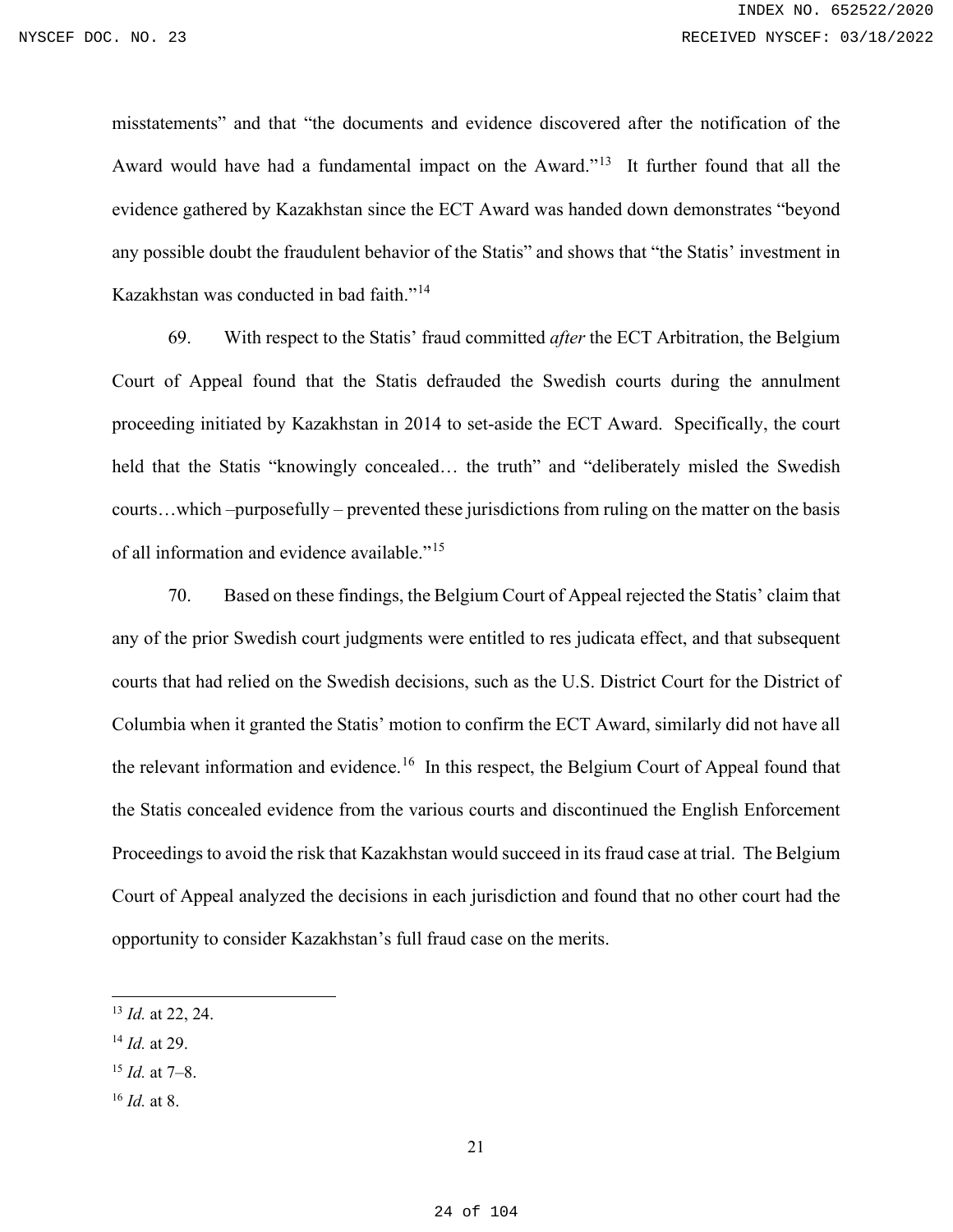misstatements" and that "the documents and evidence discovered after the notification of the Award would have had a fundamental impact on the Award."<sup>[13](#page-23-0)</sup> It further found that all the evidence gathered by Kazakhstan since the ECT Award was handed down demonstrates "beyond any possible doubt the fraudulent behavior of the Statis" and shows that "the Statis' investment in Kazakhstan was conducted in bad faith."<sup>[14](#page-23-1)</sup>

69. With respect to the Statis' fraud committed *after* the ECT Arbitration, the Belgium Court of Appeal found that the Statis defrauded the Swedish courts during the annulment proceeding initiated by Kazakhstan in 2014 to set-aside the ECT Award. Specifically, the court held that the Statis "knowingly concealed... the truth" and "deliberately misled the Swedish courts…which –purposefully – prevented these jurisdictions from ruling on the matter on the basis of all information and evidence available."[15](#page-23-2) 

70. Based on these findings, the Belgium Court of Appeal rejected the Statis' claim that any of the prior Swedish court judgments were entitled to res judicata effect, and that subsequent courts that had relied on the Swedish decisions, such as the U.S. District Court for the District of Columbia when it granted the Statis' motion to confirm the ECT Award, similarly did not have all the relevant information and evidence.<sup>16</sup> In this respect, the Belgium Court of Appeal found that the Statis concealed evidence from the various courts and discontinued the English Enforcement Proceedings to avoid the risk that Kazakhstan would succeed in its fraud case at trial. The Belgium Court of Appeal analyzed the decisions in each jurisdiction and found that no other court had the opportunity to consider Kazakhstan's full fraud case on the merits.

- <span id="page-23-1"></span><sup>14</sup> *Id.* at 29.
- <span id="page-23-2"></span><sup>15</sup> *Id.* at 7–8.
- <span id="page-23-3"></span><sup>16</sup> *Id.* at 8.

<span id="page-23-0"></span><sup>13</sup> *Id.* at 22, 24.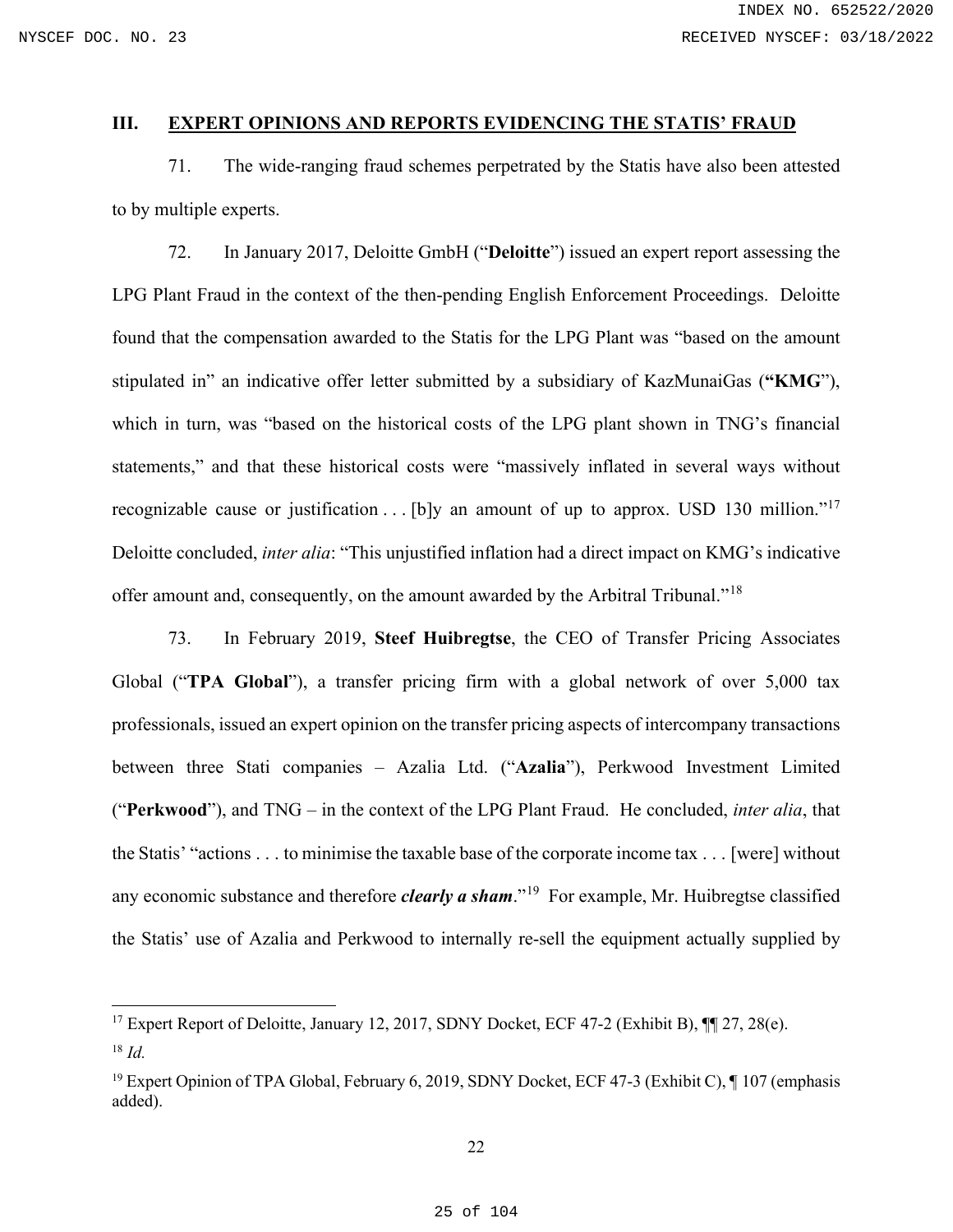### <span id="page-24-0"></span>**III. EXPERT OPINIONS AND REPORTS EVIDENCING THE STATIS' FRAUD**

71. The wide-ranging fraud schemes perpetrated by the Statis have also been attested to by multiple experts.

72. In January 2017, Deloitte GmbH ("**Deloitte**") issued an expert report assessing the LPG Plant Fraud in the context of the then-pending English Enforcement Proceedings. Deloitte found that the compensation awarded to the Statis for the LPG Plant was "based on the amount stipulated in" an indicative offer letter submitted by a subsidiary of KazMunaiGas (**"KMG**"), which in turn, was "based on the historical costs of the LPG plant shown in TNG's financial statements," and that these historical costs were "massively inflated in several ways without recognizable cause or justification . . . [b]y an amount of up to approx. USD 130 million."<sup>[17](#page-24-1)</sup> Deloitte concluded, *inter alia*: "This unjustified inflation had a direct impact on KMG's indicative offer amount and, consequently, on the amount awarded by the Arbitral Tribunal."[18](#page-24-2)

73. In February 2019, **Steef Huibregtse**, the CEO of Transfer Pricing Associates Global ("**TPA Global**"), a transfer pricing firm with a global network of over 5,000 tax professionals, issued an expert opinion on the transfer pricing aspects of intercompany transactions between three Stati companies – Azalia Ltd. ("**Azalia**"), Perkwood Investment Limited ("**Perkwood**"), and TNG – in the context of the LPG Plant Fraud. He concluded, *inter alia*, that the Statis' "actions . . . to minimise the taxable base of the corporate income tax . . . [were] without any economic substance and therefore *clearly a sham*."<sup>19</sup> For example, Mr. Huibregtse classified the Statis' use of Azalia and Perkwood to internally re-sell the equipment actually supplied by

<span id="page-24-1"></span><sup>&</sup>lt;sup>17</sup> Expert Report of Deloitte, January 12, 2017, SDNY Docket, ECF 47-2 (Exhibit B),  $\P$  27, 28(e).

<span id="page-24-2"></span><sup>18</sup> *Id.*

<span id="page-24-3"></span><sup>&</sup>lt;sup>19</sup> Expert Opinion of TPA Global, February 6, 2019, SDNY Docket, ECF 47-3 (Exhibit C), 1 107 (emphasis added).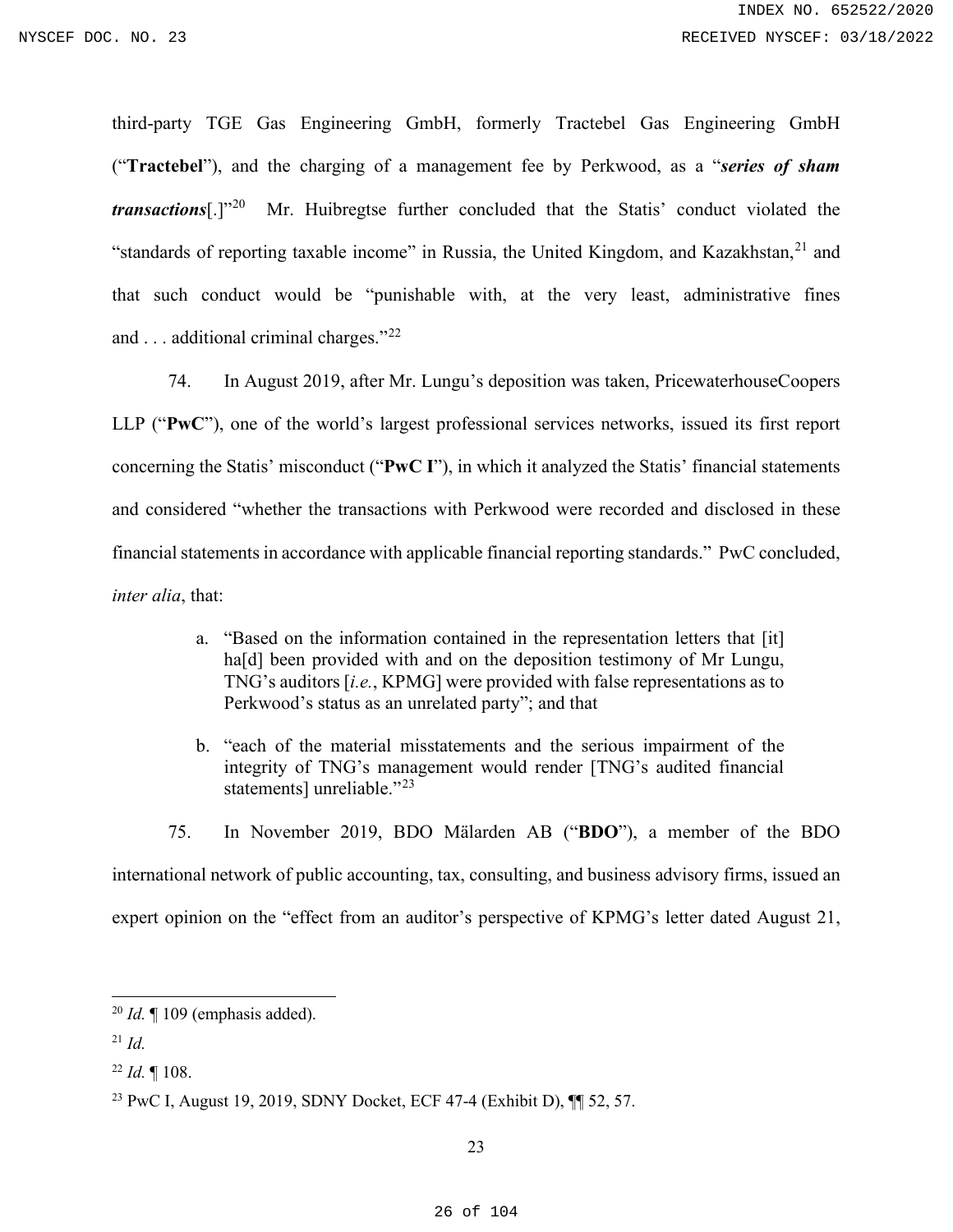third-party TGE Gas Engineering GmbH, formerly Tractebel Gas Engineering GmbH ("**Tractebel**"), and the charging of a management fee by Perkwood, as a "*series of sham transactions*[.]"[20](#page-25-0) Mr. Huibregtse further concluded that the Statis' conduct violated the "standards of reporting taxable income" in Russia, the United Kingdom, and Kazakhstan,  $21$  and that such conduct would be "punishable with, at the very least, administrative fines and . . . additional criminal charges."[22](#page-25-2)

74. In August 2019, after Mr. Lungu's deposition was taken, PricewaterhouseCoopers LLP ("**PwC**"), one of the world's largest professional services networks, issued its first report concerning the Statis' misconduct ("**PwC I**"), in which it analyzed the Statis' financial statements and considered "whether the transactions with Perkwood were recorded and disclosed in these financial statements in accordance with applicable financial reporting standards." PwC concluded, *inter alia*, that:

- a. "Based on the information contained in the representation letters that [it] ha<sup>[d]</sup> been provided with and on the deposition testimony of Mr Lungu, TNG's auditors [*i.e.*, KPMG] were provided with false representations as to Perkwood's status as an unrelated party"; and that
- b. "each of the material misstatements and the serious impairment of the integrity of TNG's management would render [TNG's audited financial statements] unreliable."<sup>[23](#page-25-3)</sup>
- 75. In November 2019, BDO Mälarden AB ("**BDO**"), a member of the BDO international network of public accounting, tax, consulting, and business advisory firms, issued an expert opinion on the "effect from an auditor's perspective of KPMG's letter dated August 21,

<span id="page-25-0"></span><sup>20</sup> *Id.* ¶ 109 (emphasis added).

<span id="page-25-1"></span><sup>21</sup> *Id.*

<span id="page-25-2"></span><sup>22</sup> *Id.* ¶ 108.

<span id="page-25-3"></span><sup>23</sup> PwC I, August 19, 2019, SDNY Docket, ECF 47-4 (Exhibit D), ¶¶ 52, 57.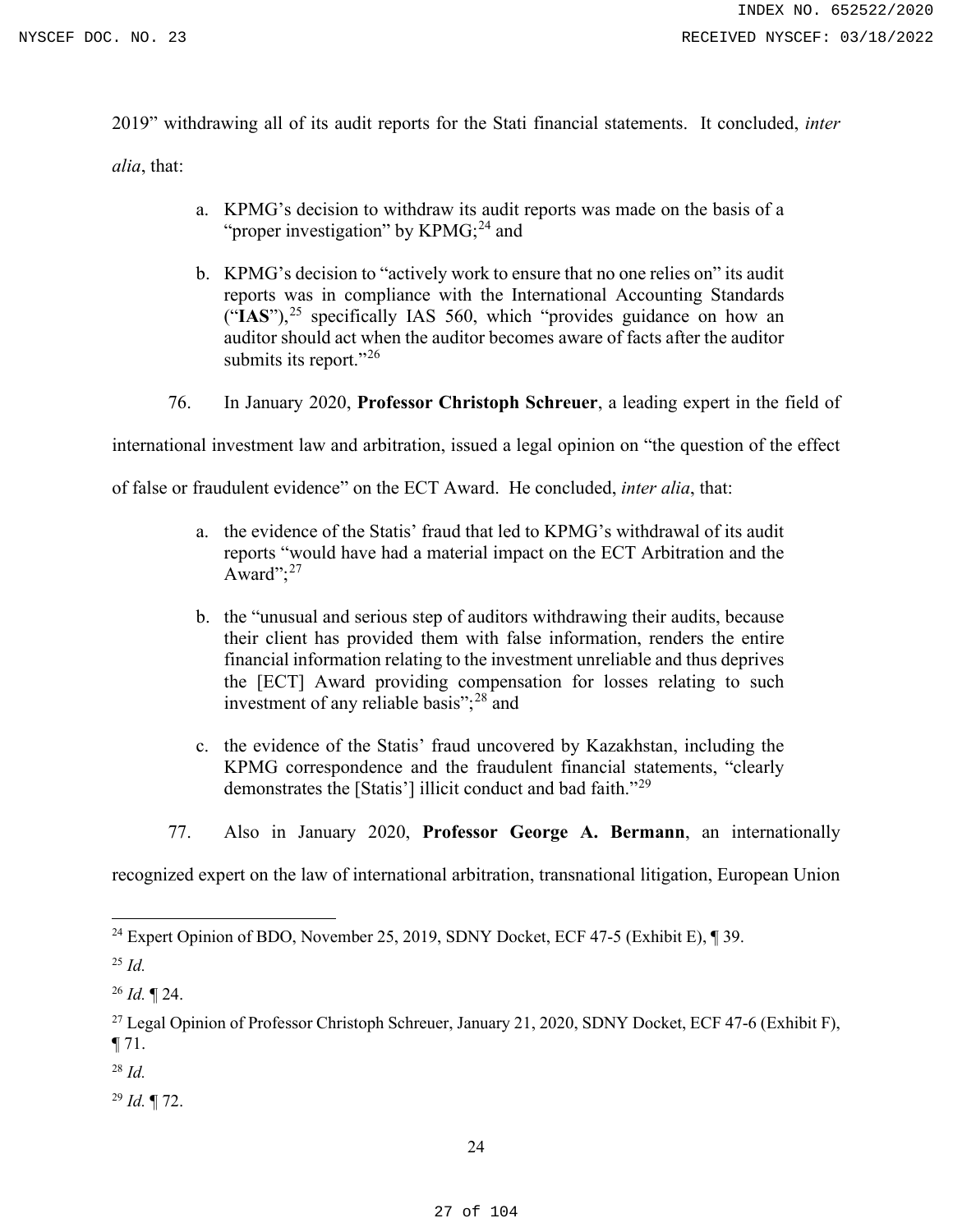2019" withdrawing all of its audit reports for the Stati financial statements. It concluded, *inter* 

*alia*, that:

- a. KPMG's decision to withdraw its audit reports was made on the basis of a "proper investigation" by KPMG;<sup>[24](#page-26-0)</sup> and
- b. KPMG's decision to "actively work to ensure that no one relies on" its audit reports was in compliance with the International Accounting Standards  $("IAS")$ ,<sup>[25](#page-26-1)</sup> specifically IAS 560, which "provides guidance on how an auditor should act when the auditor becomes aware of facts after the auditor submits its report."<sup>[26](#page-26-2)</sup>
- 76. In January 2020, **Professor Christoph Schreuer**, a leading expert in the field of

international investment law and arbitration, issued a legal opinion on "the question of the effect

of false or fraudulent evidence" on the ECT Award. He concluded, *inter alia*, that:

- a. the evidence of the Statis' fraud that led to KPMG's withdrawal of its audit reports "would have had a material impact on the ECT Arbitration and the Award"; $^{27}$  $^{27}$  $^{27}$
- b. the "unusual and serious step of auditors withdrawing their audits, because their client has provided them with false information, renders the entire financial information relating to the investment unreliable and thus deprives the [ECT] Award providing compensation for losses relating to such investment of any reliable basis";<sup>[28](#page-26-4)</sup> and
- c. the evidence of the Statis' fraud uncovered by Kazakhstan, including the KPMG correspondence and the fraudulent financial statements, "clearly demonstrates the [Statis'] illicit conduct and bad faith."[29](#page-26-5)
- 77. Also in January 2020, **Professor George A. Bermann**, an internationally

recognized expert on the law of international arbitration, transnational litigation, European Union

<span id="page-26-4"></span><sup>28</sup> *Id.*

<span id="page-26-5"></span><sup>29</sup> *Id.* ¶ 72.

<span id="page-26-0"></span><sup>&</sup>lt;sup>24</sup> Expert Opinion of BDO, November 25, 2019, SDNY Docket, ECF 47-5 (Exhibit E),  $\P$  39.

<span id="page-26-1"></span><sup>25</sup> *Id.*

<span id="page-26-2"></span><sup>26</sup> *Id.* ¶ 24.

<span id="page-26-3"></span><sup>&</sup>lt;sup>27</sup> Legal Opinion of Professor Christoph Schreuer, January 21, 2020, SDNY Docket, ECF 47-6 (Exhibit F),  $\P$  71.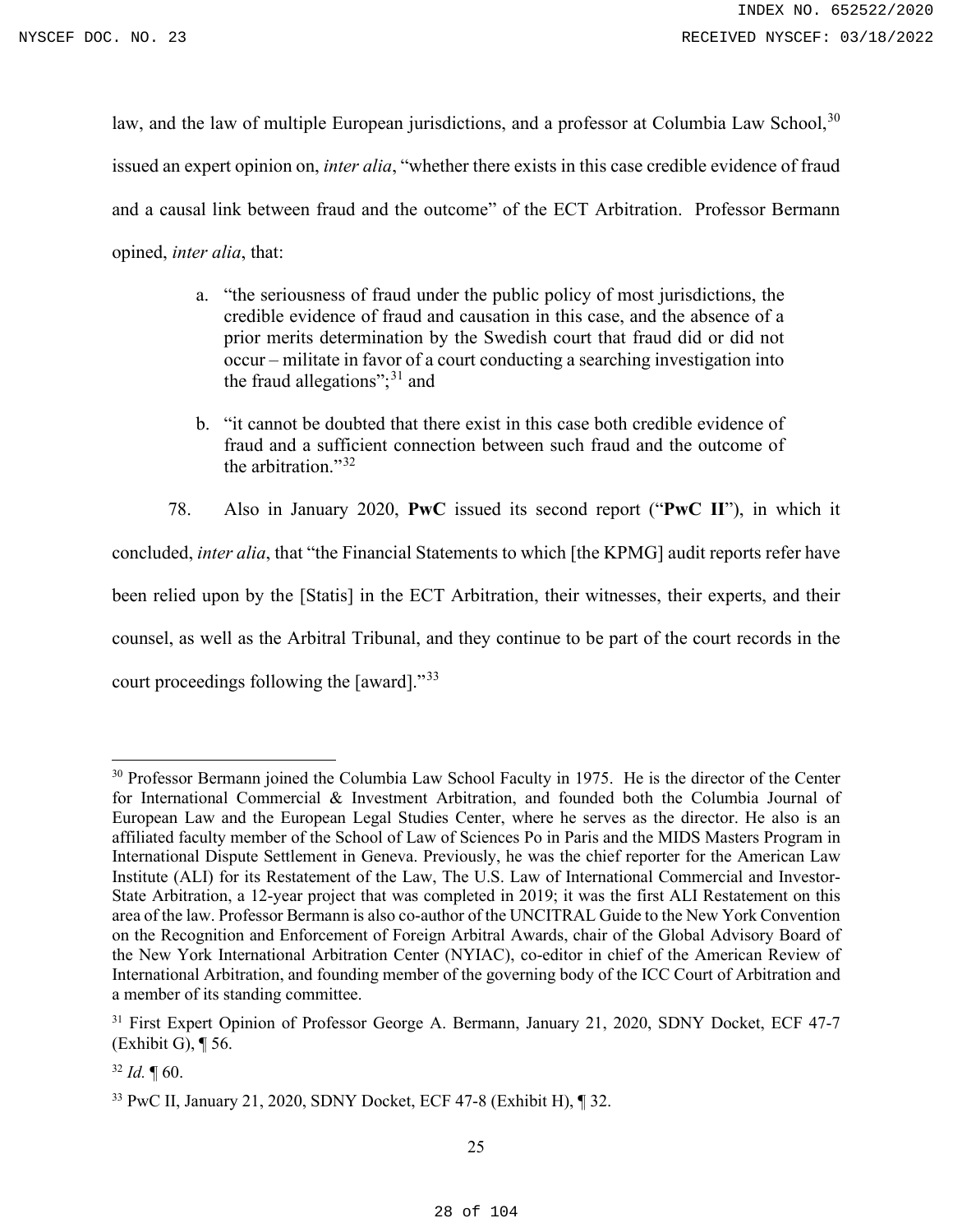law, and the law of multiple European jurisdictions, and a professor at Columbia Law School,<sup>[30](#page-27-0)</sup> issued an expert opinion on, *inter alia*, "whether there exists in this case credible evidence of fraud and a causal link between fraud and the outcome" of the ECT Arbitration. Professor Bermann opined, *inter alia*, that:

- a. "the seriousness of fraud under the public policy of most jurisdictions, the credible evidence of fraud and causation in this case, and the absence of a prior merits determination by the Swedish court that fraud did or did not occur – militate in favor of a court conducting a searching investigation into the fraud allegations";<sup>[31](#page-27-1)</sup> and
- b. "it cannot be doubted that there exist in this case both credible evidence of fraud and a sufficient connection between such fraud and the outcome of the arbitration."<sup>[32](#page-27-2)</sup>

78. Also in January 2020, **PwC** issued its second report ("**PwC II**"), in which it concluded, *inter alia*, that "the Financial Statements to which [the KPMG] audit reports refer have been relied upon by the [Statis] in the ECT Arbitration, their witnesses, their experts, and their counsel, as well as the Arbitral Tribunal, and they continue to be part of the court records in the court proceedings following the [award]."<sup>[33](#page-27-3)</sup>

<span id="page-27-0"></span><sup>&</sup>lt;sup>30</sup> Professor Bermann joined the Columbia Law School Faculty in 1975. He is the director of the Center for International Commercial & Investment Arbitration, and founded both the Columbia Journal of European Law and the European Legal Studies Center, where he serves as the director. He also is an affiliated faculty member of the School of Law of Sciences Po in Paris and the MIDS Masters Program in International Dispute Settlement in Geneva. Previously, he was the chief reporter for the American Law Institute (ALI) for its Restatement of the Law, The U.S. Law of International Commercial and Investor-State Arbitration, a 12-year project that was completed in 2019; it was the first ALI Restatement on this area of the law. Professor Bermann is also co-author of the UNCITRAL Guide to the New York Convention on the Recognition and Enforcement of Foreign Arbitral Awards, chair of the Global Advisory Board of the New York International Arbitration Center (NYIAC), co-editor in chief of the American Review of International Arbitration, and founding member of the governing body of the ICC Court of Arbitration and a member of its standing committee.

<span id="page-27-1"></span><sup>&</sup>lt;sup>31</sup> First Expert Opinion of Professor George A. Bermann, January 21, 2020, SDNY Docket, ECF 47-7 (Exhibit G), ¶ 56.

<span id="page-27-2"></span> $32$  *Id.*  $\text{T}$  60.

<span id="page-27-3"></span><sup>33</sup> PwC II, January 21, 2020, SDNY Docket, ECF 47-8 (Exhibit H), ¶ 32.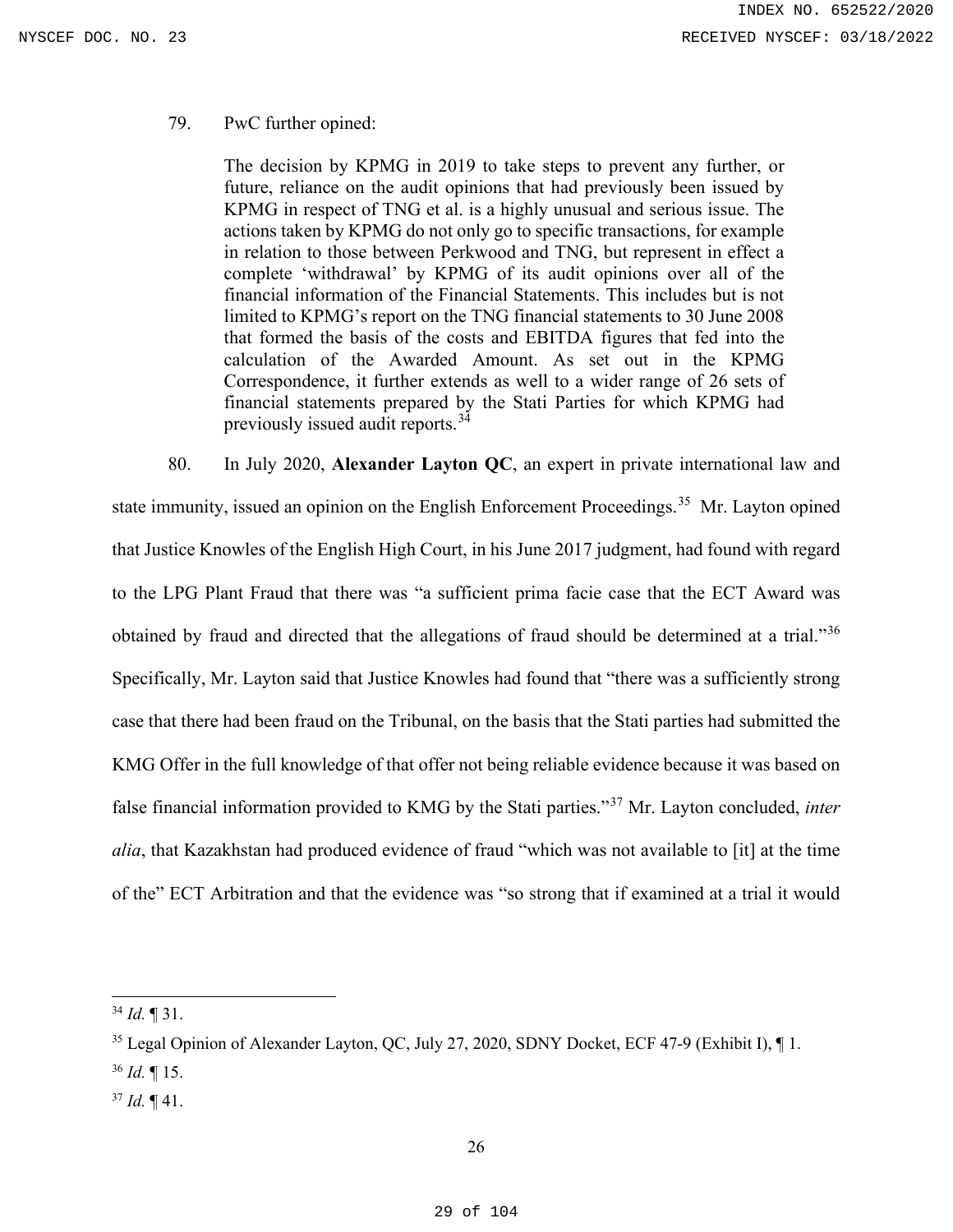## 79. PwC further opined:

The decision by KPMG in 2019 to take steps to prevent any further, or future, reliance on the audit opinions that had previously been issued by KPMG in respect of TNG et al. is a highly unusual and serious issue. The actions taken by KPMG do not only go to specific transactions, for example in relation to those between Perkwood and TNG, but represent in effect a complete 'withdrawal' by KPMG of its audit opinions over all of the financial information of the Financial Statements. This includes but is not limited to KPMG's report on the TNG financial statements to 30 June 2008 that formed the basis of the costs and EBITDA figures that fed into the calculation of the Awarded Amount. As set out in the KPMG Correspondence, it further extends as well to a wider range of 26 sets of financial statements prepared by the Stati Parties for which KPMG had previously issued audit reports.[34](#page-28-0)

80. In July 2020, **Alexander Layton QC**, an expert in private international law and state immunity, issued an opinion on the English Enforcement Proceedings.<sup>[35](#page-28-1)</sup> Mr. Layton opined that Justice Knowles of the English High Court, in his June 2017 judgment, had found with regard to the LPG Plant Fraud that there was "a sufficient prima facie case that the ECT Award was obtained by fraud and directed that the allegations of fraud should be determined at a trial."[36](#page-28-2) Specifically, Mr. Layton said that Justice Knowles had found that "there was a sufficiently strong case that there had been fraud on the Tribunal, on the basis that the Stati parties had submitted the KMG Offer in the full knowledge of that offer not being reliable evidence because it was based on false financial information provided to KMG by the Stati parties."[37](#page-28-3) Mr. Layton concluded, *inter alia*, that Kazakhstan had produced evidence of fraud "which was not available to [it] at the time of the" ECT Arbitration and that the evidence was "so strong that if examined at a trial it would

<span id="page-28-3"></span><span id="page-28-2"></span> $37$  *Id.*  $\P$  41.

<span id="page-28-0"></span><sup>34</sup> *Id.* ¶ 31.

<span id="page-28-1"></span><sup>&</sup>lt;sup>35</sup> Legal Opinion of Alexander Layton, QC, July 27, 2020, SDNY Docket, ECF 47-9 (Exhibit I), 1. <sup>36</sup> *Id.* ¶ 15.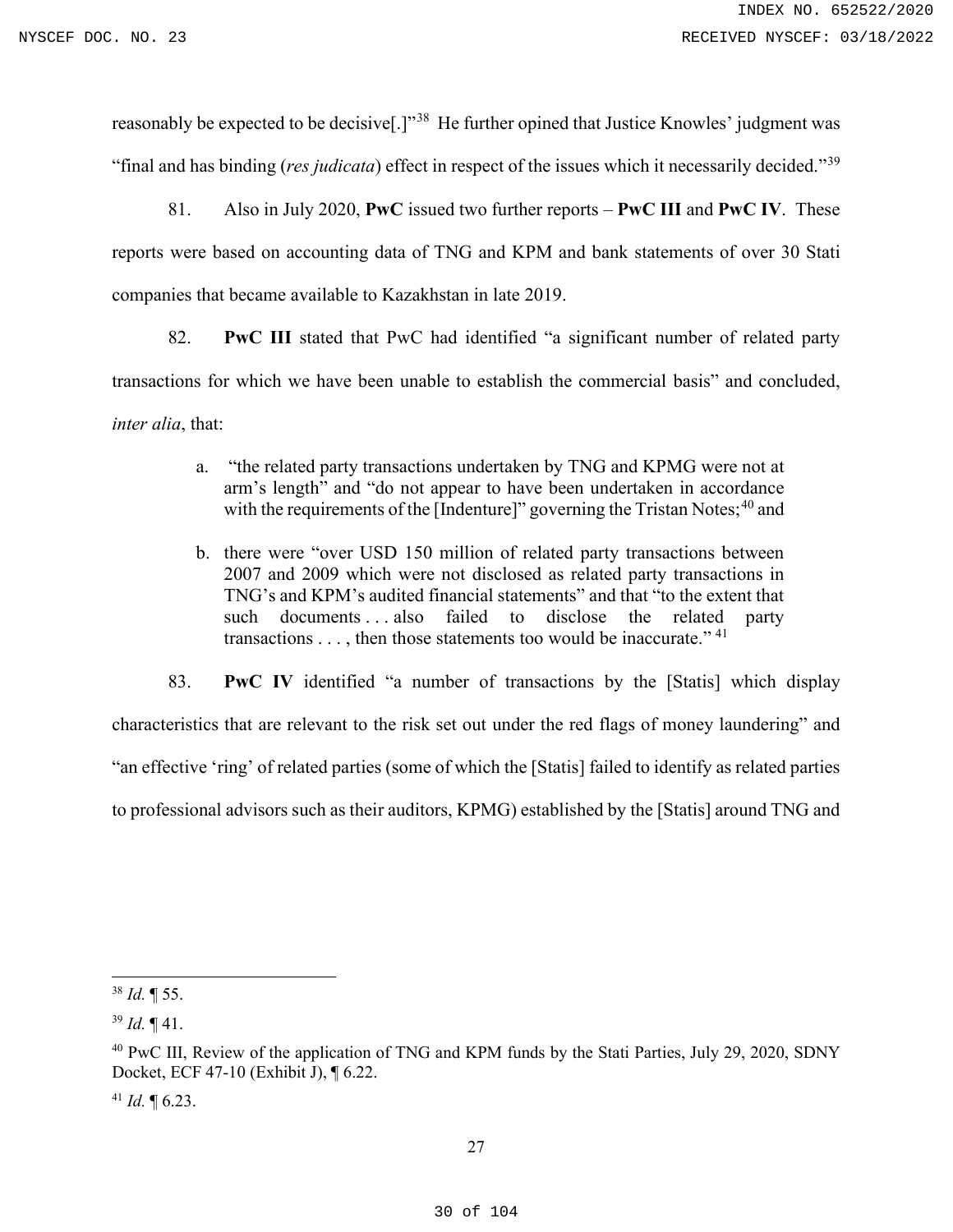reasonably be expected to be decisive[.]"[38](#page-29-0) He further opined that Justice Knowles' judgment was "final and has binding (*res judicata*) effect in respect of the issues which it necessarily decided."[39](#page-29-1)

81. Also in July 2020, **PwC** issued two further reports – **PwC III** and **PwC IV**. These reports were based on accounting data of TNG and KPM and bank statements of over 30 Stati companies that became available to Kazakhstan in late 2019.

82. **PwC III** stated that PwC had identified "a significant number of related party transactions for which we have been unable to establish the commercial basis" and concluded, *inter alia*, that:

- a. "the related party transactions undertaken by TNG and KPMG were not at arm's length" and "do not appear to have been undertaken in accordance with the requirements of the [Indenture]" governing the Tristan Notes;<sup>[40](#page-29-2)</sup> and
- b. there were "over USD 150 million of related party transactions between 2007 and 2009 which were not disclosed as related party transactions in TNG's and KPM's audited financial statements" and that "to the extent that such documents . . . also failed to disclose the related party transactions  $\dots$ , then those statements too would be inaccurate."<sup>[41](#page-29-3)</sup>

83. **PwC IV** identified "a number of transactions by the [Statis] which display characteristics that are relevant to the risk set out under the red flags of money laundering" and "an effective 'ring' of related parties (some of which the [Statis] failed to identify as related parties to professional advisors such as their auditors, KPMG) established by the [Statis] around TNG and

<span id="page-29-3"></span> $41$  *Id.*  $\text{T}$  6.23.

<span id="page-29-0"></span><sup>38</sup> *Id.* ¶ 55.

<span id="page-29-1"></span> $39$  *Id.*  $\P$  41.

<span id="page-29-2"></span><sup>&</sup>lt;sup>40</sup> PwC III, Review of the application of TNG and KPM funds by the Stati Parties, July 29, 2020, SDNY Docket, ECF 47-10 (Exhibit J), ¶ 6.22.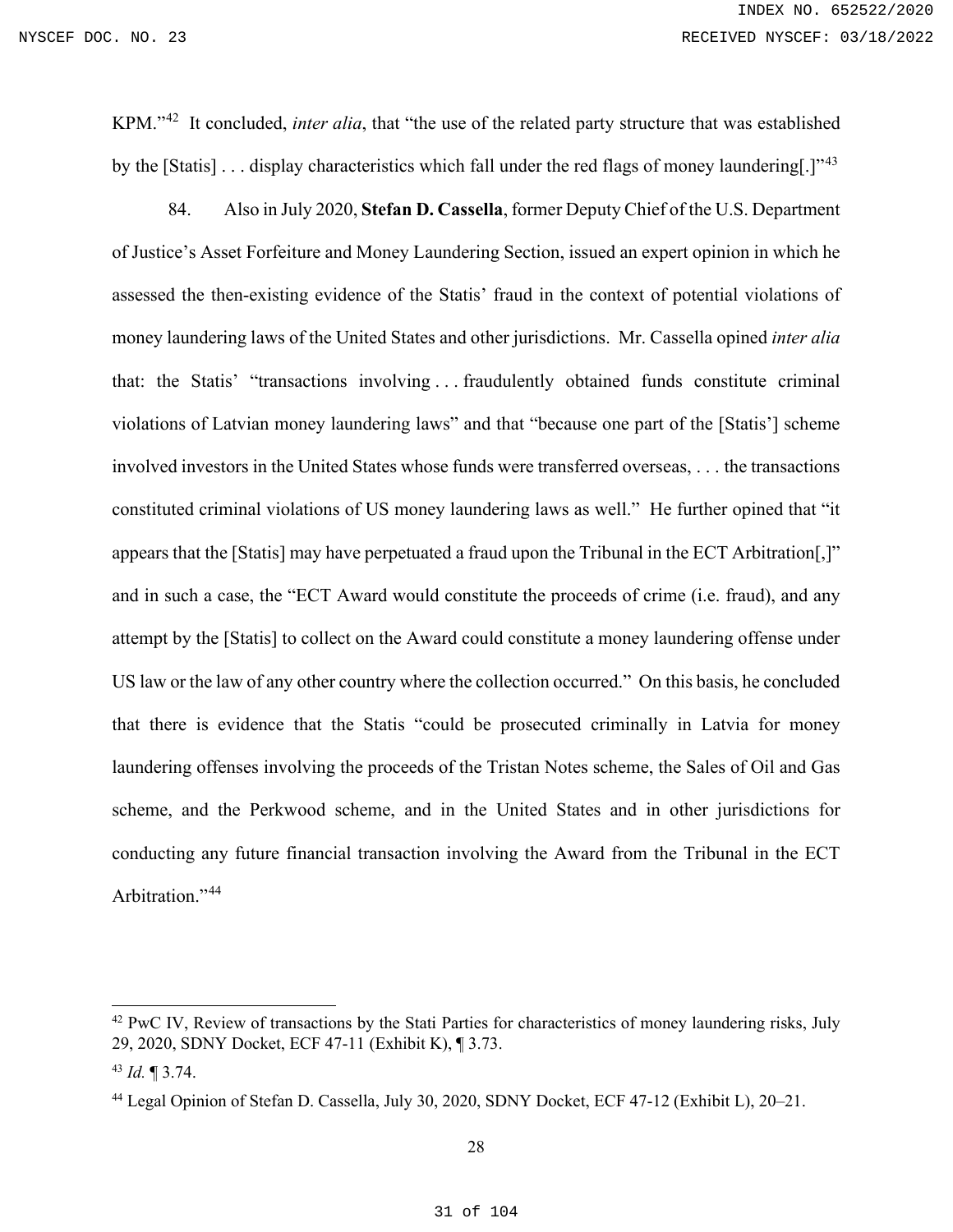KPM."[42](#page-30-0) It concluded, *inter alia*, that "the use of the related party structure that was established by the [Statis]  $\dots$  display characteristics which fall under the red flags of money laundering[.]<sup>[43](#page-30-1)</sup>

84. Also in July 2020, **Stefan D. Cassella**, former Deputy Chief of the U.S. Department of Justice's Asset Forfeiture and Money Laundering Section, issued an expert opinion in which he assessed the then-existing evidence of the Statis' fraud in the context of potential violations of money laundering laws of the United States and other jurisdictions. Mr. Cassella opined *inter alia* that: the Statis' "transactions involving . . . fraudulently obtained funds constitute criminal violations of Latvian money laundering laws" and that "because one part of the [Statis'] scheme involved investors in the United States whose funds were transferred overseas, . . . the transactions constituted criminal violations of US money laundering laws as well." He further opined that "it appears that the [Statis] may have perpetuated a fraud upon the Tribunal in the ECT Arbitration[,]" and in such a case, the "ECT Award would constitute the proceeds of crime (i.e. fraud), and any attempt by the [Statis] to collect on the Award could constitute a money laundering offense under US law or the law of any other country where the collection occurred." On this basis, he concluded that there is evidence that the Statis "could be prosecuted criminally in Latvia for money laundering offenses involving the proceeds of the Tristan Notes scheme, the Sales of Oil and Gas scheme, and the Perkwood scheme, and in the United States and in other jurisdictions for conducting any future financial transaction involving the Award from the Tribunal in the ECT Arbitration."<sup>[44](#page-30-2)</sup>

<span id="page-30-0"></span> $42$  PwC IV, Review of transactions by the Stati Parties for characteristics of money laundering risks, July 29, 2020, SDNY Docket, ECF 47-11 (Exhibit K), ¶ 3.73.

<span id="page-30-1"></span><sup>43</sup> *Id.* ¶ 3.74.

<span id="page-30-2"></span><sup>44</sup> Legal Opinion of Stefan D. Cassella, July 30, 2020, SDNY Docket, ECF 47-12 (Exhibit L), 20–21.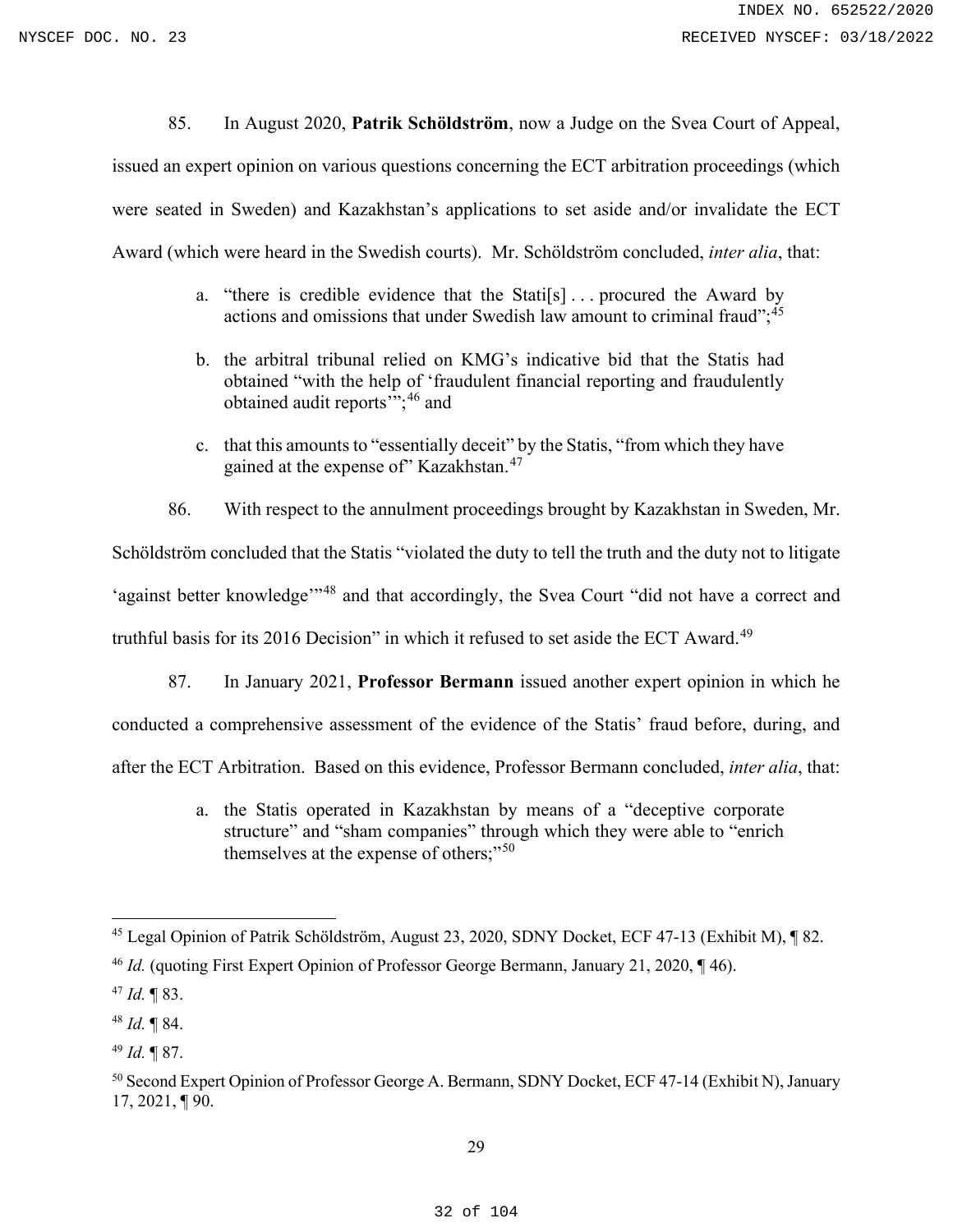85. In August 2020, **Patrik Schöldström**, now a Judge on the Svea Court of Appeal,

issued an expert opinion on various questions concerning the ECT arbitration proceedings (which were seated in Sweden) and Kazakhstan's applications to set aside and/or invalidate the ECT Award (which were heard in the Swedish courts). Mr. Schöldström concluded, *inter alia*, that:

- a. "there is credible evidence that the Stati[s]... procured the Award by actions and omissions that under Swedish law amount to criminal fraud";<sup>[45](#page-31-0)</sup>
- b. the arbitral tribunal relied on KMG's indicative bid that the Statis had obtained "with the help of 'fraudulent financial reporting and fraudulently obtained audit reports'"; [46](#page-31-1) and
- c. that this amounts to "essentially deceit" by the Statis, "from which they have gained at the expense of" Kazakhstan.<sup>[47](#page-31-2)</sup>

86. With respect to the annulment proceedings brought by Kazakhstan in Sweden, Mr. Schöldström concluded that the Statis "violated the duty to tell the truth and the duty not to litigate 'against better knowledge'<sup>1[48](#page-31-3)</sup> and that accordingly, the Svea Court "did not have a correct and truthful basis for its 2016 Decision" in which it refused to set aside the ECT Award.<sup>[49](#page-31-4)</sup>

87. In January 2021, **Professor Bermann** issued another expert opinion in which he conducted a comprehensive assessment of the evidence of the Statis' fraud before, during, and after the ECT Arbitration. Based on this evidence, Professor Bermann concluded, *inter alia*, that:

> a. the Statis operated in Kazakhstan by means of a "deceptive corporate structure" and "sham companies" through which they were able to "enrich themselves at the expense of others;"<sup>[50](#page-31-5)</sup>

<span id="page-31-0"></span><sup>45</sup> Legal Opinion of Patrik Schöldström, August 23, 2020, SDNY Docket, ECF 47-13 (Exhibit M), ¶ 82.

<span id="page-31-1"></span><sup>&</sup>lt;sup>46</sup> *Id.* (quoting First Expert Opinion of Professor George Bermann, January 21, 2020, ¶ 46).

<span id="page-31-2"></span><sup>47</sup> *Id.* ¶ 83.

<span id="page-31-3"></span><sup>48</sup> *Id.* ¶ 84.

<span id="page-31-4"></span><sup>49</sup> *Id.* ¶ 87.

<span id="page-31-5"></span><sup>&</sup>lt;sup>50</sup> Second Expert Opinion of Professor George A. Bermann, SDNY Docket, ECF 47-14 (Exhibit N), January 17, 2021, ¶ 90.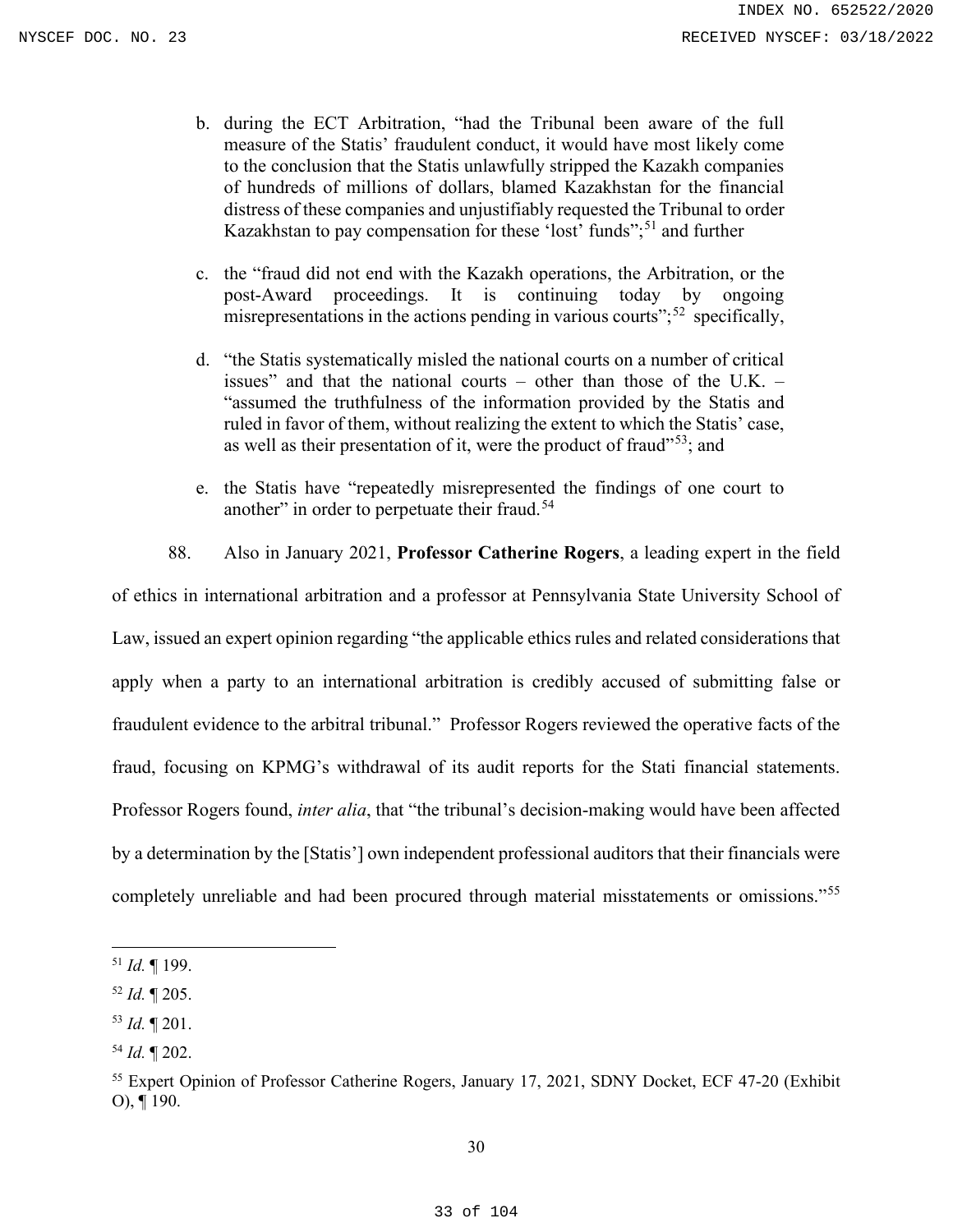- b. during the ECT Arbitration, "had the Tribunal been aware of the full measure of the Statis' fraudulent conduct, it would have most likely come to the conclusion that the Statis unlawfully stripped the Kazakh companies of hundreds of millions of dollars, blamed Kazakhstan for the financial distress of these companies and unjustifiably requested the Tribunal to order Kazakhstan to pay compensation for these 'lost' funds";<sup>[51](#page-32-0)</sup> and further
- c. the "fraud did not end with the Kazakh operations, the Arbitration, or the post-Award proceedings. It is continuing today by ongoing misrepresentations in the actions pending in various courts"; $52$  specifically,
- d. "the Statis systematically misled the national courts on a number of critical issues" and that the national courts – other than those of the U.K. – "assumed the truthfulness of the information provided by the Statis and ruled in favor of them, without realizing the extent to which the Statis' case, as well as their presentation of it, were the product of fraud $153$ ; and
- e. the Statis have "repeatedly misrepresented the findings of one court to another" in order to perpetuate their fraud.<sup>[54](#page-32-3)</sup>
- 88. Also in January 2021, **Professor Catherine Rogers**, a leading expert in the field

of ethics in international arbitration and a professor at Pennsylvania State University School of Law, issued an expert opinion regarding "the applicable ethics rules and related considerations that apply when a party to an international arbitration is credibly accused of submitting false or fraudulent evidence to the arbitral tribunal." Professor Rogers reviewed the operative facts of the fraud, focusing on KPMG's withdrawal of its audit reports for the Stati financial statements. Professor Rogers found, *inter alia*, that "the tribunal's decision-making would have been affected by a determination by the [Statis'] own independent professional auditors that their financials were completely unreliable and had been procured through material misstatements or omissions."<sup>[55](#page-32-4)</sup>

<span id="page-32-0"></span><sup>51</sup> *Id.* ¶ 199.

<span id="page-32-1"></span><sup>52</sup> *Id.* ¶ 205.

<span id="page-32-2"></span><sup>53</sup> *Id.* ¶ 201.

<span id="page-32-3"></span><sup>54</sup> *Id.* ¶ 202.

<span id="page-32-4"></span><sup>&</sup>lt;sup>55</sup> Expert Opinion of Professor Catherine Rogers, January 17, 2021, SDNY Docket, ECF 47-20 (Exhibit O), ¶ 190.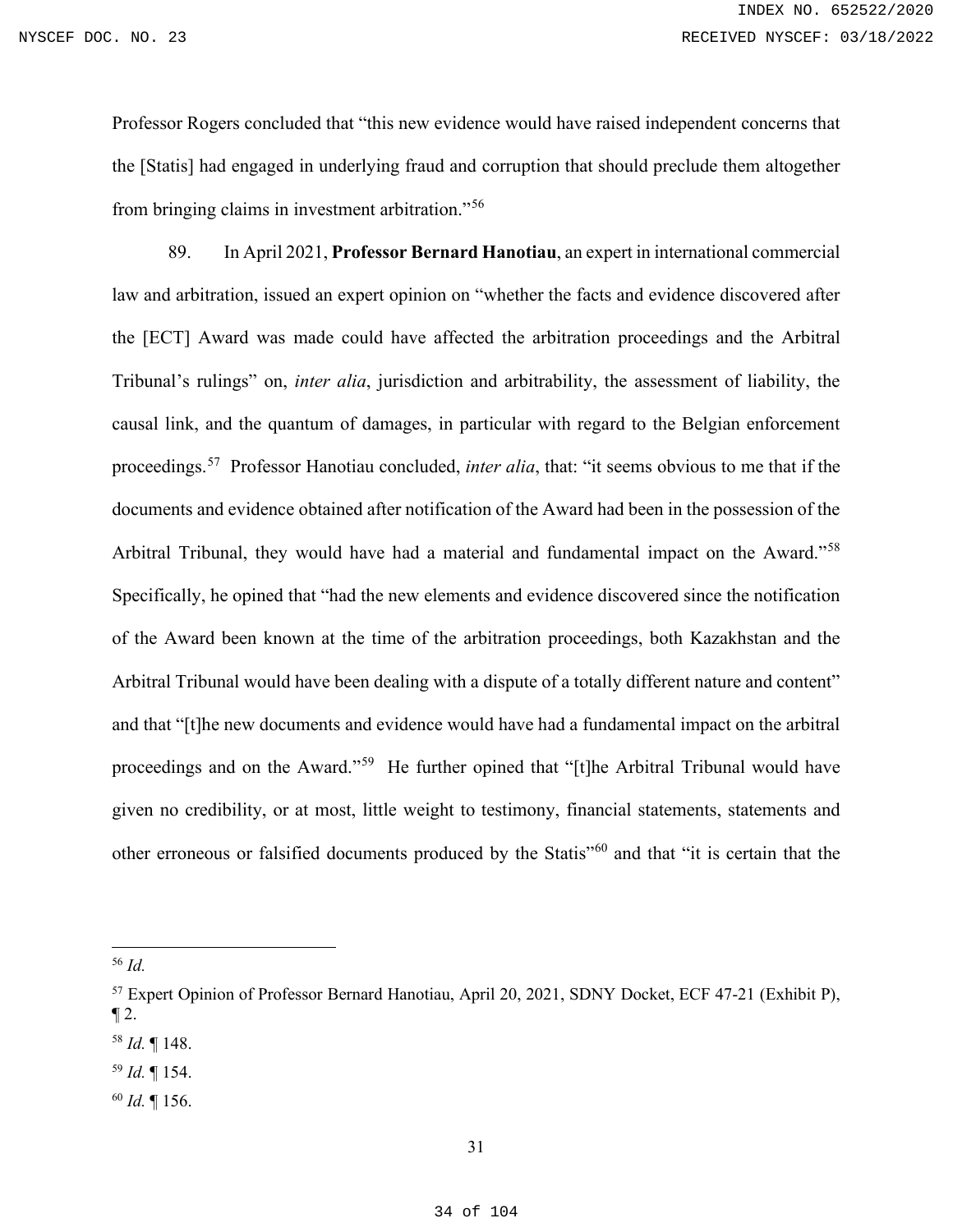Professor Rogers concluded that "this new evidence would have raised independent concerns that the [Statis] had engaged in underlying fraud and corruption that should preclude them altogether from bringing claims in investment arbitration."[56](#page-33-0)

89. In April 2021, **Professor Bernard Hanotiau**, an expert in international commercial law and arbitration, issued an expert opinion on "whether the facts and evidence discovered after the [ECT] Award was made could have affected the arbitration proceedings and the Arbitral Tribunal's rulings" on, *inter alia*, jurisdiction and arbitrability, the assessment of liability, the causal link, and the quantum of damages, in particular with regard to the Belgian enforcement proceedings.[57](#page-33-1) Professor Hanotiau concluded, *inter alia*, that: "it seems obvious to me that if the documents and evidence obtained after notification of the Award had been in the possession of the Arbitral Tribunal, they would have had a material and fundamental impact on the Award."<sup>[58](#page-33-2)</sup> Specifically, he opined that "had the new elements and evidence discovered since the notification of the Award been known at the time of the arbitration proceedings, both Kazakhstan and the Arbitral Tribunal would have been dealing with a dispute of a totally different nature and content" and that "[t]he new documents and evidence would have had a fundamental impact on the arbitral proceedings and on the Award."[59](#page-33-3) He further opined that "[t]he Arbitral Tribunal would have given no credibility, or at most, little weight to testimony, financial statements, statements and other erroneous or falsified documents produced by the Statis"[60](#page-33-4) and that "it is certain that the

<span id="page-33-4"></span><sup>60</sup> *Id.* ¶ 156.

<span id="page-33-0"></span><sup>56</sup> *Id.*

<span id="page-33-1"></span><sup>57</sup> Expert Opinion of Professor Bernard Hanotiau, April 20, 2021, SDNY Docket, ECF 47-21 (Exhibit P),  $\P 2$ .

<span id="page-33-2"></span><sup>58</sup> *Id.* ¶ 148.

<span id="page-33-3"></span><sup>59</sup> *Id.* ¶ 154.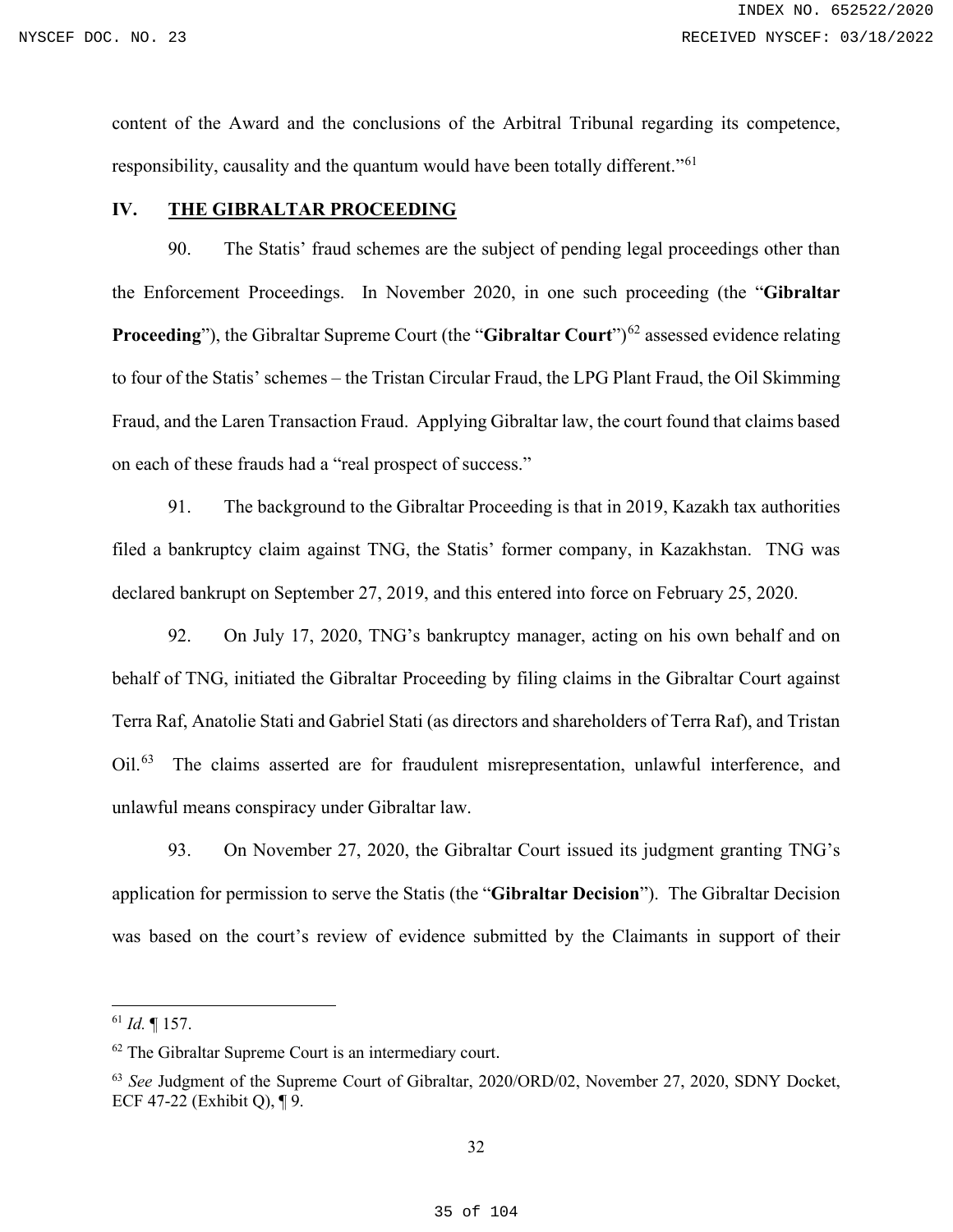content of the Award and the conclusions of the Arbitral Tribunal regarding its competence, responsibility, causality and the quantum would have been totally different."<sup>[61](#page-34-1)</sup>

# <span id="page-34-0"></span>**IV. THE GIBRALTAR PROCEEDING**

90. The Statis' fraud schemes are the subject of pending legal proceedings other than the Enforcement Proceedings. In November 2020, in one such proceeding (the "**Gibraltar Proceeding**"), the Gibraltar Supreme Court (the "**Gibraltar Court**")<sup>[62](#page-34-2)</sup> assessed evidence relating to four of the Statis' schemes – the Tristan Circular Fraud, the LPG Plant Fraud, the Oil Skimming Fraud, and the Laren Transaction Fraud. Applying Gibraltar law, the court found that claims based on each of these frauds had a "real prospect of success."

91. The background to the Gibraltar Proceeding is that in 2019, Kazakh tax authorities filed a bankruptcy claim against TNG, the Statis' former company, in Kazakhstan. TNG was declared bankrupt on September 27, 2019, and this entered into force on February 25, 2020.

92. On July 17, 2020, TNG's bankruptcy manager, acting on his own behalf and on behalf of TNG, initiated the Gibraltar Proceeding by filing claims in the Gibraltar Court against Terra Raf, Anatolie Stati and Gabriel Stati (as directors and shareholders of Terra Raf), and Tristan Oil.<sup>[63](#page-34-3)</sup> The claims asserted are for fraudulent misrepresentation, unlawful interference, and unlawful means conspiracy under Gibraltar law.

93. On November 27, 2020, the Gibraltar Court issued its judgment granting TNG's application for permission to serve the Statis (the "**Gibraltar Decision**"). The Gibraltar Decision was based on the court's review of evidence submitted by the Claimants in support of their

<span id="page-34-1"></span><sup>61</sup> *Id.* ¶ 157.

<span id="page-34-2"></span><sup>&</sup>lt;sup>62</sup> The Gibraltar Supreme Court is an intermediary court.

<span id="page-34-3"></span><sup>63</sup> *See* Judgment of the Supreme Court of Gibraltar, 2020/ORD/02, November 27, 2020, SDNY Docket, ECF 47-22 (Exhibit Q), ¶ 9.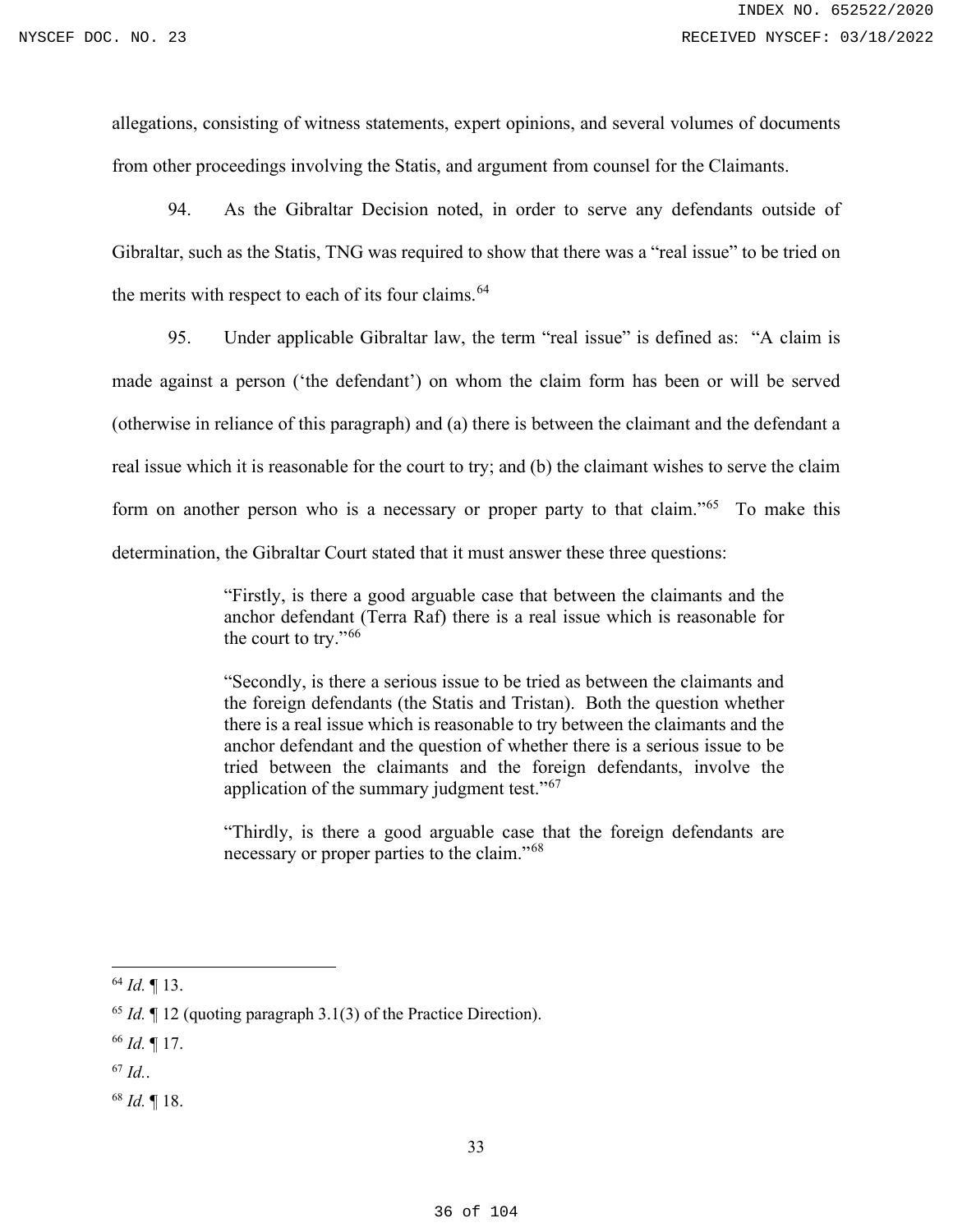allegations, consisting of witness statements, expert opinions, and several volumes of documents from other proceedings involving the Statis, and argument from counsel for the Claimants.

94. As the Gibraltar Decision noted, in order to serve any defendants outside of Gibraltar, such as the Statis, TNG was required to show that there was a "real issue" to be tried on the merits with respect to each of its four claims.<sup>64</sup>

95. Under applicable Gibraltar law, the term "real issue" is defined as: "A claim is made against a person ('the defendant') on whom the claim form has been or will be served (otherwise in reliance of this paragraph) and (a) there is between the claimant and the defendant a real issue which it is reasonable for the court to try; and (b) the claimant wishes to serve the claim form on another person who is a necessary or proper party to that claim."<sup>[65](#page-35-1)</sup> To make this determination, the Gibraltar Court stated that it must answer these three questions:

> "Firstly, is there a good arguable case that between the claimants and the anchor defendant (Terra Raf) there is a real issue which is reasonable for the court to try."[66](#page-35-2)

> "Secondly, is there a serious issue to be tried as between the claimants and the foreign defendants (the Statis and Tristan). Both the question whether there is a real issue which is reasonable to try between the claimants and the anchor defendant and the question of whether there is a serious issue to be tried between the claimants and the foreign defendants, involve the application of the summary judgment test."<sup>67</sup>

> "Thirdly, is there a good arguable case that the foreign defendants are necessary or proper parties to the claim."[68](#page-35-4)

<span id="page-35-4"></span><sup>68</sup> *Id.* ¶ 18.

<span id="page-35-0"></span><sup>64</sup> *Id.* ¶ 13.

<span id="page-35-1"></span><sup>65</sup> *Id.* ¶ 12 (quoting paragraph 3.1(3) of the Practice Direction).

<span id="page-35-2"></span><sup>66</sup> *Id.* ¶ 17.

<span id="page-35-3"></span> $^{67}$  *Id.*.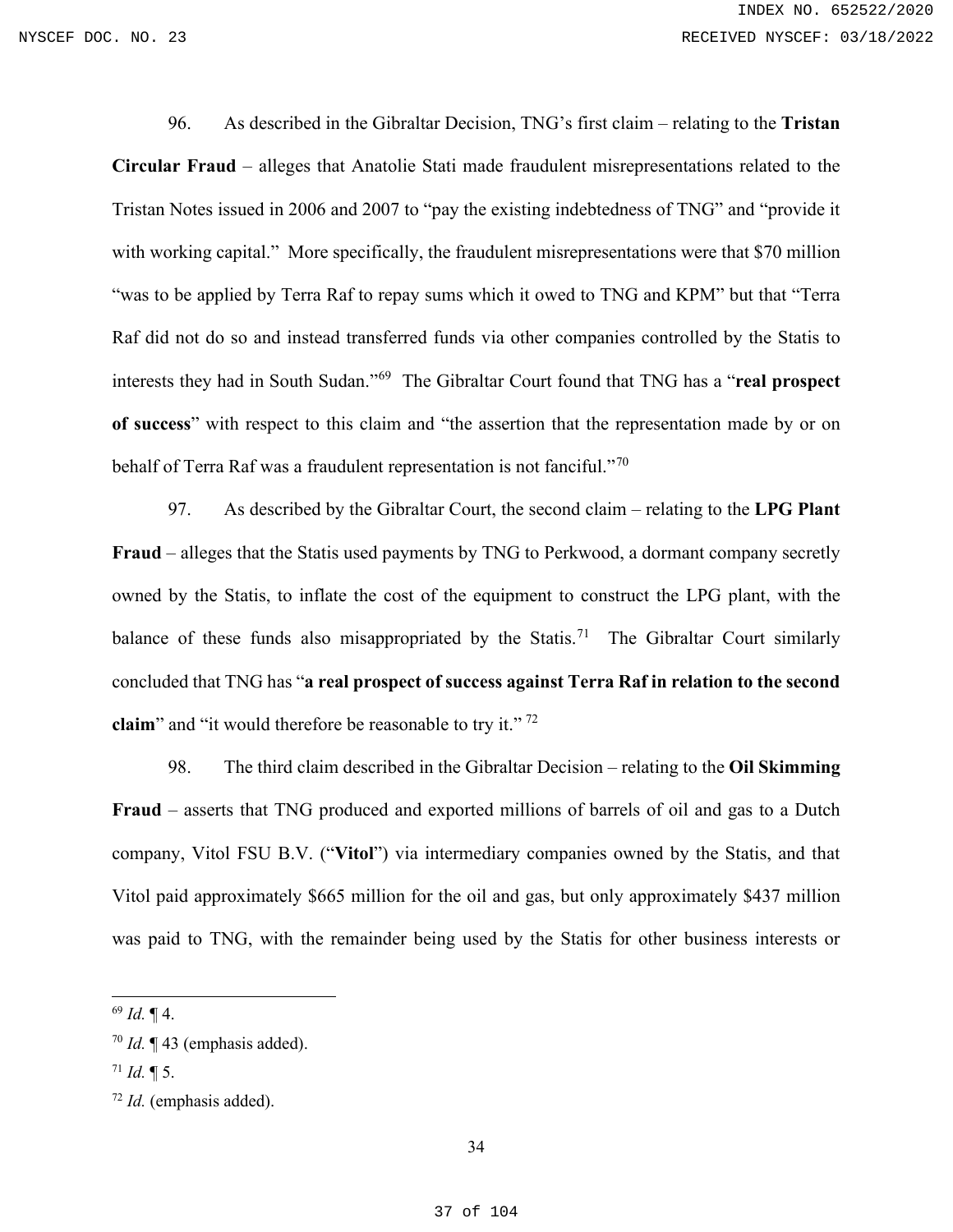96. As described in the Gibraltar Decision, TNG's first claim – relating to the **Tristan Circular Fraud** – alleges that Anatolie Stati made fraudulent misrepresentations related to the Tristan Notes issued in 2006 and 2007 to "pay the existing indebtedness of TNG" and "provide it with working capital." More specifically, the fraudulent misrepresentations were that \$70 million "was to be applied by Terra Raf to repay sums which it owed to TNG and KPM" but that "Terra Raf did not do so and instead transferred funds via other companies controlled by the Statis to interests they had in South Sudan."[69](#page-36-0) The Gibraltar Court found that TNG has a "**real prospect of success**" with respect to this claim and "the assertion that the representation made by or on behalf of Terra Raf was a fraudulent representation is not fanciful."<sup>[70](#page-36-1)</sup>

97. As described by the Gibraltar Court, the second claim – relating to the **LPG Plant Fraud** – alleges that the Statis used payments by TNG to Perkwood, a dormant company secretly owned by the Statis, to inflate the cost of the equipment to construct the LPG plant, with the balance of these funds also misappropriated by the Statis.<sup>71</sup> The Gibraltar Court similarly concluded that TNG has "**a real prospect of success against Terra Raf in relation to the second claim**" and "it would therefore be reasonable to try it."<sup>[72](#page-36-3)</sup>

98. The third claim described in the Gibraltar Decision – relating to the **Oil Skimming Fraud** – asserts that TNG produced and exported millions of barrels of oil and gas to a Dutch company, Vitol FSU B.V. ("**Vitol**") via intermediary companies owned by the Statis, and that Vitol paid approximately \$665 million for the oil and gas, but only approximately \$437 million was paid to TNG, with the remainder being used by the Statis for other business interests or

<span id="page-36-0"></span><sup>69</sup> *Id.* ¶ 4.

<span id="page-36-1"></span><sup>70</sup> *Id.* ¶ 43 (emphasis added).

<span id="page-36-2"></span> $^{71}$  *Id.* ¶ 5.

<span id="page-36-3"></span><sup>72</sup> *Id.* (emphasis added).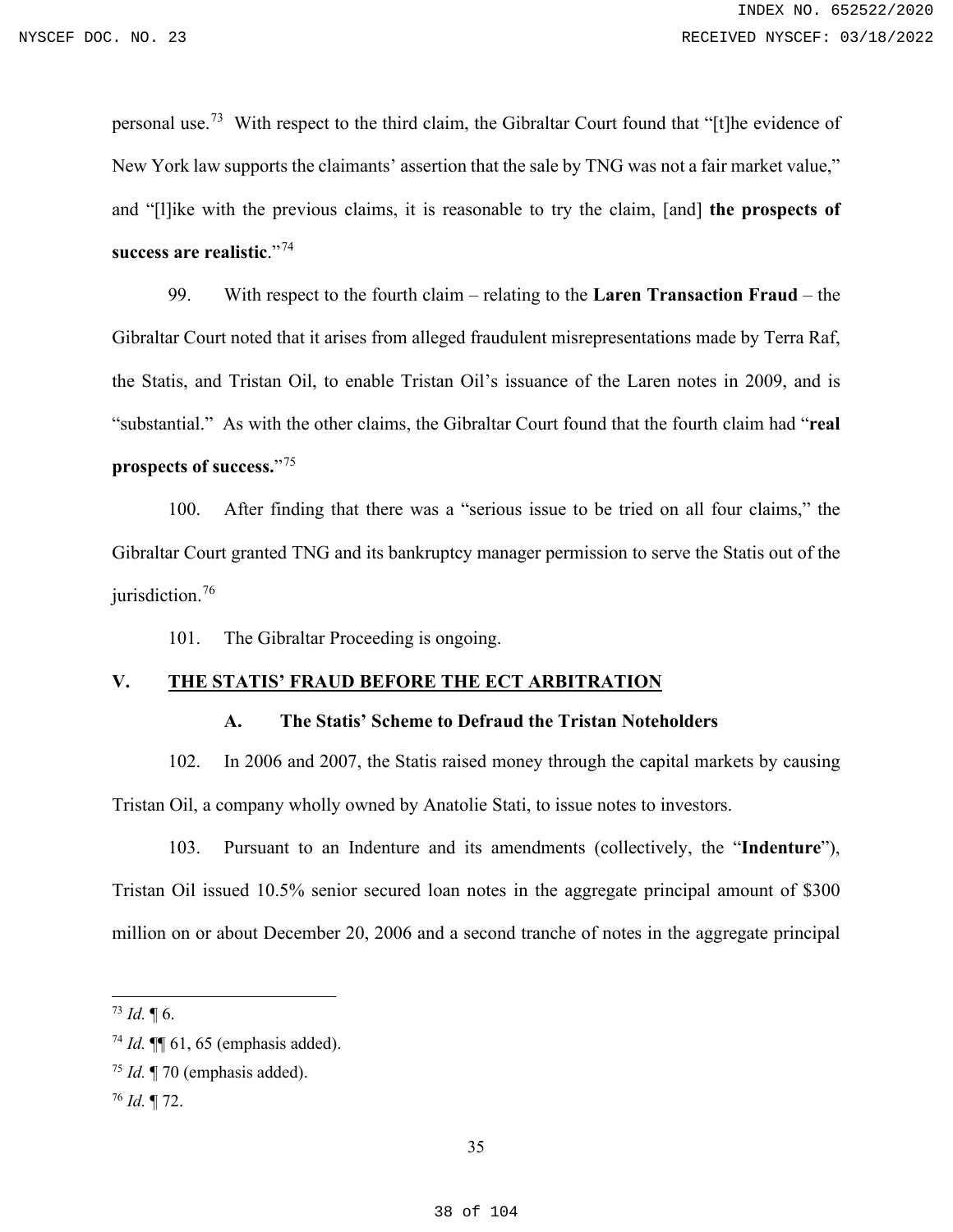personal use.[73](#page-37-0) With respect to the third claim, the Gibraltar Court found that "[t]he evidence of New York law supports the claimants' assertion that the sale by TNG was not a fair market value," and "[l]ike with the previous claims, it is reasonable to try the claim, [and] **the prospects of success are realistic**."[74](#page-37-1)

99. With respect to the fourth claim – relating to the **Laren Transaction Fraud** – the Gibraltar Court noted that it arises from alleged fraudulent misrepresentations made by Terra Raf, the Statis, and Tristan Oil, to enable Tristan Oil's issuance of the Laren notes in 2009, and is "substantial." As with the other claims, the Gibraltar Court found that the fourth claim had "**real prospects of success.**"[75](#page-37-2)

100. After finding that there was a "serious issue to be tried on all four claims," the Gibraltar Court granted TNG and its bankruptcy manager permission to serve the Statis out of the jurisdiction.<sup>[76](#page-37-3)</sup>

101. The Gibraltar Proceeding is ongoing.

# **V. THE STATIS' FRAUD BEFORE THE ECT ARBITRATION**

## **A. The Statis' Scheme to Defraud the Tristan Noteholders**

102. In 2006 and 2007, the Statis raised money through the capital markets by causing Tristan Oil, a company wholly owned by Anatolie Stati, to issue notes to investors.

103. Pursuant to an Indenture and its amendments (collectively, the "**Indenture**"), Tristan Oil issued 10.5% senior secured loan notes in the aggregate principal amount of \$300 million on or about December 20, 2006 and a second tranche of notes in the aggregate principal

<span id="page-37-0"></span> $^{73}$  *Id.*  $\P$  6.

<span id="page-37-1"></span><sup>74</sup> *Id.* ¶¶ 61, 65 (emphasis added).

<span id="page-37-2"></span><sup>75</sup> *Id.* ¶ 70 (emphasis added).

<span id="page-37-3"></span><sup>76</sup> *Id.* ¶ 72.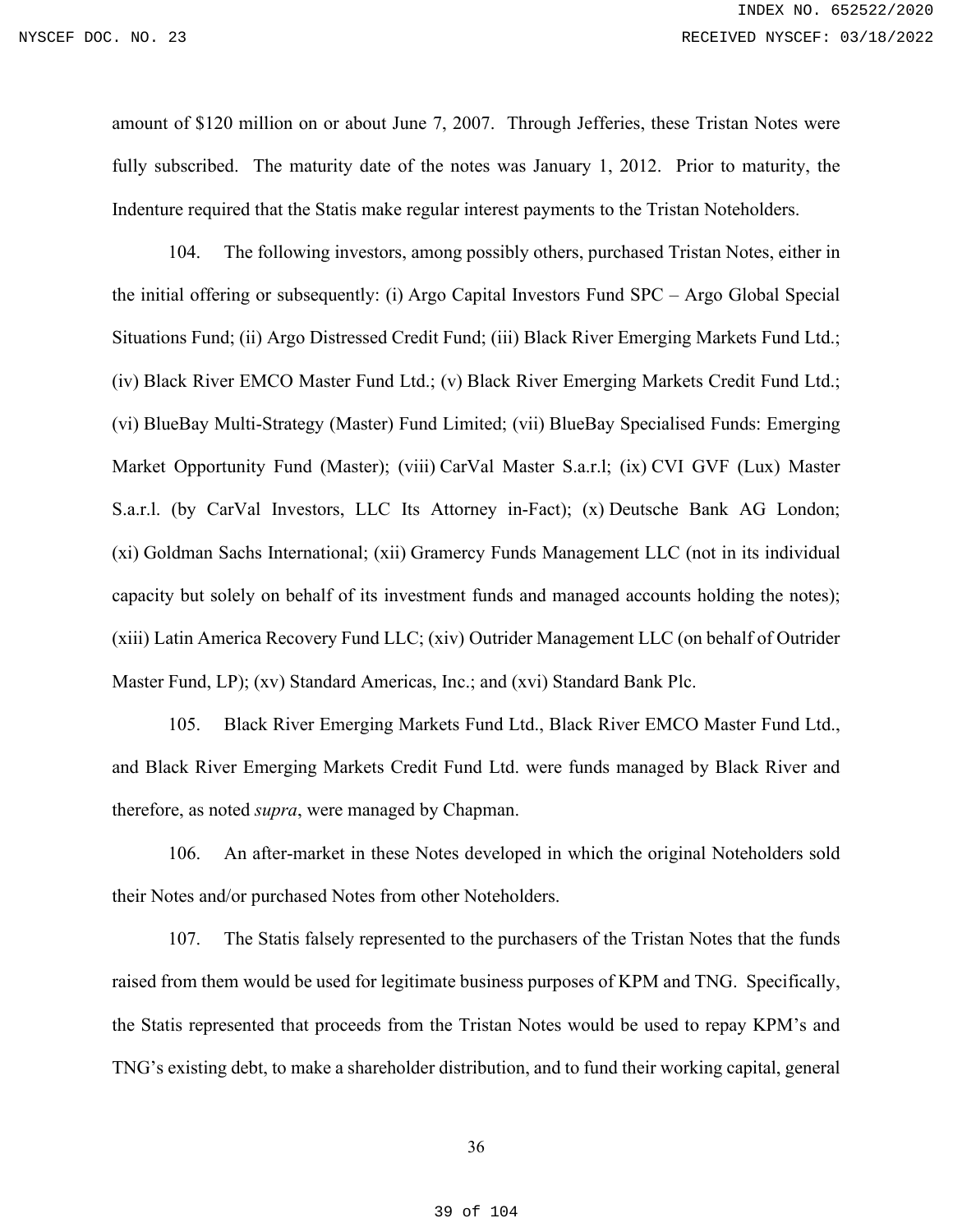amount of \$120 million on or about June 7, 2007. Through Jefferies, these Tristan Notes were fully subscribed. The maturity date of the notes was January 1, 2012. Prior to maturity, the Indenture required that the Statis make regular interest payments to the Tristan Noteholders.

104. The following investors, among possibly others, purchased Tristan Notes, either in the initial offering or subsequently: (i) Argo Capital Investors Fund SPC – Argo Global Special Situations Fund; (ii) Argo Distressed Credit Fund; (iii) Black River Emerging Markets Fund Ltd.; (iv) Black River EMCO Master Fund Ltd.; (v) Black River Emerging Markets Credit Fund Ltd.; (vi) BlueBay Multi-Strategy (Master) Fund Limited; (vii) BlueBay Specialised Funds: Emerging Market Opportunity Fund (Master); (viii) CarVal Master S.a.r.l; (ix) CVI GVF (Lux) Master S.a.r.l. (by CarVal Investors, LLC Its Attorney in-Fact); (x) Deutsche Bank AG London; (xi) Goldman Sachs International; (xii) Gramercy Funds Management LLC (not in its individual capacity but solely on behalf of its investment funds and managed accounts holding the notes); (xiii) Latin America Recovery Fund LLC; (xiv) Outrider Management LLC (on behalf of Outrider Master Fund, LP); (xv) Standard Americas, Inc.; and (xvi) Standard Bank Plc.

105. Black River Emerging Markets Fund Ltd., Black River EMCO Master Fund Ltd., and Black River Emerging Markets Credit Fund Ltd. were funds managed by Black River and therefore, as noted *supra*, were managed by Chapman.

106. An after-market in these Notes developed in which the original Noteholders sold their Notes and/or purchased Notes from other Noteholders.

107. The Statis falsely represented to the purchasers of the Tristan Notes that the funds raised from them would be used for legitimate business purposes of KPM and TNG. Specifically, the Statis represented that proceeds from the Tristan Notes would be used to repay KPM's and TNG's existing debt, to make a shareholder distribution, and to fund their working capital, general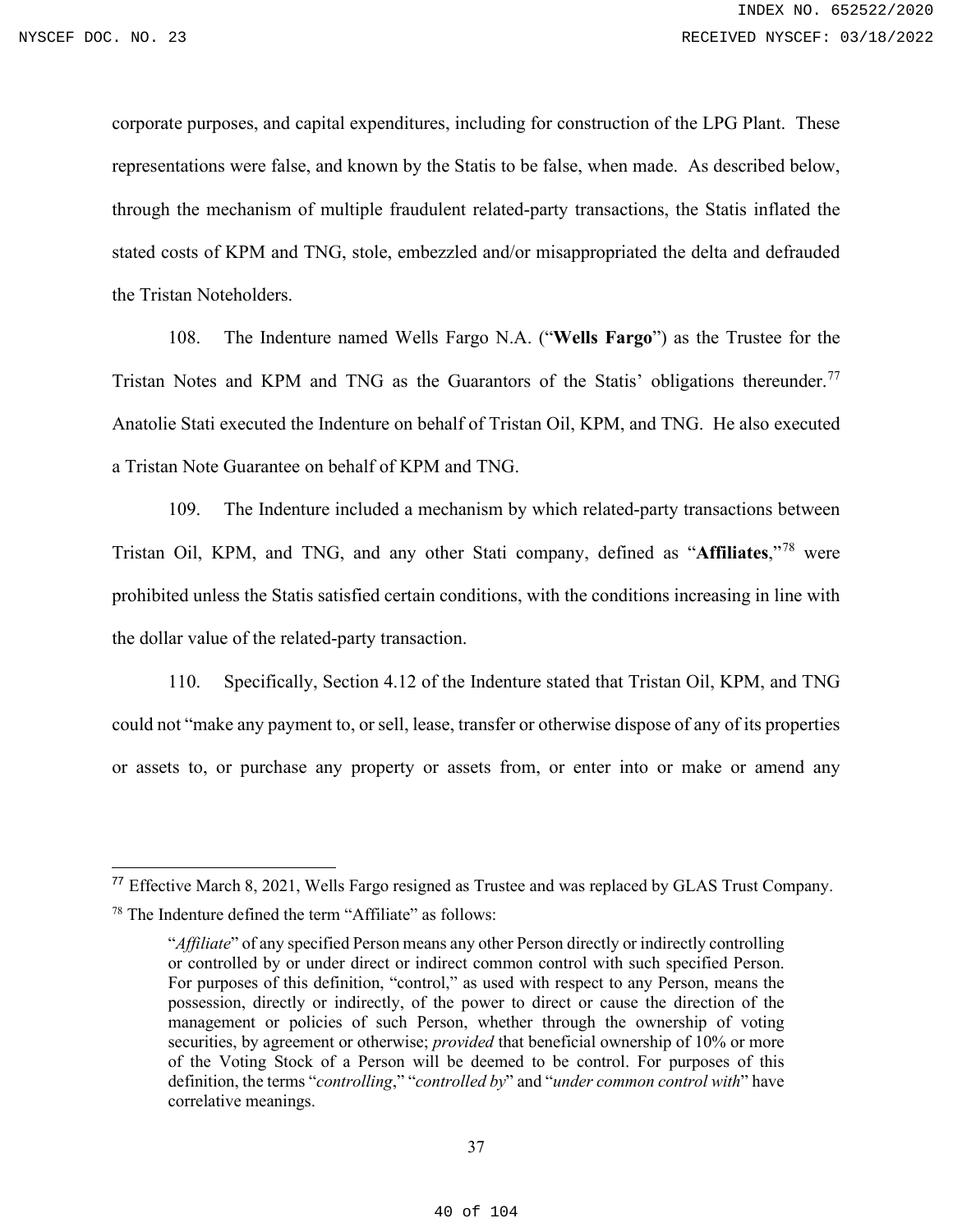corporate purposes, and capital expenditures, including for construction of the LPG Plant. These representations were false, and known by the Statis to be false, when made. As described below, through the mechanism of multiple fraudulent related-party transactions, the Statis inflated the stated costs of KPM and TNG, stole, embezzled and/or misappropriated the delta and defrauded the Tristan Noteholders.

108. The Indenture named Wells Fargo N.A. ("**Wells Fargo**") as the Trustee for the Tristan Notes and KPM and TNG as the Guarantors of the Statis' obligations thereunder.<sup>[77](#page-39-0)</sup> Anatolie Stati executed the Indenture on behalf of Tristan Oil, KPM, and TNG. He also executed a Tristan Note Guarantee on behalf of KPM and TNG.

109. The Indenture included a mechanism by which related-party transactions between Tristan Oil, KPM, and TNG, and any other Stati company, defined as "**Affiliates**,"[78](#page-39-1) were prohibited unless the Statis satisfied certain conditions, with the conditions increasing in line with the dollar value of the related-party transaction.

110. Specifically, Section 4.12 of the Indenture stated that Tristan Oil, KPM, and TNG could not "make any payment to, or sell, lease, transfer or otherwise dispose of any of its properties or assets to, or purchase any property or assets from, or enter into or make or amend any

<span id="page-39-1"></span><span id="page-39-0"></span><sup>77</sup> Effective March 8, 2021, Wells Fargo resigned as Trustee and was replaced by GLAS Trust Company. <sup>78</sup> The Indenture defined the term "Affiliate" as follows:

<sup>&</sup>quot;*Affiliate*" of any specified Person means any other Person directly or indirectly controlling or controlled by or under direct or indirect common control with such specified Person. For purposes of this definition, "control," as used with respect to any Person, means the possession, directly or indirectly, of the power to direct or cause the direction of the management or policies of such Person, whether through the ownership of voting securities, by agreement or otherwise; *provided* that beneficial ownership of 10% or more of the Voting Stock of a Person will be deemed to be control. For purposes of this definition, the terms "*controlling*," "*controlled by*" and "*under common control with*" have correlative meanings.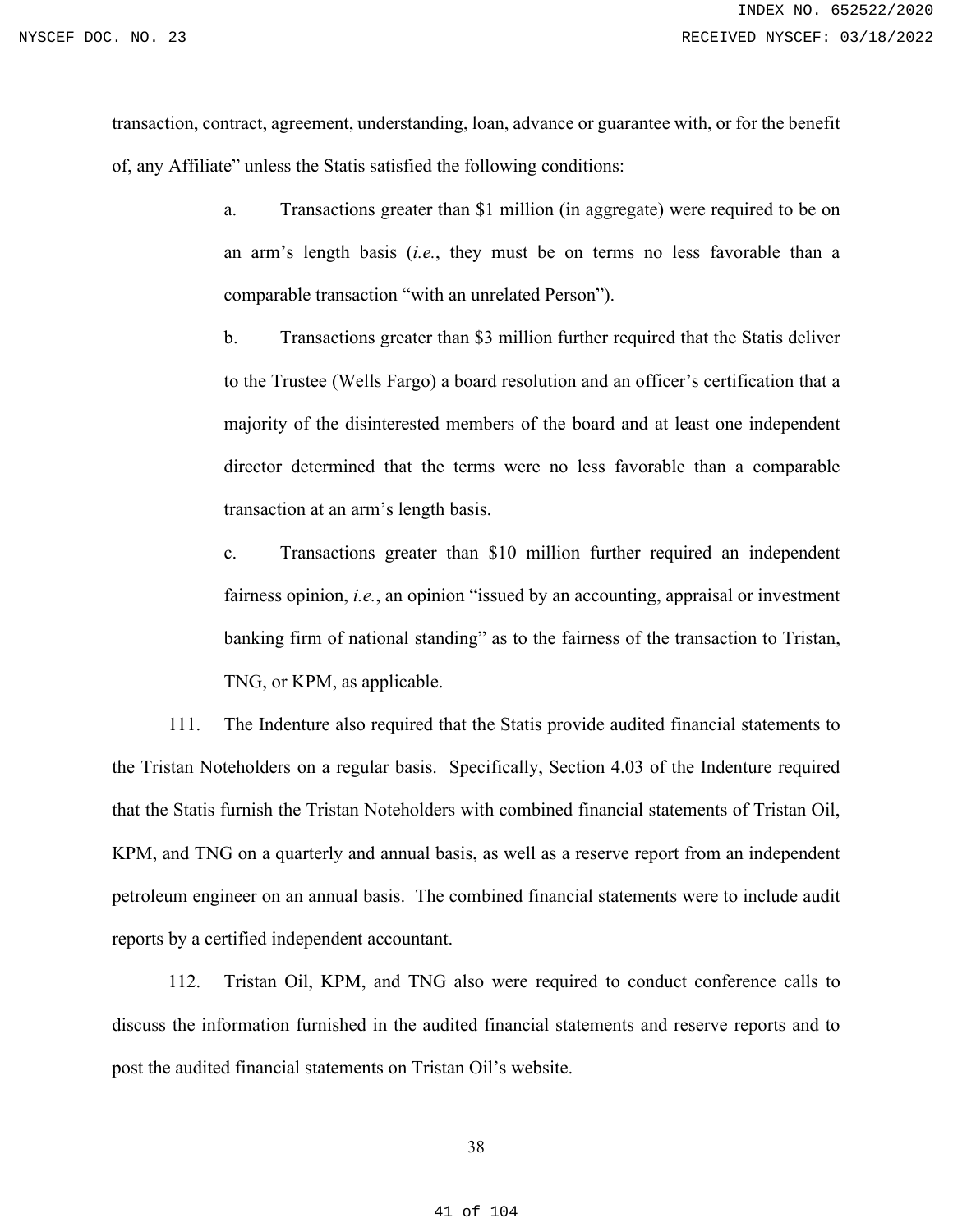transaction, contract, agreement, understanding, loan, advance or guarantee with, or for the benefit of, any Affiliate" unless the Statis satisfied the following conditions:

> a. Transactions greater than \$1 million (in aggregate) were required to be on an arm's length basis (*i.e.*, they must be on terms no less favorable than a comparable transaction "with an unrelated Person").

> b. Transactions greater than \$3 million further required that the Statis deliver to the Trustee (Wells Fargo) a board resolution and an officer's certification that a majority of the disinterested members of the board and at least one independent director determined that the terms were no less favorable than a comparable transaction at an arm's length basis.

> c. Transactions greater than \$10 million further required an independent fairness opinion, *i.e.*, an opinion "issued by an accounting, appraisal or investment banking firm of national standing" as to the fairness of the transaction to Tristan, TNG, or KPM, as applicable.

111. The Indenture also required that the Statis provide audited financial statements to the Tristan Noteholders on a regular basis. Specifically, Section 4.03 of the Indenture required that the Statis furnish the Tristan Noteholders with combined financial statements of Tristan Oil, KPM, and TNG on a quarterly and annual basis, as well as a reserve report from an independent petroleum engineer on an annual basis. The combined financial statements were to include audit reports by a certified independent accountant.

112. Tristan Oil, KPM, and TNG also were required to conduct conference calls to discuss the information furnished in the audited financial statements and reserve reports and to post the audited financial statements on Tristan Oil's website.

#### 38

#### 41 of 104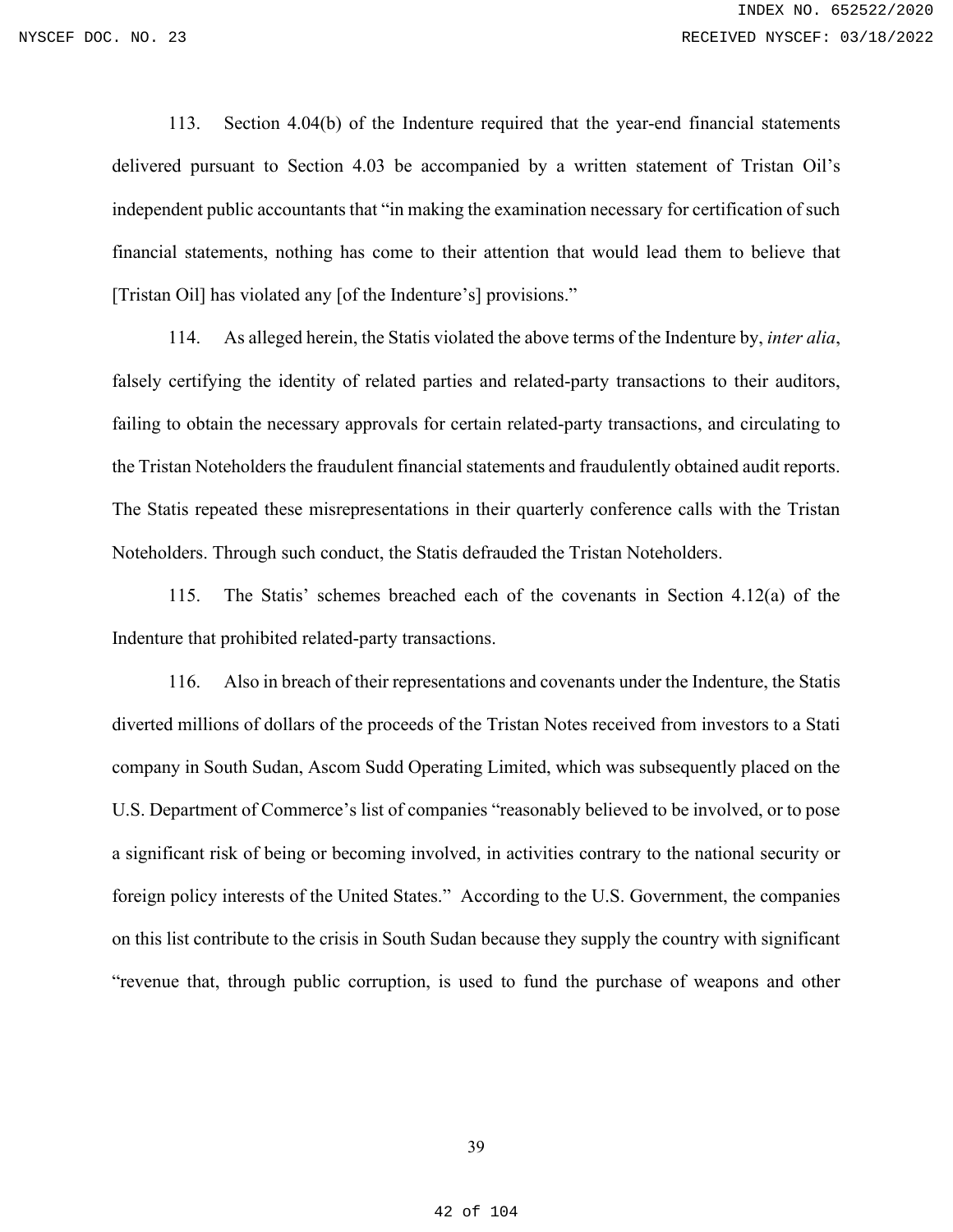113. Section 4.04(b) of the Indenture required that the year-end financial statements delivered pursuant to Section 4.03 be accompanied by a written statement of Tristan Oil's independent public accountants that "in making the examination necessary for certification of such financial statements, nothing has come to their attention that would lead them to believe that [Tristan Oil] has violated any [of the Indenture's] provisions."

114. As alleged herein, the Statis violated the above terms of the Indenture by, *inter alia*, falsely certifying the identity of related parties and related-party transactions to their auditors, failing to obtain the necessary approvals for certain related-party transactions, and circulating to the Tristan Noteholders the fraudulent financial statements and fraudulently obtained audit reports. The Statis repeated these misrepresentations in their quarterly conference calls with the Tristan Noteholders. Through such conduct, the Statis defrauded the Tristan Noteholders.

115. The Statis' schemes breached each of the covenants in Section 4.12(a) of the Indenture that prohibited related-party transactions.

116. Also in breach of their representations and covenants under the Indenture, the Statis diverted millions of dollars of the proceeds of the Tristan Notes received from investors to a Stati company in South Sudan, Ascom Sudd Operating Limited, which was subsequently placed on the U.S. Department of Commerce's list of companies "reasonably believed to be involved, or to pose a significant risk of being or becoming involved, in activities contrary to the national security or foreign policy interests of the United States." According to the U.S. Government, the companies on this list contribute to the crisis in South Sudan because they supply the country with significant "revenue that, through public corruption, is used to fund the purchase of weapons and other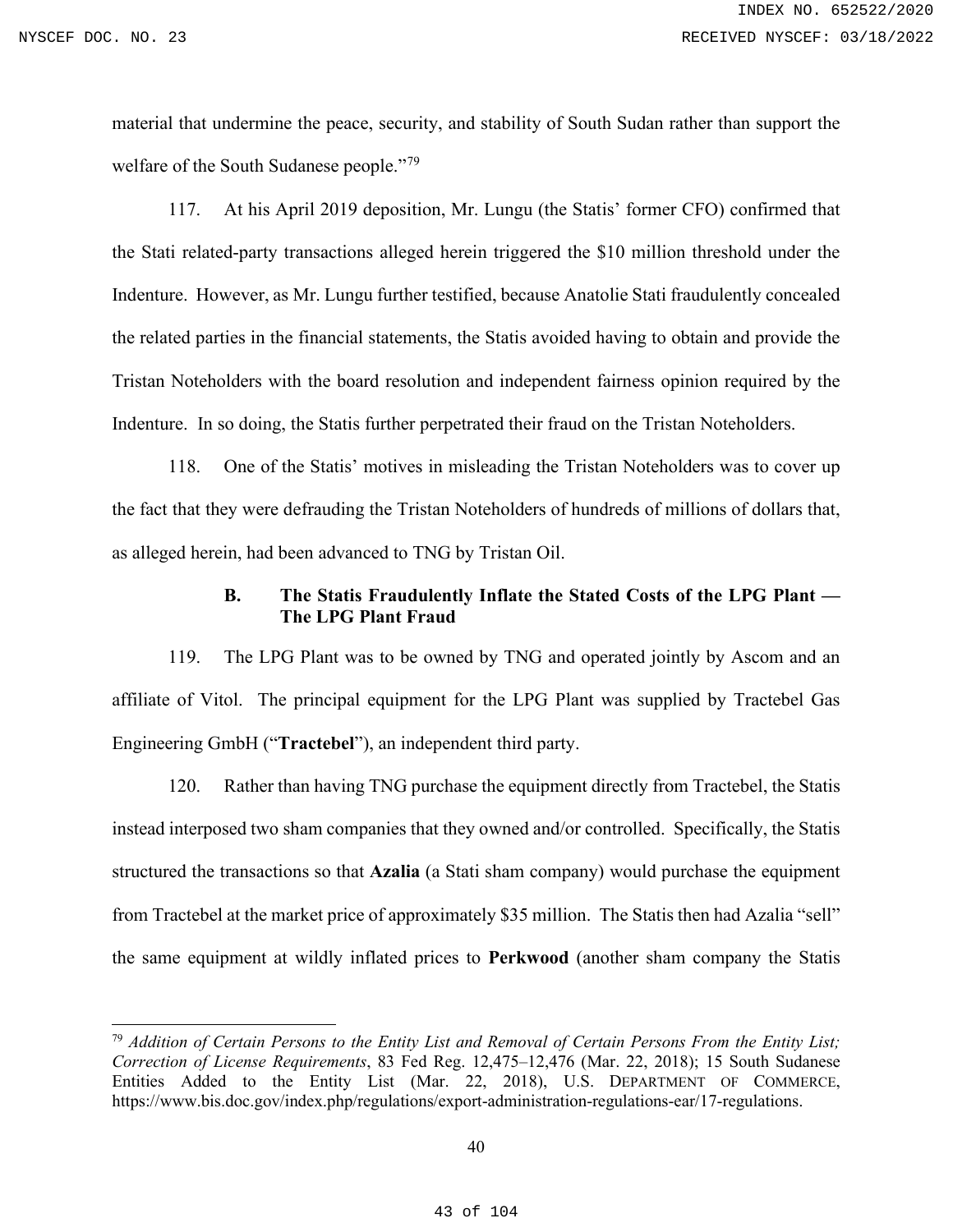material that undermine the peace, security, and stability of South Sudan rather than support the welfare of the South Sudanese people."<sup>[79](#page-42-0)</sup>

117. At his April 2019 deposition, Mr. Lungu (the Statis' former CFO) confirmed that the Stati related-party transactions alleged herein triggered the \$10 million threshold under the Indenture. However, as Mr. Lungu further testified, because Anatolie Stati fraudulently concealed the related parties in the financial statements, the Statis avoided having to obtain and provide the Tristan Noteholders with the board resolution and independent fairness opinion required by the Indenture. In so doing, the Statis further perpetrated their fraud on the Tristan Noteholders.

118. One of the Statis' motives in misleading the Tristan Noteholders was to cover up the fact that they were defrauding the Tristan Noteholders of hundreds of millions of dollars that, as alleged herein, had been advanced to TNG by Tristan Oil.

## **B. The Statis Fraudulently Inflate the Stated Costs of the LPG Plant — The LPG Plant Fraud**

119. The LPG Plant was to be owned by TNG and operated jointly by Ascom and an affiliate of Vitol. The principal equipment for the LPG Plant was supplied by Tractebel Gas Engineering GmbH ("**Tractebel**"), an independent third party.

120. Rather than having TNG purchase the equipment directly from Tractebel, the Statis instead interposed two sham companies that they owned and/or controlled. Specifically, the Statis structured the transactions so that **Azalia** (a Stati sham company) would purchase the equipment from Tractebel at the market price of approximately \$35 million. The Statis then had Azalia "sell" the same equipment at wildly inflated prices to **Perkwood** (another sham company the Statis

<span id="page-42-0"></span><sup>79</sup> *Addition of Certain Persons to the Entity List and Removal of Certain Persons From the Entity List; Correction of License Requirements*, 83 Fed Reg. 12,475–12,476 (Mar. 22, 2018); 15 South Sudanese Entities Added to the Entity List (Mar. 22, 2018), U.S. DEPARTMENT OF COMMERCE, https://www.bis.doc.gov/index.php/regulations/export-administration-regulations-ear/17-regulations.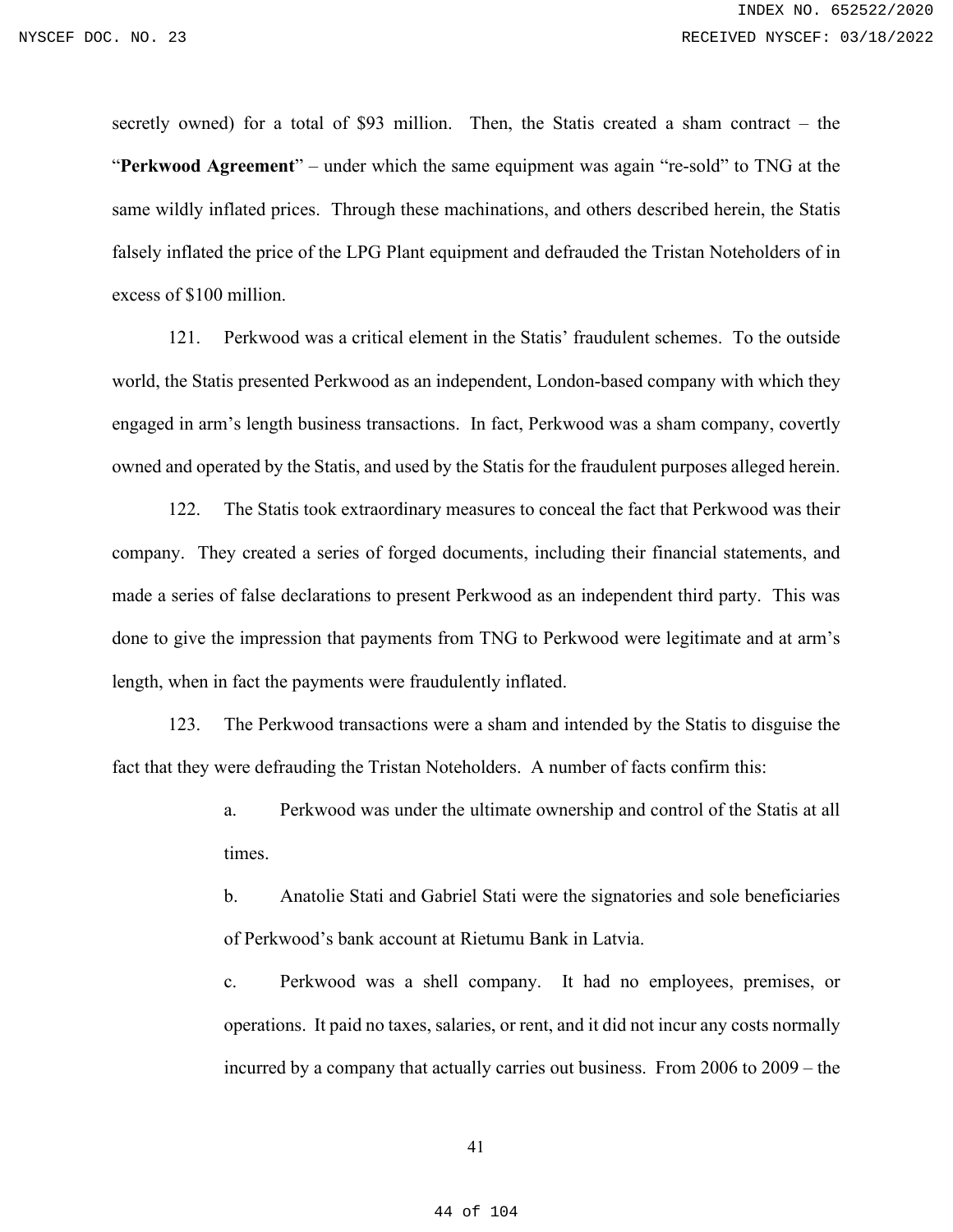secretly owned) for a total of \$93 million. Then, the Statis created a sham contract – the "**Perkwood Agreement**" – under which the same equipment was again "re-sold" to TNG at the same wildly inflated prices. Through these machinations, and others described herein, the Statis falsely inflated the price of the LPG Plant equipment and defrauded the Tristan Noteholders of in excess of \$100 million.

121. Perkwood was a critical element in the Statis' fraudulent schemes. To the outside world, the Statis presented Perkwood as an independent, London-based company with which they engaged in arm's length business transactions. In fact, Perkwood was a sham company, covertly owned and operated by the Statis, and used by the Statis for the fraudulent purposes alleged herein.

122. The Statis took extraordinary measures to conceal the fact that Perkwood was their company. They created a series of forged documents, including their financial statements, and made a series of false declarations to present Perkwood as an independent third party. This was done to give the impression that payments from TNG to Perkwood were legitimate and at arm's length, when in fact the payments were fraudulently inflated.

123. The Perkwood transactions were a sham and intended by the Statis to disguise the fact that they were defrauding the Tristan Noteholders. A number of facts confirm this:

> a. Perkwood was under the ultimate ownership and control of the Statis at all times.

> b. Anatolie Stati and Gabriel Stati were the signatories and sole beneficiaries of Perkwood's bank account at Rietumu Bank in Latvia.

> c. Perkwood was a shell company. It had no employees, premises, or operations. It paid no taxes, salaries, or rent, and it did not incur any costs normally incurred by a company that actually carries out business. From 2006 to 2009 – the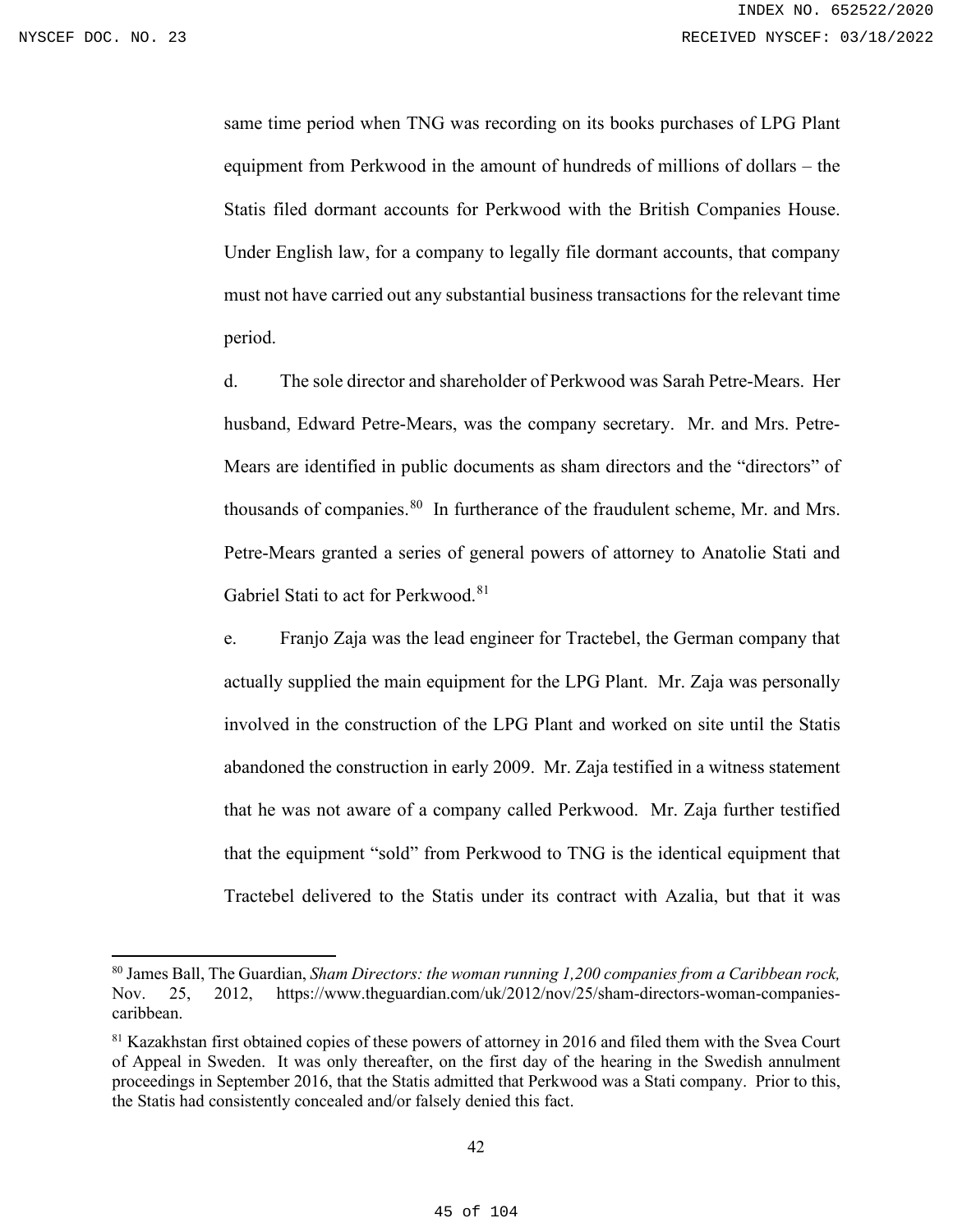same time period when TNG was recording on its books purchases of LPG Plant equipment from Perkwood in the amount of hundreds of millions of dollars – the Statis filed dormant accounts for Perkwood with the British Companies House. Under English law, for a company to legally file dormant accounts, that company must not have carried out any substantial business transactions for the relevant time period.

d. The sole director and shareholder of Perkwood was Sarah Petre-Mears. Her husband, Edward Petre-Mears, was the company secretary. Mr. and Mrs. Petre-Mears are identified in public documents as sham directors and the "directors" of thousands of companies. $80$  In furtherance of the fraudulent scheme, Mr. and Mrs. Petre-Mears granted a series of general powers of attorney to Anatolie Stati and Gabriel Stati to act for Perkwood.<sup>[81](#page-44-1)</sup>

e. Franjo Zaja was the lead engineer for Tractebel, the German company that actually supplied the main equipment for the LPG Plant. Mr. Zaja was personally involved in the construction of the LPG Plant and worked on site until the Statis abandoned the construction in early 2009. Mr. Zaja testified in a witness statement that he was not aware of a company called Perkwood. Mr. Zaja further testified that the equipment "sold" from Perkwood to TNG is the identical equipment that Tractebel delivered to the Statis under its contract with Azalia, but that it was

<span id="page-44-0"></span><sup>80</sup> James Ball, The Guardian, *Sham Directors: the woman running 1,200 companies from a Caribbean rock,*  Nov. 25, 2012, [https://www.theguardian.com/uk/2012/nov/25/sham-directors-woman-companies](https://www.theguardian.com/uk/2012/nov/25/sham-directors-woman-companies-caribbean)[caribbean.](https://www.theguardian.com/uk/2012/nov/25/sham-directors-woman-companies-caribbean)

<span id="page-44-1"></span><sup>&</sup>lt;sup>81</sup> Kazakhstan first obtained copies of these powers of attorney in 2016 and filed them with the Svea Court of Appeal in Sweden. It was only thereafter, on the first day of the hearing in the Swedish annulment proceedings in September 2016, that the Statis admitted that Perkwood was a Stati company. Prior to this, the Statis had consistently concealed and/or falsely denied this fact.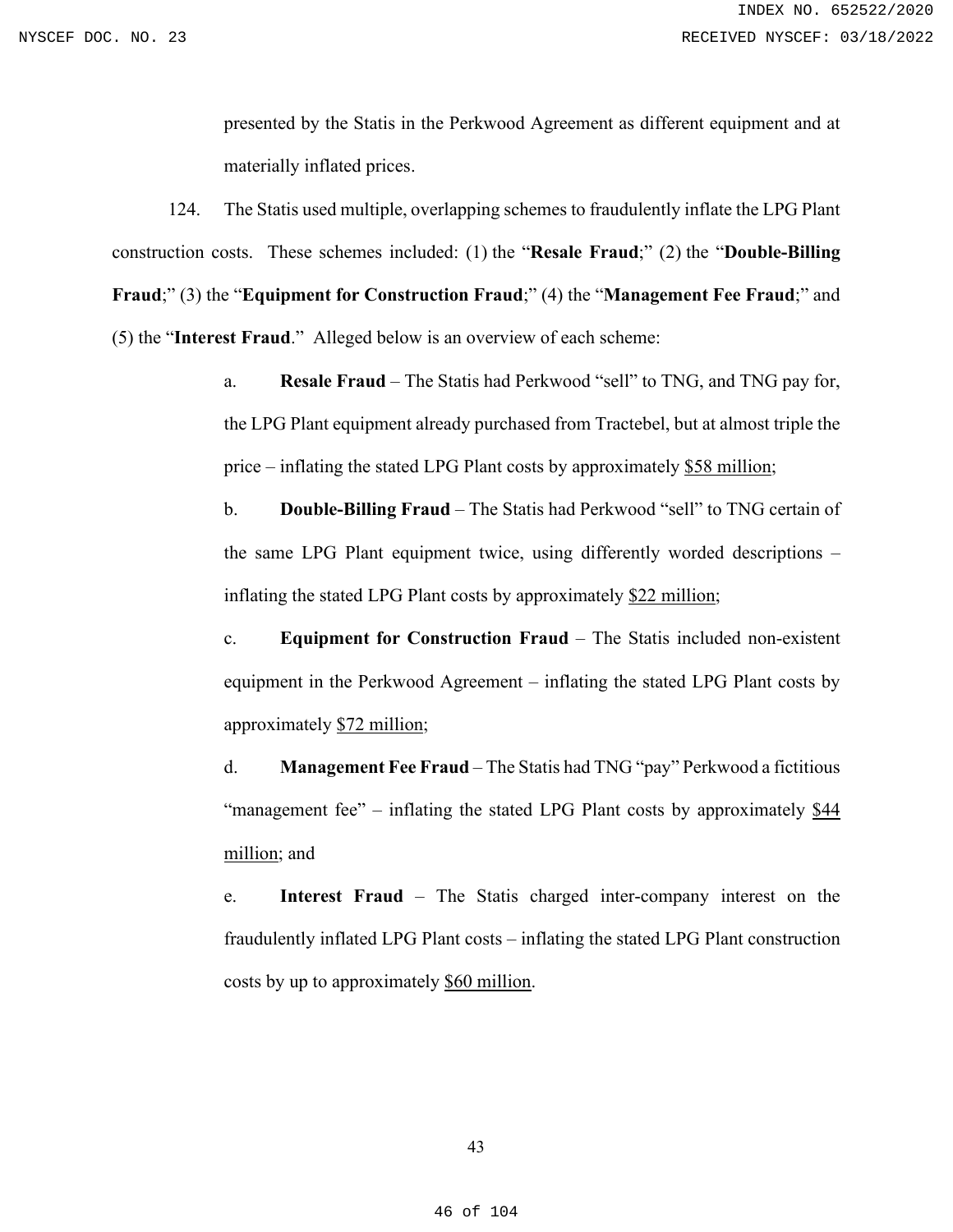presented by the Statis in the Perkwood Agreement as different equipment and at materially inflated prices.

124. The Statis used multiple, overlapping schemes to fraudulently inflate the LPG Plant construction costs. These schemes included: (1) the "**Resale Fraud**;" (2) the "**Double-Billing Fraud**;" (3) the "**Equipment for Construction Fraud**;" (4) the "**Management Fee Fraud**;" and (5) the "**Interest Fraud**." Alleged below is an overview of each scheme:

> a. **Resale Fraud** – The Statis had Perkwood "sell" to TNG, and TNG pay for, the LPG Plant equipment already purchased from Tractebel, but at almost triple the price – inflating the stated LPG Plant costs by approximately \$58 million;

> b. **Double-Billing Fraud** – The Statis had Perkwood "sell" to TNG certain of the same LPG Plant equipment twice, using differently worded descriptions – inflating the stated LPG Plant costs by approximately \$22 million;

> c. **Equipment for Construction Fraud** – The Statis included non-existent equipment in the Perkwood Agreement – inflating the stated LPG Plant costs by approximately \$72 million;

> d. **Management Fee Fraud** – The Statis had TNG "pay" Perkwood a fictitious "management fee" – inflating the stated LPG Plant costs by approximately \$44 million; and

> e. **Interest Fraud** – The Statis charged inter-company interest on the fraudulently inflated LPG Plant costs – inflating the stated LPG Plant construction costs by up to approximately \$60 million.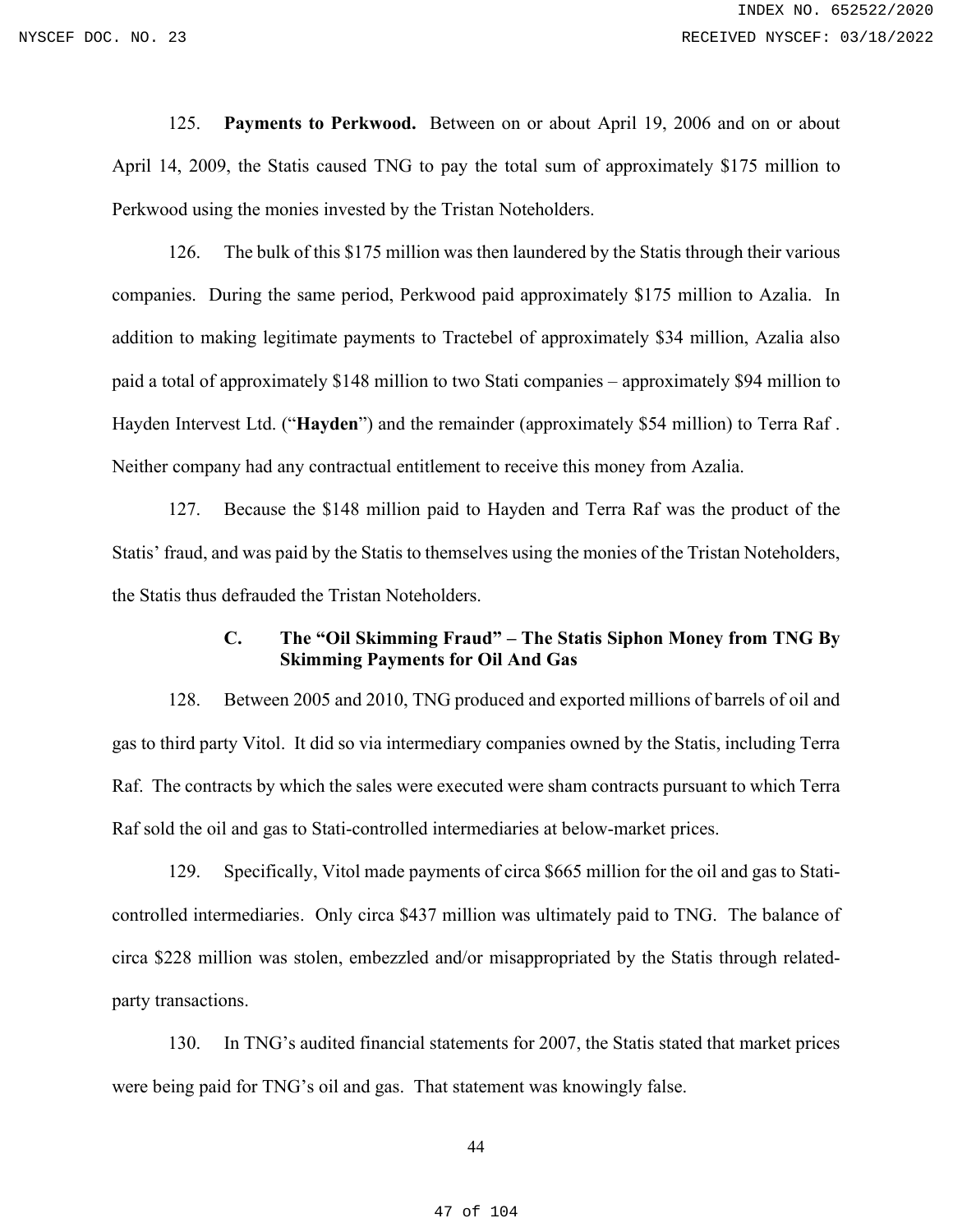125. **Payments to Perkwood.** Between on or about April 19, 2006 and on or about April 14, 2009, the Statis caused TNG to pay the total sum of approximately \$175 million to Perkwood using the monies invested by the Tristan Noteholders.

126. The bulk of this \$175 million was then laundered by the Statis through their various companies. During the same period, Perkwood paid approximately \$175 million to Azalia. In addition to making legitimate payments to Tractebel of approximately \$34 million, Azalia also paid a total of approximately \$148 million to two Stati companies – approximately \$94 million to Hayden Intervest Ltd. ("**Hayden**") and the remainder (approximately \$54 million) to Terra Raf . Neither company had any contractual entitlement to receive this money from Azalia.

127. Because the \$148 million paid to Hayden and Terra Raf was the product of the Statis' fraud, and was paid by the Statis to themselves using the monies of the Tristan Noteholders, the Statis thus defrauded the Tristan Noteholders.

# **C. The "Oil Skimming Fraud" – The Statis Siphon Money from TNG By Skimming Payments for Oil And Gas**

128. Between 2005 and 2010, TNG produced and exported millions of barrels of oil and gas to third party Vitol. It did so via intermediary companies owned by the Statis, including Terra Raf. The contracts by which the sales were executed were sham contracts pursuant to which Terra Raf sold the oil and gas to Stati-controlled intermediaries at below-market prices.

129. Specifically, Vitol made payments of circa \$665 million for the oil and gas to Staticontrolled intermediaries. Only circa \$437 million was ultimately paid to TNG. The balance of circa \$228 million was stolen, embezzled and/or misappropriated by the Statis through relatedparty transactions.

130. In TNG's audited financial statements for 2007, the Statis stated that market prices were being paid for TNG's oil and gas. That statement was knowingly false.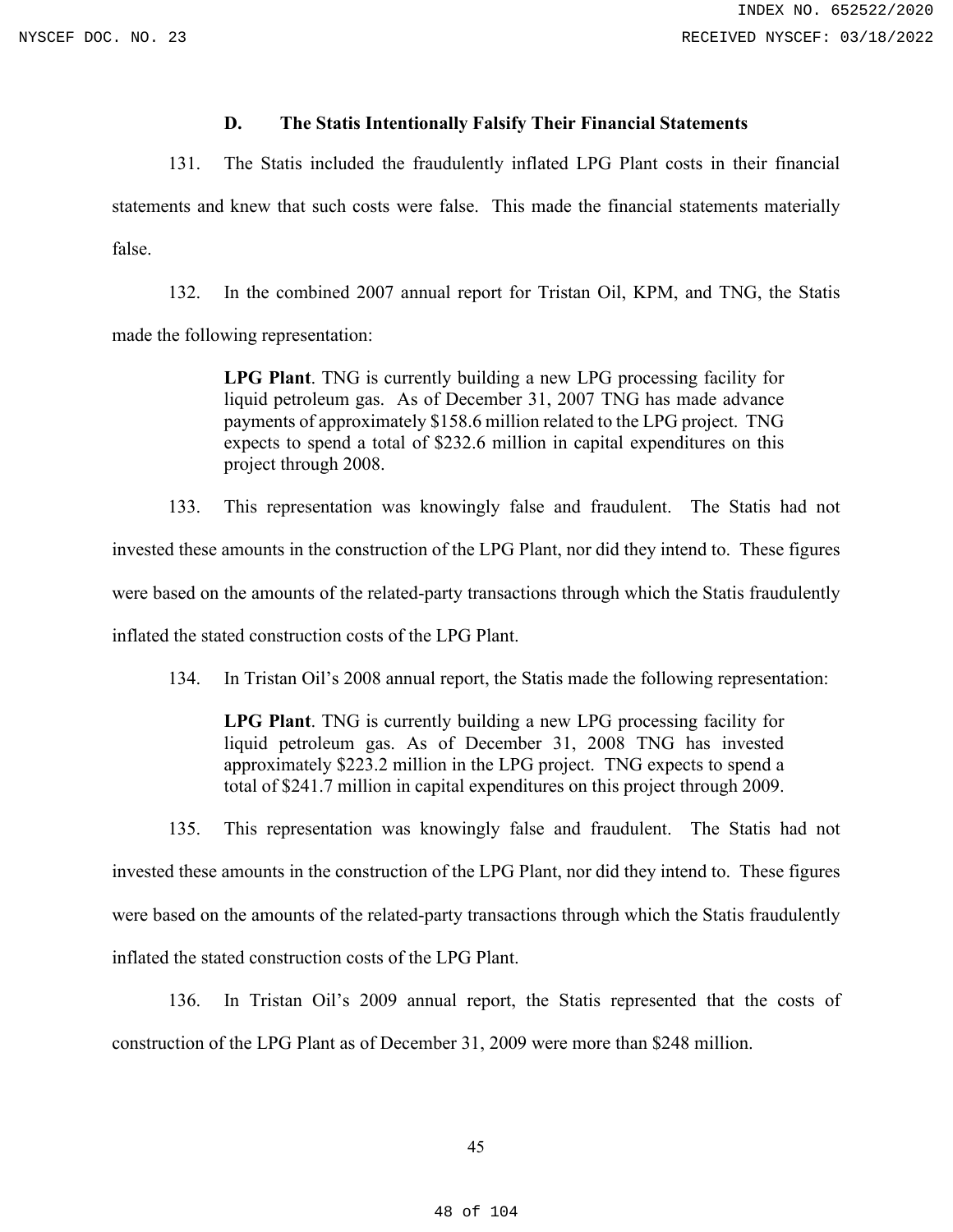#### **D. The Statis Intentionally Falsify Their Financial Statements**

131. The Statis included the fraudulently inflated LPG Plant costs in their financial

statements and knew that such costs were false. This made the financial statements materially false.

132. In the combined 2007 annual report for Tristan Oil, KPM, and TNG, the Statis made the following representation:

> **LPG Plant**. TNG is currently building a new LPG processing facility for liquid petroleum gas. As of December 31, 2007 TNG has made advance payments of approximately \$158.6 million related to the LPG project. TNG expects to spend a total of \$232.6 million in capital expenditures on this project through 2008.

133. This representation was knowingly false and fraudulent. The Statis had not invested these amounts in the construction of the LPG Plant, nor did they intend to. These figures were based on the amounts of the related-party transactions through which the Statis fraudulently inflated the stated construction costs of the LPG Plant.

134. In Tristan Oil's 2008 annual report, the Statis made the following representation:

**LPG Plant**. TNG is currently building a new LPG processing facility for liquid petroleum gas. As of December 31, 2008 TNG has invested approximately \$223.2 million in the LPG project. TNG expects to spend a total of \$241.7 million in capital expenditures on this project through 2009.

135. This representation was knowingly false and fraudulent. The Statis had not invested these amounts in the construction of the LPG Plant, nor did they intend to. These figures were based on the amounts of the related-party transactions through which the Statis fraudulently inflated the stated construction costs of the LPG Plant.

136. In Tristan Oil's 2009 annual report, the Statis represented that the costs of construction of the LPG Plant as of December 31, 2009 were more than \$248 million.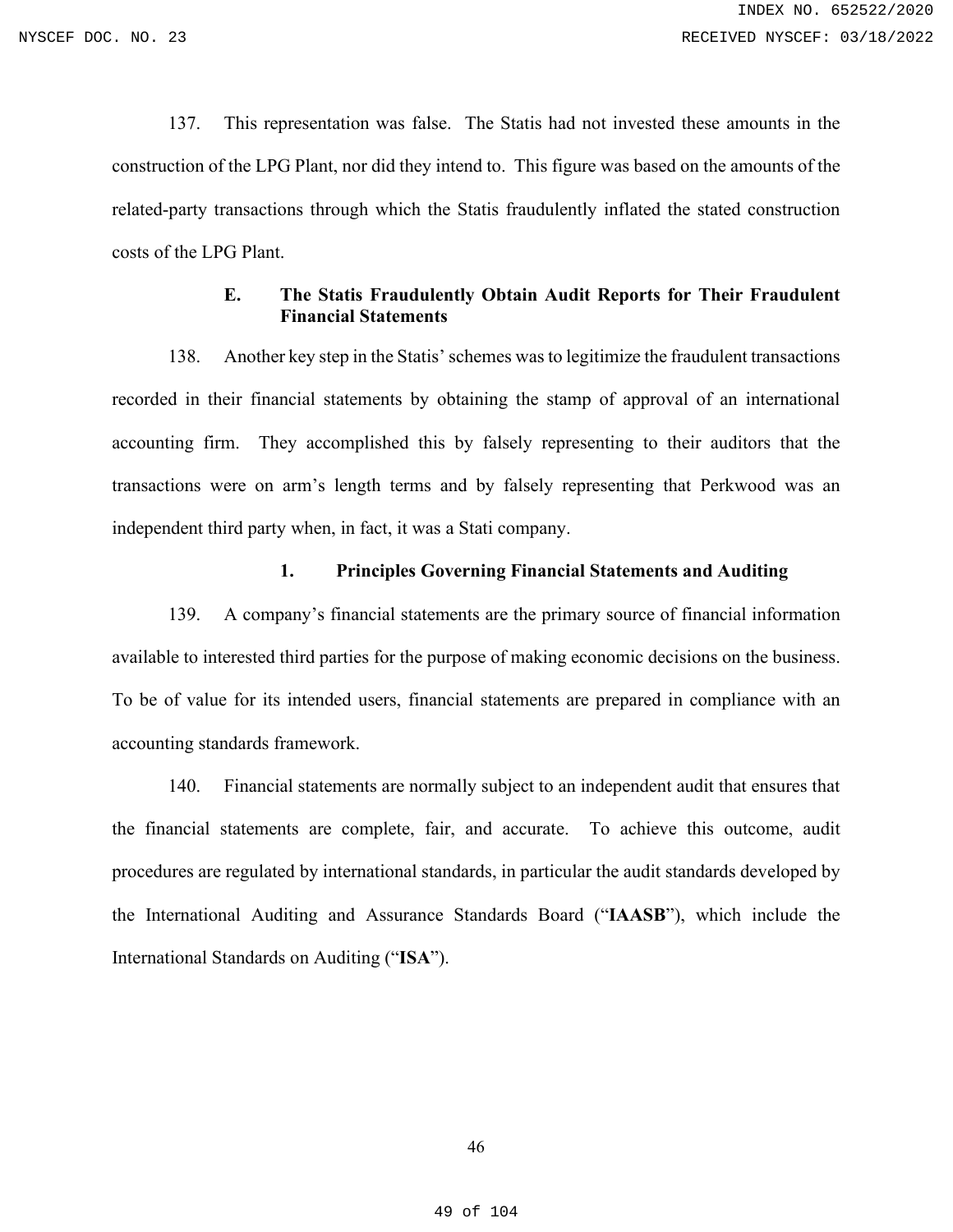137. This representation was false. The Statis had not invested these amounts in the construction of the LPG Plant, nor did they intend to. This figure was based on the amounts of the related-party transactions through which the Statis fraudulently inflated the stated construction costs of the LPG Plant.

### **E. The Statis Fraudulently Obtain Audit Reports for Their Fraudulent Financial Statements**

138. Another key step in the Statis' schemes was to legitimize the fraudulent transactions recorded in their financial statements by obtaining the stamp of approval of an international accounting firm. They accomplished this by falsely representing to their auditors that the transactions were on arm's length terms and by falsely representing that Perkwood was an independent third party when, in fact, it was a Stati company.

#### **1. Principles Governing Financial Statements and Auditing**

139. A company's financial statements are the primary source of financial information available to interested third parties for the purpose of making economic decisions on the business. To be of value for its intended users, financial statements are prepared in compliance with an accounting standards framework.

140. Financial statements are normally subject to an independent audit that ensures that the financial statements are complete, fair, and accurate. To achieve this outcome, audit procedures are regulated by international standards, in particular the audit standards developed by the International Auditing and Assurance Standards Board ("**IAASB**"), which include the International Standards on Auditing ("**ISA**").

49 of 104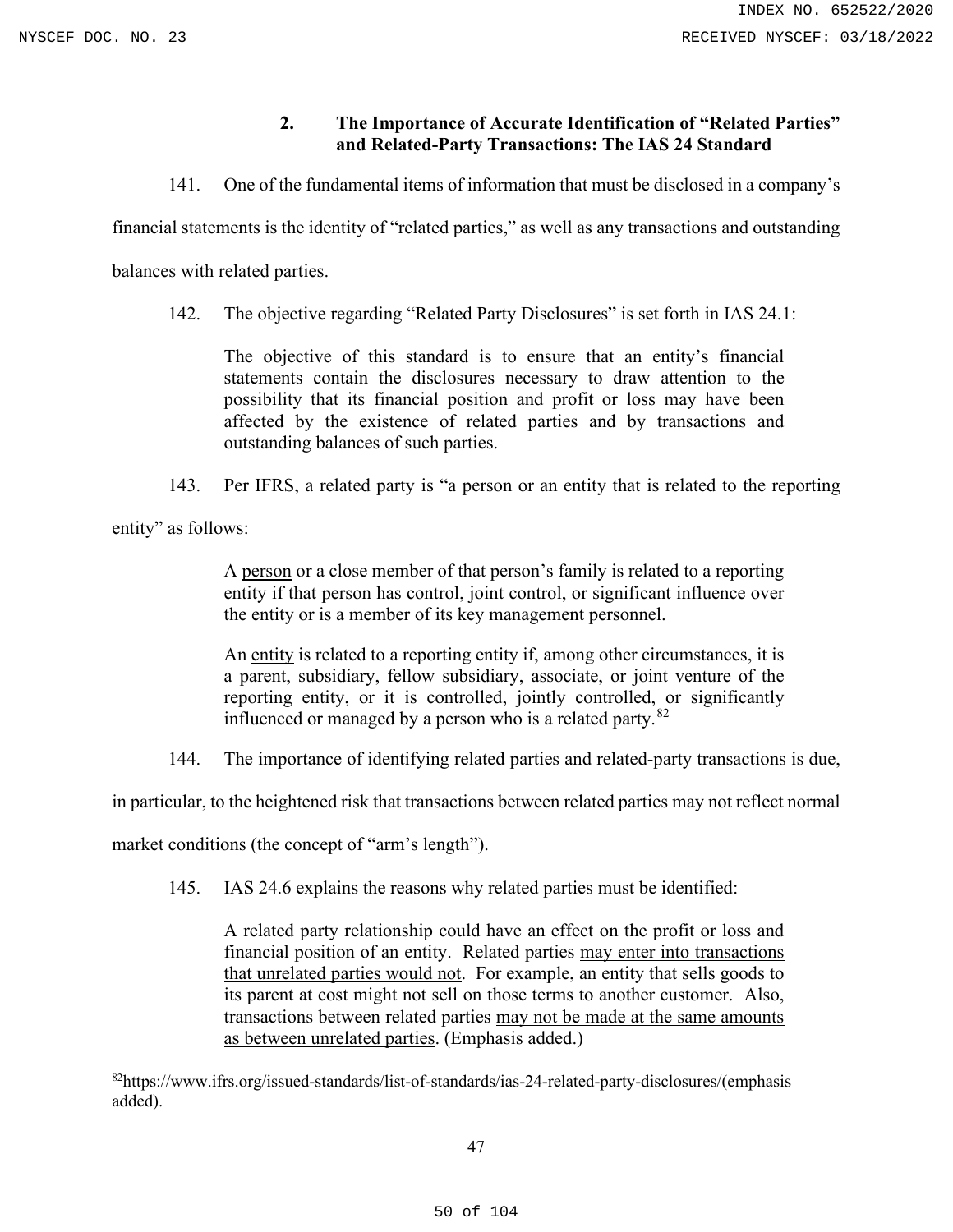# **2. The Importance of Accurate Identification of "Related Parties" and Related-Party Transactions: The IAS 24 Standard**

141. One of the fundamental items of information that must be disclosed in a company's

financial statements is the identity of "related parties," as well as any transactions and outstanding

balances with related parties.

142. The objective regarding "Related Party Disclosures" is set forth in IAS 24.1:

The objective of this standard is to ensure that an entity's financial statements contain the disclosures necessary to draw attention to the possibility that its financial position and profit or loss may have been affected by the existence of related parties and by transactions and outstanding balances of such parties.

143. Per IFRS, a related party is "a person or an entity that is related to the reporting

entity" as follows:

A person or a close member of that person's family is related to a reporting entity if that person has control, joint control, or significant influence over the entity or is a member of its key management personnel.

An entity is related to a reporting entity if, among other circumstances, it is a parent, subsidiary, fellow subsidiary, associate, or joint venture of the reporting entity, or it is controlled, jointly controlled, or significantly influenced or managed by a person who is a related party. $82$ 

144. The importance of identifying related parties and related-party transactions is due,

in particular, to the heightened risk that transactions between related parties may not reflect normal

market conditions (the concept of "arm's length").

145. IAS 24.6 explains the reasons why related parties must be identified:

A related party relationship could have an effect on the profit or loss and financial position of an entity. Related parties may enter into transactions that unrelated parties would not. For example, an entity that sells goods to its parent at cost might not sell on those terms to another customer. Also, transactions between related parties may not be made at the same amounts as between unrelated parties. (Emphasis added.)

<span id="page-49-0"></span><sup>82</sup>https://www.ifrs.org/issued-standards/list-of-standards/ias-24-related-party-disclosures/(emphasis added).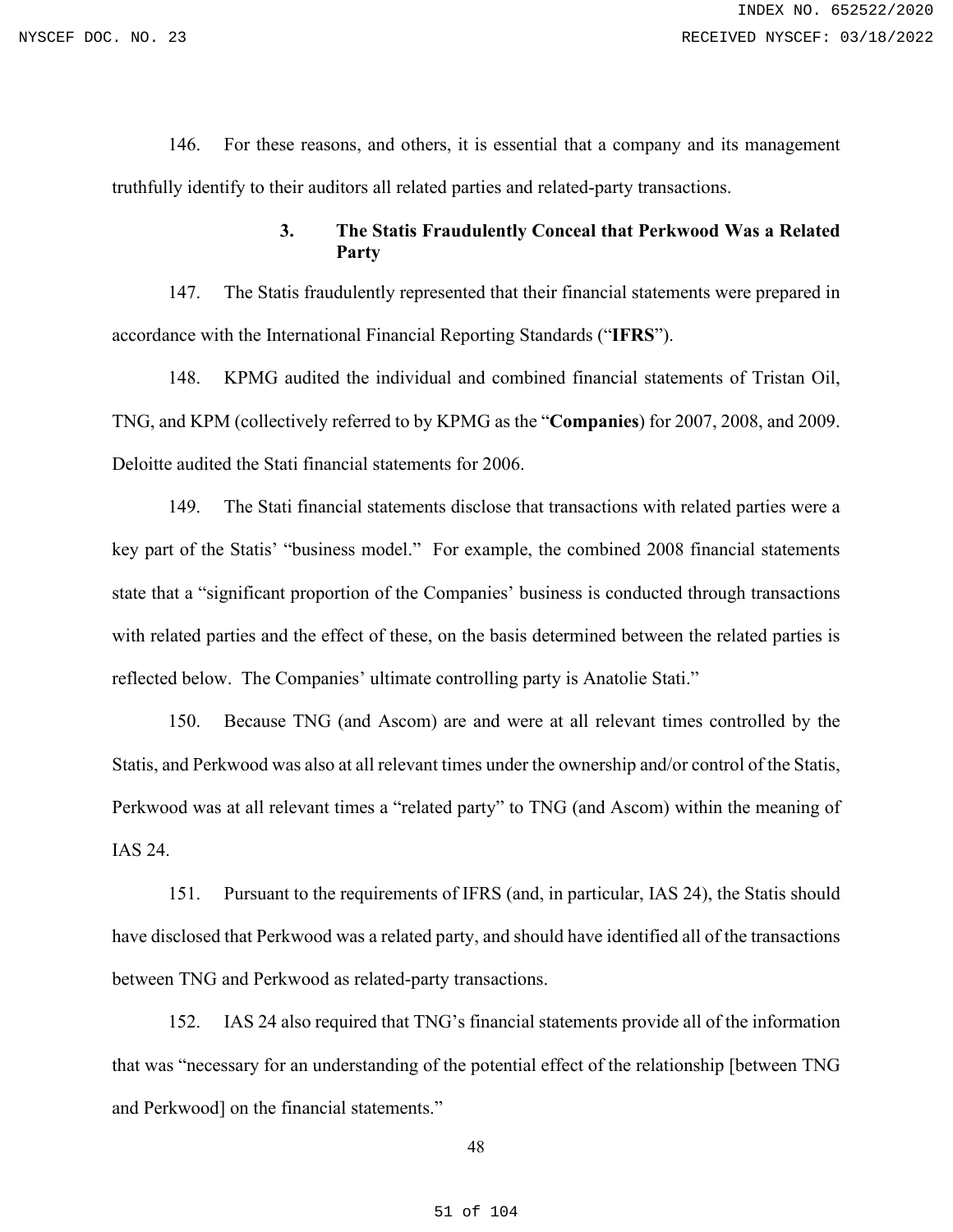146. For these reasons, and others, it is essential that a company and its management truthfully identify to their auditors all related parties and related-party transactions.

# **3. The Statis Fraudulently Conceal that Perkwood Was a Related Party**

147. The Statis fraudulently represented that their financial statements were prepared in accordance with the International Financial Reporting Standards ("**IFRS**").

148. KPMG audited the individual and combined financial statements of Tristan Oil, TNG, and KPM (collectively referred to by KPMG as the "**Companies**) for 2007, 2008, and 2009. Deloitte audited the Stati financial statements for 2006.

149. The Stati financial statements disclose that transactions with related parties were a key part of the Statis' "business model." For example, the combined 2008 financial statements state that a "significant proportion of the Companies' business is conducted through transactions with related parties and the effect of these, on the basis determined between the related parties is reflected below. The Companies' ultimate controlling party is Anatolie Stati."

150. Because TNG (and Ascom) are and were at all relevant times controlled by the Statis, and Perkwood was also at all relevant times under the ownership and/or control of the Statis, Perkwood was at all relevant times a "related party" to TNG (and Ascom) within the meaning of IAS 24.

151. Pursuant to the requirements of IFRS (and, in particular, IAS 24), the Statis should have disclosed that Perkwood was a related party, and should have identified all of the transactions between TNG and Perkwood as related-party transactions.

152. IAS 24 also required that TNG's financial statements provide all of the information that was "necessary for an understanding of the potential effect of the relationship [between TNG and Perkwood] on the financial statements."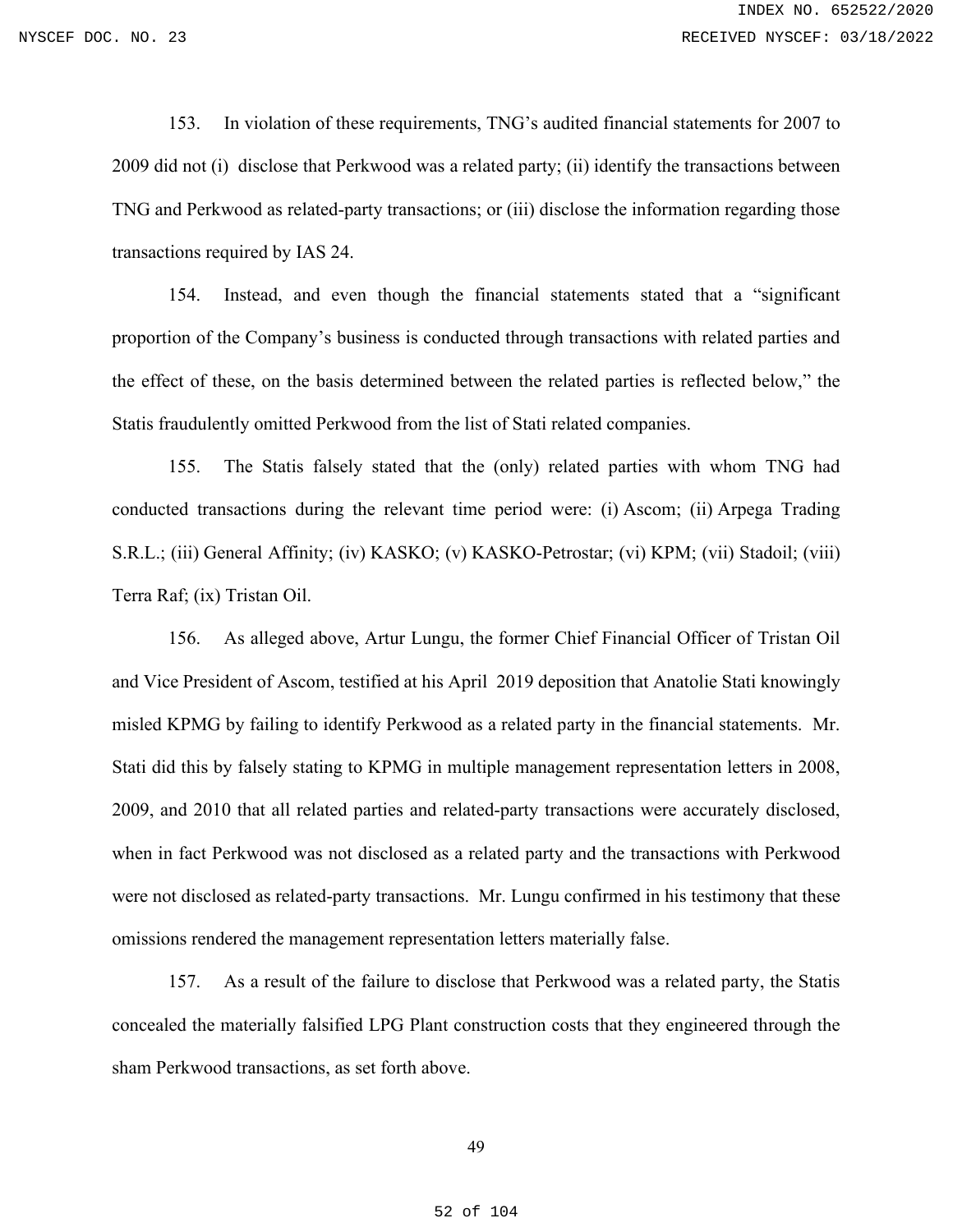153. In violation of these requirements, TNG's audited financial statements for 2007 to 2009 did not (i) disclose that Perkwood was a related party; (ii) identify the transactions between TNG and Perkwood as related-party transactions; or (iii) disclose the information regarding those transactions required by IAS 24.

154. Instead, and even though the financial statements stated that a "significant proportion of the Company's business is conducted through transactions with related parties and the effect of these, on the basis determined between the related parties is reflected below," the Statis fraudulently omitted Perkwood from the list of Stati related companies.

155. The Statis falsely stated that the (only) related parties with whom TNG had conducted transactions during the relevant time period were: (i) Ascom; (ii) Arpega Trading S.R.L.; (iii) General Affinity; (iv) KASKO; (v) KASKO-Petrostar; (vi) KPM; (vii) Stadoil; (viii) Terra Raf; (ix) Tristan Oil.

156. As alleged above, Artur Lungu, the former Chief Financial Officer of Tristan Oil and Vice President of Ascom, testified at his April 2019 deposition that Anatolie Stati knowingly misled KPMG by failing to identify Perkwood as a related party in the financial statements. Mr. Stati did this by falsely stating to KPMG in multiple management representation letters in 2008, 2009, and 2010 that all related parties and related-party transactions were accurately disclosed, when in fact Perkwood was not disclosed as a related party and the transactions with Perkwood were not disclosed as related-party transactions. Mr. Lungu confirmed in his testimony that these omissions rendered the management representation letters materially false.

157. As a result of the failure to disclose that Perkwood was a related party, the Statis concealed the materially falsified LPG Plant construction costs that they engineered through the sham Perkwood transactions, as set forth above.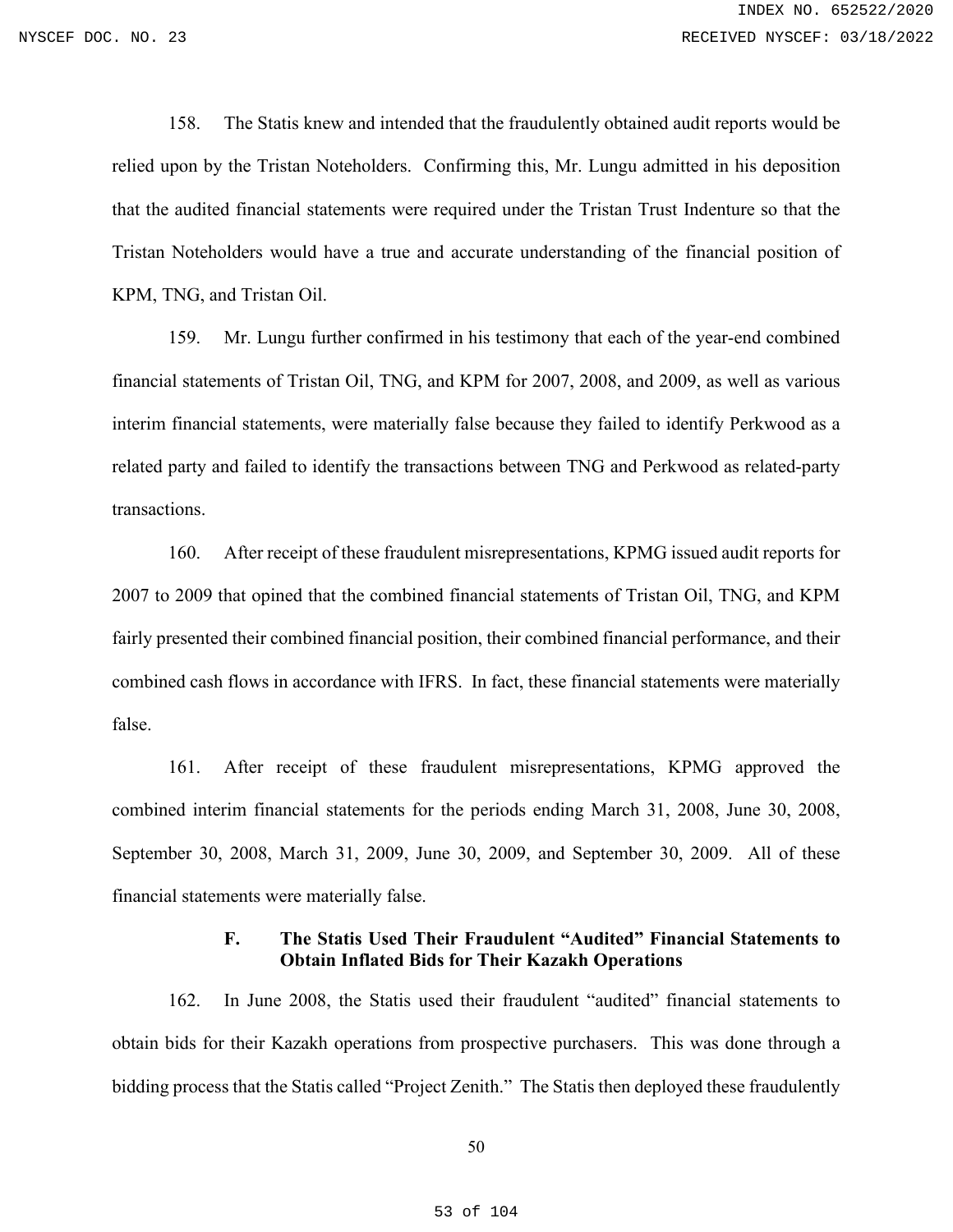158. The Statis knew and intended that the fraudulently obtained audit reports would be relied upon by the Tristan Noteholders. Confirming this, Mr. Lungu admitted in his deposition that the audited financial statements were required under the Tristan Trust Indenture so that the Tristan Noteholders would have a true and accurate understanding of the financial position of KPM, TNG, and Tristan Oil.

159. Mr. Lungu further confirmed in his testimony that each of the year-end combined financial statements of Tristan Oil, TNG, and KPM for 2007, 2008, and 2009, as well as various interim financial statements, were materially false because they failed to identify Perkwood as a related party and failed to identify the transactions between TNG and Perkwood as related-party transactions.

160. After receipt of these fraudulent misrepresentations, KPMG issued audit reports for 2007 to 2009 that opined that the combined financial statements of Tristan Oil, TNG, and KPM fairly presented their combined financial position, their combined financial performance, and their combined cash flows in accordance with IFRS. In fact, these financial statements were materially false.

161. After receipt of these fraudulent misrepresentations, KPMG approved the combined interim financial statements for the periods ending March 31, 2008, June 30, 2008, September 30, 2008, March 31, 2009, June 30, 2009, and September 30, 2009. All of these financial statements were materially false.

## **F. The Statis Used Their Fraudulent "Audited" Financial Statements to Obtain Inflated Bids for Their Kazakh Operations**

162. In June 2008, the Statis used their fraudulent "audited" financial statements to obtain bids for their Kazakh operations from prospective purchasers. This was done through a bidding process that the Statis called "Project Zenith." The Statis then deployed these fraudulently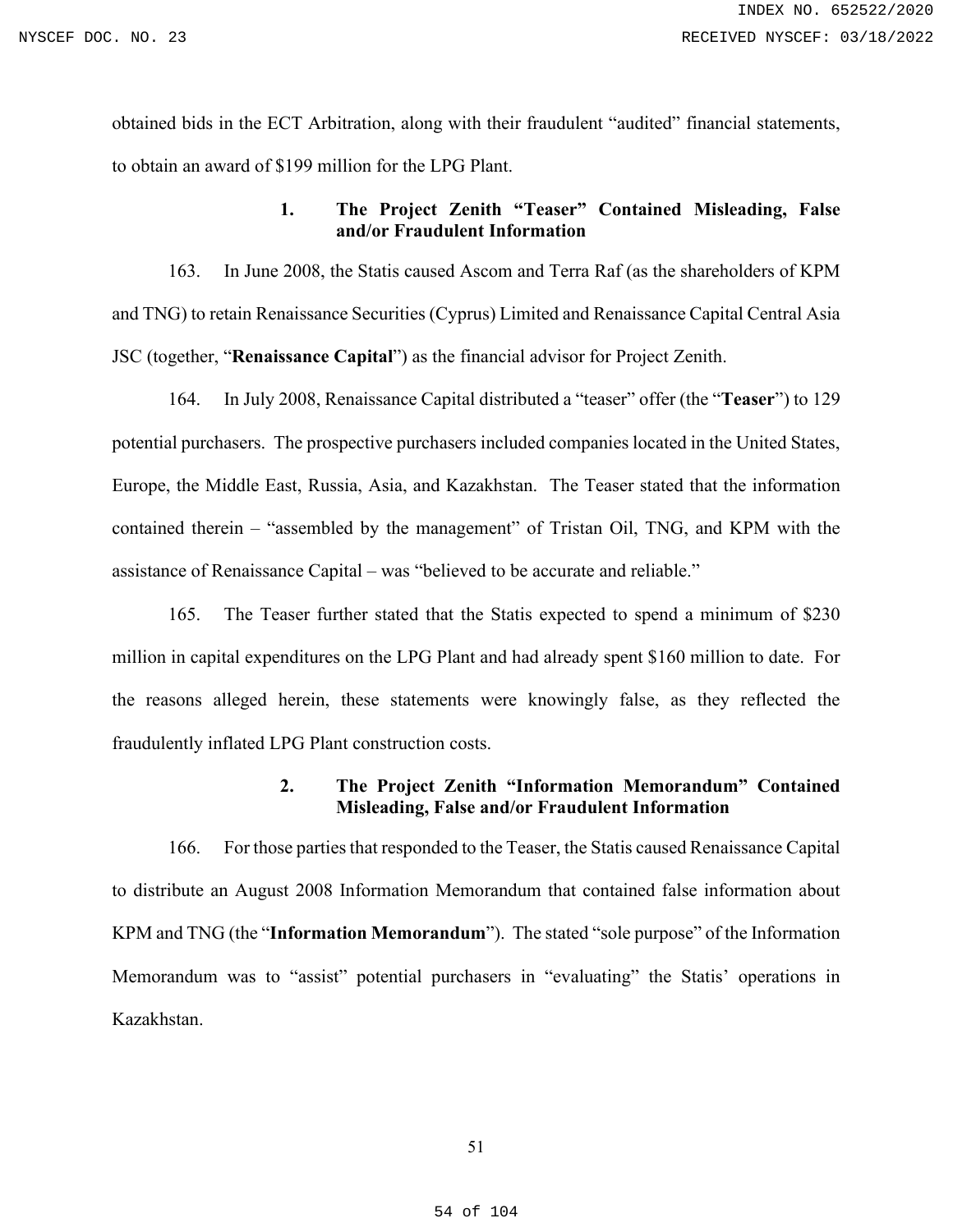obtained bids in the ECT Arbitration, along with their fraudulent "audited" financial statements, to obtain an award of \$199 million for the LPG Plant.

# **1. The Project Zenith "Teaser" Contained Misleading, False and/or Fraudulent Information**

163. In June 2008, the Statis caused Ascom and Terra Raf (as the shareholders of KPM and TNG) to retain Renaissance Securities (Cyprus) Limited and Renaissance Capital Central Asia JSC (together, "**Renaissance Capital**") as the financial advisor for Project Zenith.

164. In July 2008, Renaissance Capital distributed a "teaser" offer (the "**Teaser**") to 129 potential purchasers. The prospective purchasers included companies located in the United States, Europe, the Middle East, Russia, Asia, and Kazakhstan. The Teaser stated that the information contained therein – "assembled by the management" of Tristan Oil, TNG, and KPM with the assistance of Renaissance Capital – was "believed to be accurate and reliable."

165. The Teaser further stated that the Statis expected to spend a minimum of \$230 million in capital expenditures on the LPG Plant and had already spent \$160 million to date. For the reasons alleged herein, these statements were knowingly false, as they reflected the fraudulently inflated LPG Plant construction costs.

## **2. The Project Zenith "Information Memorandum" Contained Misleading, False and/or Fraudulent Information**

166. For those parties that responded to the Teaser, the Statis caused Renaissance Capital to distribute an August 2008 Information Memorandum that contained false information about KPM and TNG (the "**Information Memorandum**"). The stated "sole purpose" of the Information Memorandum was to "assist" potential purchasers in "evaluating" the Statis' operations in Kazakhstan.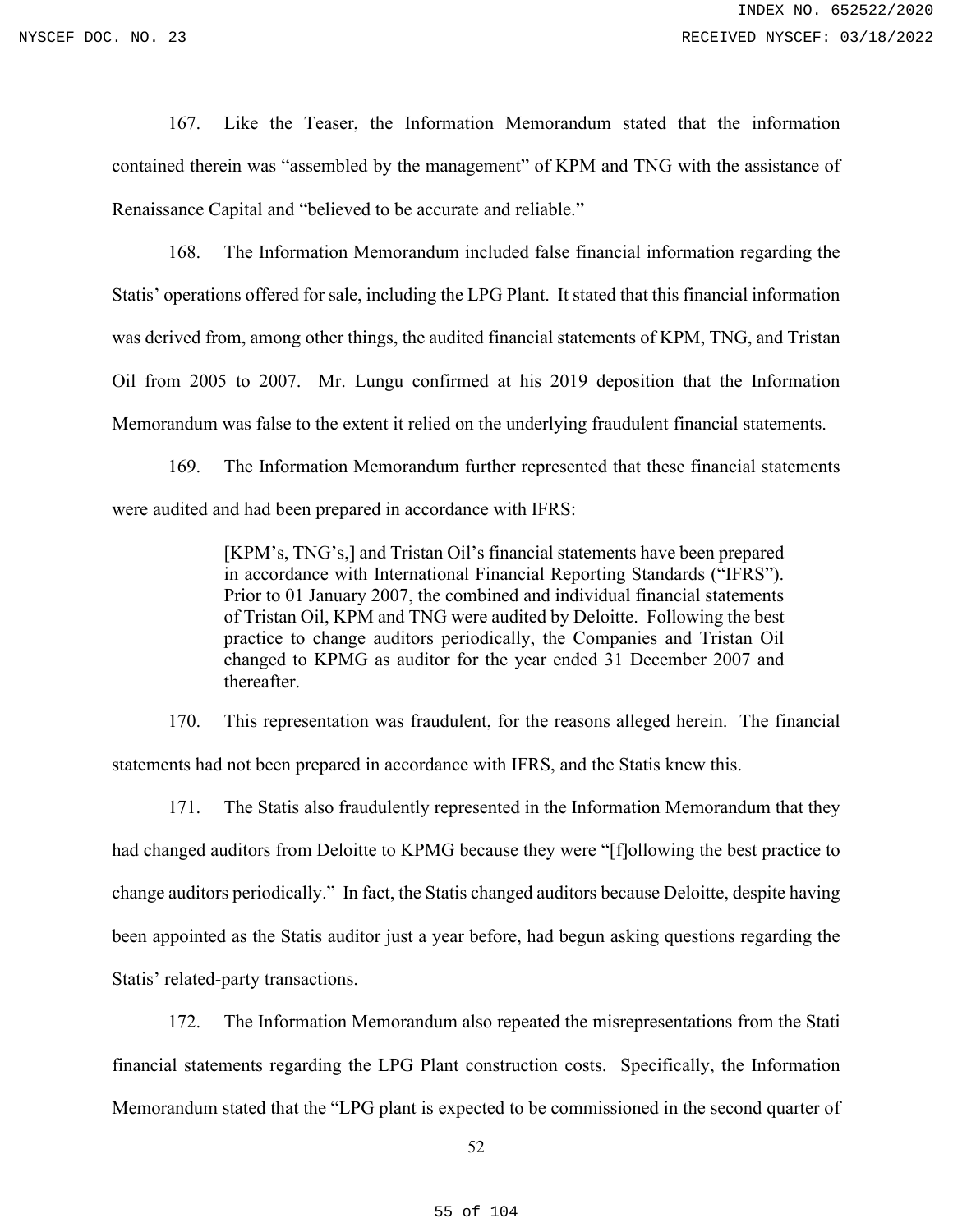167. Like the Teaser, the Information Memorandum stated that the information contained therein was "assembled by the management" of KPM and TNG with the assistance of Renaissance Capital and "believed to be accurate and reliable."

168. The Information Memorandum included false financial information regarding the Statis' operations offered for sale, including the LPG Plant. It stated that this financial information was derived from, among other things, the audited financial statements of KPM, TNG, and Tristan Oil from 2005 to 2007. Mr. Lungu confirmed at his 2019 deposition that the Information Memorandum was false to the extent it relied on the underlying fraudulent financial statements.

169. The Information Memorandum further represented that these financial statements were audited and had been prepared in accordance with IFRS:

> [KPM's, TNG's,] and Tristan Oil's financial statements have been prepared in accordance with International Financial Reporting Standards ("IFRS"). Prior to 01 January 2007, the combined and individual financial statements of Tristan Oil, KPM and TNG were audited by Deloitte. Following the best practice to change auditors periodically, the Companies and Tristan Oil changed to KPMG as auditor for the year ended 31 December 2007 and thereafter.

170. This representation was fraudulent, for the reasons alleged herein. The financial statements had not been prepared in accordance with IFRS, and the Statis knew this.

171. The Statis also fraudulently represented in the Information Memorandum that they had changed auditors from Deloitte to KPMG because they were "[f]ollowing the best practice to change auditors periodically." In fact, the Statis changed auditors because Deloitte, despite having been appointed as the Statis auditor just a year before, had begun asking questions regarding the Statis' related-party transactions.

172. The Information Memorandum also repeated the misrepresentations from the Stati financial statements regarding the LPG Plant construction costs. Specifically, the Information Memorandum stated that the "LPG plant is expected to be commissioned in the second quarter of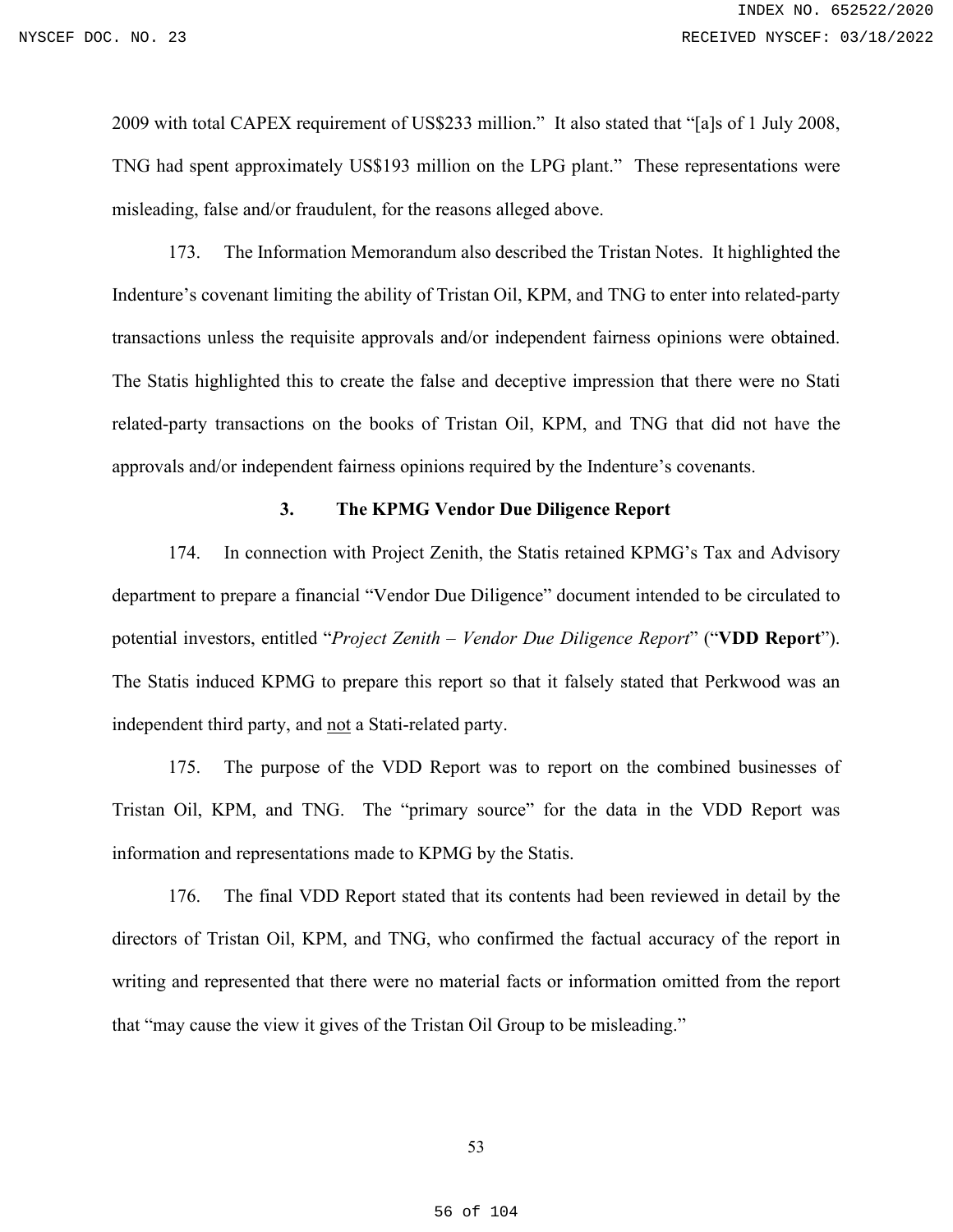2009 with total CAPEX requirement of US\$233 million." It also stated that "[a]s of 1 July 2008, TNG had spent approximately US\$193 million on the LPG plant." These representations were misleading, false and/or fraudulent, for the reasons alleged above.

173. The Information Memorandum also described the Tristan Notes. It highlighted the Indenture's covenant limiting the ability of Tristan Oil, KPM, and TNG to enter into related-party transactions unless the requisite approvals and/or independent fairness opinions were obtained. The Statis highlighted this to create the false and deceptive impression that there were no Stati related-party transactions on the books of Tristan Oil, KPM, and TNG that did not have the approvals and/or independent fairness opinions required by the Indenture's covenants.

## **3. The KPMG Vendor Due Diligence Report**

174. In connection with Project Zenith, the Statis retained KPMG's Tax and Advisory department to prepare a financial "Vendor Due Diligence" document intended to be circulated to potential investors, entitled "*Project Zenith – Vendor Due Diligence Report*" ("**VDD Report**"). The Statis induced KPMG to prepare this report so that it falsely stated that Perkwood was an independent third party, and not a Stati-related party.

175. The purpose of the VDD Report was to report on the combined businesses of Tristan Oil, KPM, and TNG. The "primary source" for the data in the VDD Report was information and representations made to KPMG by the Statis.

176. The final VDD Report stated that its contents had been reviewed in detail by the directors of Tristan Oil, KPM, and TNG, who confirmed the factual accuracy of the report in writing and represented that there were no material facts or information omitted from the report that "may cause the view it gives of the Tristan Oil Group to be misleading."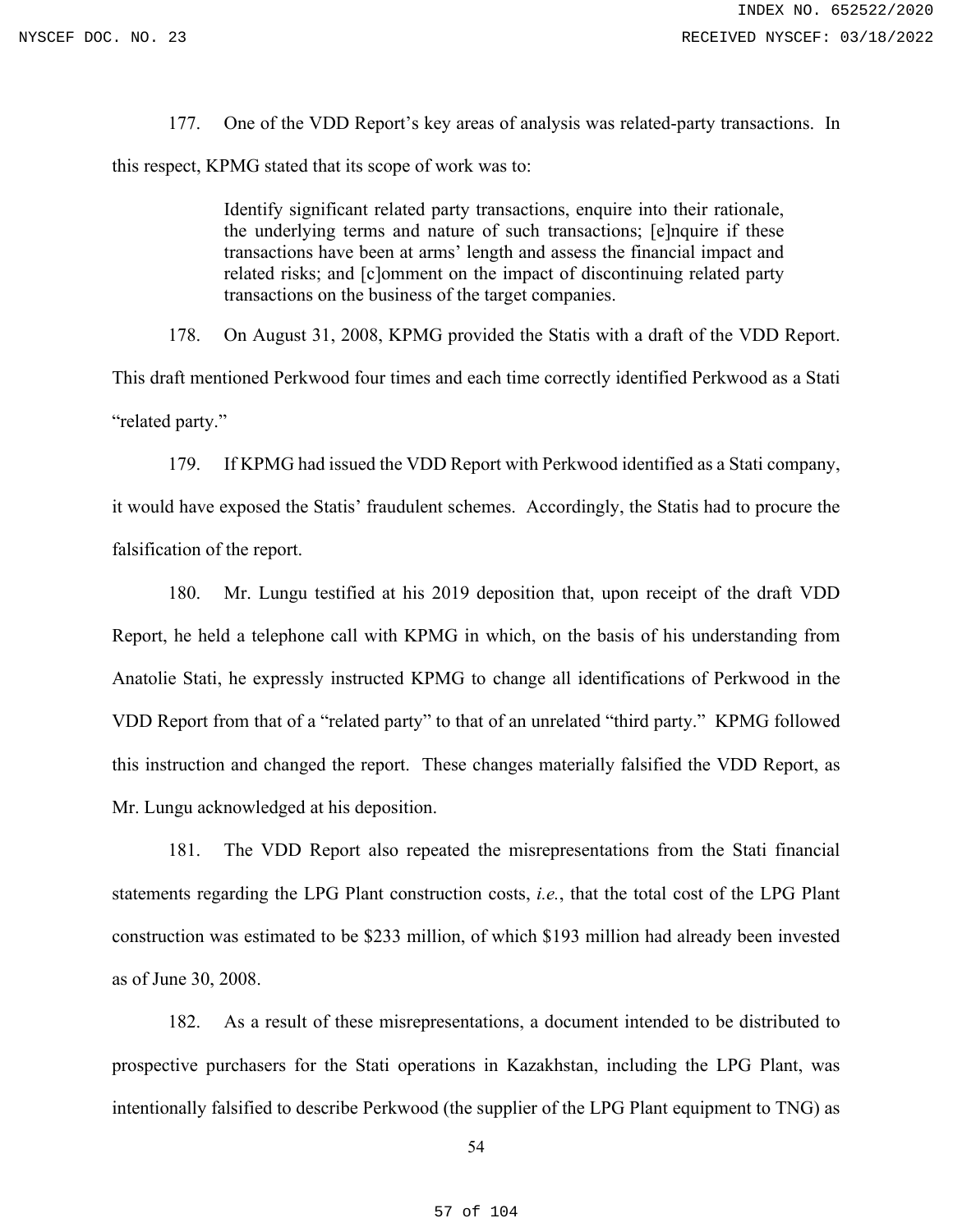177. One of the VDD Report's key areas of analysis was related-party transactions. In this respect, KPMG stated that its scope of work was to:

> Identify significant related party transactions, enquire into their rationale, the underlying terms and nature of such transactions; [e]nquire if these transactions have been at arms' length and assess the financial impact and related risks; and [c]omment on the impact of discontinuing related party transactions on the business of the target companies.

178. On August 31, 2008, KPMG provided the Statis with a draft of the VDD Report.

This draft mentioned Perkwood four times and each time correctly identified Perkwood as a Stati "related party."

179. If KPMG had issued the VDD Report with Perkwood identified as a Stati company, it would have exposed the Statis' fraudulent schemes. Accordingly, the Statis had to procure the falsification of the report.

180. Mr. Lungu testified at his 2019 deposition that, upon receipt of the draft VDD Report, he held a telephone call with KPMG in which, on the basis of his understanding from Anatolie Stati, he expressly instructed KPMG to change all identifications of Perkwood in the VDD Report from that of a "related party" to that of an unrelated "third party." KPMG followed this instruction and changed the report. These changes materially falsified the VDD Report, as Mr. Lungu acknowledged at his deposition.

181. The VDD Report also repeated the misrepresentations from the Stati financial statements regarding the LPG Plant construction costs, *i.e.*, that the total cost of the LPG Plant construction was estimated to be \$233 million, of which \$193 million had already been invested as of June 30, 2008.

182. As a result of these misrepresentations, a document intended to be distributed to prospective purchasers for the Stati operations in Kazakhstan, including the LPG Plant, was intentionally falsified to describe Perkwood (the supplier of the LPG Plant equipment to TNG) as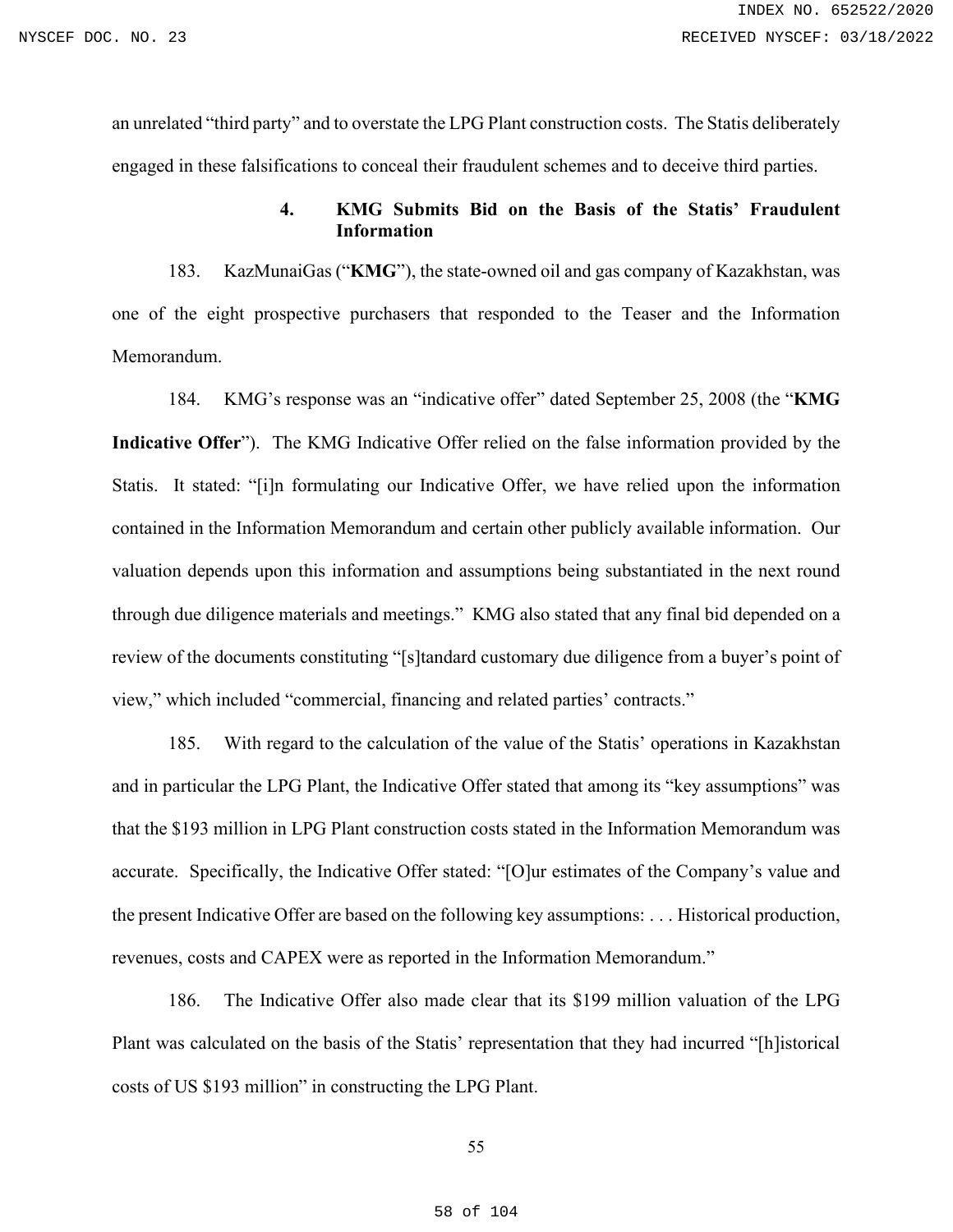an unrelated "third party" and to overstate the LPG Plant construction costs. The Statis deliberately engaged in these falsifications to conceal their fraudulent schemes and to deceive third parties.

## **4. KMG Submits Bid on the Basis of the Statis' Fraudulent Information**

183. KazMunaiGas ("**KMG**"), the state-owned oil and gas company of Kazakhstan, was one of the eight prospective purchasers that responded to the Teaser and the Information Memorandum.

184. KMG's response was an "indicative offer" dated September 25, 2008 (the "**KMG Indicative Offer**"). The KMG Indicative Offer relied on the false information provided by the Statis. It stated: "[i]n formulating our Indicative Offer, we have relied upon the information contained in the Information Memorandum and certain other publicly available information. Our valuation depends upon this information and assumptions being substantiated in the next round through due diligence materials and meetings." KMG also stated that any final bid depended on a review of the documents constituting "[s]tandard customary due diligence from a buyer's point of view," which included "commercial, financing and related parties' contracts."

185. With regard to the calculation of the value of the Statis' operations in Kazakhstan and in particular the LPG Plant, the Indicative Offer stated that among its "key assumptions" was that the \$193 million in LPG Plant construction costs stated in the Information Memorandum was accurate. Specifically, the Indicative Offer stated: "[O]ur estimates of the Company's value and the present Indicative Offer are based on the following key assumptions: . . . Historical production, revenues, costs and CAPEX were as reported in the Information Memorandum."

186. The Indicative Offer also made clear that its \$199 million valuation of the LPG Plant was calculated on the basis of the Statis' representation that they had incurred "[h]istorical costs of US \$193 million" in constructing the LPG Plant.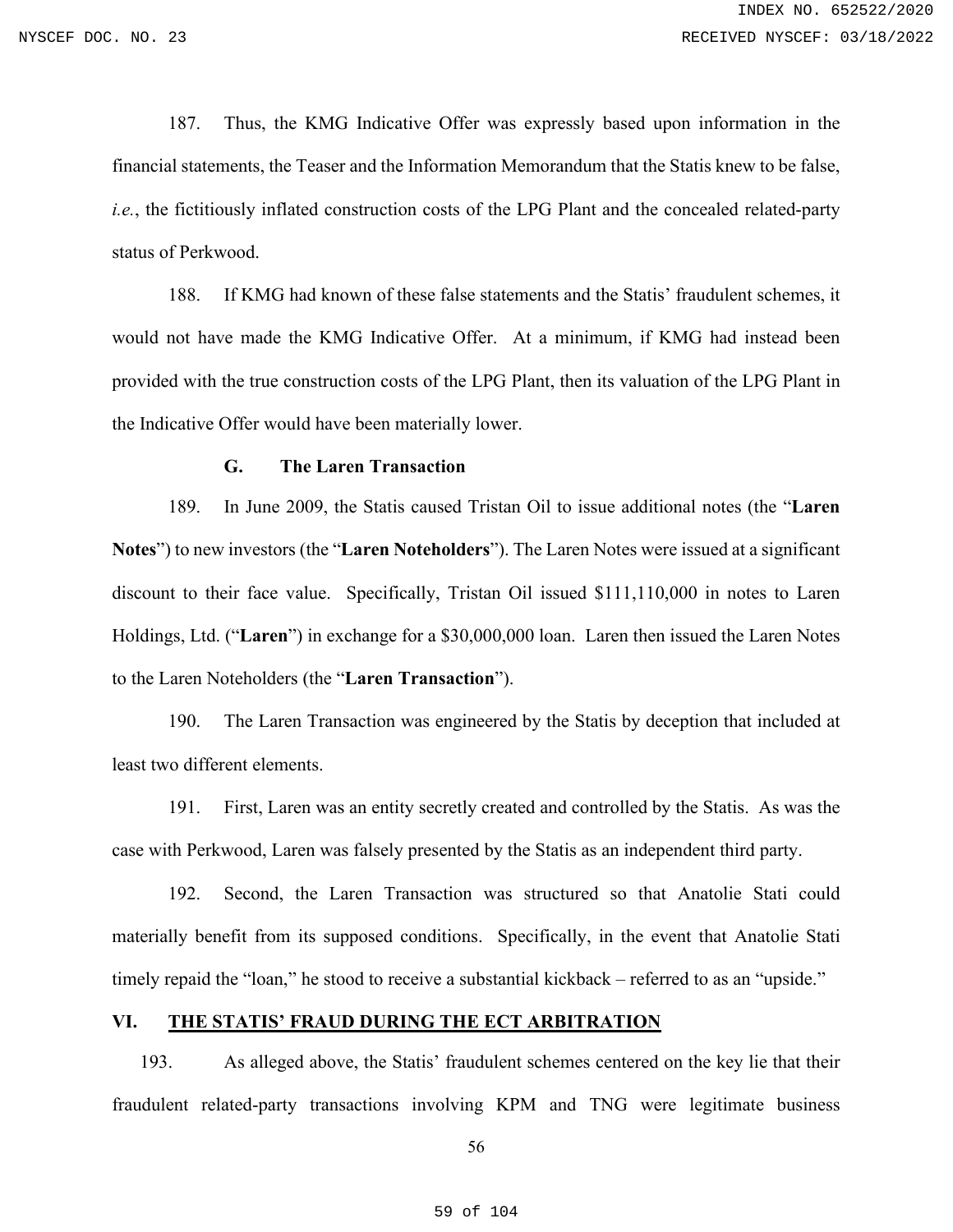187. Thus, the KMG Indicative Offer was expressly based upon information in the financial statements, the Teaser and the Information Memorandum that the Statis knew to be false, *i.e.*, the fictitiously inflated construction costs of the LPG Plant and the concealed related-party status of Perkwood.

188. If KMG had known of these false statements and the Statis' fraudulent schemes, it would not have made the KMG Indicative Offer. At a minimum, if KMG had instead been provided with the true construction costs of the LPG Plant, then its valuation of the LPG Plant in the Indicative Offer would have been materially lower.

#### **G. The Laren Transaction**

189. In June 2009, the Statis caused Tristan Oil to issue additional notes (the "**Laren Notes**") to new investors (the "**Laren Noteholders**"). The Laren Notes were issued at a significant discount to their face value. Specifically, Tristan Oil issued \$111,110,000 in notes to Laren Holdings, Ltd. ("**Laren**") in exchange for a \$30,000,000 loan. Laren then issued the Laren Notes to the Laren Noteholders (the "**Laren Transaction**").

190. The Laren Transaction was engineered by the Statis by deception that included at least two different elements.

191. First, Laren was an entity secretly created and controlled by the Statis. As was the case with Perkwood, Laren was falsely presented by the Statis as an independent third party.

192. Second, the Laren Transaction was structured so that Anatolie Stati could materially benefit from its supposed conditions. Specifically, in the event that Anatolie Stati timely repaid the "loan," he stood to receive a substantial kickback – referred to as an "upside."

### **VI. THE STATIS' FRAUD DURING THE ECT ARBITRATION**

193. As alleged above, the Statis' fraudulent schemes centered on the key lie that their fraudulent related-party transactions involving KPM and TNG were legitimate business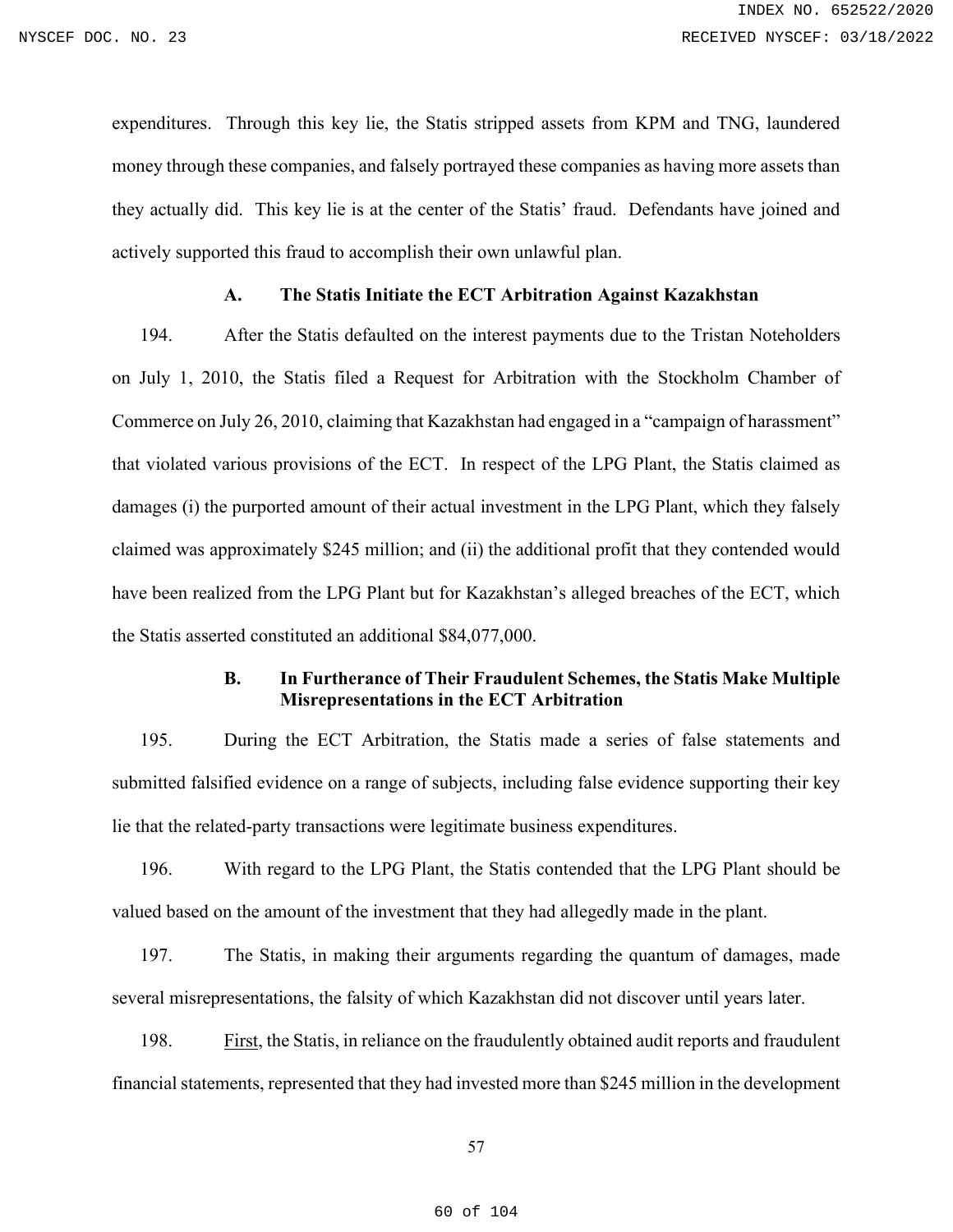expenditures. Through this key lie, the Statis stripped assets from KPM and TNG, laundered money through these companies, and falsely portrayed these companies as having more assets than they actually did. This key lie is at the center of the Statis' fraud. Defendants have joined and actively supported this fraud to accomplish their own unlawful plan.

#### **A. The Statis Initiate the ECT Arbitration Against Kazakhstan**

194. After the Statis defaulted on the interest payments due to the Tristan Noteholders on July 1, 2010, the Statis filed a Request for Arbitration with the Stockholm Chamber of Commerce on July 26, 2010, claiming that Kazakhstan had engaged in a "campaign of harassment" that violated various provisions of the ECT. In respect of the LPG Plant, the Statis claimed as damages (i) the purported amount of their actual investment in the LPG Plant, which they falsely claimed was approximately \$245 million; and (ii) the additional profit that they contended would have been realized from the LPG Plant but for Kazakhstan's alleged breaches of the ECT, which the Statis asserted constituted an additional \$84,077,000.

## **B. In Furtherance of Their Fraudulent Schemes, the Statis Make Multiple Misrepresentations in the ECT Arbitration**

195. During the ECT Arbitration, the Statis made a series of false statements and submitted falsified evidence on a range of subjects, including false evidence supporting their key lie that the related-party transactions were legitimate business expenditures.

196. With regard to the LPG Plant, the Statis contended that the LPG Plant should be valued based on the amount of the investment that they had allegedly made in the plant.

197. The Statis, in making their arguments regarding the quantum of damages, made several misrepresentations, the falsity of which Kazakhstan did not discover until years later.

198. First, the Statis, in reliance on the fraudulently obtained audit reports and fraudulent financial statements, represented that they had invested more than \$245 million in the development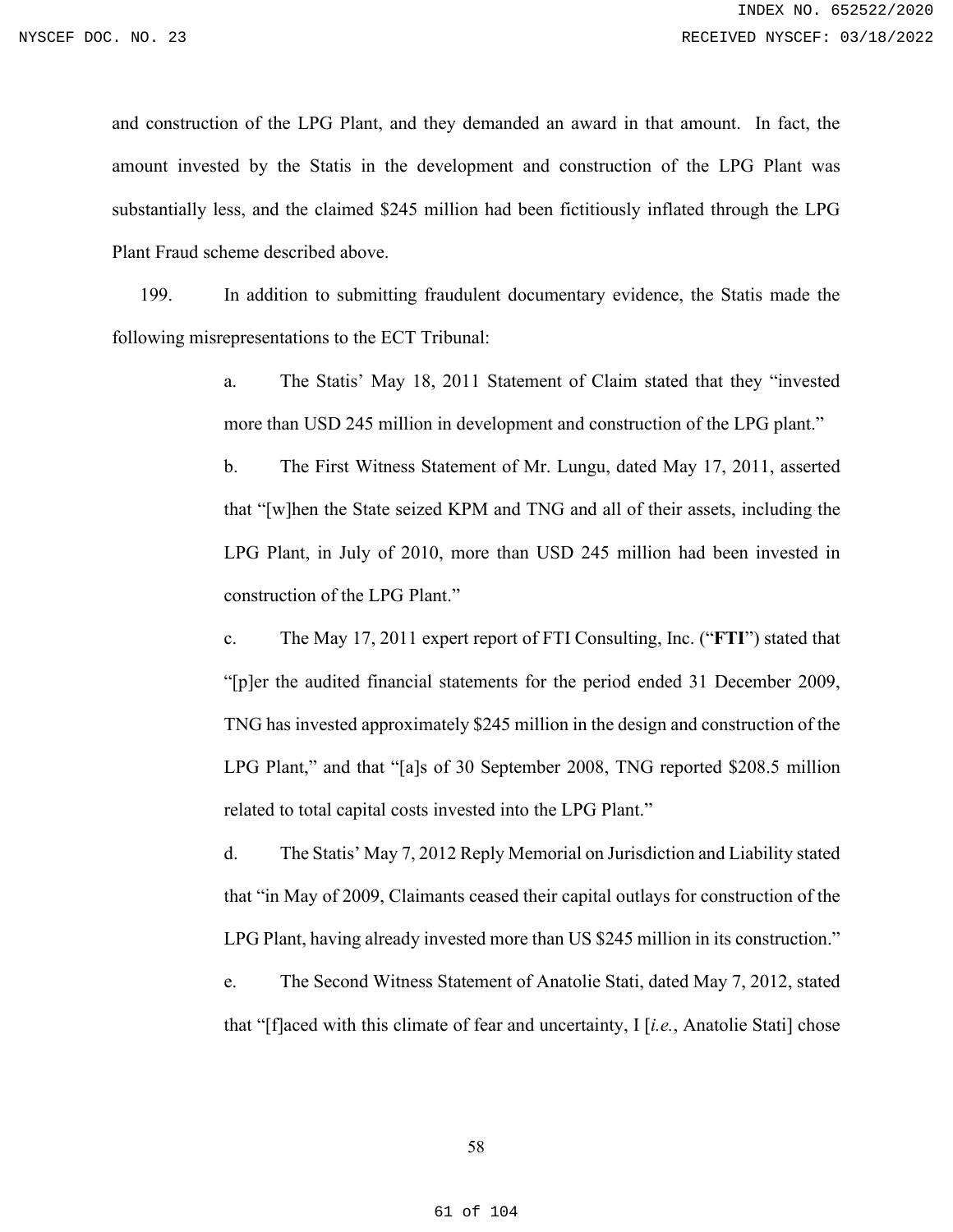and construction of the LPG Plant, and they demanded an award in that amount. In fact, the amount invested by the Statis in the development and construction of the LPG Plant was substantially less, and the claimed \$245 million had been fictitiously inflated through the LPG Plant Fraud scheme described above.

199. In addition to submitting fraudulent documentary evidence, the Statis made the following misrepresentations to the ECT Tribunal:

> a. The Statis' May 18, 2011 Statement of Claim stated that they "invested more than USD 245 million in development and construction of the LPG plant."

> b. The First Witness Statement of Mr. Lungu, dated May 17, 2011, asserted that "[w]hen the State seized KPM and TNG and all of their assets, including the LPG Plant, in July of 2010, more than USD 245 million had been invested in construction of the LPG Plant."

> c. The May 17, 2011 expert report of FTI Consulting, Inc. ("**FTI**") stated that "[p]er the audited financial statements for the period ended 31 December 2009, TNG has invested approximately \$245 million in the design and construction of the LPG Plant," and that "[a]s of 30 September 2008, TNG reported \$208.5 million related to total capital costs invested into the LPG Plant."

> d. The Statis' May 7, 2012 Reply Memorial on Jurisdiction and Liability stated that "in May of 2009, Claimants ceased their capital outlays for construction of the LPG Plant, having already invested more than US \$245 million in its construction."

> e. The Second Witness Statement of Anatolie Stati, dated May 7, 2012, stated that "[f]aced with this climate of fear and uncertainty, I [*i.e.*, Anatolie Stati] chose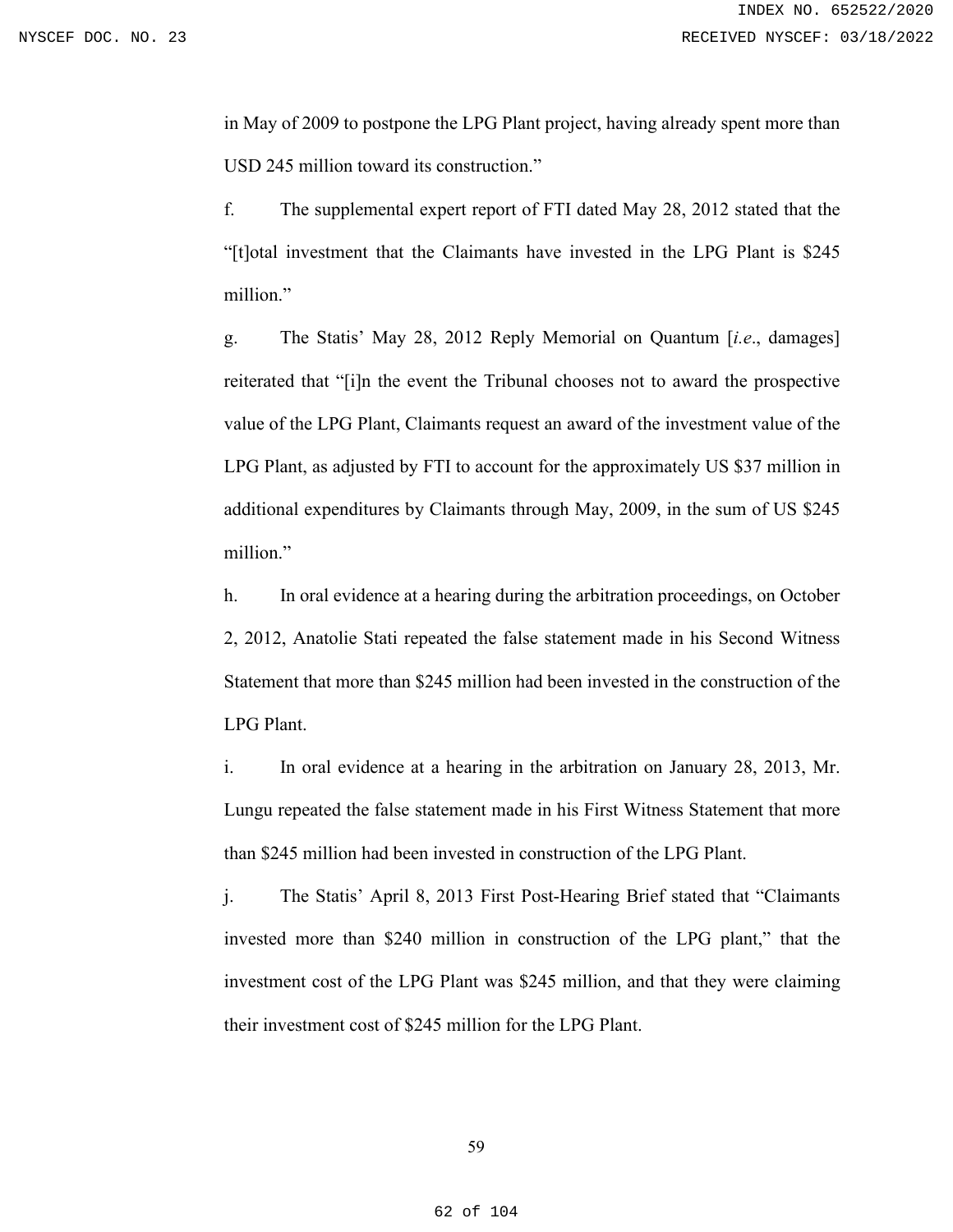in May of 2009 to postpone the LPG Plant project, having already spent more than USD 245 million toward its construction."

f. The supplemental expert report of FTI dated May 28, 2012 stated that the "[t]otal investment that the Claimants have invested in the LPG Plant is \$245 million."

g. The Statis' May 28, 2012 Reply Memorial on Quantum [*i.e*., damages] reiterated that "[i]n the event the Tribunal chooses not to award the prospective value of the LPG Plant, Claimants request an award of the investment value of the LPG Plant, as adjusted by FTI to account for the approximately US \$37 million in additional expenditures by Claimants through May, 2009, in the sum of US \$245 million."

h. In oral evidence at a hearing during the arbitration proceedings, on October 2, 2012, Anatolie Stati repeated the false statement made in his Second Witness Statement that more than \$245 million had been invested in the construction of the LPG Plant.

i. In oral evidence at a hearing in the arbitration on January 28, 2013, Mr. Lungu repeated the false statement made in his First Witness Statement that more than \$245 million had been invested in construction of the LPG Plant.

j. The Statis' April 8, 2013 First Post-Hearing Brief stated that "Claimants invested more than \$240 million in construction of the LPG plant," that the investment cost of the LPG Plant was \$245 million, and that they were claiming their investment cost of \$245 million for the LPG Plant.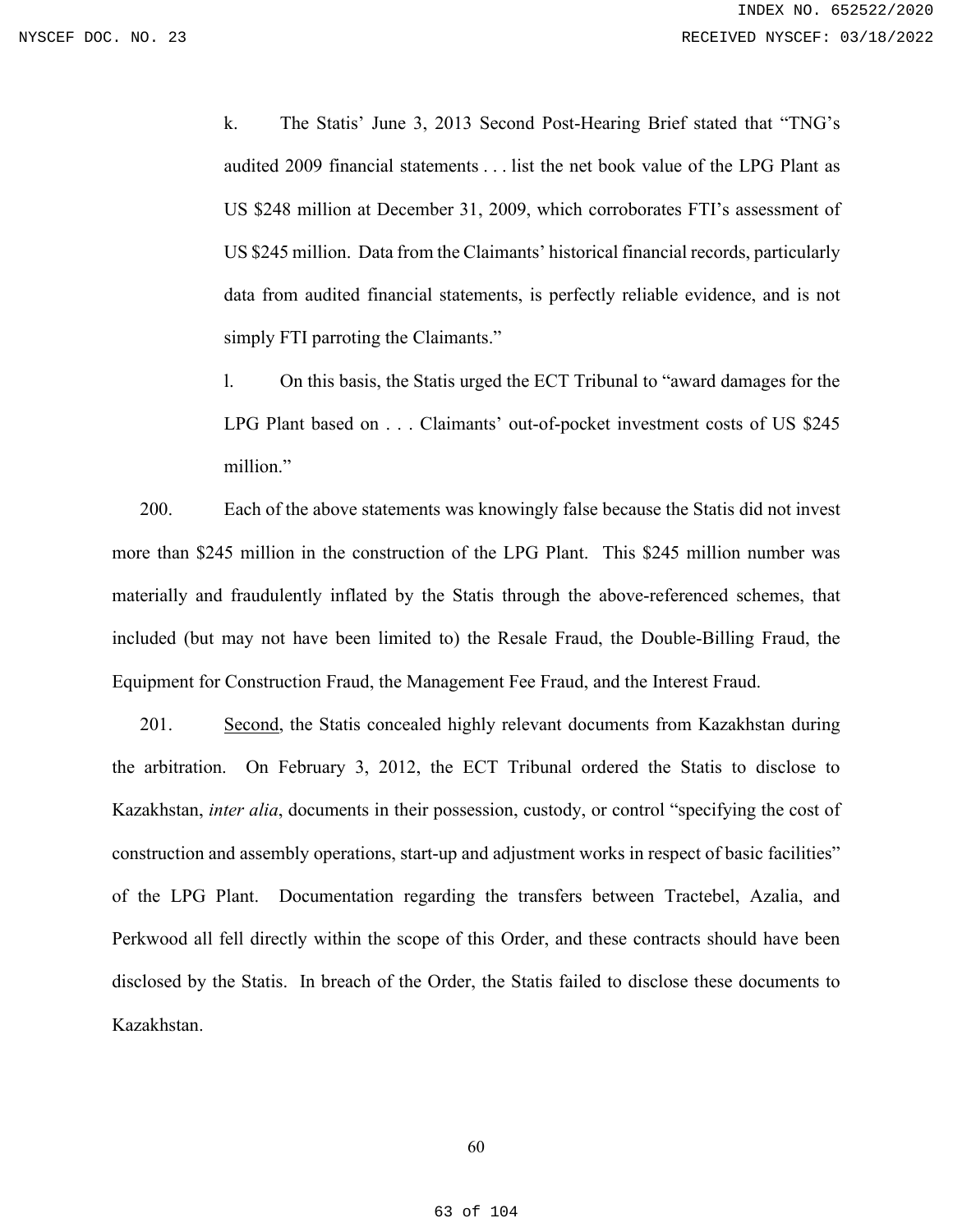k. The Statis' June 3, 2013 Second Post-Hearing Brief stated that "TNG's audited 2009 financial statements . . . list the net book value of the LPG Plant as US \$248 million at December 31, 2009, which corroborates FTI's assessment of US \$245 million. Data from the Claimants' historical financial records, particularly data from audited financial statements, is perfectly reliable evidence, and is not simply FTI parroting the Claimants."

l. On this basis, the Statis urged the ECT Tribunal to "award damages for the LPG Plant based on . . . Claimants' out-of-pocket investment costs of US \$245 million."

200. Each of the above statements was knowingly false because the Statis did not invest more than \$245 million in the construction of the LPG Plant. This \$245 million number was materially and fraudulently inflated by the Statis through the above-referenced schemes, that included (but may not have been limited to) the Resale Fraud, the Double-Billing Fraud, the Equipment for Construction Fraud, the Management Fee Fraud, and the Interest Fraud.

201. Second, the Statis concealed highly relevant documents from Kazakhstan during the arbitration. On February 3, 2012, the ECT Tribunal ordered the Statis to disclose to Kazakhstan, *inter alia*, documents in their possession, custody, or control "specifying the cost of construction and assembly operations, start-up and adjustment works in respect of basic facilities" of the LPG Plant. Documentation regarding the transfers between Tractebel, Azalia, and Perkwood all fell directly within the scope of this Order, and these contracts should have been disclosed by the Statis. In breach of the Order, the Statis failed to disclose these documents to Kazakhstan.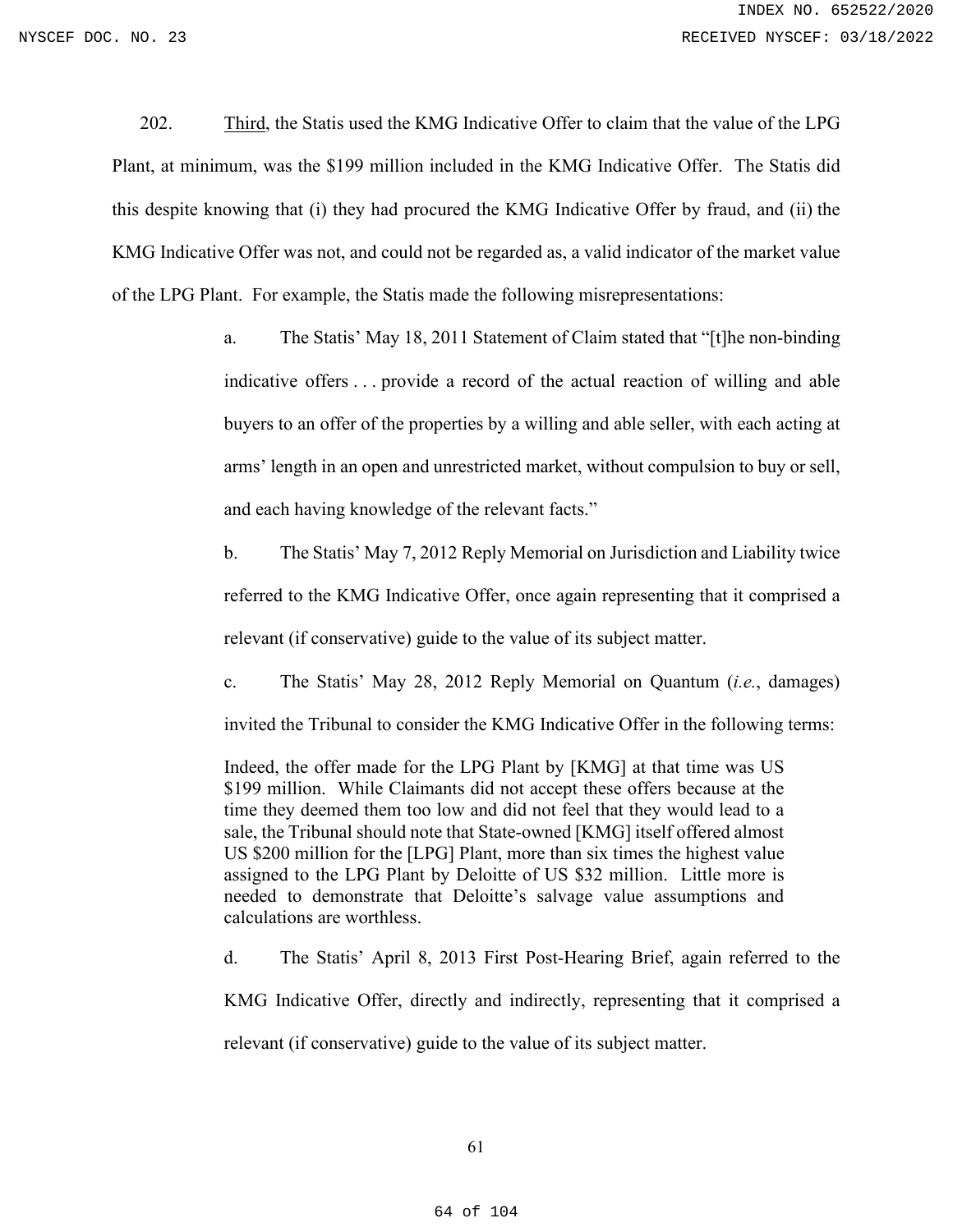202. Third, the Statis used the KMG Indicative Offer to claim that the value of the LPG Plant, at minimum, was the \$199 million included in the KMG Indicative Offer. The Statis did this despite knowing that (i) they had procured the KMG Indicative Offer by fraud, and (ii) the KMG Indicative Offer was not, and could not be regarded as, a valid indicator of the market value of the LPG Plant. For example, the Statis made the following misrepresentations:

> a. The Statis' May 18, 2011 Statement of Claim stated that "[t]he non-binding indicative offers . . . provide a record of the actual reaction of willing and able buyers to an offer of the properties by a willing and able seller, with each acting at arms' length in an open and unrestricted market, without compulsion to buy or sell, and each having knowledge of the relevant facts."

> b. The Statis' May 7, 2012 Reply Memorial on Jurisdiction and Liability twice referred to the KMG Indicative Offer, once again representing that it comprised a relevant (if conservative) guide to the value of its subject matter.

> c. The Statis' May 28, 2012 Reply Memorial on Quantum (*i.e.*, damages) invited the Tribunal to consider the KMG Indicative Offer in the following terms:

Indeed, the offer made for the LPG Plant by [KMG] at that time was US \$199 million. While Claimants did not accept these offers because at the time they deemed them too low and did not feel that they would lead to a sale, the Tribunal should note that State-owned [KMG] itself offered almost US \$200 million for the [LPG] Plant, more than six times the highest value assigned to the LPG Plant by Deloitte of US \$32 million. Little more is needed to demonstrate that Deloitte's salvage value assumptions and calculations are worthless.

d. The Statis' April 8, 2013 First Post-Hearing Brief, again referred to the

KMG Indicative Offer, directly and indirectly, representing that it comprised a

relevant (if conservative) guide to the value of its subject matter.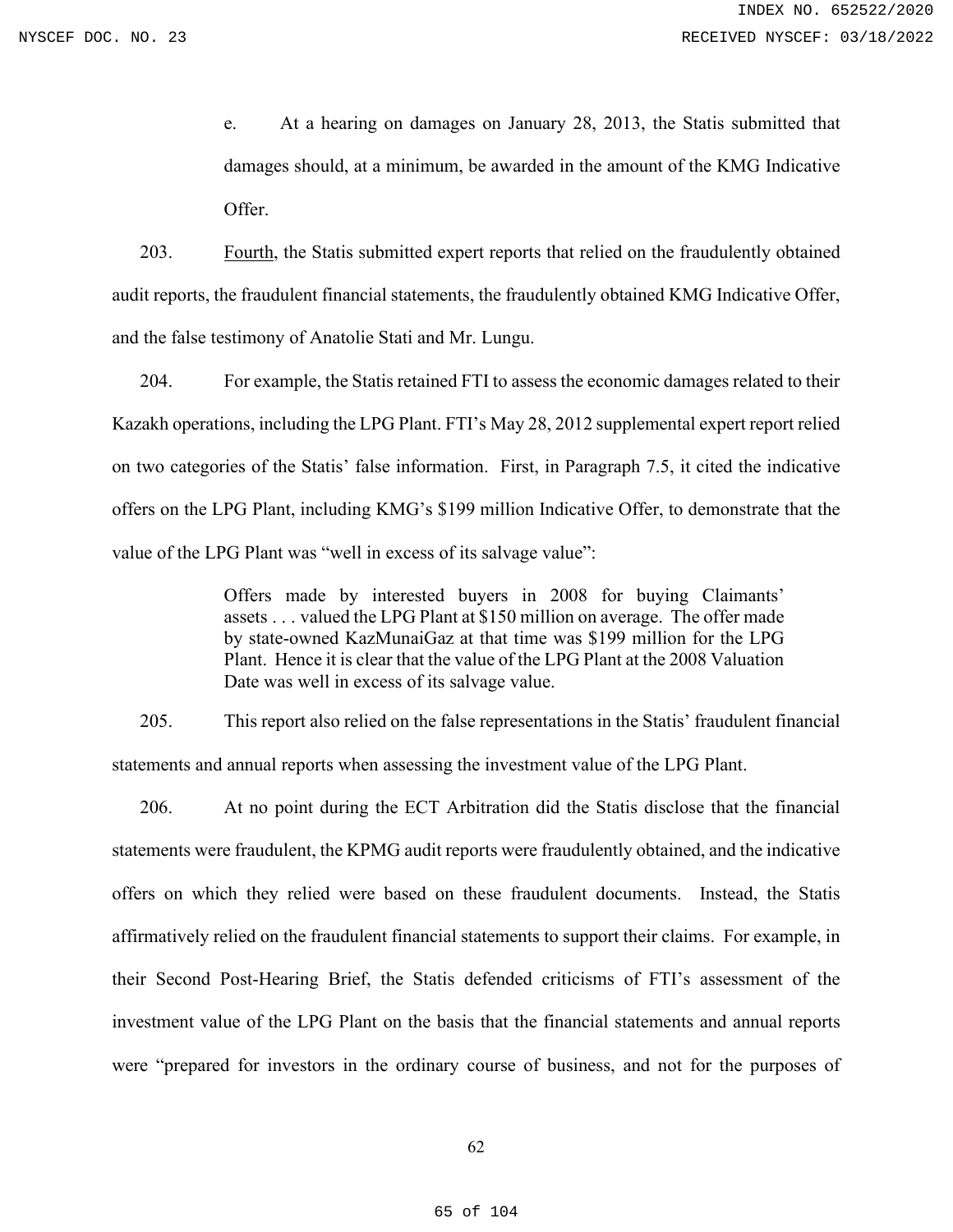e. At a hearing on damages on January 28, 2013, the Statis submitted that damages should, at a minimum, be awarded in the amount of the KMG Indicative Offer.

203. Fourth, the Statis submitted expert reports that relied on the fraudulently obtained audit reports, the fraudulent financial statements, the fraudulently obtained KMG Indicative Offer, and the false testimony of Anatolie Stati and Mr. Lungu.

204. For example, the Statis retained FTI to assess the economic damages related to their Kazakh operations, including the LPG Plant. FTI's May 28, 2012 supplemental expert report relied on two categories of the Statis' false information. First, in Paragraph 7.5, it cited the indicative offers on the LPG Plant, including KMG's \$199 million Indicative Offer, to demonstrate that the value of the LPG Plant was "well in excess of its salvage value":

> Offers made by interested buyers in 2008 for buying Claimants' assets . . . valued the LPG Plant at \$150 million on average. The offer made by state-owned KazMunaiGaz at that time was \$199 million for the LPG Plant. Hence it is clear that the value of the LPG Plant at the 2008 Valuation Date was well in excess of its salvage value.

205. This report also relied on the false representations in the Statis' fraudulent financial statements and annual reports when assessing the investment value of the LPG Plant.

206. At no point during the ECT Arbitration did the Statis disclose that the financial statements were fraudulent, the KPMG audit reports were fraudulently obtained, and the indicative offers on which they relied were based on these fraudulent documents. Instead, the Statis affirmatively relied on the fraudulent financial statements to support their claims. For example, in their Second Post-Hearing Brief, the Statis defended criticisms of FTI's assessment of the investment value of the LPG Plant on the basis that the financial statements and annual reports were "prepared for investors in the ordinary course of business, and not for the purposes of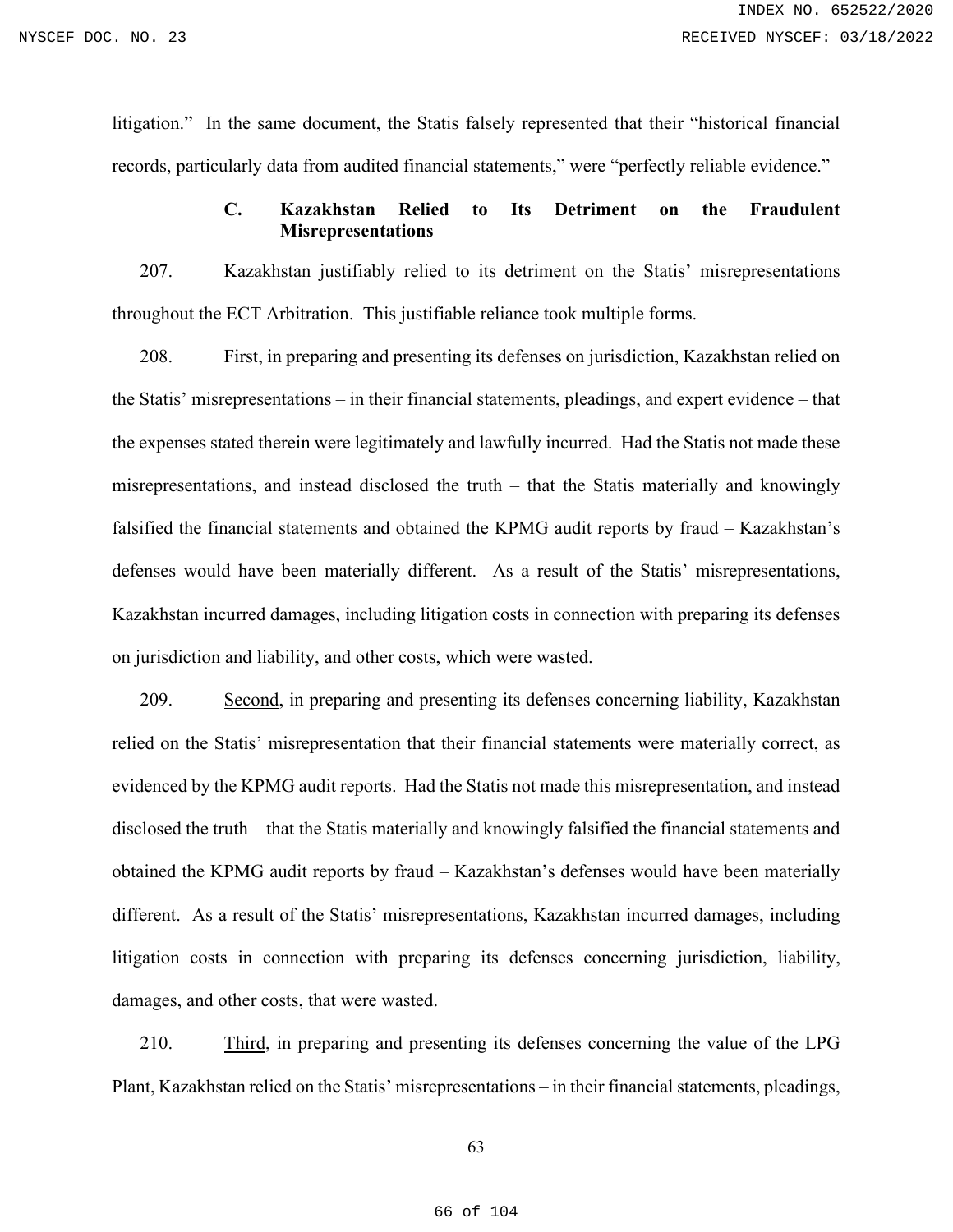litigation." In the same document, the Statis falsely represented that their "historical financial records, particularly data from audited financial statements," were "perfectly reliable evidence."

## **C. Kazakhstan Relied to Its Detriment on the Fraudulent Misrepresentations**

207. Kazakhstan justifiably relied to its detriment on the Statis' misrepresentations throughout the ECT Arbitration. This justifiable reliance took multiple forms.

208. First, in preparing and presenting its defenses on jurisdiction, Kazakhstan relied on the Statis' misrepresentations – in their financial statements, pleadings, and expert evidence – that the expenses stated therein were legitimately and lawfully incurred. Had the Statis not made these misrepresentations, and instead disclosed the truth – that the Statis materially and knowingly falsified the financial statements and obtained the KPMG audit reports by fraud – Kazakhstan's defenses would have been materially different. As a result of the Statis' misrepresentations, Kazakhstan incurred damages, including litigation costs in connection with preparing its defenses on jurisdiction and liability, and other costs, which were wasted.

209. Second, in preparing and presenting its defenses concerning liability, Kazakhstan relied on the Statis' misrepresentation that their financial statements were materially correct, as evidenced by the KPMG audit reports. Had the Statis not made this misrepresentation, and instead disclosed the truth – that the Statis materially and knowingly falsified the financial statements and obtained the KPMG audit reports by fraud – Kazakhstan's defenses would have been materially different. As a result of the Statis' misrepresentations, Kazakhstan incurred damages, including litigation costs in connection with preparing its defenses concerning jurisdiction, liability, damages, and other costs, that were wasted.

210. Third, in preparing and presenting its defenses concerning the value of the LPG Plant, Kazakhstan relied on the Statis' misrepresentations – in their financial statements, pleadings,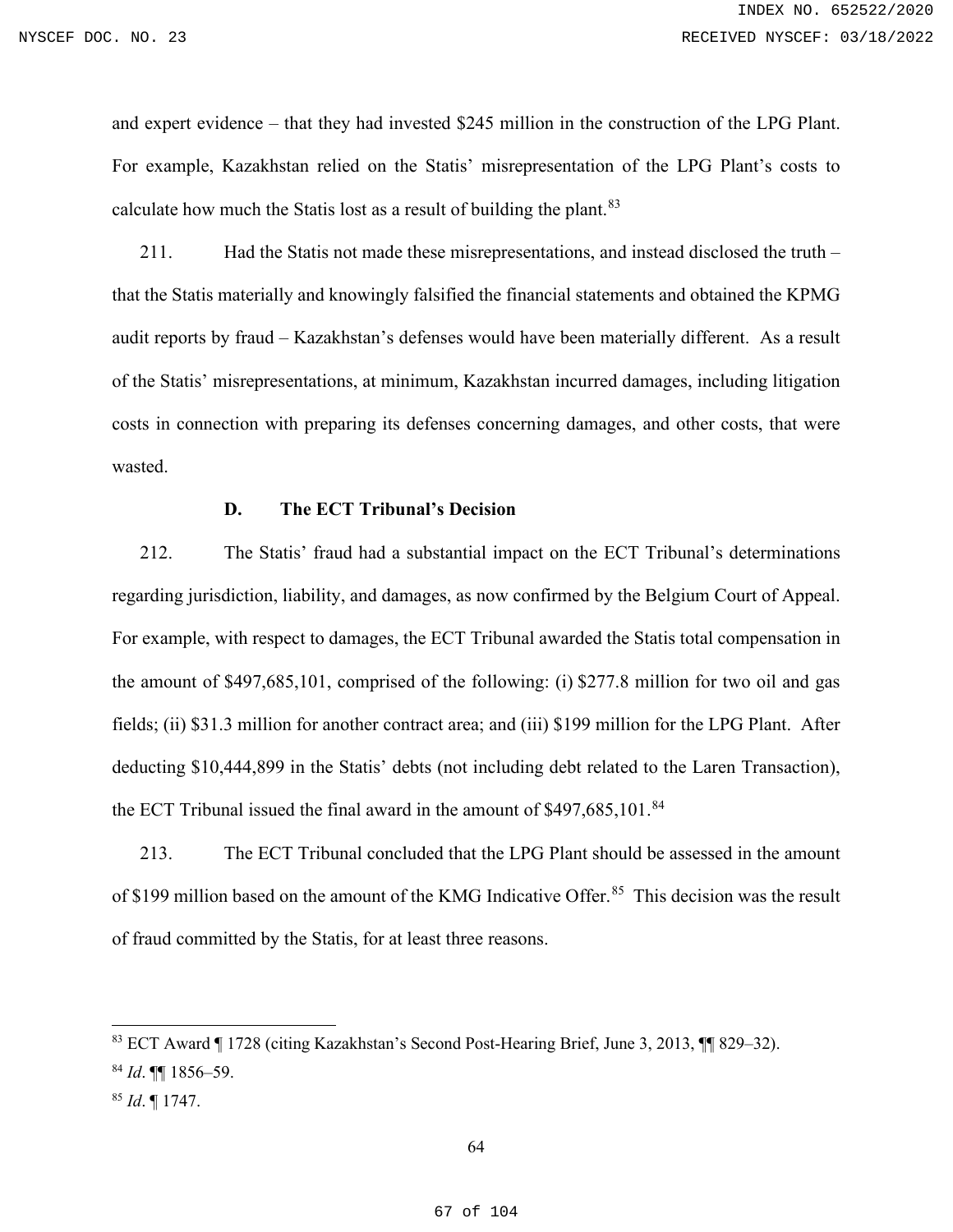and expert evidence – that they had invested \$245 million in the construction of the LPG Plant. For example, Kazakhstan relied on the Statis' misrepresentation of the LPG Plant's costs to calculate how much the Statis lost as a result of building the plant.<sup>[83](#page-66-0)</sup>

211. Had the Statis not made these misrepresentations, and instead disclosed the truth – that the Statis materially and knowingly falsified the financial statements and obtained the KPMG audit reports by fraud – Kazakhstan's defenses would have been materially different. As a result of the Statis' misrepresentations, at minimum, Kazakhstan incurred damages, including litigation costs in connection with preparing its defenses concerning damages, and other costs, that were wasted.

#### **D. The ECT Tribunal's Decision**

212. The Statis' fraud had a substantial impact on the ECT Tribunal's determinations regarding jurisdiction, liability, and damages, as now confirmed by the Belgium Court of Appeal. For example, with respect to damages, the ECT Tribunal awarded the Statis total compensation in the amount of \$497,685,101, comprised of the following: (i) \$277.8 million for two oil and gas fields; (ii) \$31.3 million for another contract area; and (iii) \$199 million for the LPG Plant. After deducting \$10,444,899 in the Statis' debts (not including debt related to the Laren Transaction), the ECT Tribunal issued the final award in the amount of  $$497,685,101$ .<sup>[84](#page-66-1)</sup>

213. The ECT Tribunal concluded that the LPG Plant should be assessed in the amount of \$199 million based on the amount of the KMG Indicative Offer.<sup>[85](#page-66-2)</sup> This decision was the result of fraud committed by the Statis, for at least three reasons.

<span id="page-66-1"></span><span id="page-66-0"></span><sup>83</sup> ECT Award ¶ 1728 (citing Kazakhstan's Second Post-Hearing Brief, June 3, 2013, ¶¶ 829–32). <sup>84</sup> *Id*. ¶¶ 1856–59.

<span id="page-66-2"></span><sup>85</sup> *Id*. ¶ 1747.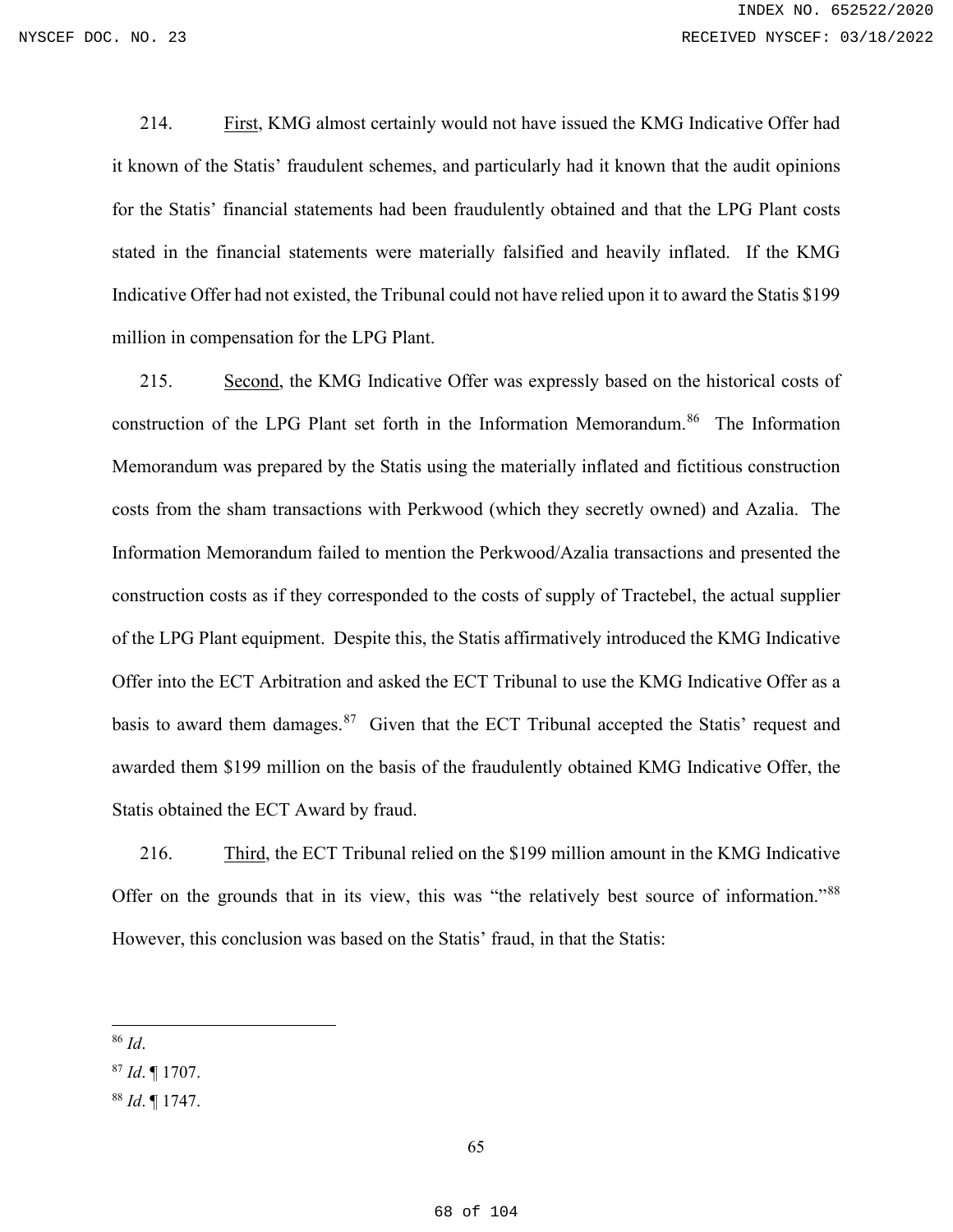214. First, KMG almost certainly would not have issued the KMG Indicative Offer had it known of the Statis' fraudulent schemes, and particularly had it known that the audit opinions for the Statis' financial statements had been fraudulently obtained and that the LPG Plant costs stated in the financial statements were materially falsified and heavily inflated. If the KMG Indicative Offer had not existed, the Tribunal could not have relied upon it to award the Statis \$199 million in compensation for the LPG Plant.

215. Second, the KMG Indicative Offer was expressly based on the historical costs of construction of the LPG Plant set forth in the Information Memorandum.<sup>86</sup> The Information Memorandum was prepared by the Statis using the materially inflated and fictitious construction costs from the sham transactions with Perkwood (which they secretly owned) and Azalia. The Information Memorandum failed to mention the Perkwood/Azalia transactions and presented the construction costs as if they corresponded to the costs of supply of Tractebel, the actual supplier of the LPG Plant equipment. Despite this, the Statis affirmatively introduced the KMG Indicative Offer into the ECT Arbitration and asked the ECT Tribunal to use the KMG Indicative Offer as a basis to award them damages.<sup>[87](#page-67-1)</sup> Given that the ECT Tribunal accepted the Statis' request and awarded them \$199 million on the basis of the fraudulently obtained KMG Indicative Offer, the Statis obtained the ECT Award by fraud.

216. Third, the ECT Tribunal relied on the \$199 million amount in the KMG Indicative Offer on the grounds that in its view, this was "the relatively best source of information."<sup>[88](#page-67-2)</sup> However, this conclusion was based on the Statis' fraud, in that the Statis:

<span id="page-67-0"></span><sup>86</sup> *Id*.

<span id="page-67-2"></span><sup>88</sup> *Id*. ¶ 1747.

<span id="page-67-1"></span><sup>87</sup> *Id*. ¶ 1707.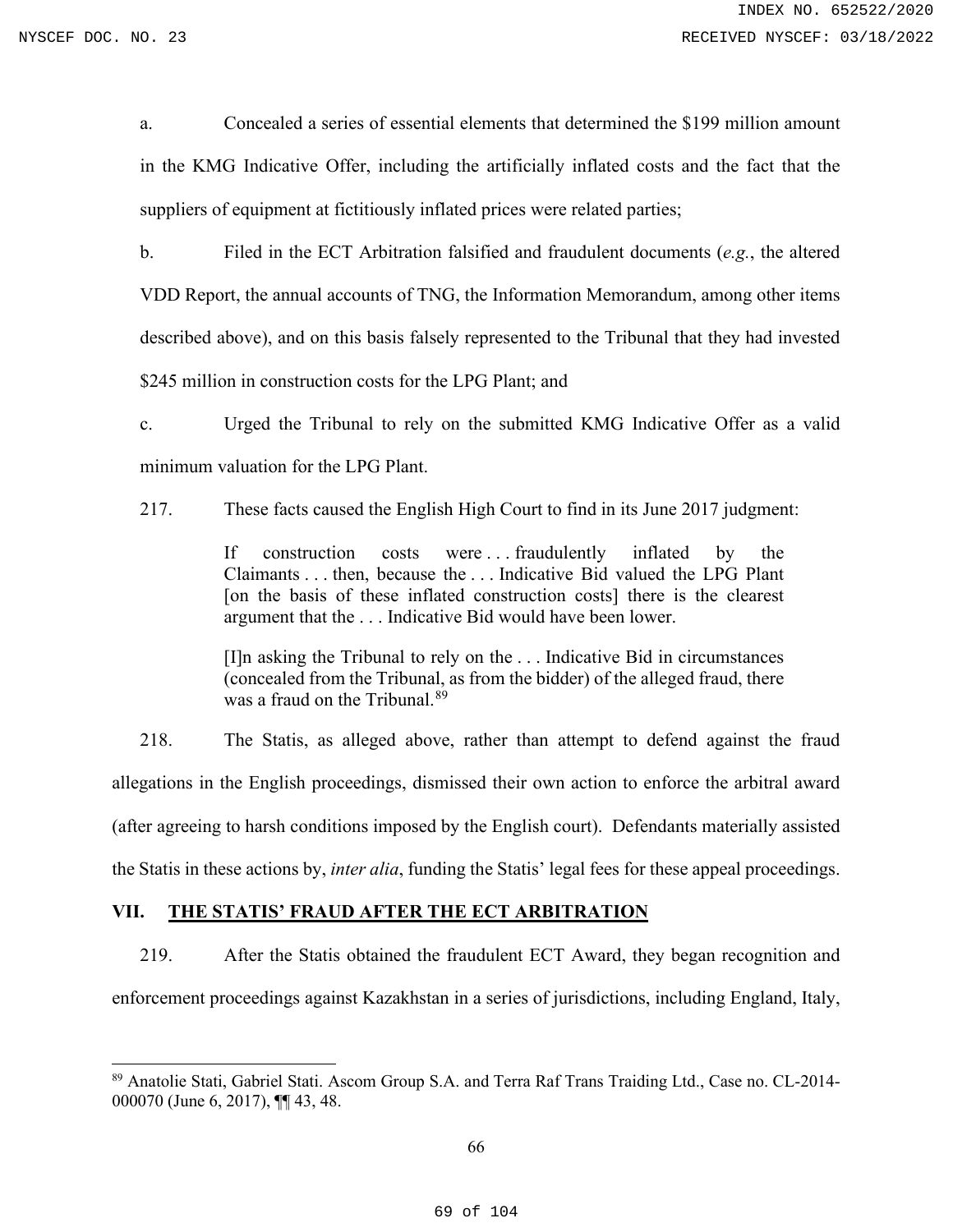a. Concealed a series of essential elements that determined the \$199 million amount in the KMG Indicative Offer, including the artificially inflated costs and the fact that the suppliers of equipment at fictitiously inflated prices were related parties;

b. Filed in the ECT Arbitration falsified and fraudulent documents (*e.g.*, the altered VDD Report, the annual accounts of TNG, the Information Memorandum, among other items described above), and on this basis falsely represented to the Tribunal that they had invested \$245 million in construction costs for the LPG Plant; and

c. Urged the Tribunal to rely on the submitted KMG Indicative Offer as a valid minimum valuation for the LPG Plant.

217. These facts caused the English High Court to find in its June 2017 judgment:

If construction costs were ... fraudulently inflated by the Claimants . . . then, because the . . . Indicative Bid valued the LPG Plant [on the basis of these inflated construction costs] there is the clearest argument that the . . . Indicative Bid would have been lower.

[I]n asking the Tribunal to rely on the . . . Indicative Bid in circumstances (concealed from the Tribunal, as from the bidder) of the alleged fraud, there was a fraud on the Tribunal.<sup>[89](#page-68-0)</sup>

218. The Statis, as alleged above, rather than attempt to defend against the fraud allegations in the English proceedings, dismissed their own action to enforce the arbitral award (after agreeing to harsh conditions imposed by the English court). Defendants materially assisted the Statis in these actions by, *inter alia*, funding the Statis' legal fees for these appeal proceedings.

#### **VII. THE STATIS' FRAUD AFTER THE ECT ARBITRATION**

219. After the Statis obtained the fraudulent ECT Award, they began recognition and enforcement proceedings against Kazakhstan in a series of jurisdictions, including England, Italy,

<span id="page-68-0"></span><sup>89</sup> Anatolie Stati, Gabriel Stati. Ascom Group S.A. and Terra Raf Trans Traiding Ltd., Case no. CL‐2014‐ 000070 (June 6, 2017), ¶¶ 43, 48.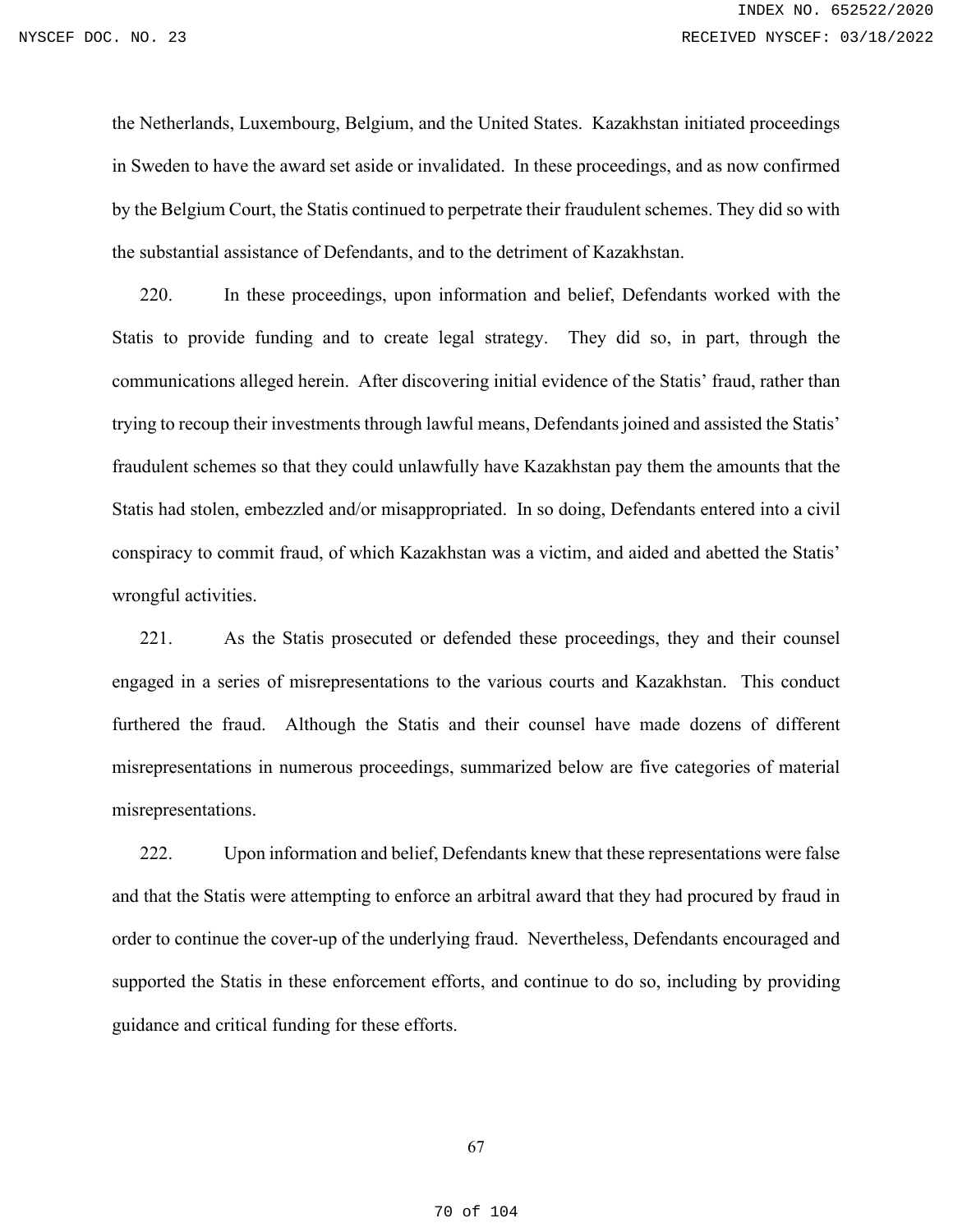the Netherlands, Luxembourg, Belgium, and the United States. Kazakhstan initiated proceedings in Sweden to have the award set aside or invalidated. In these proceedings, and as now confirmed by the Belgium Court, the Statis continued to perpetrate their fraudulent schemes. They did so with the substantial assistance of Defendants, and to the detriment of Kazakhstan.

220. In these proceedings, upon information and belief, Defendants worked with the Statis to provide funding and to create legal strategy. They did so, in part, through the communications alleged herein. After discovering initial evidence of the Statis' fraud, rather than trying to recoup their investments through lawful means, Defendants joined and assisted the Statis' fraudulent schemes so that they could unlawfully have Kazakhstan pay them the amounts that the Statis had stolen, embezzled and/or misappropriated. In so doing, Defendants entered into a civil conspiracy to commit fraud, of which Kazakhstan was a victim, and aided and abetted the Statis' wrongful activities.

221. As the Statis prosecuted or defended these proceedings, they and their counsel engaged in a series of misrepresentations to the various courts and Kazakhstan. This conduct furthered the fraud. Although the Statis and their counsel have made dozens of different misrepresentations in numerous proceedings, summarized below are five categories of material misrepresentations.

222. Upon information and belief, Defendants knew that these representations were false and that the Statis were attempting to enforce an arbitral award that they had procured by fraud in order to continue the cover-up of the underlying fraud. Nevertheless, Defendants encouraged and supported the Statis in these enforcement efforts, and continue to do so, including by providing guidance and critical funding for these efforts.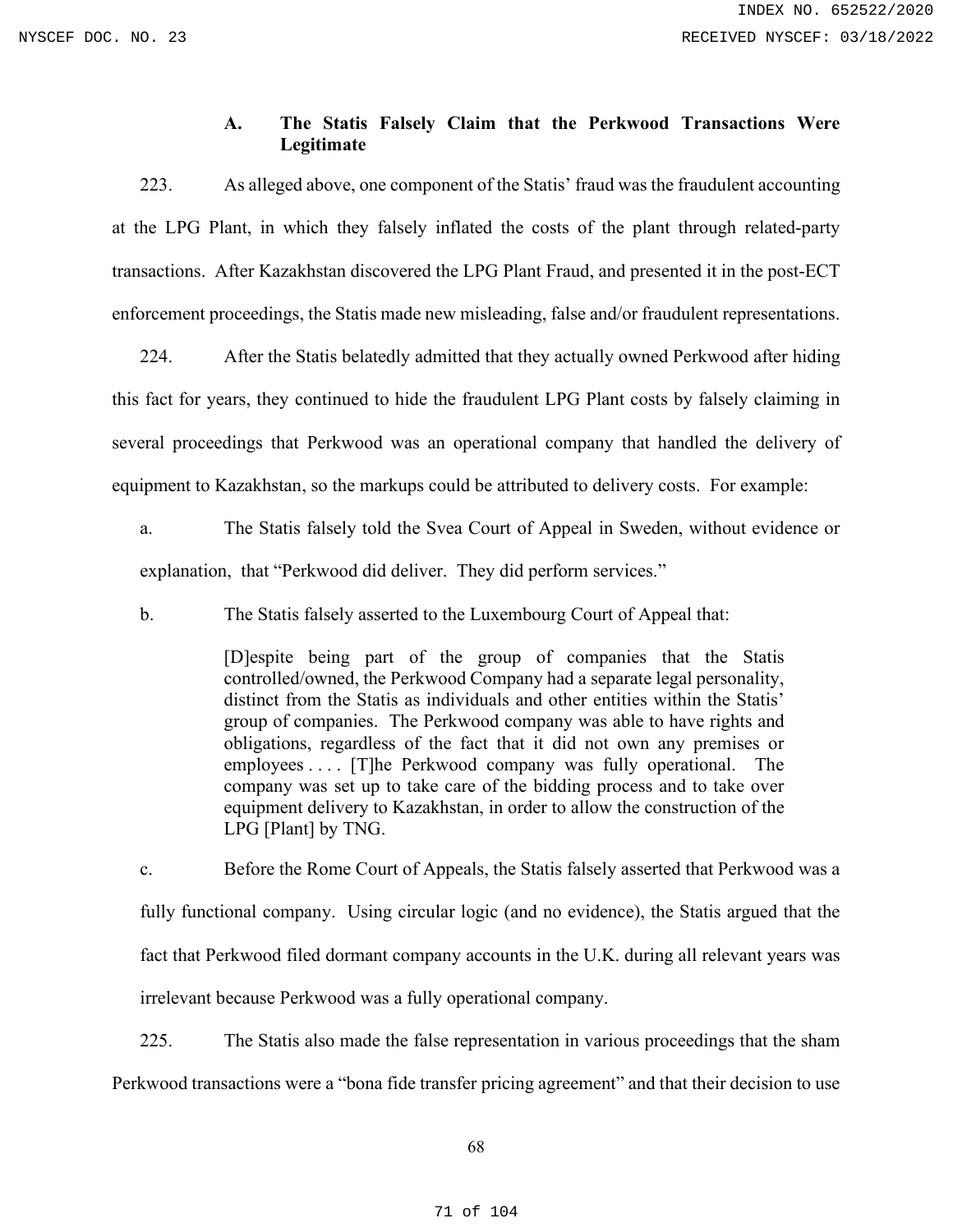# **A. The Statis Falsely Claim that the Perkwood Transactions Were Legitimate**

223. As alleged above, one component of the Statis' fraud was the fraudulent accounting at the LPG Plant, in which they falsely inflated the costs of the plant through related-party transactions. After Kazakhstan discovered the LPG Plant Fraud, and presented it in the post-ECT enforcement proceedings, the Statis made new misleading, false and/or fraudulent representations.

224. After the Statis belatedly admitted that they actually owned Perkwood after hiding this fact for years, they continued to hide the fraudulent LPG Plant costs by falsely claiming in several proceedings that Perkwood was an operational company that handled the delivery of equipment to Kazakhstan, so the markups could be attributed to delivery costs. For example:

a. The Statis falsely told the Svea Court of Appeal in Sweden, without evidence or explanation, that "Perkwood did deliver. They did perform services."

b. The Statis falsely asserted to the Luxembourg Court of Appeal that:

[D]espite being part of the group of companies that the Statis controlled/owned, the Perkwood Company had a separate legal personality, distinct from the Statis as individuals and other entities within the Statis' group of companies. The Perkwood company was able to have rights and obligations, regardless of the fact that it did not own any premises or employees . . . . [T]he Perkwood company was fully operational. The company was set up to take care of the bidding process and to take over equipment delivery to Kazakhstan, in order to allow the construction of the LPG [Plant] by TNG.

c. Before the Rome Court of Appeals, the Statis falsely asserted that Perkwood was a fully functional company. Using circular logic (and no evidence), the Statis argued that the fact that Perkwood filed dormant company accounts in the U.K. during all relevant years was irrelevant because Perkwood was a fully operational company.

225. The Statis also made the false representation in various proceedings that the sham Perkwood transactions were a "bona fide transfer pricing agreement" and that their decision to use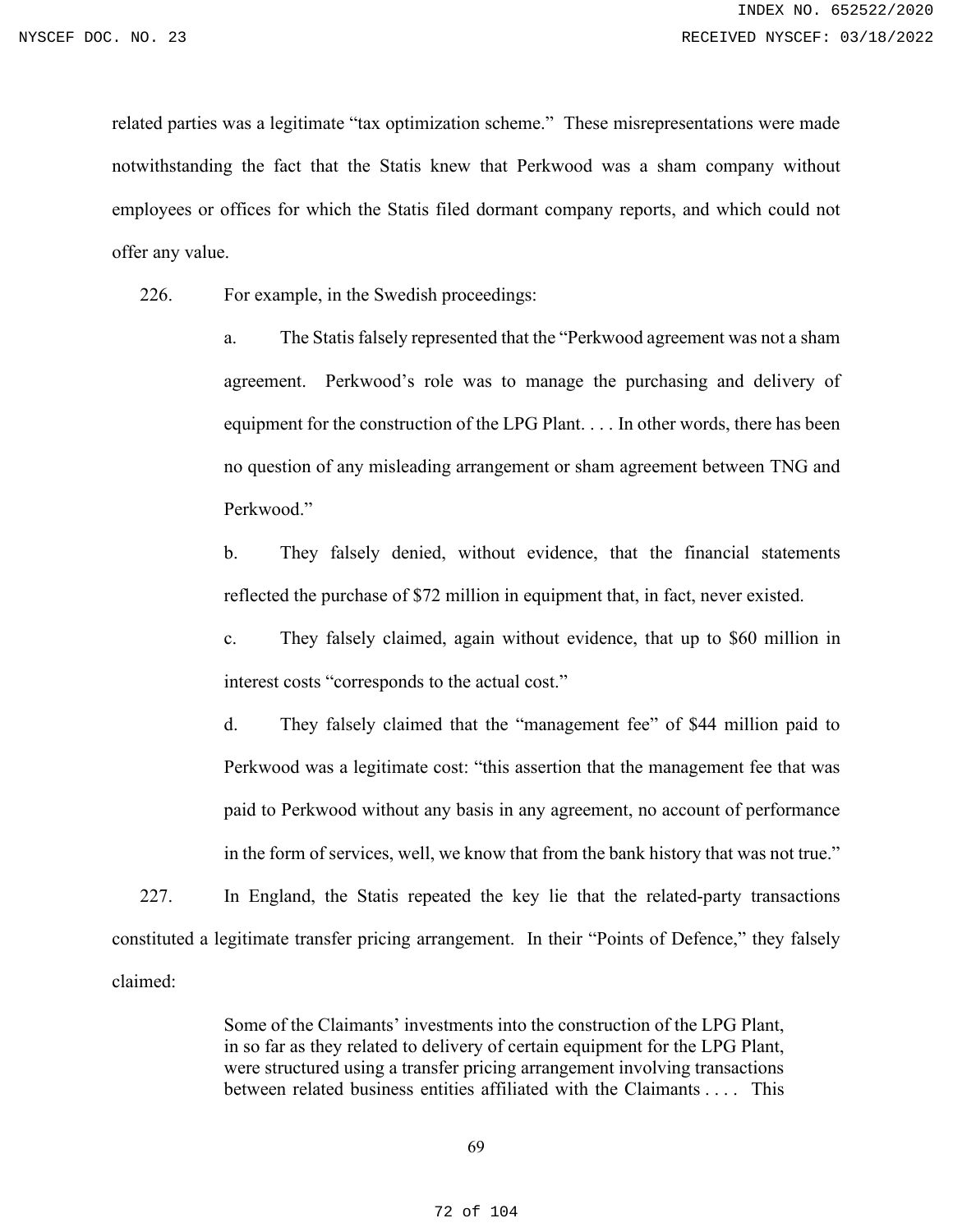related parties was a legitimate "tax optimization scheme." These misrepresentations were made notwithstanding the fact that the Statis knew that Perkwood was a sham company without employees or offices for which the Statis filed dormant company reports, and which could not offer any value.

226. For example, in the Swedish proceedings:

a. The Statis falsely represented that the "Perkwood agreement was not a sham agreement. Perkwood's role was to manage the purchasing and delivery of equipment for the construction of the LPG Plant. . . . In other words, there has been no question of any misleading arrangement or sham agreement between TNG and Perkwood."

b. They falsely denied, without evidence, that the financial statements reflected the purchase of \$72 million in equipment that, in fact, never existed.

c. They falsely claimed, again without evidence, that up to \$60 million in interest costs "corresponds to the actual cost."

d. They falsely claimed that the "management fee" of \$44 million paid to Perkwood was a legitimate cost: "this assertion that the management fee that was paid to Perkwood without any basis in any agreement, no account of performance in the form of services, well, we know that from the bank history that was not true."

227. In England, the Statis repeated the key lie that the related-party transactions constituted a legitimate transfer pricing arrangement. In their "Points of Defence," they falsely claimed:

> Some of the Claimants' investments into the construction of the LPG Plant, in so far as they related to delivery of certain equipment for the LPG Plant, were structured using a transfer pricing arrangement involving transactions between related business entities affiliated with the Claimants . . . . This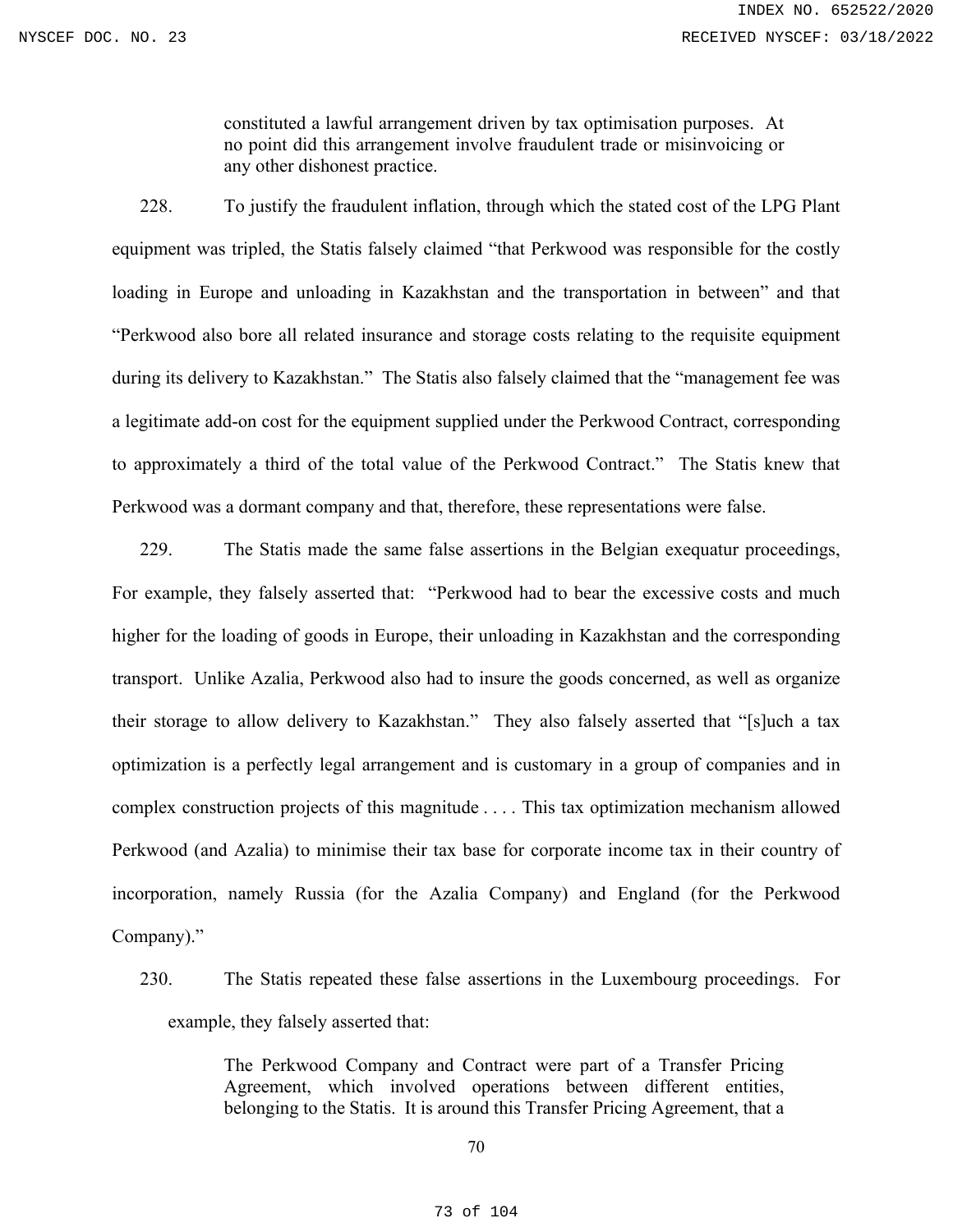constituted a lawful arrangement driven by tax optimisation purposes. At no point did this arrangement involve fraudulent trade or misinvoicing or any other dishonest practice.

228. To justify the fraudulent inflation, through which the stated cost of the LPG Plant equipment was tripled, the Statis falsely claimed "that Perkwood was responsible for the costly loading in Europe and unloading in Kazakhstan and the transportation in between" and that "Perkwood also bore all related insurance and storage costs relating to the requisite equipment during its delivery to Kazakhstan." The Statis also falsely claimed that the "management fee was a legitimate add‐on cost for the equipment supplied under the Perkwood Contract, corresponding to approximately a third of the total value of the Perkwood Contract." The Statis knew that Perkwood was a dormant company and that, therefore, these representations were false.

229. The Statis made the same false assertions in the Belgian exequatur proceedings, For example, they falsely asserted that: "Perkwood had to bear the excessive costs and much higher for the loading of goods in Europe, their unloading in Kazakhstan and the corresponding transport. Unlike Azalia, Perkwood also had to insure the goods concerned, as well as organize their storage to allow delivery to Kazakhstan." They also falsely asserted that "[s]uch a tax optimization is a perfectly legal arrangement and is customary in a group of companies and in complex construction projects of this magnitude . . . . This tax optimization mechanism allowed Perkwood (and Azalia) to minimise their tax base for corporate income tax in their country of incorporation, namely Russia (for the Azalia Company) and England (for the Perkwood Company)."

230. The Statis repeated these false assertions in the Luxembourg proceedings. For example, they falsely asserted that:

> The Perkwood Company and Contract were part of a Transfer Pricing Agreement, which involved operations between different entities, belonging to the Statis. It is around this Transfer Pricing Agreement, that a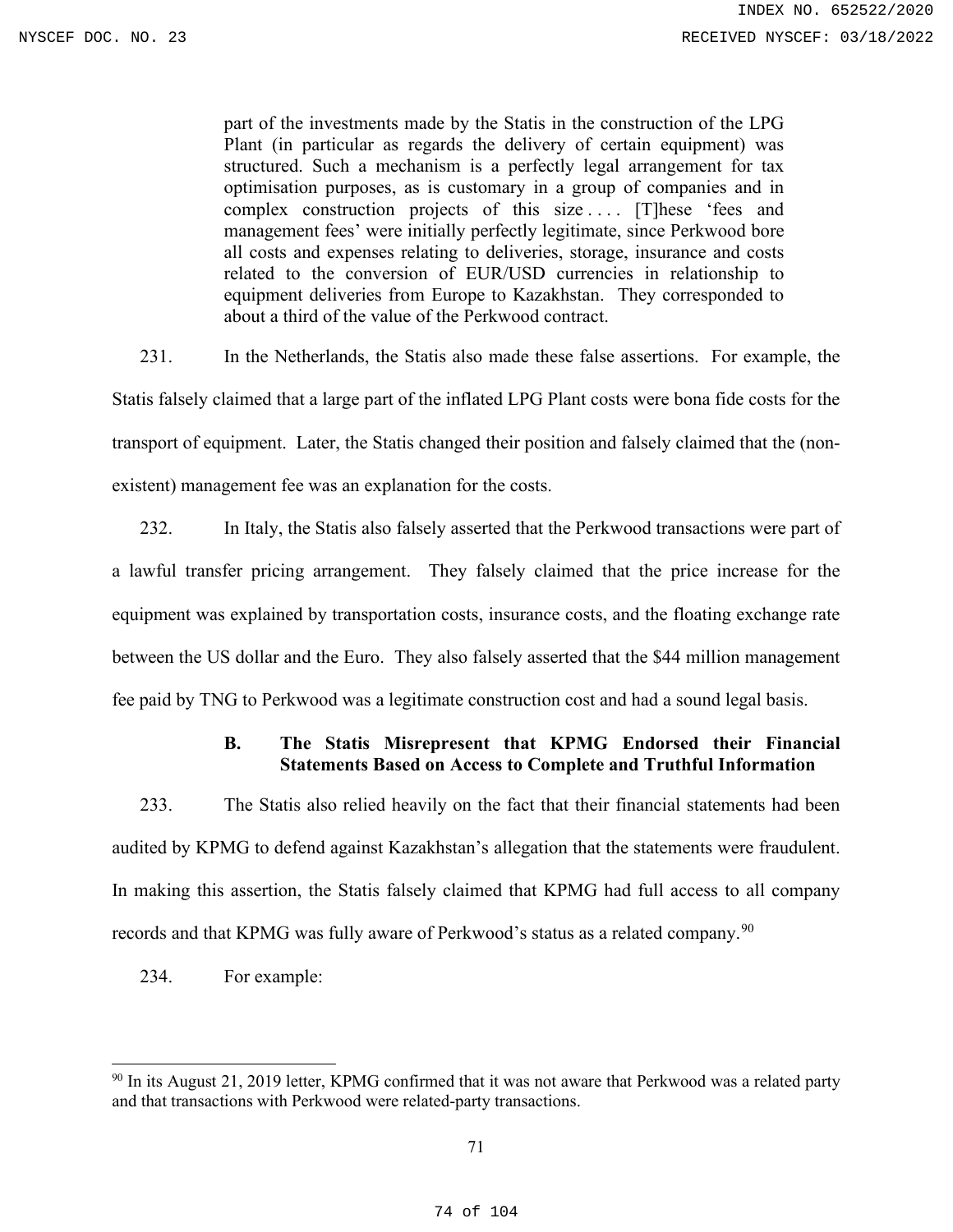part of the investments made by the Statis in the construction of the LPG Plant (in particular as regards the delivery of certain equipment) was structured. Such a mechanism is a perfectly legal arrangement for tax optimisation purposes, as is customary in a group of companies and in complex construction projects of this size .... [T]hese 'fees and management fees' were initially perfectly legitimate, since Perkwood bore all costs and expenses relating to deliveries, storage, insurance and costs related to the conversion of EUR/USD currencies in relationship to equipment deliveries from Europe to Kazakhstan. They corresponded to about a third of the value of the Perkwood contract.

231. In the Netherlands, the Statis also made these false assertions. For example, the Statis falsely claimed that a large part of the inflated LPG Plant costs were bona fide costs for the transport of equipment. Later, the Statis changed their position and falsely claimed that the (nonexistent) management fee was an explanation for the costs.

232. In Italy, the Statis also falsely asserted that the Perkwood transactions were part of a lawful transfer pricing arrangement. They falsely claimed that the price increase for the equipment was explained by transportation costs, insurance costs, and the floating exchange rate between the US dollar and the Euro. They also falsely asserted that the \$44 million management fee paid by TNG to Perkwood was a legitimate construction cost and had a sound legal basis.

# **B. The Statis Misrepresent that KPMG Endorsed their Financial Statements Based on Access to Complete and Truthful Information**

233. The Statis also relied heavily on the fact that their financial statements had been audited by KPMG to defend against Kazakhstan's allegation that the statements were fraudulent. In making this assertion, the Statis falsely claimed that KPMG had full access to all company records and that KPMG was fully aware of Perkwood's status as a related company.<sup>[90](#page-73-0)</sup>

234. For example:

<span id="page-73-0"></span> $90$  In its August 21, 2019 letter, KPMG confirmed that it was not aware that Perkwood was a related party and that transactions with Perkwood were related-party transactions.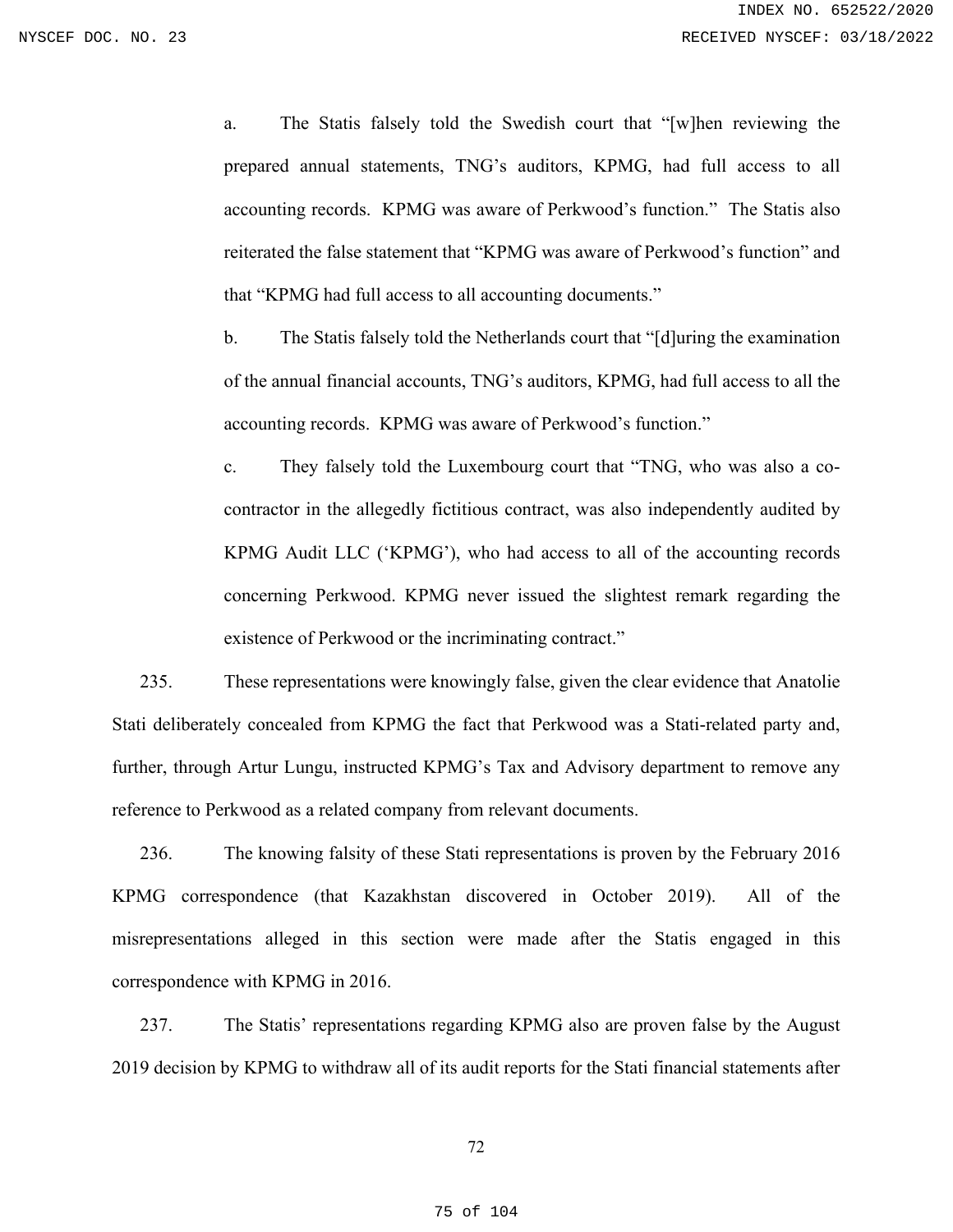a. The Statis falsely told the Swedish court that "[w]hen reviewing the prepared annual statements, TNG's auditors, KPMG, had full access to all accounting records. KPMG was aware of Perkwood's function." The Statis also reiterated the false statement that "KPMG was aware of Perkwood's function" and that "KPMG had full access to all accounting documents."

b. The Statis falsely told the Netherlands court that "[d]uring the examination of the annual financial accounts, TNG's auditors, KPMG, had full access to all the accounting records. KPMG was aware of Perkwood's function."

c. They falsely told the Luxembourg court that "TNG, who was also a cocontractor in the allegedly fictitious contract, was also independently audited by KPMG Audit LLC ('KPMG'), who had access to all of the accounting records concerning Perkwood. KPMG never issued the slightest remark regarding the existence of Perkwood or the incriminating contract."

235. These representations were knowingly false, given the clear evidence that Anatolie Stati deliberately concealed from KPMG the fact that Perkwood was a Stati-related party and, further, through Artur Lungu, instructed KPMG's Tax and Advisory department to remove any reference to Perkwood as a related company from relevant documents.

236. The knowing falsity of these Stati representations is proven by the February 2016 KPMG correspondence (that Kazakhstan discovered in October 2019). All of the misrepresentations alleged in this section were made after the Statis engaged in this correspondence with KPMG in 2016.

237. The Statis' representations regarding KPMG also are proven false by the August 2019 decision by KPMG to withdraw all of its audit reports for the Stati financial statements after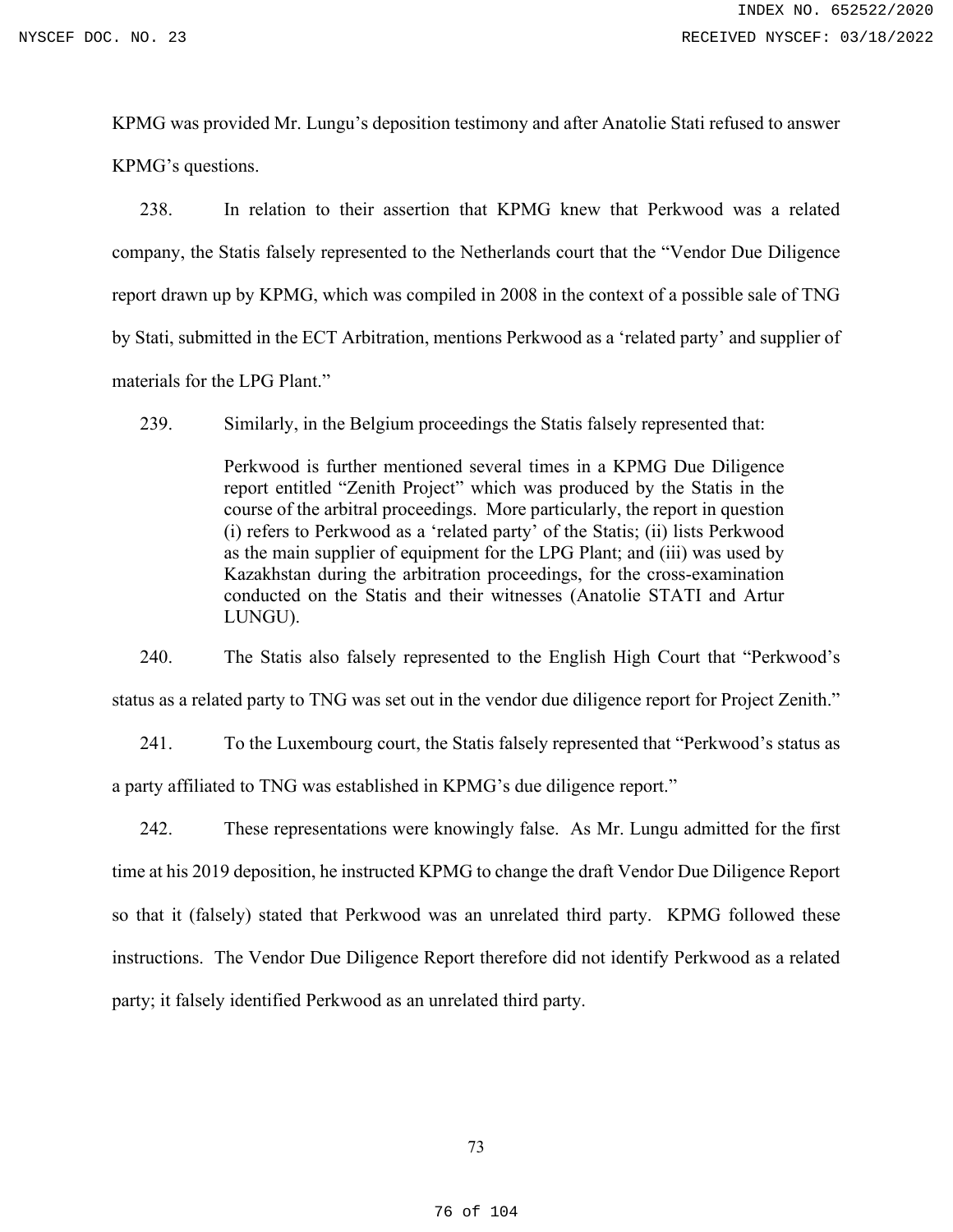KPMG was provided Mr. Lungu's deposition testimony and after Anatolie Stati refused to answer KPMG's questions.

238. In relation to their assertion that KPMG knew that Perkwood was a related company, the Statis falsely represented to the Netherlands court that the "Vendor Due Diligence report drawn up by KPMG, which was compiled in 2008 in the context of a possible sale of TNG by Stati, submitted in the ECT Arbitration, mentions Perkwood as a 'related party' and supplier of materials for the LPG Plant."

239. Similarly, in the Belgium proceedings the Statis falsely represented that:

Perkwood is further mentioned several times in a KPMG Due Diligence report entitled "Zenith Project" which was produced by the Statis in the course of the arbitral proceedings. More particularly, the report in question (i) refers to Perkwood as a 'related party' of the Statis; (ii) lists Perkwood as the main supplier of equipment for the LPG Plant; and (iii) was used by Kazakhstan during the arbitration proceedings, for the cross-examination conducted on the Statis and their witnesses (Anatolie STATI and Artur LUNGU).

240. The Statis also falsely represented to the English High Court that "Perkwood's status as a related party to TNG was set out in the vendor due diligence report for Project Zenith."

241. To the Luxembourg court, the Statis falsely represented that "Perkwood's status as a party affiliated to TNG was established in KPMG's due diligence report."

242. These representations were knowingly false. As Mr. Lungu admitted for the first time at his 2019 deposition, he instructed KPMG to change the draft Vendor Due Diligence Report so that it (falsely) stated that Perkwood was an unrelated third party. KPMG followed these instructions. The Vendor Due Diligence Report therefore did not identify Perkwood as a related party; it falsely identified Perkwood as an unrelated third party.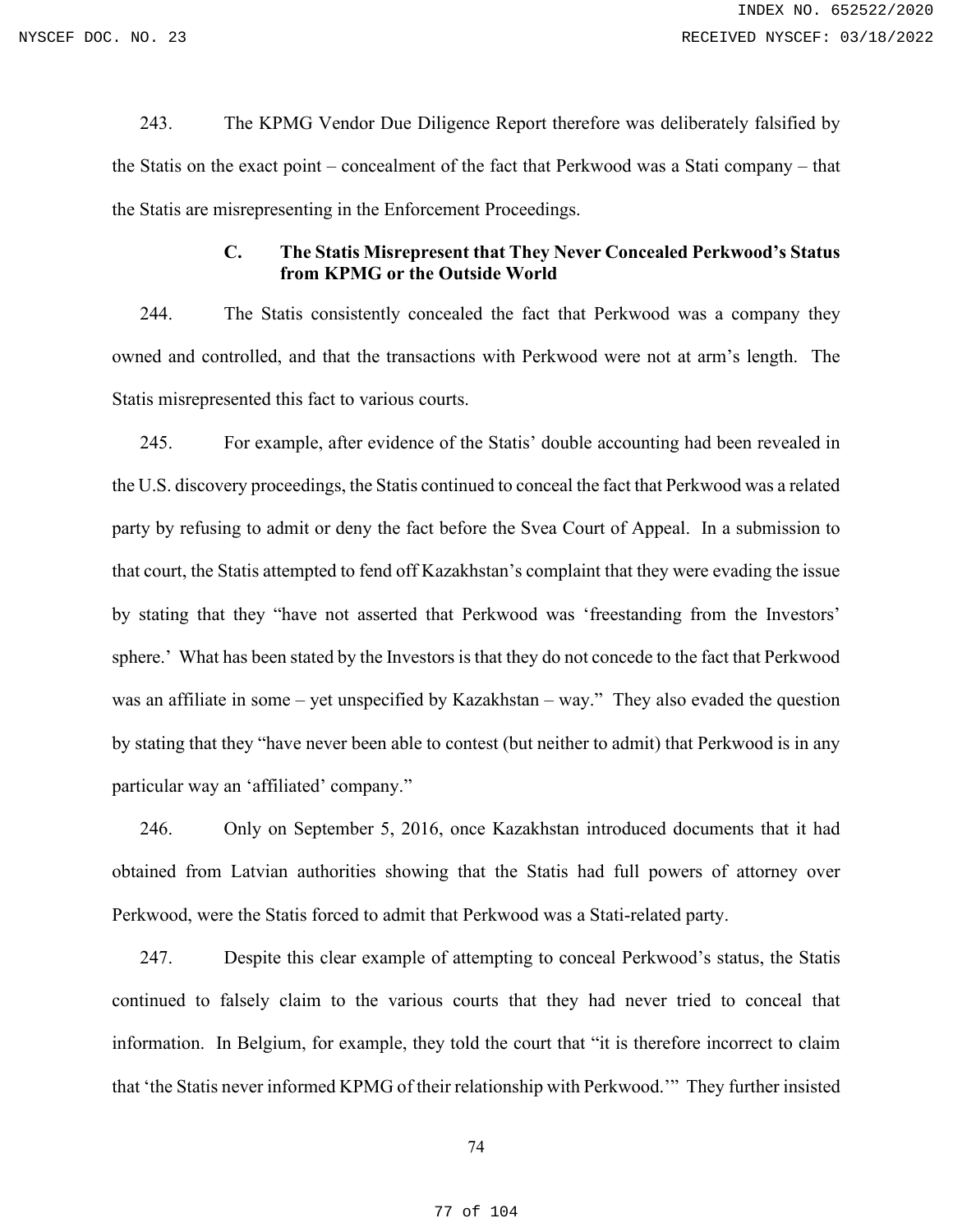243. The KPMG Vendor Due Diligence Report therefore was deliberately falsified by the Statis on the exact point – concealment of the fact that Perkwood was a Stati company – that the Statis are misrepresenting in the Enforcement Proceedings.

# **C. The Statis Misrepresent that They Never Concealed Perkwood's Status from KPMG or the Outside World**

244. The Statis consistently concealed the fact that Perkwood was a company they owned and controlled, and that the transactions with Perkwood were not at arm's length. The Statis misrepresented this fact to various courts.

245. For example, after evidence of the Statis' double accounting had been revealed in the U.S. discovery proceedings, the Statis continued to conceal the fact that Perkwood was a related party by refusing to admit or deny the fact before the Svea Court of Appeal. In a submission to that court, the Statis attempted to fend off Kazakhstan's complaint that they were evading the issue by stating that they "have not asserted that Perkwood was 'freestanding from the Investors' sphere.' What has been stated by the Investors is that they do not concede to the fact that Perkwood was an affiliate in some – yet unspecified by Kazakhstan – way." They also evaded the question by stating that they "have never been able to contest (but neither to admit) that Perkwood is in any particular way an 'affiliated' company."

246. Only on September 5, 2016, once Kazakhstan introduced documents that it had obtained from Latvian authorities showing that the Statis had full powers of attorney over Perkwood, were the Statis forced to admit that Perkwood was a Stati-related party.

247. Despite this clear example of attempting to conceal Perkwood's status, the Statis continued to falsely claim to the various courts that they had never tried to conceal that information. In Belgium, for example, they told the court that "it is therefore incorrect to claim that 'the Statis never informed KPMG of their relationship with Perkwood.'" They further insisted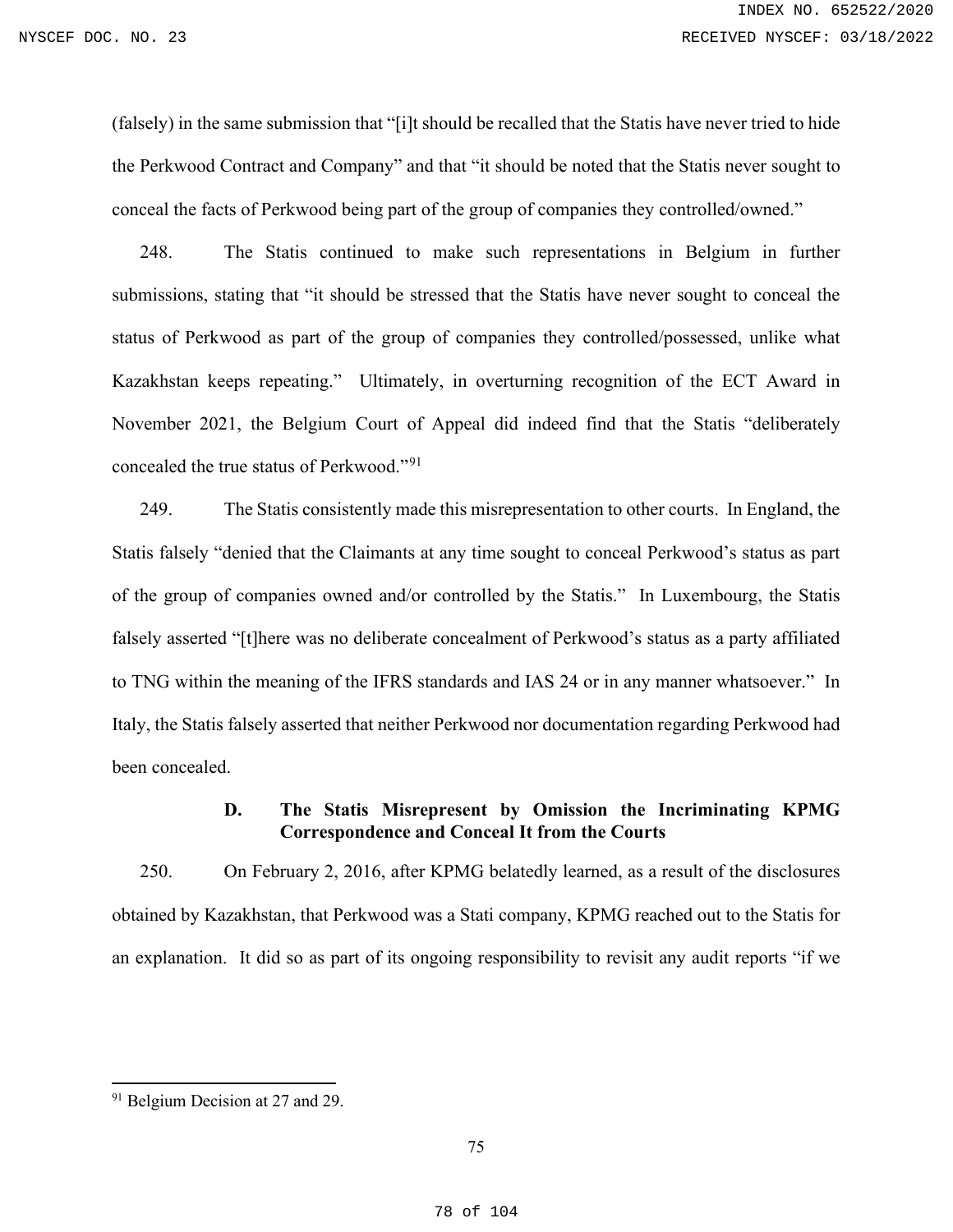(falsely) in the same submission that "[i]t should be recalled that the Statis have never tried to hide the Perkwood Contract and Company" and that "it should be noted that the Statis never sought to conceal the facts of Perkwood being part of the group of companies they controlled/owned."

248. The Statis continued to make such representations in Belgium in further submissions, stating that "it should be stressed that the Statis have never sought to conceal the status of Perkwood as part of the group of companies they controlled/possessed, unlike what Kazakhstan keeps repeating." Ultimately, in overturning recognition of the ECT Award in November 2021, the Belgium Court of Appeal did indeed find that the Statis "deliberately concealed the true status of Perkwood."[91](#page-77-0)

249. The Statis consistently made this misrepresentation to other courts. In England, the Statis falsely "denied that the Claimants at any time sought to conceal Perkwood's status as part of the group of companies owned and/or controlled by the Statis." In Luxembourg, the Statis falsely asserted "[t]here was no deliberate concealment of Perkwood's status as a party affiliated to TNG within the meaning of the IFRS standards and IAS 24 or in any manner whatsoever." In Italy, the Statis falsely asserted that neither Perkwood nor documentation regarding Perkwood had been concealed.

# **D. The Statis Misrepresent by Omission the Incriminating KPMG Correspondence and Conceal It from the Courts**

250. On February 2, 2016, after KPMG belatedly learned, as a result of the disclosures obtained by Kazakhstan, that Perkwood was a Stati company, KPMG reached out to the Statis for an explanation. It did so as part of its ongoing responsibility to revisit any audit reports "if we

<span id="page-77-0"></span><sup>&</sup>lt;sup>91</sup> Belgium Decision at 27 and 29.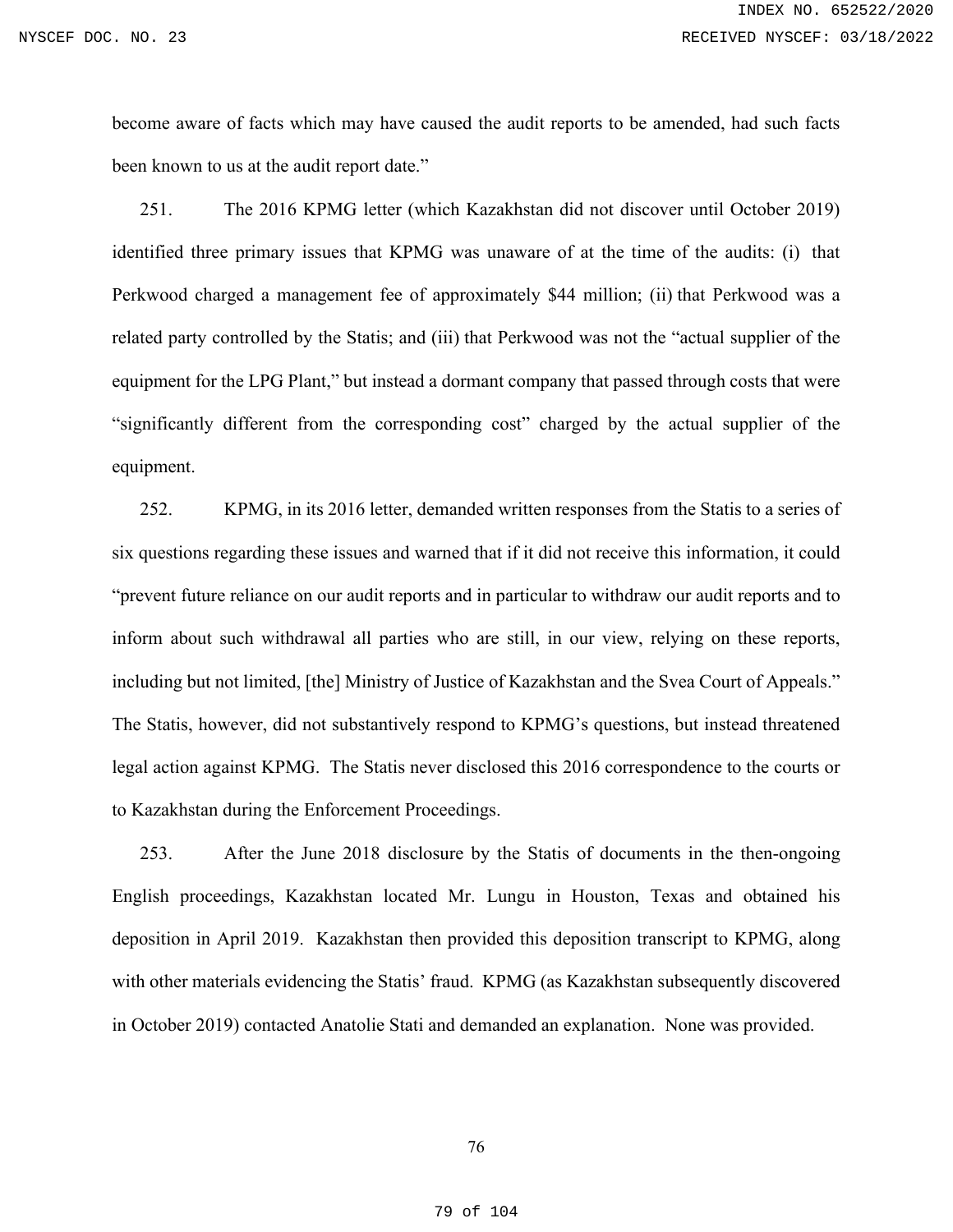become aware of facts which may have caused the audit reports to be amended, had such facts been known to us at the audit report date."

251. The 2016 KPMG letter (which Kazakhstan did not discover until October 2019) identified three primary issues that KPMG was unaware of at the time of the audits: (i) that Perkwood charged a management fee of approximately \$44 million; (ii) that Perkwood was a related party controlled by the Statis; and (iii) that Perkwood was not the "actual supplier of the equipment for the LPG Plant," but instead a dormant company that passed through costs that were "significantly different from the corresponding cost" charged by the actual supplier of the equipment.

252. KPMG, in its 2016 letter, demanded written responses from the Statis to a series of six questions regarding these issues and warned that if it did not receive this information, it could "prevent future reliance on our audit reports and in particular to withdraw our audit reports and to inform about such withdrawal all parties who are still, in our view, relying on these reports, including but not limited, [the] Ministry of Justice of Kazakhstan and the Svea Court of Appeals." The Statis, however, did not substantively respond to KPMG's questions, but instead threatened legal action against KPMG. The Statis never disclosed this 2016 correspondence to the courts or to Kazakhstan during the Enforcement Proceedings.

253. After the June 2018 disclosure by the Statis of documents in the then-ongoing English proceedings, Kazakhstan located Mr. Lungu in Houston, Texas and obtained his deposition in April 2019. Kazakhstan then provided this deposition transcript to KPMG, along with other materials evidencing the Statis' fraud. KPMG (as Kazakhstan subsequently discovered in October 2019) contacted Anatolie Stati and demanded an explanation. None was provided.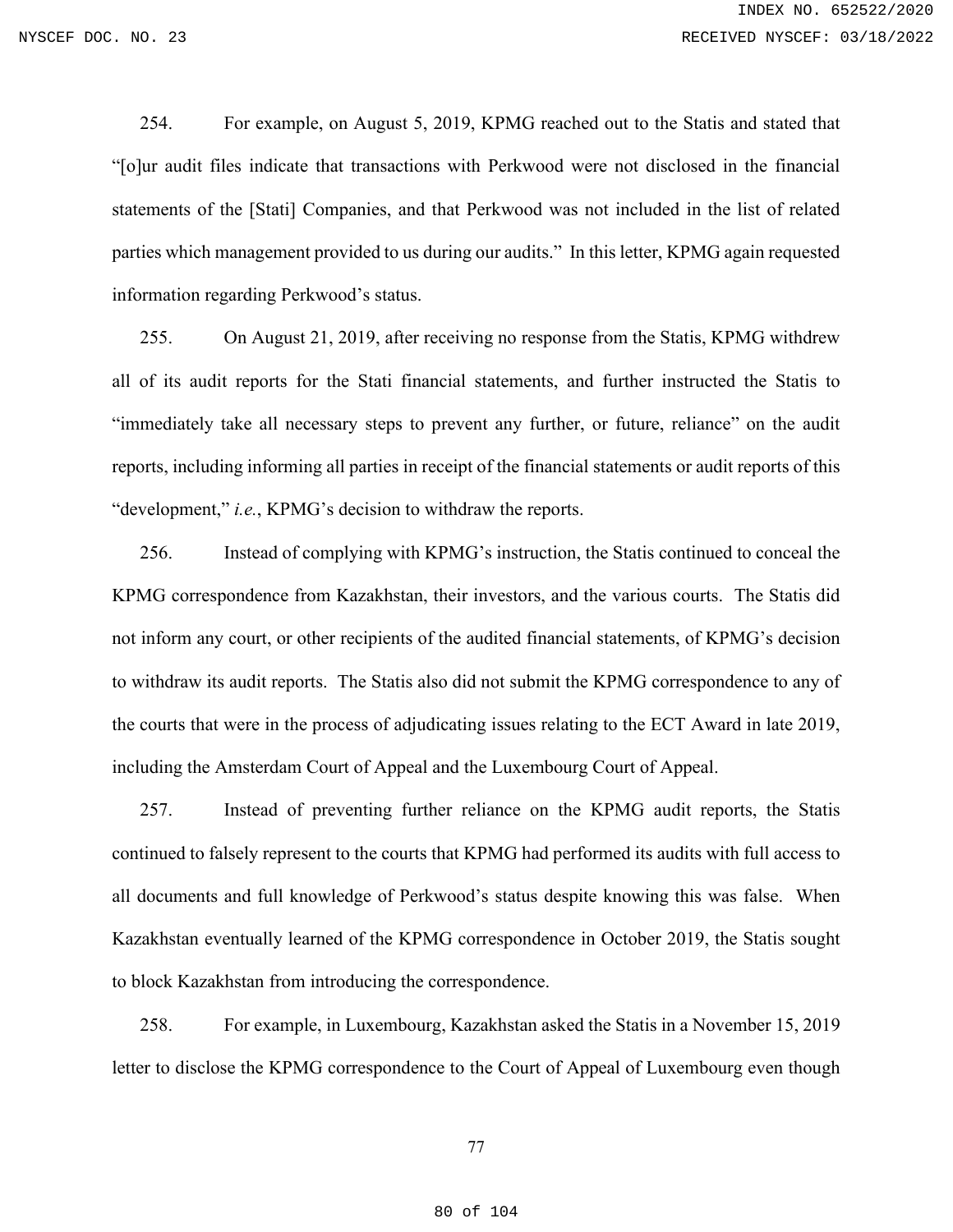254. For example, on August 5, 2019, KPMG reached out to the Statis and stated that "[o]ur audit files indicate that transactions with Perkwood were not disclosed in the financial statements of the [Stati] Companies, and that Perkwood was not included in the list of related parties which management provided to us during our audits." In this letter, KPMG again requested information regarding Perkwood's status.

255. On August 21, 2019, after receiving no response from the Statis, KPMG withdrew all of its audit reports for the Stati financial statements, and further instructed the Statis to "immediately take all necessary steps to prevent any further, or future, reliance" on the audit reports, including informing all parties in receipt of the financial statements or audit reports of this "development," *i.e.*, KPMG's decision to withdraw the reports.

256. Instead of complying with KPMG's instruction, the Statis continued to conceal the KPMG correspondence from Kazakhstan, their investors, and the various courts. The Statis did not inform any court, or other recipients of the audited financial statements, of KPMG's decision to withdraw its audit reports. The Statis also did not submit the KPMG correspondence to any of the courts that were in the process of adjudicating issues relating to the ECT Award in late 2019, including the Amsterdam Court of Appeal and the Luxembourg Court of Appeal.

257. Instead of preventing further reliance on the KPMG audit reports, the Statis continued to falsely represent to the courts that KPMG had performed its audits with full access to all documents and full knowledge of Perkwood's status despite knowing this was false. When Kazakhstan eventually learned of the KPMG correspondence in October 2019, the Statis sought to block Kazakhstan from introducing the correspondence.

258. For example, in Luxembourg, Kazakhstan asked the Statis in a November 15, 2019 letter to disclose the KPMG correspondence to the Court of Appeal of Luxembourg even though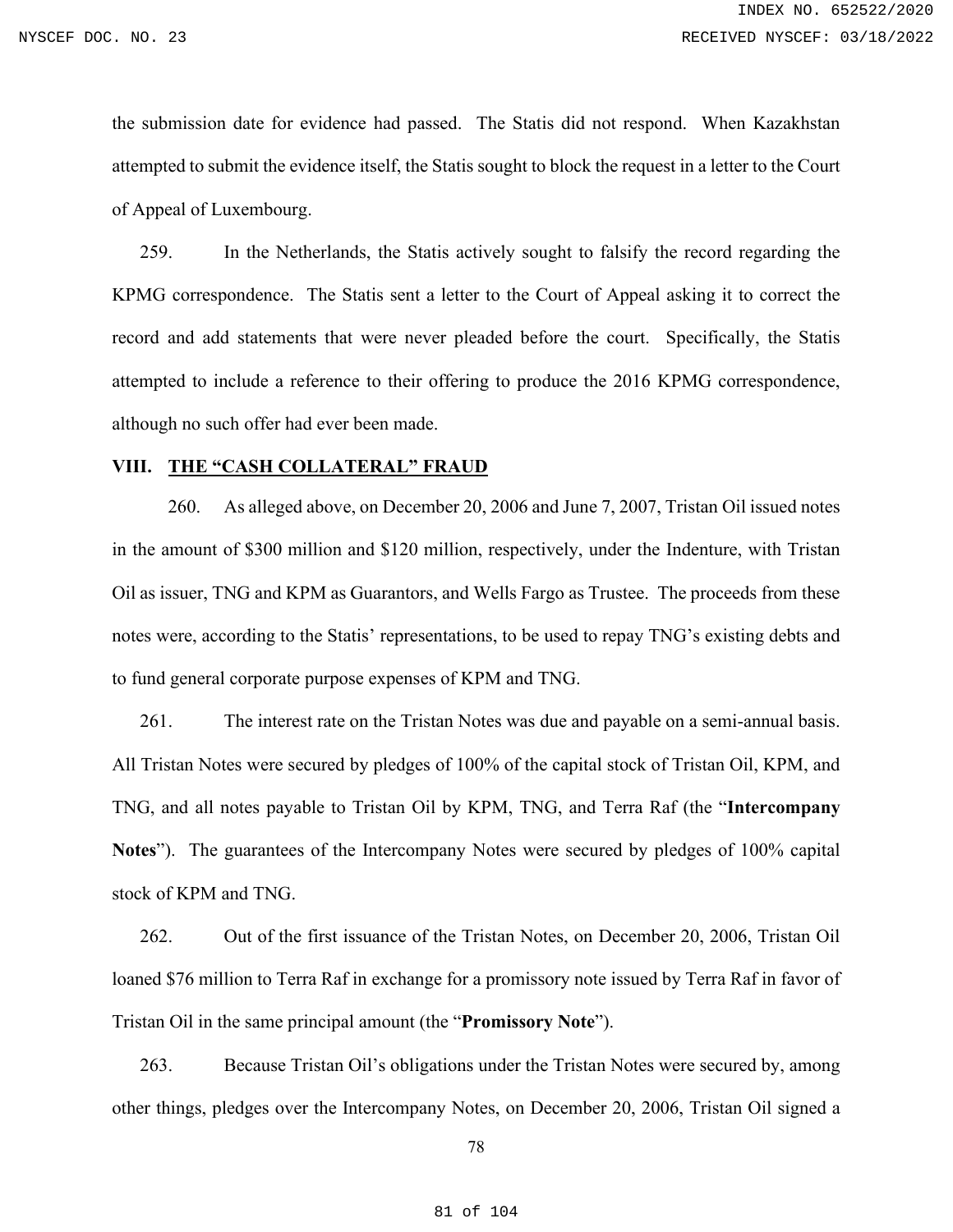the submission date for evidence had passed. The Statis did not respond. When Kazakhstan attempted to submit the evidence itself, the Statis sought to block the request in a letter to the Court of Appeal of Luxembourg.

259. In the Netherlands, the Statis actively sought to falsify the record regarding the KPMG correspondence. The Statis sent a letter to the Court of Appeal asking it to correct the record and add statements that were never pleaded before the court. Specifically, the Statis attempted to include a reference to their offering to produce the 2016 KPMG correspondence, although no such offer had ever been made.

## **VIII. THE "CASH COLLATERAL" FRAUD**

260. As alleged above, on December 20, 2006 and June 7, 2007, Tristan Oil issued notes in the amount of \$300 million and \$120 million, respectively, under the Indenture, with Tristan Oil as issuer, TNG and KPM as Guarantors, and Wells Fargo as Trustee. The proceeds from these notes were, according to the Statis' representations, to be used to repay TNG's existing debts and to fund general corporate purpose expenses of KPM and TNG.

261. The interest rate on the Tristan Notes was due and payable on a semi-annual basis. All Tristan Notes were secured by pledges of 100% of the capital stock of Tristan Oil, KPM, and TNG, and all notes payable to Tristan Oil by KPM, TNG, and Terra Raf (the "**Intercompany Notes**"). The guarantees of the Intercompany Notes were secured by pledges of 100% capital stock of KPM and TNG.

262. Out of the first issuance of the Tristan Notes, on December 20, 2006, Tristan Oil loaned \$76 million to Terra Raf in exchange for a promissory note issued by Terra Raf in favor of Tristan Oil in the same principal amount (the "**Promissory Note**").

263. Because Tristan Oil's obligations under the Tristan Notes were secured by, among other things, pledges over the Intercompany Notes, on December 20, 2006, Tristan Oil signed a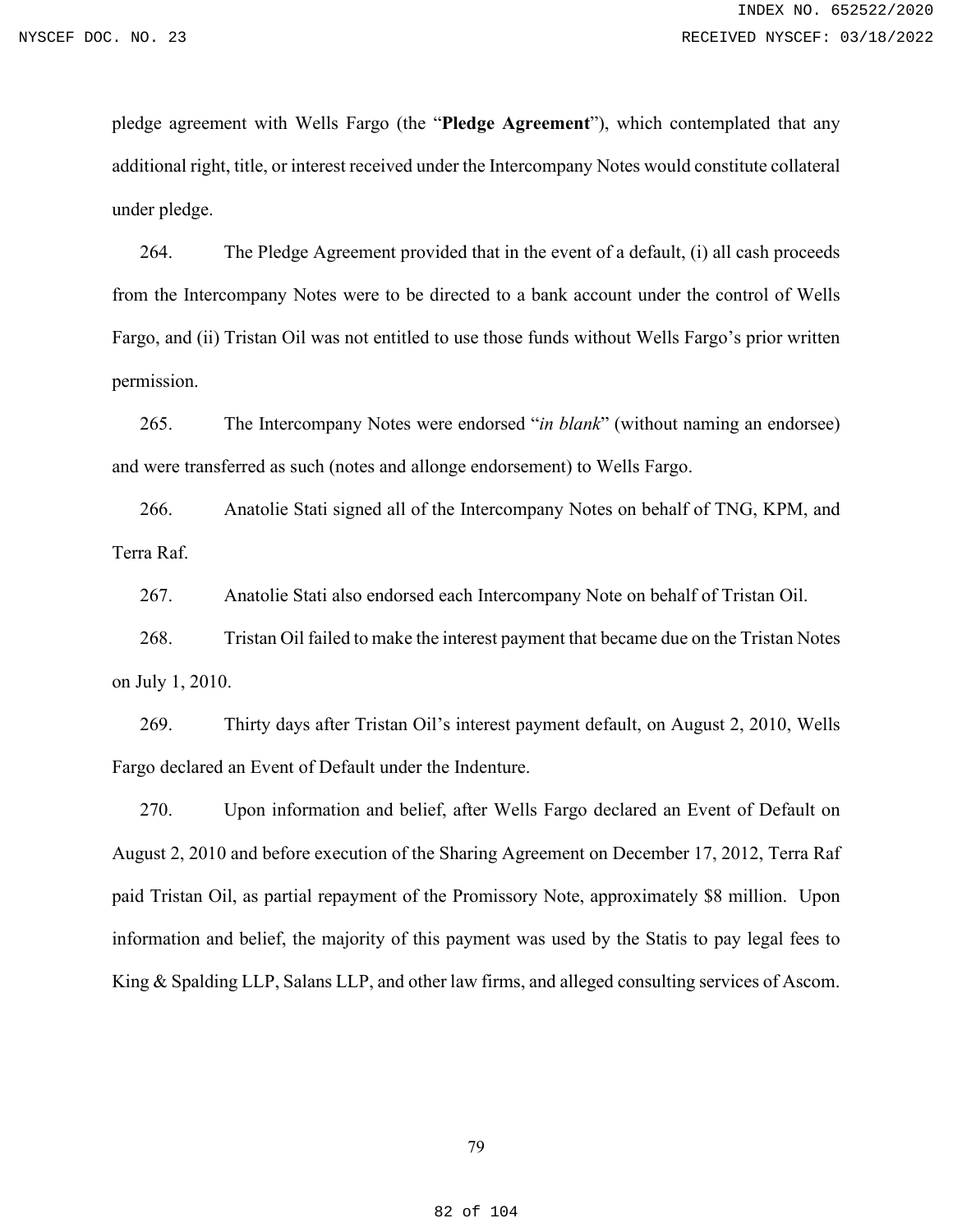pledge agreement with Wells Fargo (the "**Pledge Agreement**"), which contemplated that any additional right, title, or interest received under the Intercompany Notes would constitute collateral under pledge.

264. The Pledge Agreement provided that in the event of a default, (i) all cash proceeds from the Intercompany Notes were to be directed to a bank account under the control of Wells Fargo, and (ii) Tristan Oil was not entitled to use those funds without Wells Fargo's prior written permission.

265. The Intercompany Notes were endorsed "*in blank*" (without naming an endorsee) and were transferred as such (notes and allonge endorsement) to Wells Fargo.

266. Anatolie Stati signed all of the Intercompany Notes on behalf of TNG, KPM, and Terra Raf.

267. Anatolie Stati also endorsed each Intercompany Note on behalf of Tristan Oil.

268. Tristan Oil failed to make the interest payment that became due on the Tristan Notes on July 1, 2010.

269. Thirty days after Tristan Oil's interest payment default, on August 2, 2010, Wells Fargo declared an Event of Default under the Indenture.

270. Upon information and belief, after Wells Fargo declared an Event of Default on August 2, 2010 and before execution of the Sharing Agreement on December 17, 2012, Terra Raf paid Tristan Oil, as partial repayment of the Promissory Note, approximately \$8 million. Upon information and belief, the majority of this payment was used by the Statis to pay legal fees to King & Spalding LLP, Salans LLP, and other law firms, and alleged consulting services of Ascom.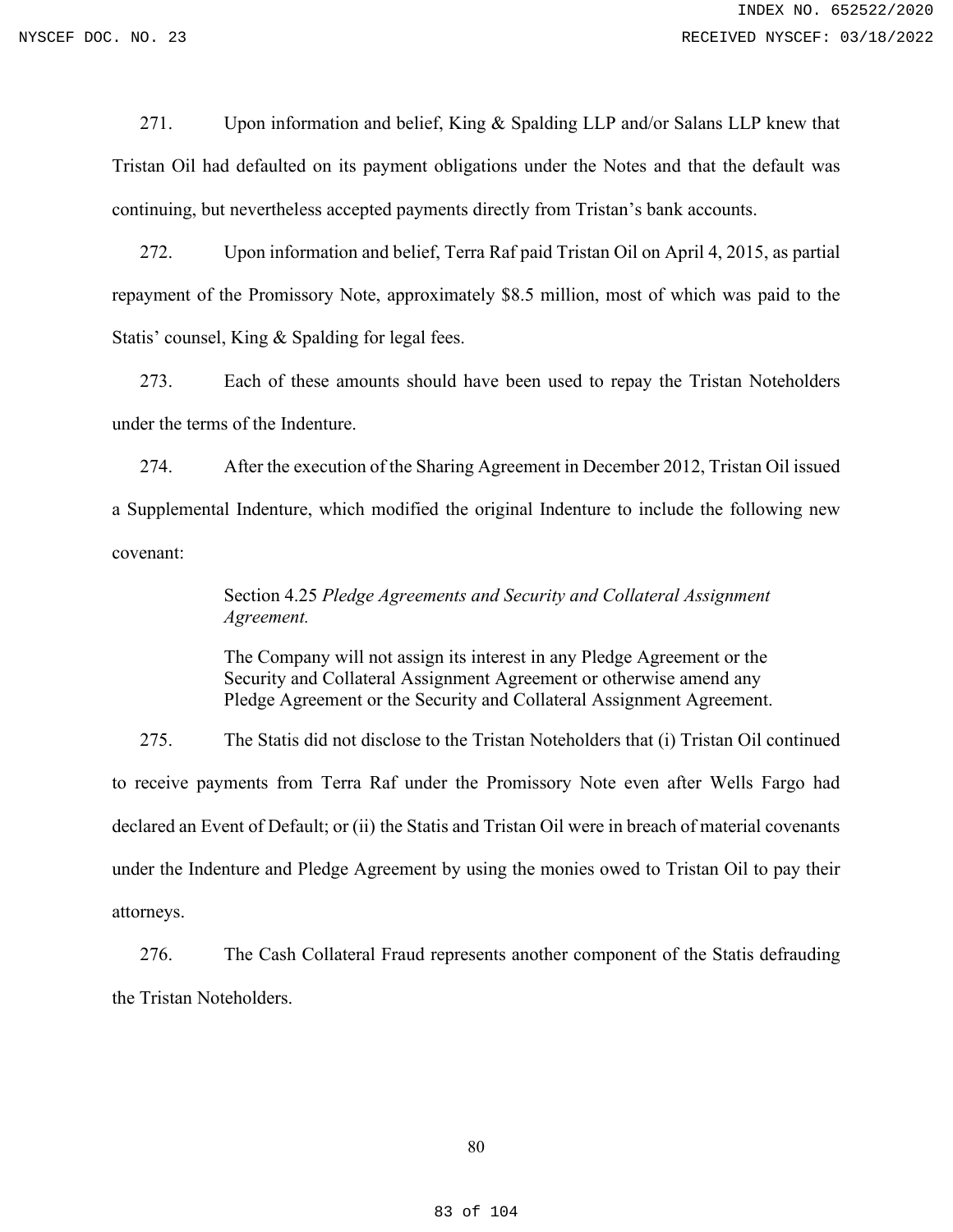271. Upon information and belief, King & Spalding LLP and/or Salans LLP knew that Tristan Oil had defaulted on its payment obligations under the Notes and that the default was continuing, but nevertheless accepted payments directly from Tristan's bank accounts.

272. Upon information and belief, Terra Raf paid Tristan Oil on April 4, 2015, as partial repayment of the Promissory Note, approximately \$8.5 million, most of which was paid to the Statis' counsel, King & Spalding for legal fees.

273. Each of these amounts should have been used to repay the Tristan Noteholders under the terms of the Indenture.

274. After the execution of the Sharing Agreement in December 2012, Tristan Oil issued a Supplemental Indenture, which modified the original Indenture to include the following new covenant:

# Section 4.25 *Pledge Agreements and Security and Collateral Assignment Agreement.*

The Company will not assign its interest in any Pledge Agreement or the Security and Collateral Assignment Agreement or otherwise amend any Pledge Agreement or the Security and Collateral Assignment Agreement.

275. The Statis did not disclose to the Tristan Noteholders that (i) Tristan Oil continued to receive payments from Terra Raf under the Promissory Note even after Wells Fargo had declared an Event of Default; or (ii) the Statis and Tristan Oil were in breach of material covenants under the Indenture and Pledge Agreement by using the monies owed to Tristan Oil to pay their attorneys.

276. The Cash Collateral Fraud represents another component of the Statis defrauding the Tristan Noteholders.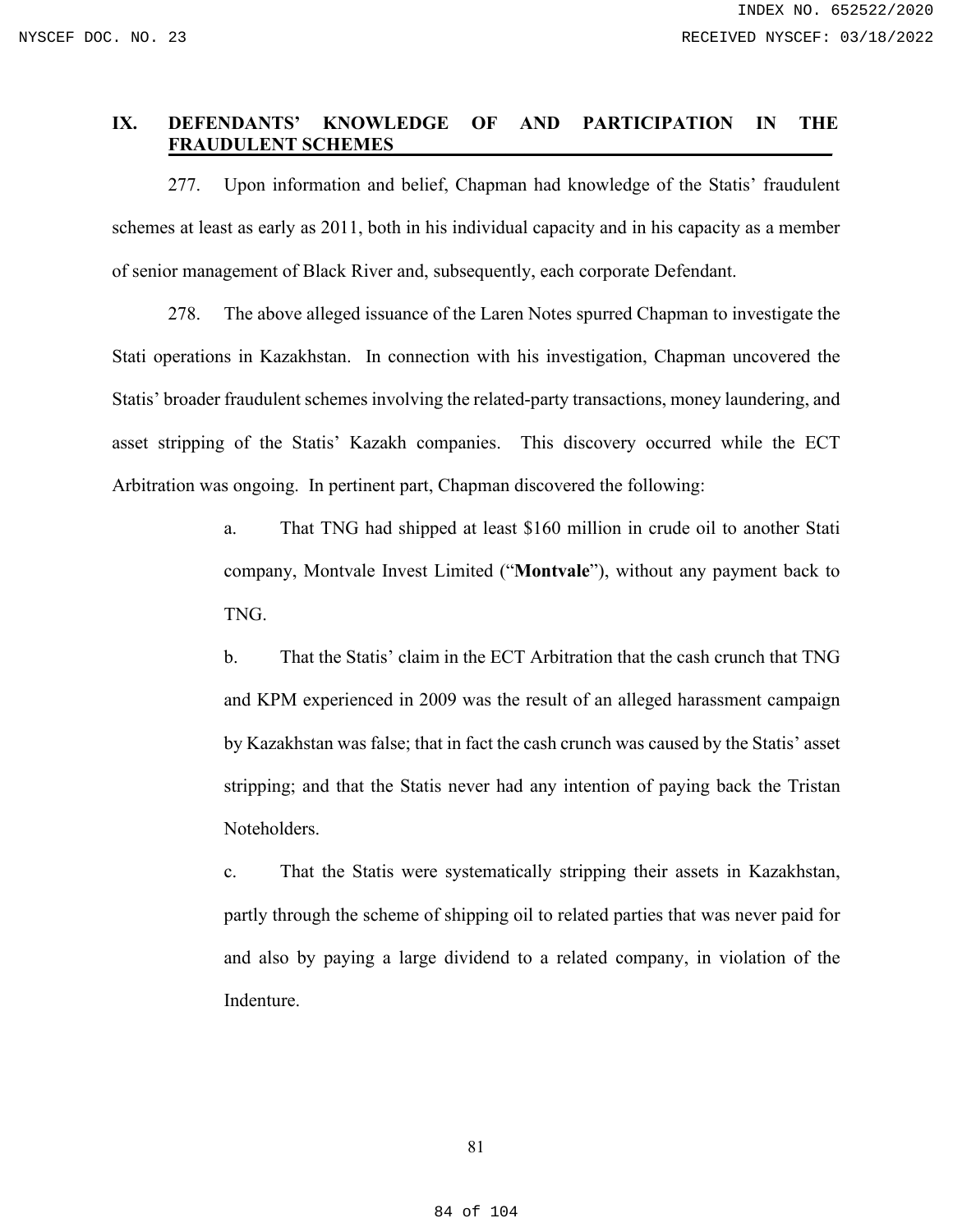## **IX. DEFENDANTS' KNOWLEDGE OF AND PARTICIPATION IN THE FRAUDULENT SCHEMES**\_\_\_\_\_\_\_\_\_\_\_\_\_\_\_\_\_\_\_\_\_\_\_\_\_\_\_\_\_\_\_\_\_\_\_\_\_\_\_\_\_\_\_\_\_\_\_

277. Upon information and belief, Chapman had knowledge of the Statis' fraudulent schemes at least as early as 2011, both in his individual capacity and in his capacity as a member of senior management of Black River and, subsequently, each corporate Defendant.

278. The above alleged issuance of the Laren Notes spurred Chapman to investigate the Stati operations in Kazakhstan. In connection with his investigation, Chapman uncovered the Statis' broader fraudulent schemes involving the related-party transactions, money laundering, and asset stripping of the Statis' Kazakh companies. This discovery occurred while the ECT Arbitration was ongoing. In pertinent part, Chapman discovered the following:

> a. That TNG had shipped at least \$160 million in crude oil to another Stati company, Montvale Invest Limited ("**Montvale**"), without any payment back to TNG.

> b. That the Statis' claim in the ECT Arbitration that the cash crunch that TNG and KPM experienced in 2009 was the result of an alleged harassment campaign by Kazakhstan was false; that in fact the cash crunch was caused by the Statis' asset stripping; and that the Statis never had any intention of paying back the Tristan Noteholders.

> c. That the Statis were systematically stripping their assets in Kazakhstan, partly through the scheme of shipping oil to related parties that was never paid for and also by paying a large dividend to a related company, in violation of the Indenture.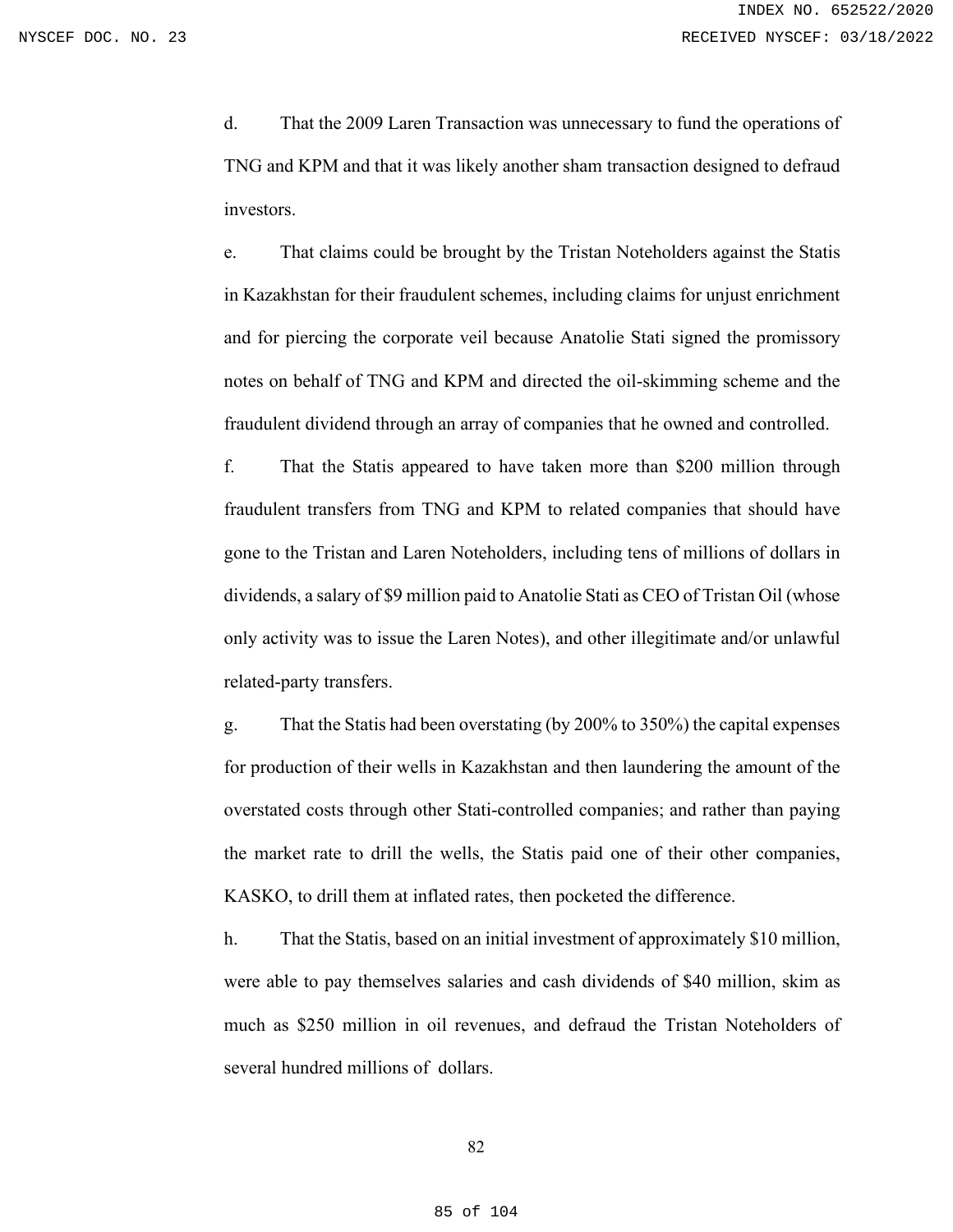d. That the 2009 Laren Transaction was unnecessary to fund the operations of TNG and KPM and that it was likely another sham transaction designed to defraud investors.

e. That claims could be brought by the Tristan Noteholders against the Statis in Kazakhstan for their fraudulent schemes, including claims for unjust enrichment and for piercing the corporate veil because Anatolie Stati signed the promissory notes on behalf of TNG and KPM and directed the oil-skimming scheme and the fraudulent dividend through an array of companies that he owned and controlled.

f. That the Statis appeared to have taken more than \$200 million through fraudulent transfers from TNG and KPM to related companies that should have gone to the Tristan and Laren Noteholders, including tens of millions of dollars in dividends, a salary of \$9 million paid to Anatolie Stati as CEO of Tristan Oil (whose only activity was to issue the Laren Notes), and other illegitimate and/or unlawful related-party transfers.

g. That the Statis had been overstating (by 200% to 350%) the capital expenses for production of their wells in Kazakhstan and then laundering the amount of the overstated costs through other Stati-controlled companies; and rather than paying the market rate to drill the wells, the Statis paid one of their other companies, KASKO, to drill them at inflated rates, then pocketed the difference.

h. That the Statis, based on an initial investment of approximately \$10 million, were able to pay themselves salaries and cash dividends of \$40 million, skim as much as \$250 million in oil revenues, and defraud the Tristan Noteholders of several hundred millions of dollars.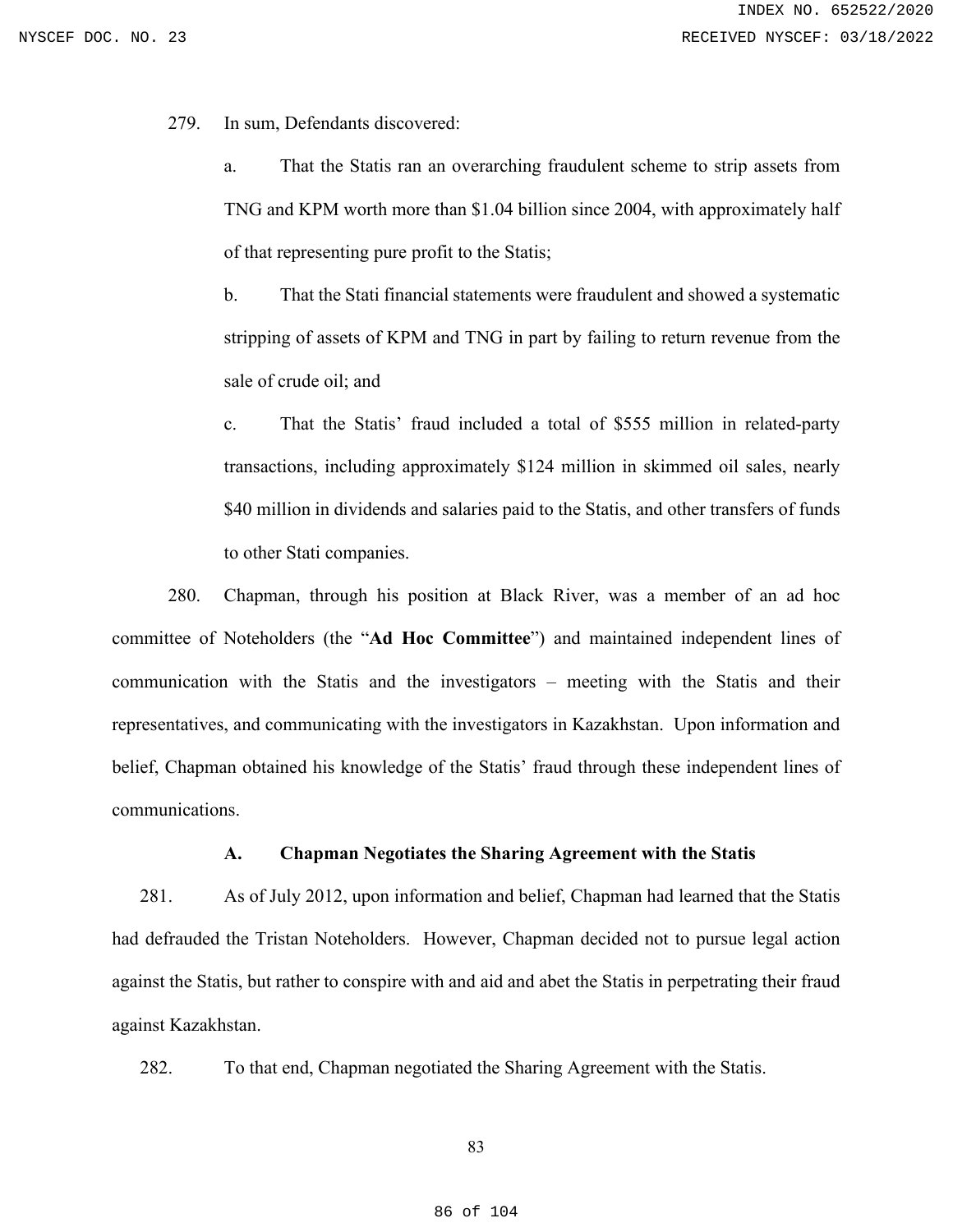279. In sum, Defendants discovered:

a. That the Statis ran an overarching fraudulent scheme to strip assets from TNG and KPM worth more than \$1.04 billion since 2004, with approximately half of that representing pure profit to the Statis;

b. That the Stati financial statements were fraudulent and showed a systematic stripping of assets of KPM and TNG in part by failing to return revenue from the sale of crude oil; and

c. That the Statis' fraud included a total of \$555 million in related-party transactions, including approximately \$124 million in skimmed oil sales, nearly \$40 million in dividends and salaries paid to the Statis, and other transfers of funds to other Stati companies.

280. Chapman, through his position at Black River, was a member of an ad hoc committee of Noteholders (the "**Ad Hoc Committee**") and maintained independent lines of communication with the Statis and the investigators – meeting with the Statis and their representatives, and communicating with the investigators in Kazakhstan. Upon information and belief, Chapman obtained his knowledge of the Statis' fraud through these independent lines of communications.

### **A. Chapman Negotiates the Sharing Agreement with the Statis**

281. As of July 2012, upon information and belief, Chapman had learned that the Statis had defrauded the Tristan Noteholders. However, Chapman decided not to pursue legal action against the Statis, but rather to conspire with and aid and abet the Statis in perpetrating their fraud against Kazakhstan.

282. To that end, Chapman negotiated the Sharing Agreement with the Statis.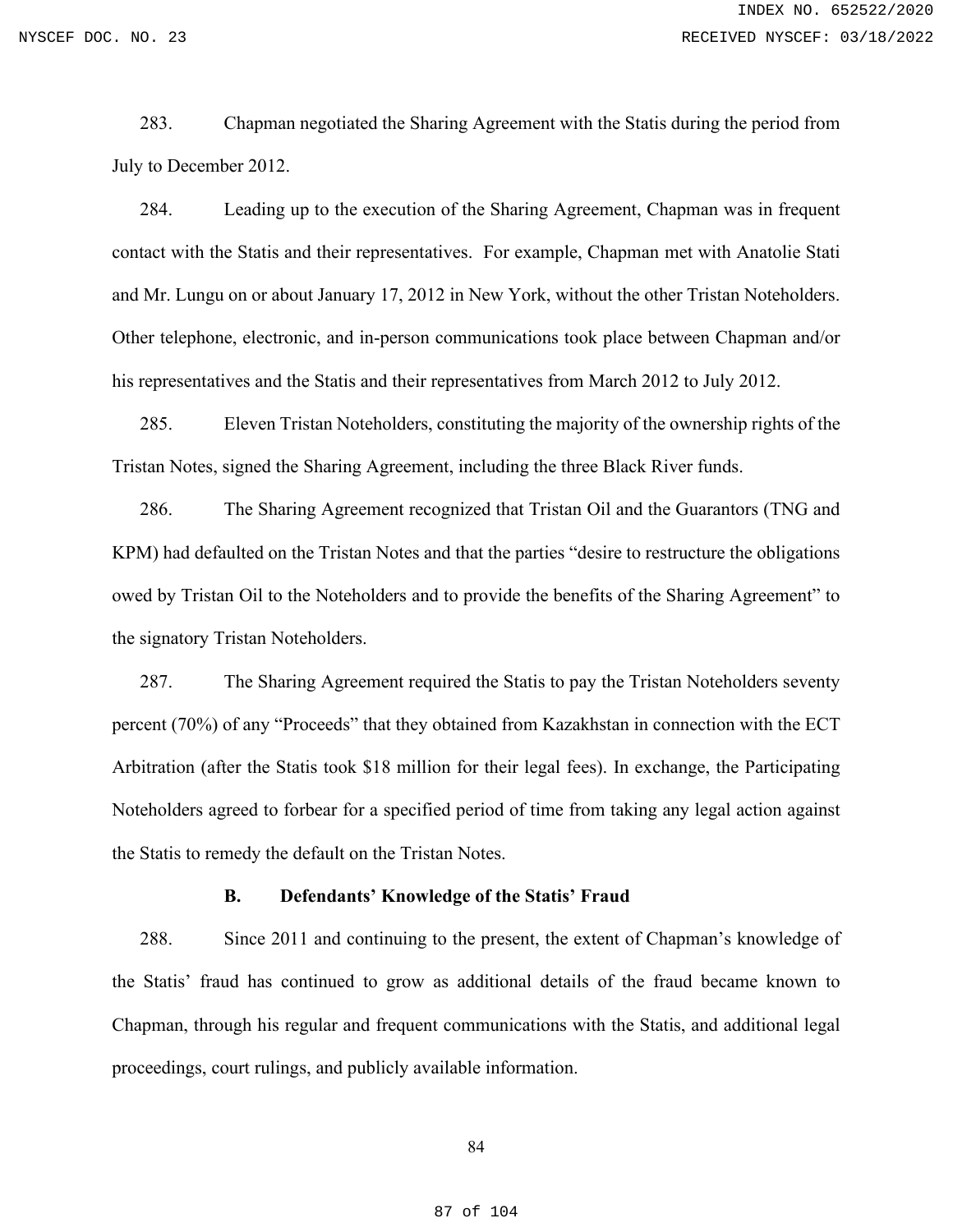283. Chapman negotiated the Sharing Agreement with the Statis during the period from July to December 2012.

284. Leading up to the execution of the Sharing Agreement, Chapman was in frequent contact with the Statis and their representatives. For example, Chapman met with Anatolie Stati and Mr. Lungu on or about January 17, 2012 in New York, without the other Tristan Noteholders. Other telephone, electronic, and in-person communications took place between Chapman and/or his representatives and the Statis and their representatives from March 2012 to July 2012.

285. Eleven Tristan Noteholders, constituting the majority of the ownership rights of the Tristan Notes, signed the Sharing Agreement, including the three Black River funds.

286. The Sharing Agreement recognized that Tristan Oil and the Guarantors (TNG and KPM) had defaulted on the Tristan Notes and that the parties "desire to restructure the obligations owed by Tristan Oil to the Noteholders and to provide the benefits of the Sharing Agreement" to the signatory Tristan Noteholders.

287. The Sharing Agreement required the Statis to pay the Tristan Noteholders seventy percent (70%) of any "Proceeds" that they obtained from Kazakhstan in connection with the ECT Arbitration (after the Statis took \$18 million for their legal fees). In exchange, the Participating Noteholders agreed to forbear for a specified period of time from taking any legal action against the Statis to remedy the default on the Tristan Notes.

### **B. Defendants' Knowledge of the Statis' Fraud**

288. Since 2011 and continuing to the present, the extent of Chapman's knowledge of the Statis' fraud has continued to grow as additional details of the fraud became known to Chapman, through his regular and frequent communications with the Statis, and additional legal proceedings, court rulings, and publicly available information.

#### 84

#### 87 of 104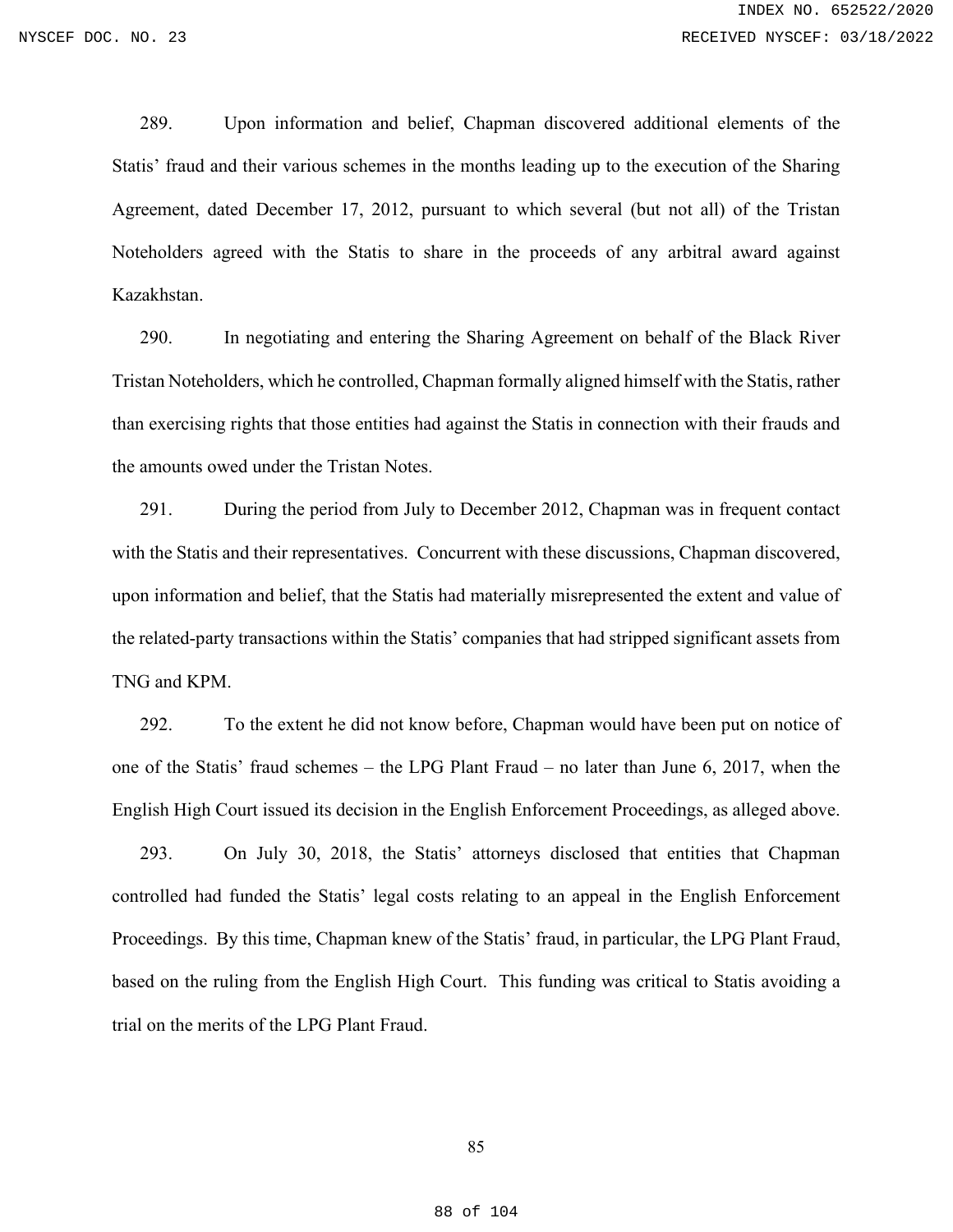289. Upon information and belief, Chapman discovered additional elements of the Statis' fraud and their various schemes in the months leading up to the execution of the Sharing Agreement, dated December 17, 2012, pursuant to which several (but not all) of the Tristan Noteholders agreed with the Statis to share in the proceeds of any arbitral award against Kazakhstan.

290. In negotiating and entering the Sharing Agreement on behalf of the Black River Tristan Noteholders, which he controlled, Chapman formally aligned himself with the Statis, rather than exercising rights that those entities had against the Statis in connection with their frauds and the amounts owed under the Tristan Notes.

291. During the period from July to December 2012, Chapman was in frequent contact with the Statis and their representatives. Concurrent with these discussions, Chapman discovered, upon information and belief, that the Statis had materially misrepresented the extent and value of the related-party transactions within the Statis' companies that had stripped significant assets from TNG and KPM.

292. To the extent he did not know before, Chapman would have been put on notice of one of the Statis' fraud schemes – the LPG Plant Fraud – no later than June 6, 2017, when the English High Court issued its decision in the English Enforcement Proceedings, as alleged above.

293. On July 30, 2018, the Statis' attorneys disclosed that entities that Chapman controlled had funded the Statis' legal costs relating to an appeal in the English Enforcement Proceedings. By this time, Chapman knew of the Statis' fraud, in particular, the LPG Plant Fraud, based on the ruling from the English High Court. This funding was critical to Statis avoiding a trial on the merits of the LPG Plant Fraud.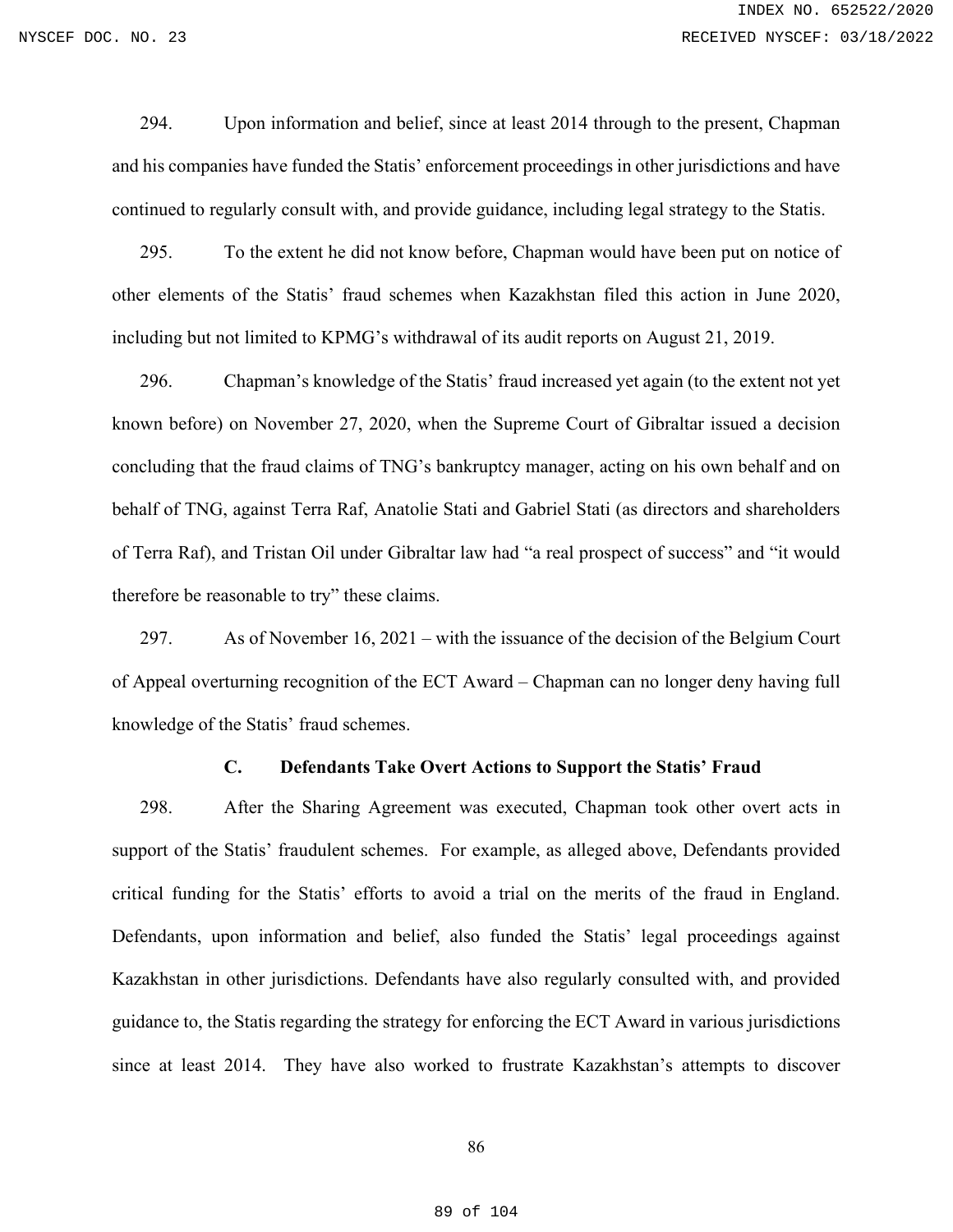294. Upon information and belief, since at least 2014 through to the present, Chapman and his companies have funded the Statis' enforcement proceedings in other jurisdictions and have continued to regularly consult with, and provide guidance, including legal strategy to the Statis.

295. To the extent he did not know before, Chapman would have been put on notice of other elements of the Statis' fraud schemes when Kazakhstan filed this action in June 2020, including but not limited to KPMG's withdrawal of its audit reports on August 21, 2019.

296. Chapman's knowledge of the Statis' fraud increased yet again (to the extent not yet known before) on November 27, 2020, when the Supreme Court of Gibraltar issued a decision concluding that the fraud claims of TNG's bankruptcy manager, acting on his own behalf and on behalf of TNG, against Terra Raf, Anatolie Stati and Gabriel Stati (as directors and shareholders of Terra Raf), and Tristan Oil under Gibraltar law had "a real prospect of success" and "it would therefore be reasonable to try" these claims.

297. As of November 16, 2021 – with the issuance of the decision of the Belgium Court of Appeal overturning recognition of the ECT Award – Chapman can no longer deny having full knowledge of the Statis' fraud schemes.

### **C. Defendants Take Overt Actions to Support the Statis' Fraud**

298. After the Sharing Agreement was executed, Chapman took other overt acts in support of the Statis' fraudulent schemes. For example, as alleged above, Defendants provided critical funding for the Statis' efforts to avoid a trial on the merits of the fraud in England. Defendants, upon information and belief, also funded the Statis' legal proceedings against Kazakhstan in other jurisdictions. Defendants have also regularly consulted with, and provided guidance to, the Statis regarding the strategy for enforcing the ECT Award in various jurisdictions since at least 2014. They have also worked to frustrate Kazakhstan's attempts to discover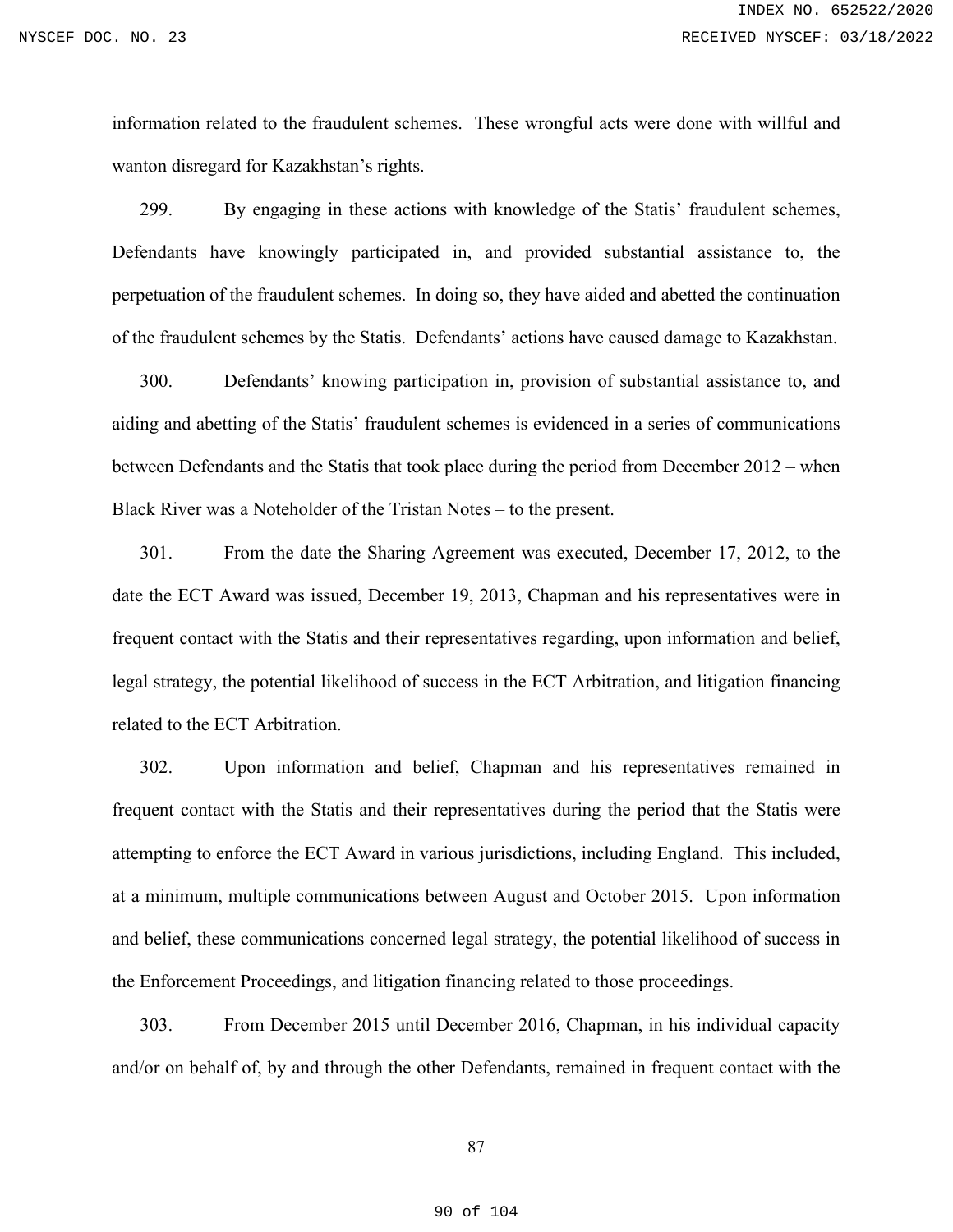information related to the fraudulent schemes. These wrongful acts were done with willful and wanton disregard for Kazakhstan's rights.

299. By engaging in these actions with knowledge of the Statis' fraudulent schemes, Defendants have knowingly participated in, and provided substantial assistance to, the perpetuation of the fraudulent schemes. In doing so, they have aided and abetted the continuation of the fraudulent schemes by the Statis. Defendants' actions have caused damage to Kazakhstan.

300. Defendants' knowing participation in, provision of substantial assistance to, and aiding and abetting of the Statis' fraudulent schemes is evidenced in a series of communications between Defendants and the Statis that took place during the period from December 2012 – when Black River was a Noteholder of the Tristan Notes – to the present.

301. From the date the Sharing Agreement was executed, December 17, 2012, to the date the ECT Award was issued, December 19, 2013, Chapman and his representatives were in frequent contact with the Statis and their representatives regarding, upon information and belief, legal strategy, the potential likelihood of success in the ECT Arbitration, and litigation financing related to the ECT Arbitration.

302. Upon information and belief, Chapman and his representatives remained in frequent contact with the Statis and their representatives during the period that the Statis were attempting to enforce the ECT Award in various jurisdictions, including England. This included, at a minimum, multiple communications between August and October 2015. Upon information and belief, these communications concerned legal strategy, the potential likelihood of success in the Enforcement Proceedings, and litigation financing related to those proceedings.

303. From December 2015 until December 2016, Chapman, in his individual capacity and/or on behalf of, by and through the other Defendants, remained in frequent contact with the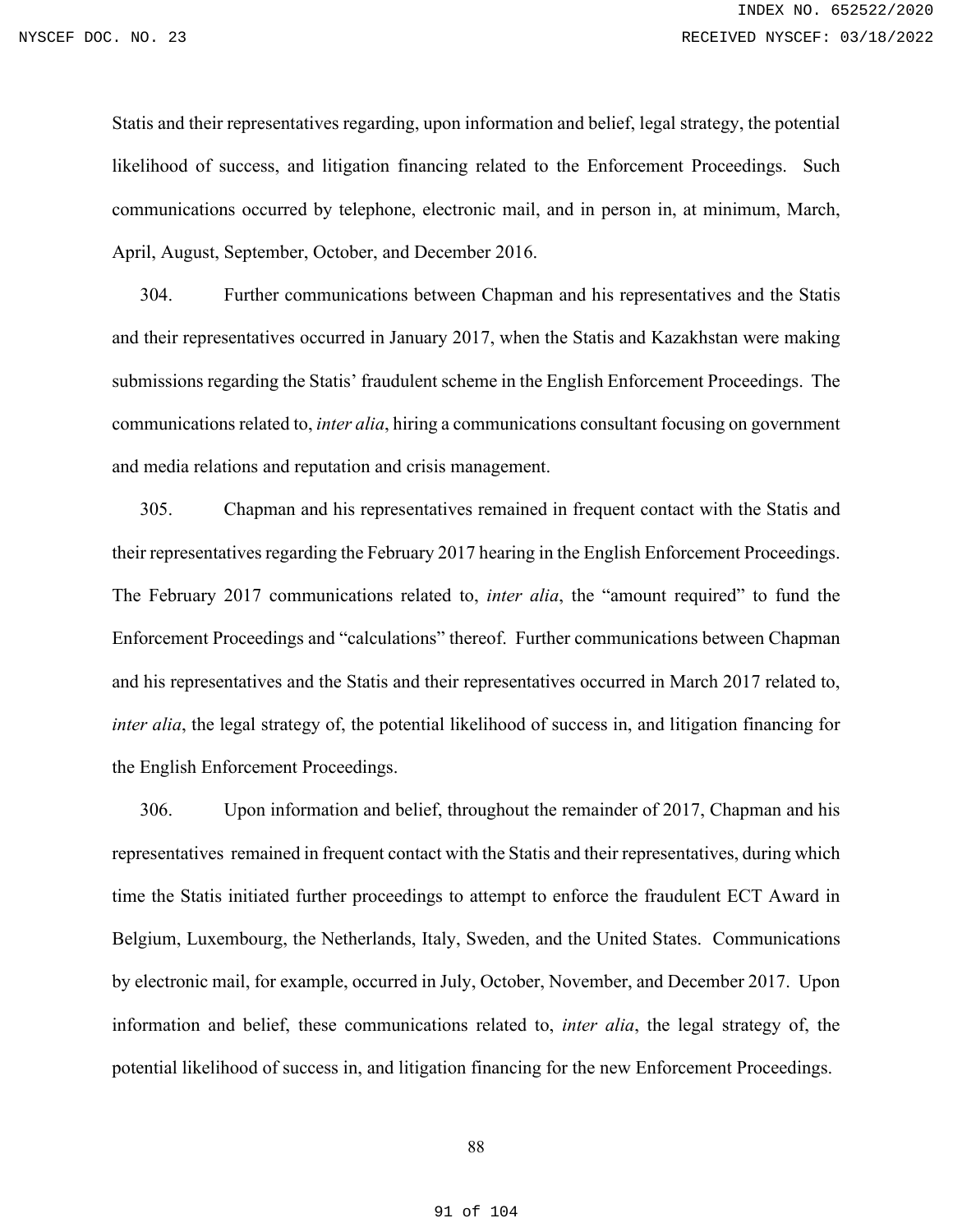Statis and their representatives regarding, upon information and belief, legal strategy, the potential likelihood of success, and litigation financing related to the Enforcement Proceedings. Such communications occurred by telephone, electronic mail, and in person in, at minimum, March, April, August, September, October, and December 2016.

304. Further communications between Chapman and his representatives and the Statis and their representatives occurred in January 2017, when the Statis and Kazakhstan were making submissions regarding the Statis' fraudulent scheme in the English Enforcement Proceedings. The communications related to, *inter alia*, hiring a communications consultant focusing on government and media relations and reputation and crisis management.

305. Chapman and his representatives remained in frequent contact with the Statis and their representatives regarding the February 2017 hearing in the English Enforcement Proceedings. The February 2017 communications related to, *inter alia*, the "amount required" to fund the Enforcement Proceedings and "calculations" thereof. Further communications between Chapman and his representatives and the Statis and their representatives occurred in March 2017 related to, *inter alia*, the legal strategy of, the potential likelihood of success in, and litigation financing for the English Enforcement Proceedings.

306. Upon information and belief, throughout the remainder of 2017, Chapman and his representatives remained in frequent contact with the Statis and their representatives, during which time the Statis initiated further proceedings to attempt to enforce the fraudulent ECT Award in Belgium, Luxembourg, the Netherlands, Italy, Sweden, and the United States. Communications by electronic mail, for example, occurred in July, October, November, and December 2017. Upon information and belief, these communications related to, *inter alia*, the legal strategy of, the potential likelihood of success in, and litigation financing for the new Enforcement Proceedings.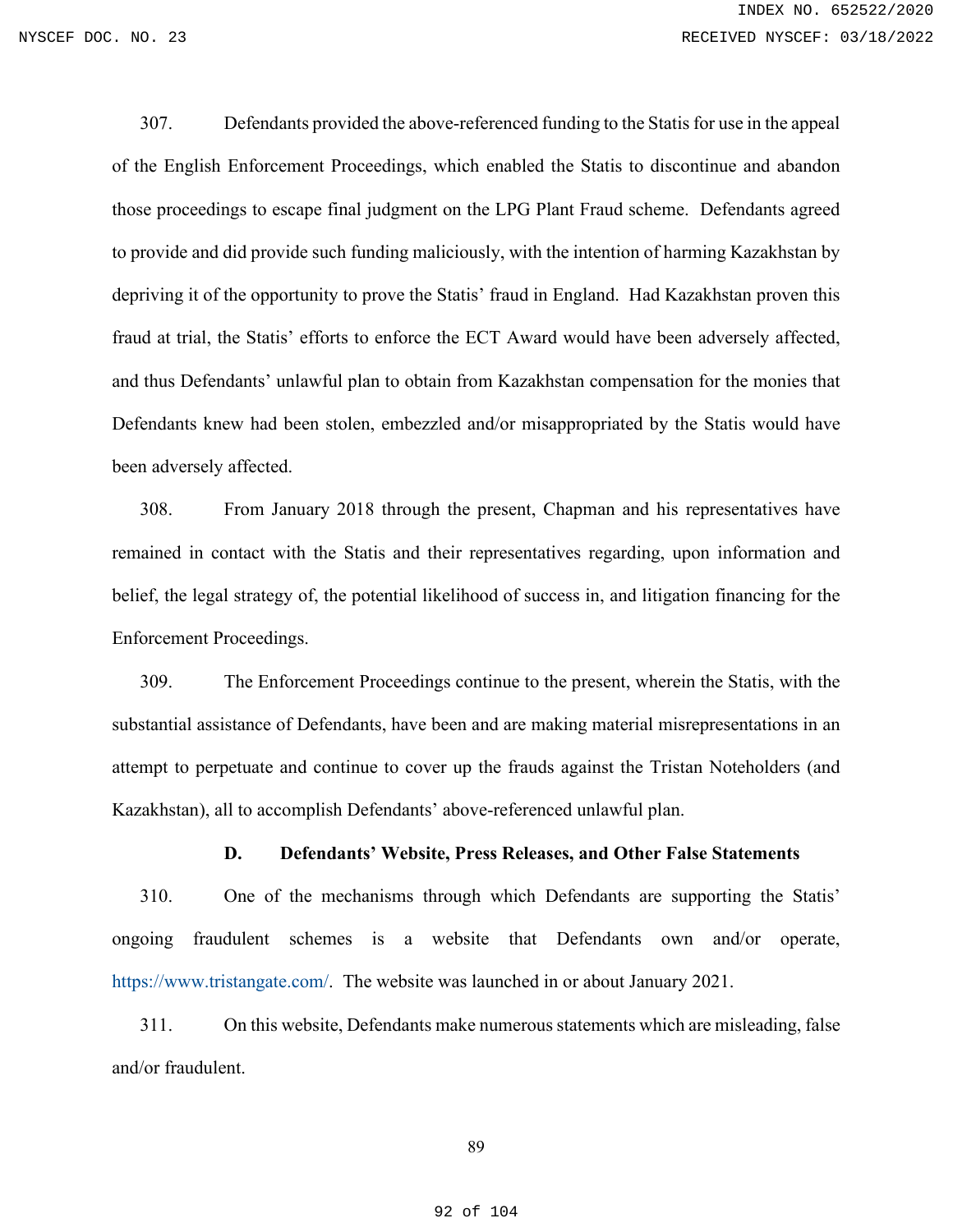307. Defendants provided the above-referenced funding to the Statis for use in the appeal of the English Enforcement Proceedings, which enabled the Statis to discontinue and abandon those proceedings to escape final judgment on the LPG Plant Fraud scheme. Defendants agreed to provide and did provide such funding maliciously, with the intention of harming Kazakhstan by depriving it of the opportunity to prove the Statis' fraud in England. Had Kazakhstan proven this fraud at trial, the Statis' efforts to enforce the ECT Award would have been adversely affected, and thus Defendants' unlawful plan to obtain from Kazakhstan compensation for the monies that Defendants knew had been stolen, embezzled and/or misappropriated by the Statis would have been adversely affected.

308. From January 2018 through the present, Chapman and his representatives have remained in contact with the Statis and their representatives regarding, upon information and belief, the legal strategy of, the potential likelihood of success in, and litigation financing for the Enforcement Proceedings.

309. The Enforcement Proceedings continue to the present, wherein the Statis, with the substantial assistance of Defendants, have been and are making material misrepresentations in an attempt to perpetuate and continue to cover up the frauds against the Tristan Noteholders (and Kazakhstan), all to accomplish Defendants' above-referenced unlawful plan.

## **D. Defendants' Website, Press Releases, and Other False Statements**

310. One of the mechanisms through which Defendants are supporting the Statis' ongoing fraudulent schemes is a website that Defendants own and/or operate, [https://www.tristangate.com/.](https://www.tristangate.com/) The website was launched in or about January 2021.

311. On this website, Defendants make numerous statements which are misleading, false and/or fraudulent.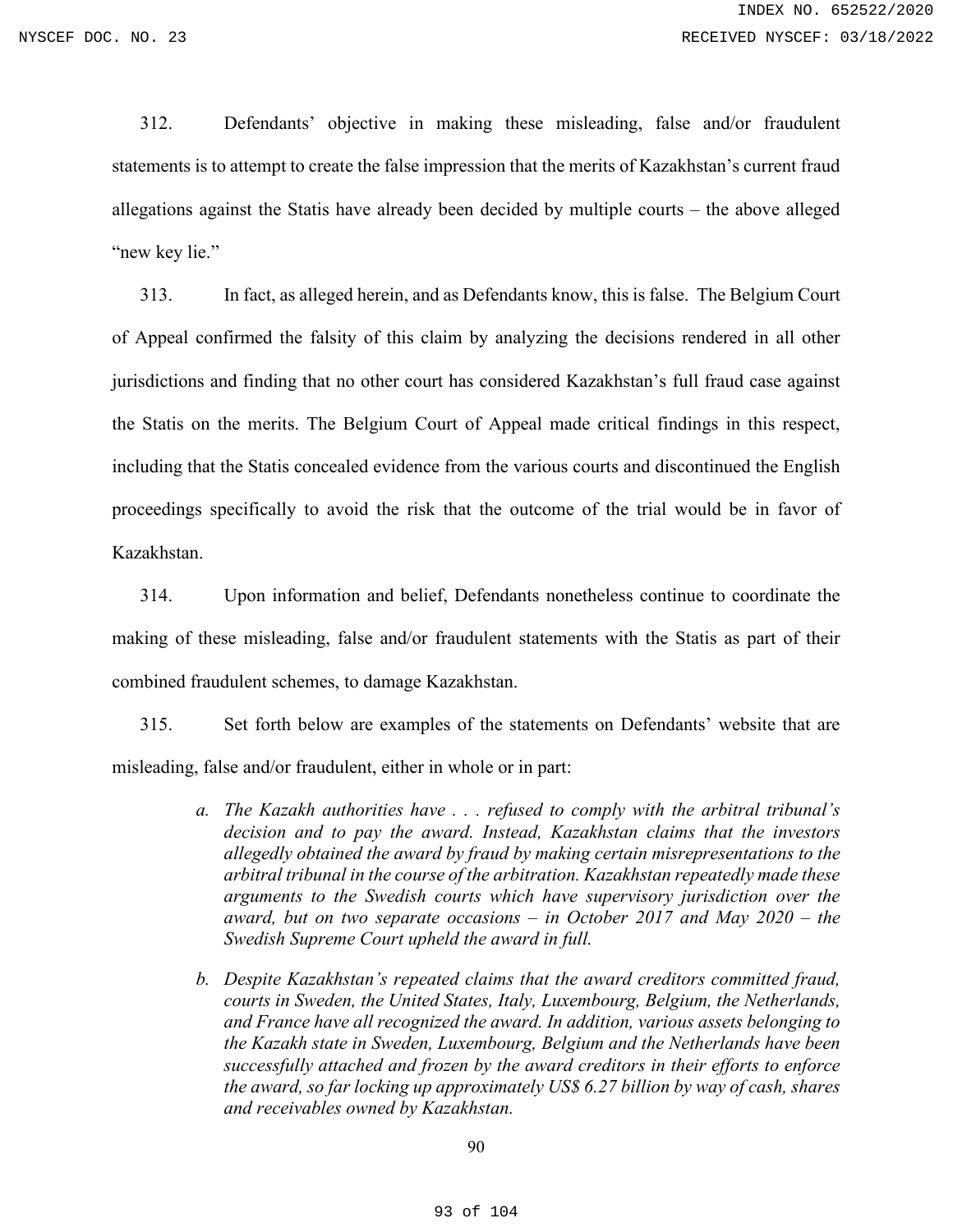312. Defendants' objective in making these misleading, false and/or fraudulent statements is to attempt to create the false impression that the merits of Kazakhstan's current fraud allegations against the Statis have already been decided by multiple courts – the above alleged "new key lie."

313. In fact, as alleged herein, and as Defendants know, this is false. The Belgium Court of Appeal confirmed the falsity of this claim by analyzing the decisions rendered in all other jurisdictions and finding that no other court has considered Kazakhstan's full fraud case against the Statis on the merits. The Belgium Court of Appeal made critical findings in this respect, including that the Statis concealed evidence from the various courts and discontinued the English proceedings specifically to avoid the risk that the outcome of the trial would be in favor of Kazakhstan.

314. Upon information and belief, Defendants nonetheless continue to coordinate the making of these misleading, false and/or fraudulent statements with the Statis as part of their combined fraudulent schemes, to damage Kazakhstan.

315. Set forth below are examples of the statements on Defendants' website that are misleading, false and/or fraudulent, either in whole or in part:

- *a. The Kazakh authorities have . . . refused to comply with the arbitral tribunal's decision and to pay the award. Instead, Kazakhstan claims that the investors allegedly obtained the award by fraud by making certain misrepresentations to the arbitral tribunal in the course of the arbitration. Kazakhstan repeatedly made these arguments to the Swedish courts which have supervisory jurisdiction over the award, but on two separate occasions – in October 2017 and May 2020 – the Swedish Supreme Court upheld the award in full.*
- *b. Despite Kazakhstan's repeated claims that the award creditors committed fraud, courts in Sweden, the United States, Italy, Luxembourg, Belgium, the Netherlands, and France have all recognized the award. In addition, various assets belonging to the Kazakh state in Sweden, Luxembourg, Belgium and the Netherlands have been successfully attached and frozen by the award creditors in their efforts to enforce the award, so far locking up approximately US\$ 6.27 billion by way of cash, shares and receivables owned by Kazakhstan.*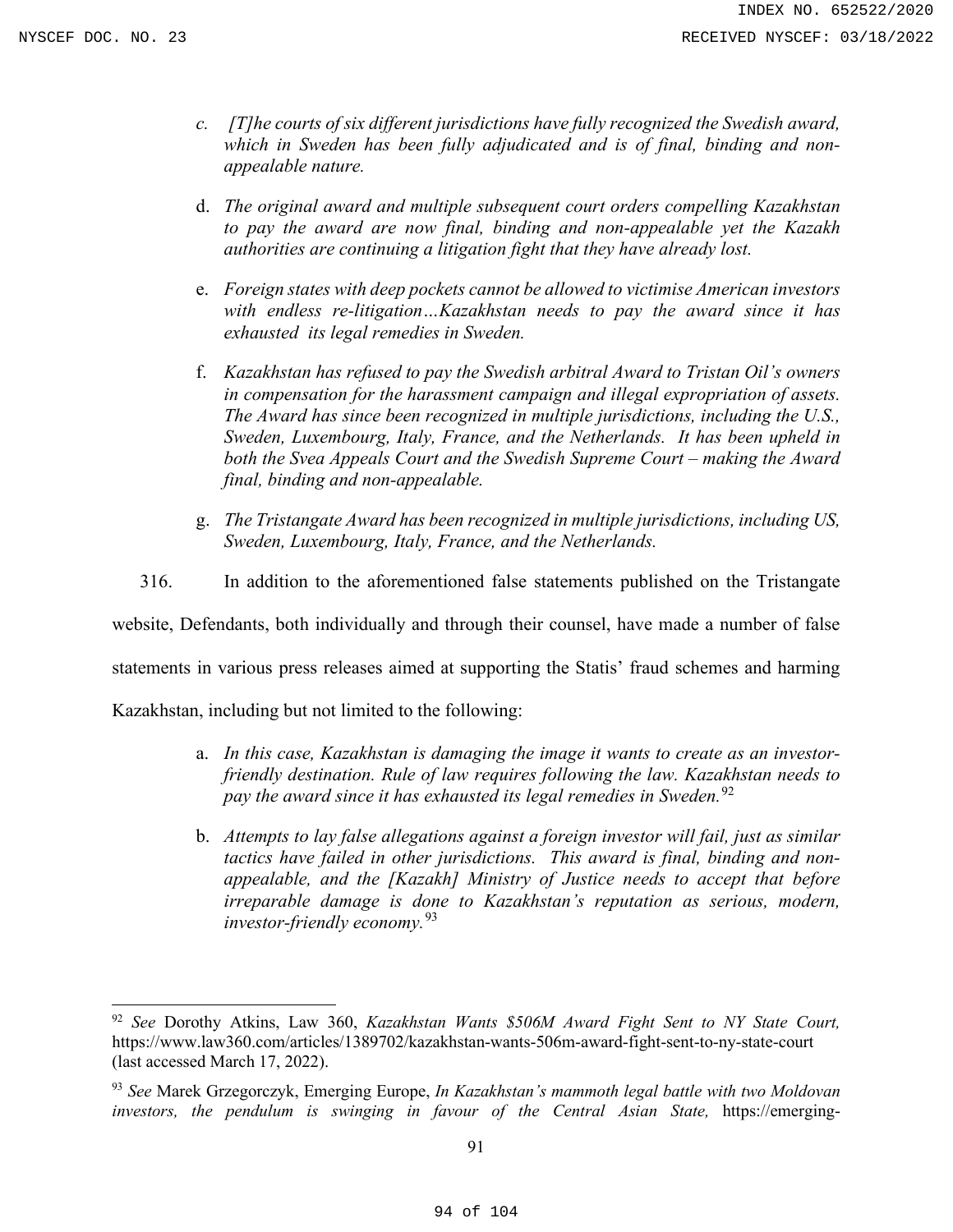- *c. [T]he courts of six different jurisdictions have fully recognized the Swedish award, which in Sweden has been fully adjudicated and is of final, binding and nonappealable nature.*
- d. *The original award and multiple subsequent court orders compelling Kazakhstan to pay the award are now final, binding and non-appealable yet the Kazakh authorities are continuing a litigation fight that they have already lost.*
- e. *Foreign states with deep pockets cannot be allowed to victimise American investors with endless re-litigation…Kazakhstan needs to pay the award since it has exhausted its legal remedies in Sweden.*
- f. *Kazakhstan has refused to pay the Swedish arbitral Award to Tristan Oil's owners in compensation for the harassment campaign and illegal expropriation of assets. The Award has since been recognized in multiple jurisdictions, including the U.S., Sweden, Luxembourg, Italy, France, and the Netherlands. It has been upheld in both the Svea Appeals Court and the Swedish Supreme Court – making the Award final, binding and non-appealable.*
- g. *The Tristangate Award has been recognized in multiple jurisdictions, including US, Sweden, Luxembourg, Italy, France, and the Netherlands.*
- 316. In addition to the aforementioned false statements published on the Tristangate

website, Defendants, both individually and through their counsel, have made a number of false

statements in various press releases aimed at supporting the Statis' fraud schemes and harming

Kazakhstan, including but not limited to the following:

- a. *In this case, Kazakhstan is damaging the image it wants to create as an investorfriendly destination. Rule of law requires following the law. Kazakhstan needs to pay the award since it has exhausted its legal remedies in Sweden.*[92](#page-93-0)
- b. *Attempts to lay false allegations against a foreign investor will fail, just as similar tactics have failed in other jurisdictions. This award is final, binding and nonappealable, and the [Kazakh] Ministry of Justice needs to accept that before irreparable damage is done to Kazakhstan's reputation as serious, modern, investor-friendly economy.* [93](#page-93-1)

<span id="page-93-0"></span><sup>92</sup> *See* Dorothy Atkins, Law 360, *Kazakhstan Wants \$506M Award Fight Sent to NY State Court,*  https://www.law360.com/articles/1389702/kazakhstan-wants-506m-award-fight-sent-to-ny-state-court (last accessed March 17, 2022).

<span id="page-93-1"></span><sup>93</sup> *See* Marek Grzegorczyk, Emerging Europe, *In Kazakhstan's mammoth legal battle with two Moldovan investors, the pendulum is swinging in favour of the Central Asian State,* https://emerging-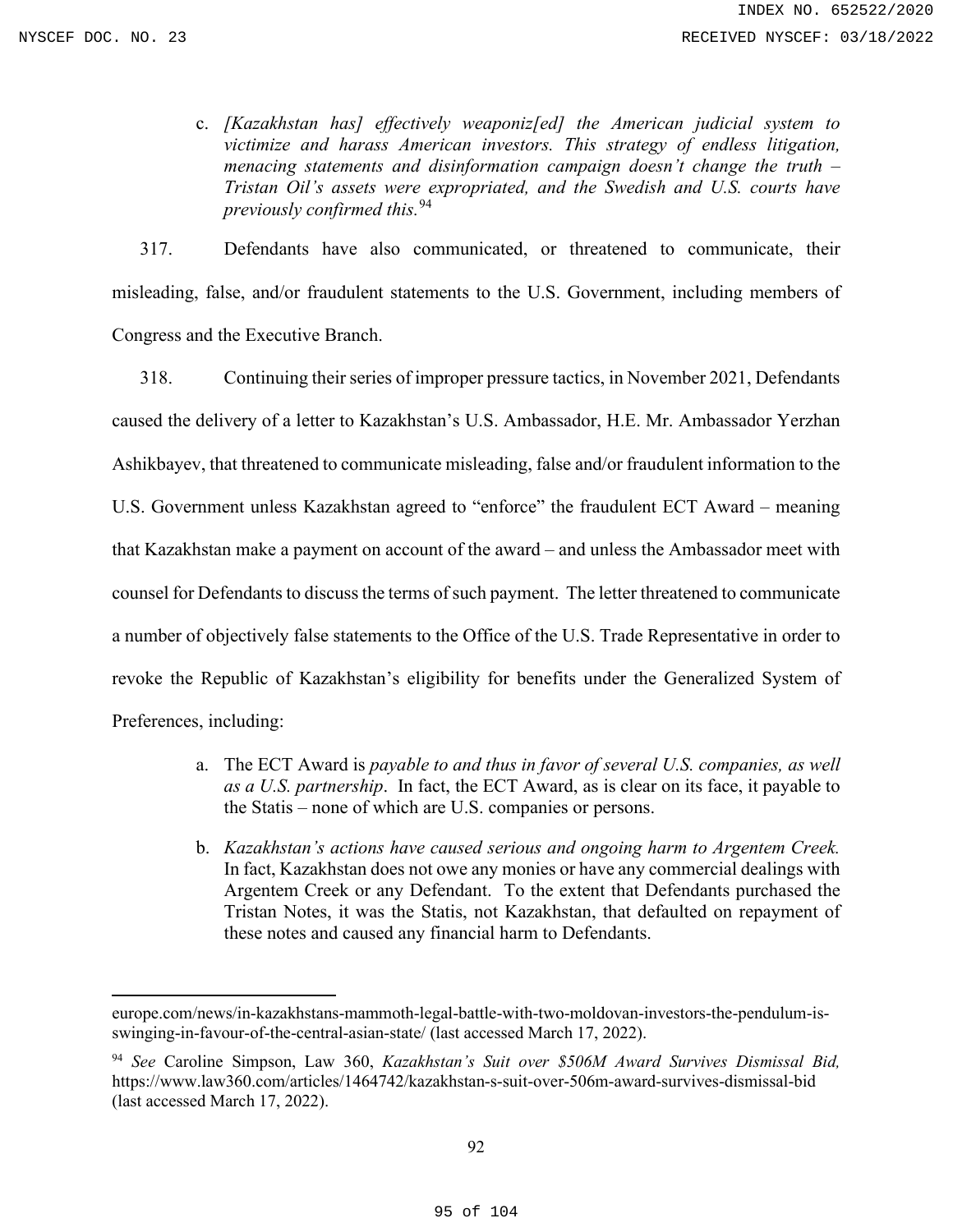c. *[Kazakhstan has] effectively weaponiz[ed] the American judicial system to victimize and harass American investors. This strategy of endless litigation, menacing statements and disinformation campaign doesn't change the truth – Tristan Oil's assets were expropriated, and the Swedish and U.S. courts have previously confirmed this.*[94](#page-94-0)

317. Defendants have also communicated, or threatened to communicate, their misleading, false, and/or fraudulent statements to the U.S. Government, including members of Congress and the Executive Branch.

318. Continuing their series of improper pressure tactics, in November 2021, Defendants caused the delivery of a letter to Kazakhstan's U.S. Ambassador, H.E. Mr. Ambassador Yerzhan Ashikbayev, that threatened to communicate misleading, false and/or fraudulent information to the U.S. Government unless Kazakhstan agreed to "enforce" the fraudulent ECT Award – meaning that Kazakhstan make a payment on account of the award – and unless the Ambassador meet with counsel for Defendants to discuss the terms of such payment. The letter threatened to communicate a number of objectively false statements to the Office of the U.S. Trade Representative in order to revoke the Republic of Kazakhstan's eligibility for benefits under the Generalized System of Preferences, including:

- a. The ECT Award is *payable to and thus in favor of several U.S. companies, as well as a U.S. partnership*. In fact, the ECT Award, as is clear on its face, it payable to the Statis – none of which are U.S. companies or persons.
- b. *Kazakhstan's actions have caused serious and ongoing harm to Argentem Creek.*  In fact, Kazakhstan does not owe any monies or have any commercial dealings with Argentem Creek or any Defendant. To the extent that Defendants purchased the Tristan Notes, it was the Statis, not Kazakhstan, that defaulted on repayment of these notes and caused any financial harm to Defendants.

europe.com/news/in-kazakhstans-mammoth-legal-battle-with-two-moldovan-investors-the-pendulum-isswinging-in-favour-of-the-central-asian-state/ (last accessed March 17, 2022).

<span id="page-94-0"></span><sup>94</sup> *See* Caroline Simpson, Law 360, *Kazakhstan's Suit over \$506M Award Survives Dismissal Bid,*  https://www.law360.com/articles/1464742/kazakhstan-s-suit-over-506m-award-survives-dismissal-bid (last accessed March 17, 2022).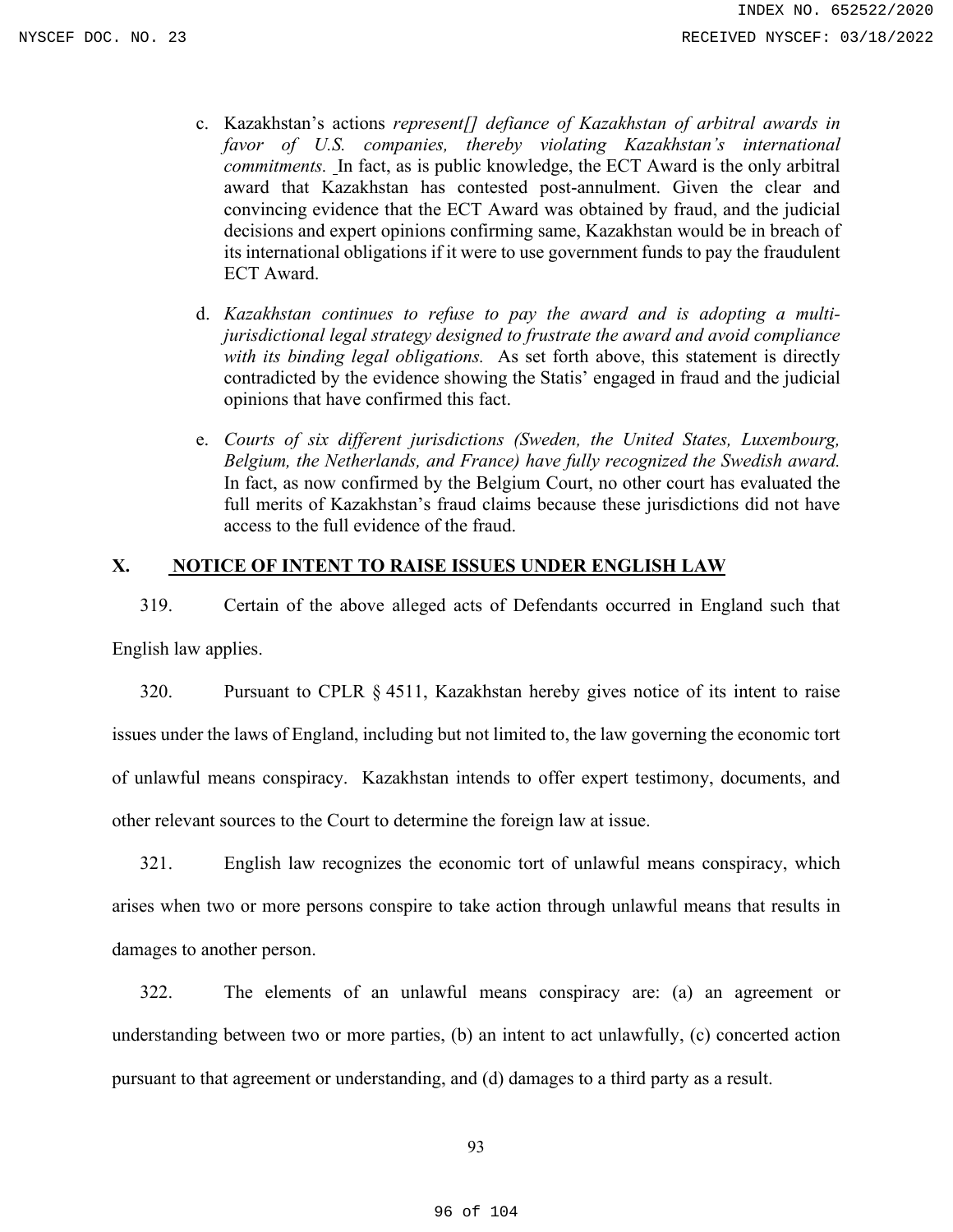- c. Kazakhstan's actions *represent[] defiance of Kazakhstan of arbitral awards in favor of U.S. companies, thereby violating Kazakhstan's international commitments.* In fact, as is public knowledge, the ECT Award is the only arbitral award that Kazakhstan has contested post-annulment. Given the clear and convincing evidence that the ECT Award was obtained by fraud, and the judicial decisions and expert opinions confirming same, Kazakhstan would be in breach of its international obligations if it were to use government funds to pay the fraudulent ECT Award.
- d. *Kazakhstan continues to refuse to pay the award and is adopting a multijurisdictional legal strategy designed to frustrate the award and avoid compliance with its binding legal obligations.* As set forth above, this statement is directly contradicted by the evidence showing the Statis' engaged in fraud and the judicial opinions that have confirmed this fact.
- e. *Courts of six different jurisdictions (Sweden, the United States, Luxembourg, Belgium, the Netherlands, and France) have fully recognized the Swedish award.*  In fact, as now confirmed by the Belgium Court, no other court has evaluated the full merits of Kazakhstan's fraud claims because these jurisdictions did not have access to the full evidence of the fraud.

## **X. NOTICE OF INTENT TO RAISE ISSUES UNDER ENGLISH LAW**

319. Certain of the above alleged acts of Defendants occurred in England such that English law applies.

320. Pursuant to CPLR § 4511, Kazakhstan hereby gives notice of its intent to raise issues under the laws of England, including but not limited to, the law governing the economic tort of unlawful means conspiracy. Kazakhstan intends to offer expert testimony, documents, and other relevant sources to the Court to determine the foreign law at issue.

321. English law recognizes the economic tort of unlawful means conspiracy, which arises when two or more persons conspire to take action through unlawful means that results in damages to another person.

322. The elements of an unlawful means conspiracy are: (a) an agreement or understanding between two or more parties, (b) an intent to act unlawfully, (c) concerted action pursuant to that agreement or understanding, and (d) damages to a third party as a result.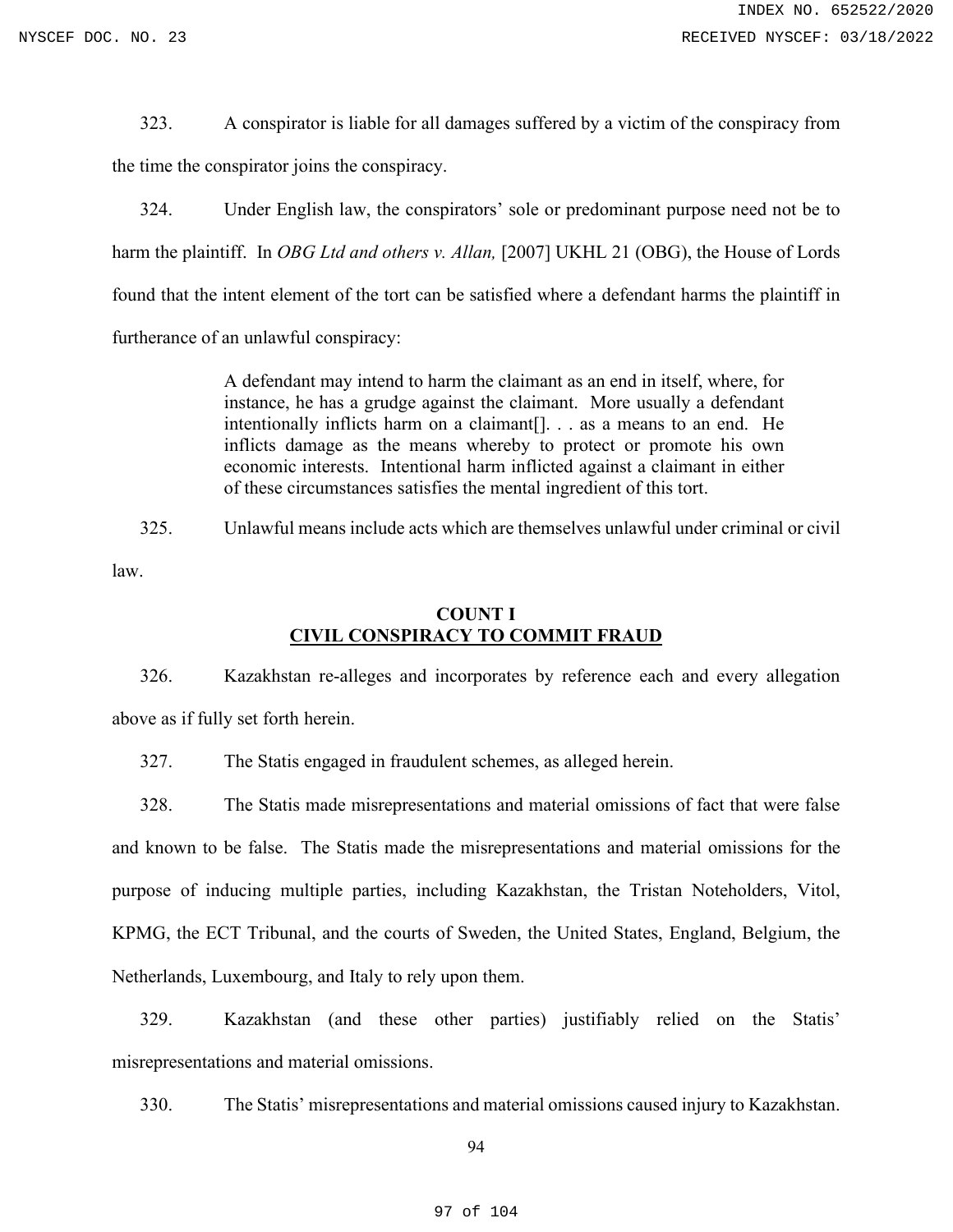323. A conspirator is liable for all damages suffered by a victim of the conspiracy from the time the conspirator joins the conspiracy.

324. Under English law, the conspirators' sole or predominant purpose need not be to harm the plaintiff. In *OBG Ltd and others v. Allan*, [2007] UKHL 21 (OBG), the House of Lords found that the intent element of the tort can be satisfied where a defendant harms the plaintiff in furtherance of an unlawful conspiracy:

> A defendant may intend to harm the claimant as an end in itself, where, for instance, he has a grudge against the claimant. More usually a defendant intentionally inflicts harm on a claimant[]. . . as a means to an end. He inflicts damage as the means whereby to protect or promote his own economic interests. Intentional harm inflicted against a claimant in either of these circumstances satisfies the mental ingredient of this tort.

325. Unlawful means include acts which are themselves unlawful under criminal or civil

law.

# **COUNT I CIVIL CONSPIRACY TO COMMIT FRAUD**

326. Kazakhstan re-alleges and incorporates by reference each and every allegation above as if fully set forth herein.

327. The Statis engaged in fraudulent schemes, as alleged herein.

328. The Statis made misrepresentations and material omissions of fact that were false and known to be false. The Statis made the misrepresentations and material omissions for the purpose of inducing multiple parties, including Kazakhstan, the Tristan Noteholders, Vitol, KPMG, the ECT Tribunal, and the courts of Sweden, the United States, England, Belgium, the Netherlands, Luxembourg, and Italy to rely upon them.

329. Kazakhstan (and these other parties) justifiably relied on the Statis' misrepresentations and material omissions.

330. The Statis' misrepresentations and material omissions caused injury to Kazakhstan.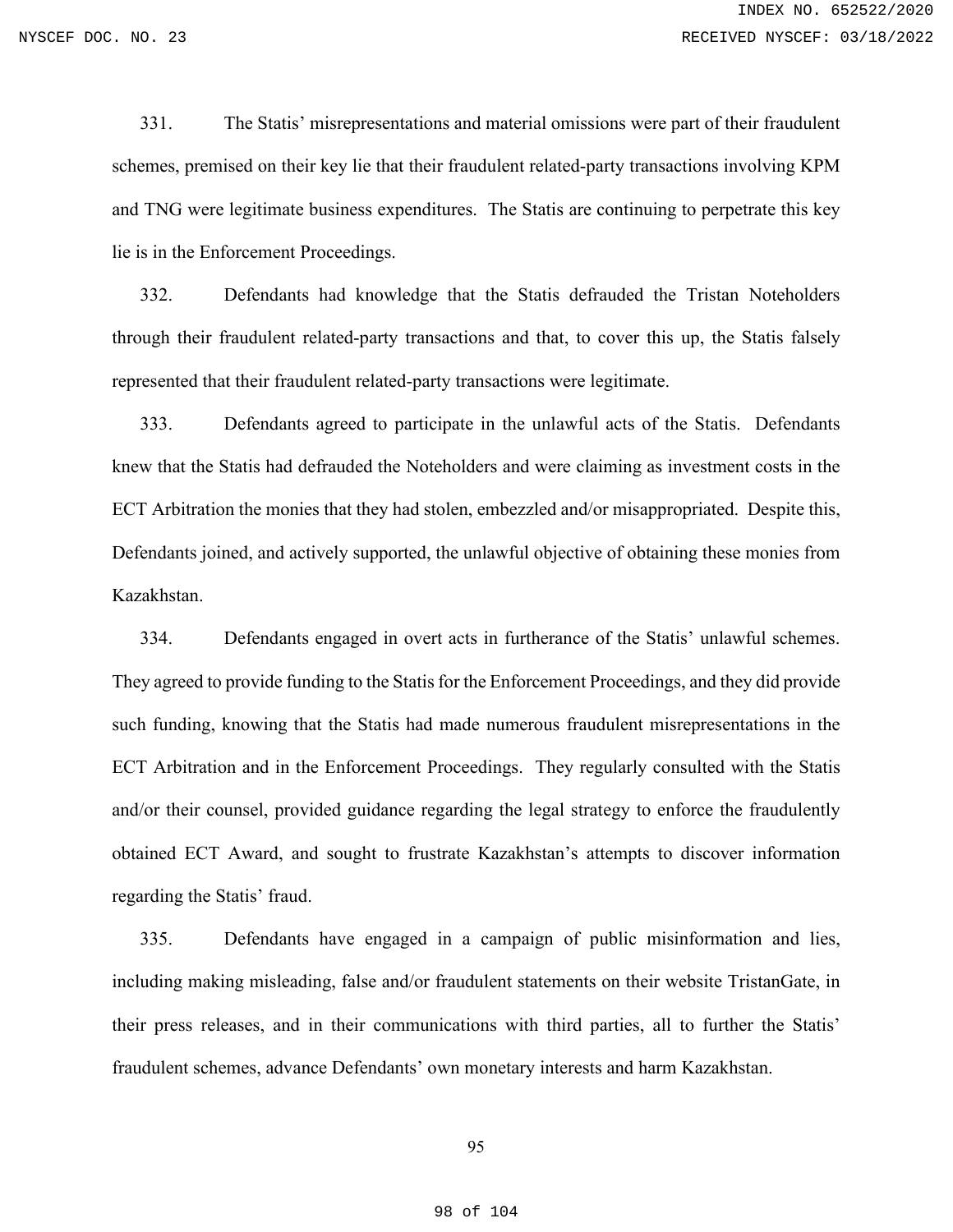331. The Statis' misrepresentations and material omissions were part of their fraudulent schemes, premised on their key lie that their fraudulent related-party transactions involving KPM and TNG were legitimate business expenditures. The Statis are continuing to perpetrate this key lie is in the Enforcement Proceedings.

332. Defendants had knowledge that the Statis defrauded the Tristan Noteholders through their fraudulent related-party transactions and that, to cover this up, the Statis falsely represented that their fraudulent related-party transactions were legitimate.

333. Defendants agreed to participate in the unlawful acts of the Statis. Defendants knew that the Statis had defrauded the Noteholders and were claiming as investment costs in the ECT Arbitration the monies that they had stolen, embezzled and/or misappropriated. Despite this, Defendants joined, and actively supported, the unlawful objective of obtaining these monies from Kazakhstan.

334. Defendants engaged in overt acts in furtherance of the Statis' unlawful schemes. They agreed to provide funding to the Statis for the Enforcement Proceedings, and they did provide such funding, knowing that the Statis had made numerous fraudulent misrepresentations in the ECT Arbitration and in the Enforcement Proceedings. They regularly consulted with the Statis and/or their counsel, provided guidance regarding the legal strategy to enforce the fraudulently obtained ECT Award, and sought to frustrate Kazakhstan's attempts to discover information regarding the Statis' fraud.

335. Defendants have engaged in a campaign of public misinformation and lies, including making misleading, false and/or fraudulent statements on their website TristanGate, in their press releases, and in their communications with third parties, all to further the Statis' fraudulent schemes, advance Defendants' own monetary interests and harm Kazakhstan.

### 95

#### 98 of 104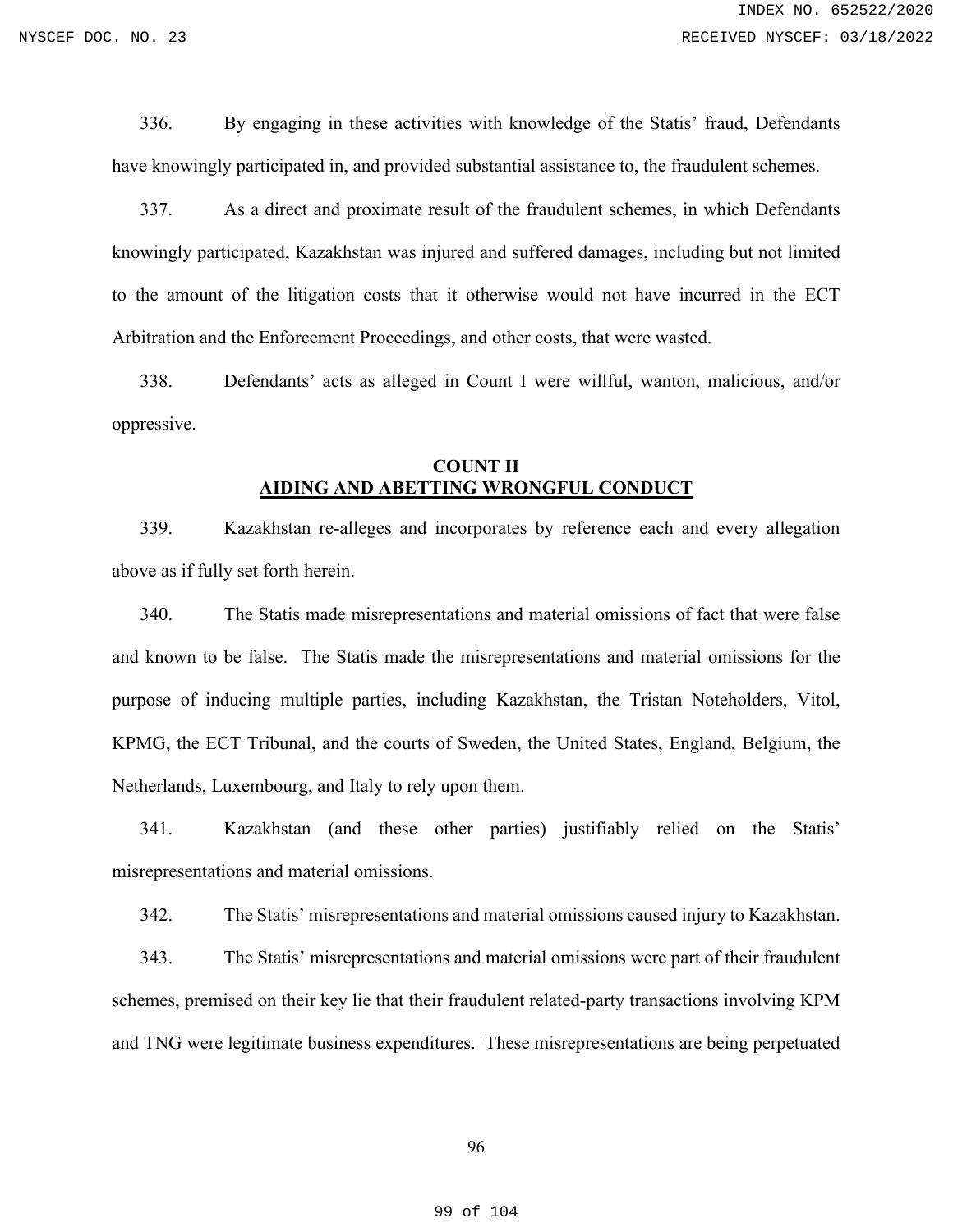336. By engaging in these activities with knowledge of the Statis' fraud, Defendants have knowingly participated in, and provided substantial assistance to, the fraudulent schemes.

337. As a direct and proximate result of the fraudulent schemes, in which Defendants knowingly participated, Kazakhstan was injured and suffered damages, including but not limited to the amount of the litigation costs that it otherwise would not have incurred in the ECT Arbitration and the Enforcement Proceedings, and other costs, that were wasted.

338. Defendants' acts as alleged in Count I were willful, wanton, malicious, and/or oppressive.

## **COUNT II AIDING AND ABETTING WRONGFUL CONDUCT**

339. Kazakhstan re-alleges and incorporates by reference each and every allegation above as if fully set forth herein.

340. The Statis made misrepresentations and material omissions of fact that were false and known to be false. The Statis made the misrepresentations and material omissions for the purpose of inducing multiple parties, including Kazakhstan, the Tristan Noteholders, Vitol, KPMG, the ECT Tribunal, and the courts of Sweden, the United States, England, Belgium, the Netherlands, Luxembourg, and Italy to rely upon them.

341. Kazakhstan (and these other parties) justifiably relied on the Statis' misrepresentations and material omissions.

342. The Statis' misrepresentations and material omissions caused injury to Kazakhstan.

343. The Statis' misrepresentations and material omissions were part of their fraudulent schemes, premised on their key lie that their fraudulent related-party transactions involving KPM and TNG were legitimate business expenditures. These misrepresentations are being perpetuated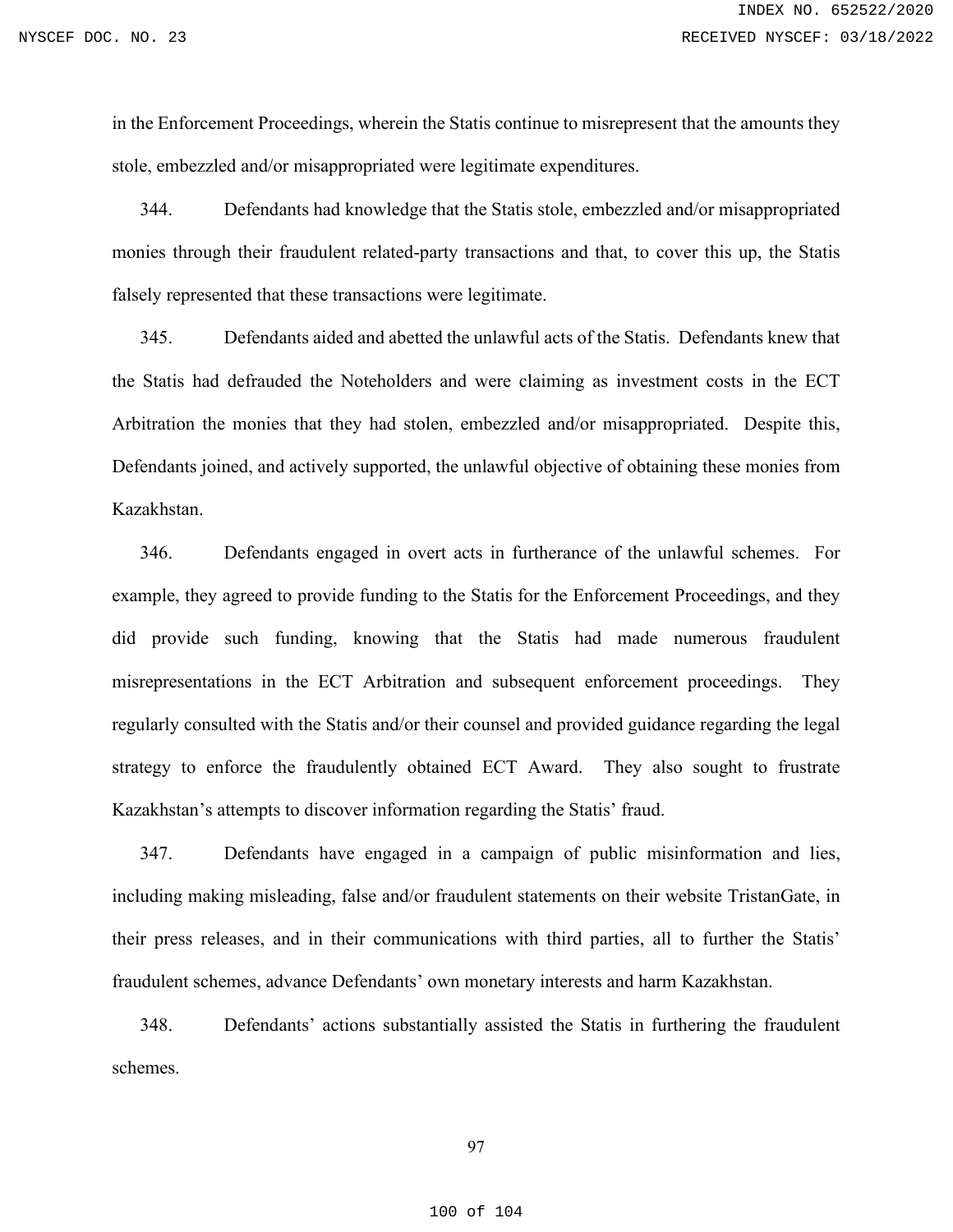in the Enforcement Proceedings, wherein the Statis continue to misrepresent that the amounts they stole, embezzled and/or misappropriated were legitimate expenditures.

344. Defendants had knowledge that the Statis stole, embezzled and/or misappropriated monies through their fraudulent related-party transactions and that, to cover this up, the Statis falsely represented that these transactions were legitimate.

345. Defendants aided and abetted the unlawful acts of the Statis. Defendants knew that the Statis had defrauded the Noteholders and were claiming as investment costs in the ECT Arbitration the monies that they had stolen, embezzled and/or misappropriated. Despite this, Defendants joined, and actively supported, the unlawful objective of obtaining these monies from Kazakhstan.

346. Defendants engaged in overt acts in furtherance of the unlawful schemes. For example, they agreed to provide funding to the Statis for the Enforcement Proceedings, and they did provide such funding, knowing that the Statis had made numerous fraudulent misrepresentations in the ECT Arbitration and subsequent enforcement proceedings. They regularly consulted with the Statis and/or their counsel and provided guidance regarding the legal strategy to enforce the fraudulently obtained ECT Award. They also sought to frustrate Kazakhstan's attempts to discover information regarding the Statis' fraud.

347. Defendants have engaged in a campaign of public misinformation and lies, including making misleading, false and/or fraudulent statements on their website TristanGate, in their press releases, and in their communications with third parties, all to further the Statis' fraudulent schemes, advance Defendants' own monetary interests and harm Kazakhstan.

348. Defendants' actions substantially assisted the Statis in furthering the fraudulent schemes.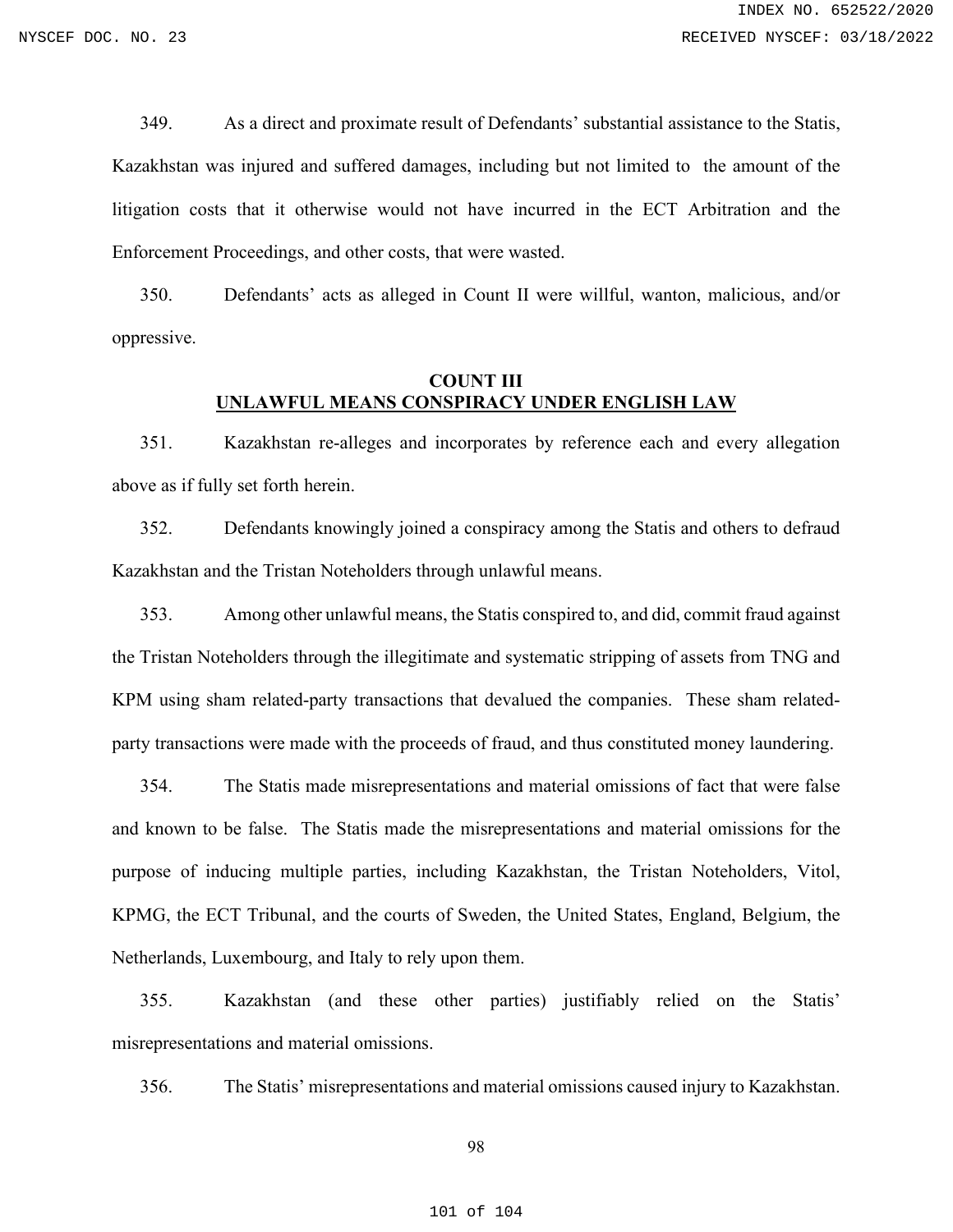349. As a direct and proximate result of Defendants' substantial assistance to the Statis, Kazakhstan was injured and suffered damages, including but not limited to the amount of the litigation costs that it otherwise would not have incurred in the ECT Arbitration and the Enforcement Proceedings, and other costs, that were wasted.

350. Defendants' acts as alleged in Count II were willful, wanton, malicious, and/or oppressive.

## **COUNT III UNLAWFUL MEANS CONSPIRACY UNDER ENGLISH LAW**

351. Kazakhstan re-alleges and incorporates by reference each and every allegation above as if fully set forth herein.

352. Defendants knowingly joined a conspiracy among the Statis and others to defraud Kazakhstan and the Tristan Noteholders through unlawful means.

353. Among other unlawful means, the Statis conspired to, and did, commit fraud against the Tristan Noteholders through the illegitimate and systematic stripping of assets from TNG and KPM using sham related-party transactions that devalued the companies. These sham relatedparty transactions were made with the proceeds of fraud, and thus constituted money laundering.

354. The Statis made misrepresentations and material omissions of fact that were false and known to be false. The Statis made the misrepresentations and material omissions for the purpose of inducing multiple parties, including Kazakhstan, the Tristan Noteholders, Vitol, KPMG, the ECT Tribunal, and the courts of Sweden, the United States, England, Belgium, the Netherlands, Luxembourg, and Italy to rely upon them.

355. Kazakhstan (and these other parties) justifiably relied on the Statis' misrepresentations and material omissions.

356. The Statis' misrepresentations and material omissions caused injury to Kazakhstan.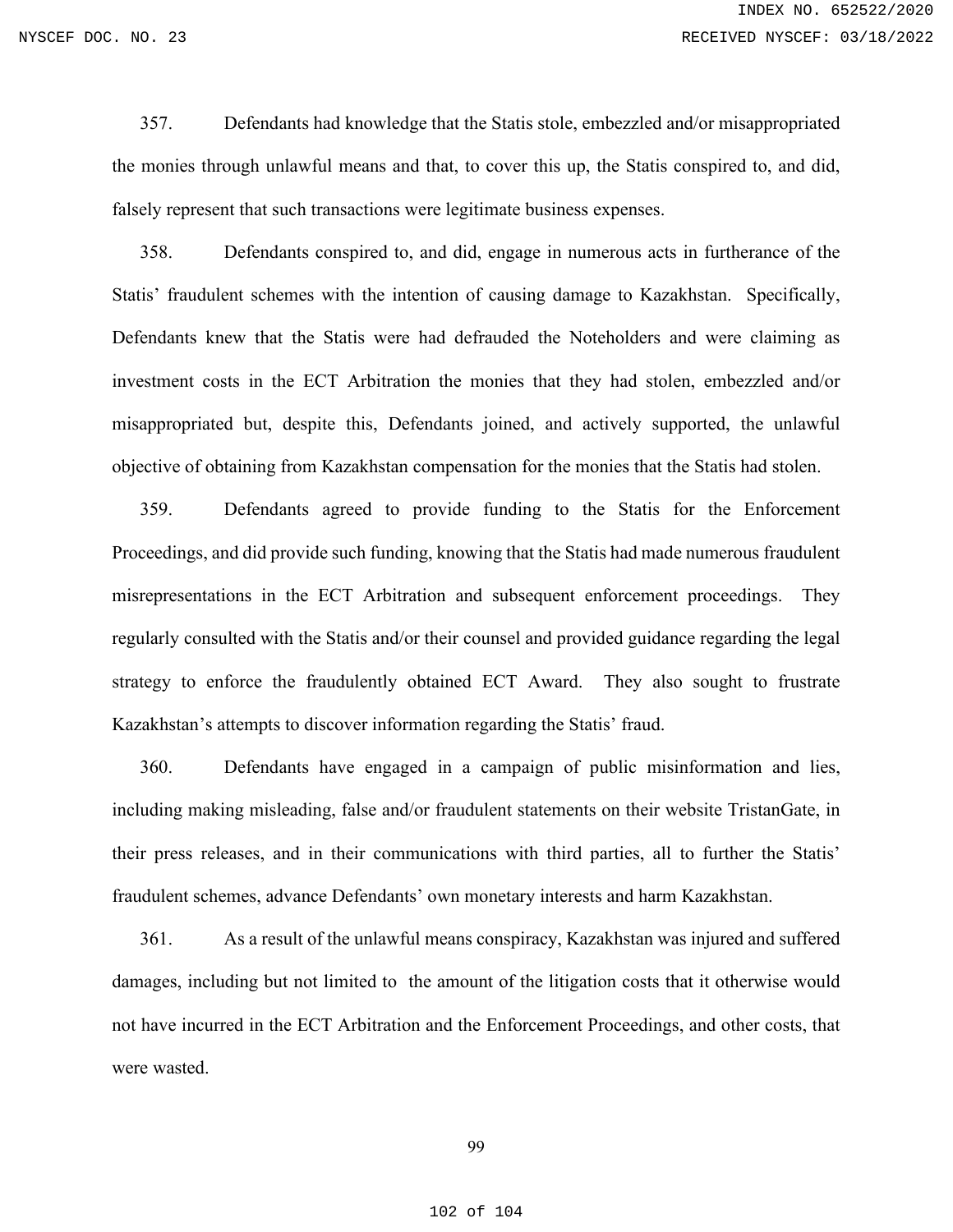357. Defendants had knowledge that the Statis stole, embezzled and/or misappropriated the monies through unlawful means and that, to cover this up, the Statis conspired to, and did, falsely represent that such transactions were legitimate business expenses.

358. Defendants conspired to, and did, engage in numerous acts in furtherance of the Statis' fraudulent schemes with the intention of causing damage to Kazakhstan. Specifically, Defendants knew that the Statis were had defrauded the Noteholders and were claiming as investment costs in the ECT Arbitration the monies that they had stolen, embezzled and/or misappropriated but, despite this, Defendants joined, and actively supported, the unlawful objective of obtaining from Kazakhstan compensation for the monies that the Statis had stolen.

359. Defendants agreed to provide funding to the Statis for the Enforcement Proceedings, and did provide such funding, knowing that the Statis had made numerous fraudulent misrepresentations in the ECT Arbitration and subsequent enforcement proceedings. They regularly consulted with the Statis and/or their counsel and provided guidance regarding the legal strategy to enforce the fraudulently obtained ECT Award. They also sought to frustrate Kazakhstan's attempts to discover information regarding the Statis' fraud.

360. Defendants have engaged in a campaign of public misinformation and lies, including making misleading, false and/or fraudulent statements on their website TristanGate, in their press releases, and in their communications with third parties, all to further the Statis' fraudulent schemes, advance Defendants' own monetary interests and harm Kazakhstan.

361. As a result of the unlawful means conspiracy, Kazakhstan was injured and suffered damages, including but not limited to the amount of the litigation costs that it otherwise would not have incurred in the ECT Arbitration and the Enforcement Proceedings, and other costs, that were wasted.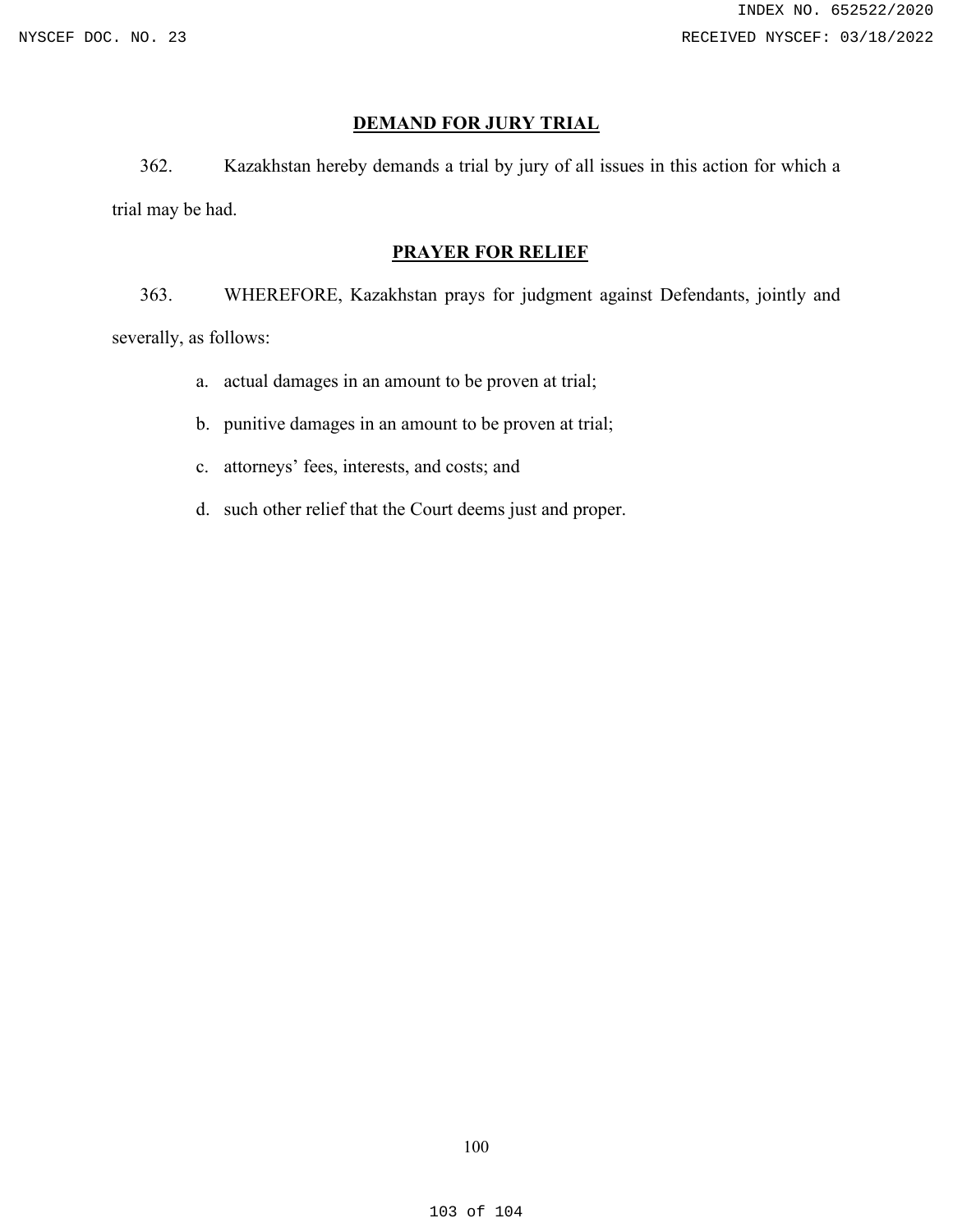## **DEMAND FOR JURY TRIAL**

362. Kazakhstan hereby demands a trial by jury of all issues in this action for which a trial may be had.

### **PRAYER FOR RELIEF**

363. WHEREFORE, Kazakhstan prays for judgment against Defendants, jointly and severally, as follows:

- a. actual damages in an amount to be proven at trial;
- b. punitive damages in an amount to be proven at trial;
- c. attorneys' fees, interests, and costs; and
- d. such other relief that the Court deems just and proper.